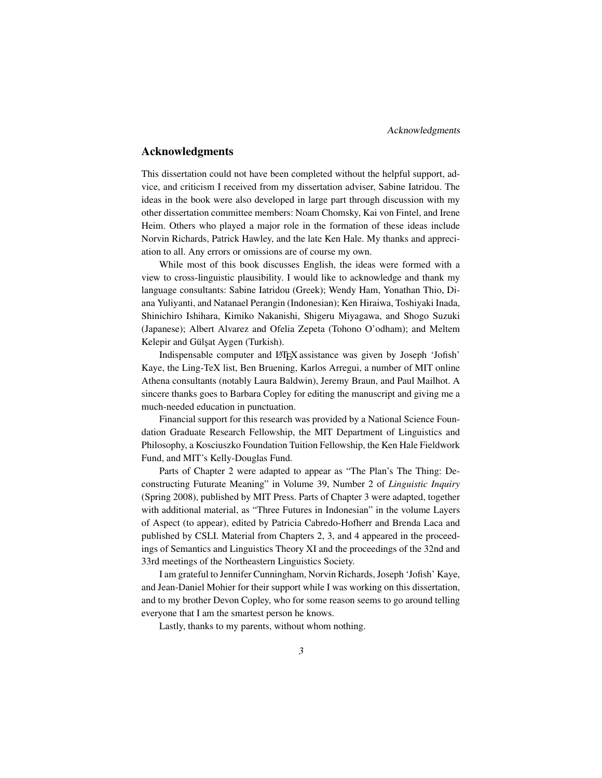Acknowledgments

## Acknowledgments

This dissertation could not have been completed without the helpful support, advice, and criticism I received from my dissertation adviser, Sabine Iatridou. The ideas in the book were also developed in large part through discussion with my other dissertation committee members: Noam Chomsky, Kai von Fintel, and Irene Heim. Others who played a major role in the formation of these ideas include Norvin Richards, Patrick Hawley, and the late Ken Hale. My thanks and appreciation to all. Any errors or omissions are of course my own.

While most of this book discusses English, the ideas were formed with a view to cross-linguistic plausibility. I would like to acknowledge and thank my language consultants: Sabine Iatridou (Greek); Wendy Ham, Yonathan Thio, Diana Yuliyanti, and Natanael Perangin (Indonesian); Ken Hiraiwa, Toshiyaki Inada, Shinichiro Ishihara, Kimiko Nakanishi, Shigeru Miyagawa, and Shogo Suzuki (Japanese); Albert Alvarez and Ofelia Zepeta (Tohono O'odham); and Meltem Kelepir and Gülsat Aygen (Turkish).

Indispensable computer and LAT<sub>E</sub>X assistance was given by Joseph 'Jofish' Kaye, the Ling-TeX list, Ben Bruening, Karlos Arregui, a number of MIT online Athena consultants (notably Laura Baldwin), Jeremy Braun, and Paul Mailhot. A sincere thanks goes to Barbara Copley for editing the manuscript and giving me a much-needed education in punctuation.

Financial support for this research was provided by a National Science Foundation Graduate Research Fellowship, the MIT Department of Linguistics and Philosophy, a Kosciuszko Foundation Tuition Fellowship, the Ken Hale Fieldwork Fund, and MIT's Kelly-Douglas Fund.

Parts of Chapter 2 were adapted to appear as "The Plan's The Thing: Deconstructing Futurate Meaning" in Volume 39, Number 2 of *Linguistic Inquiry* (Spring 2008), published by MIT Press. Parts of Chapter 3 were adapted, together with additional material, as "Three Futures in Indonesian" in the volume Layers of Aspect (to appear), edited by Patricia Cabredo-Hofherr and Brenda Laca and published by CSLI. Material from Chapters 2, 3, and 4 appeared in the proceedings of Semantics and Linguistics Theory XI and the proceedings of the 32nd and 33rd meetings of the Northeastern Linguistics Society.

I am grateful to Jennifer Cunningham, Norvin Richards, Joseph 'Jofish' Kaye, and Jean-Daniel Mohier for their support while I was working on this dissertation, and to my brother Devon Copley, who for some reason seems to go around telling everyone that I am the smartest person he knows.

Lastly, thanks to my parents, without whom nothing.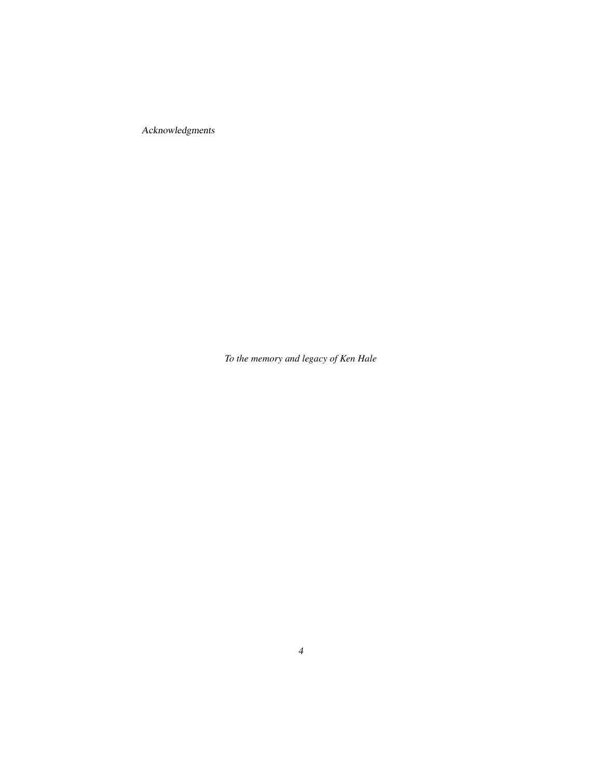Acknowledgments

*To the memory and legacy of Ken Hale*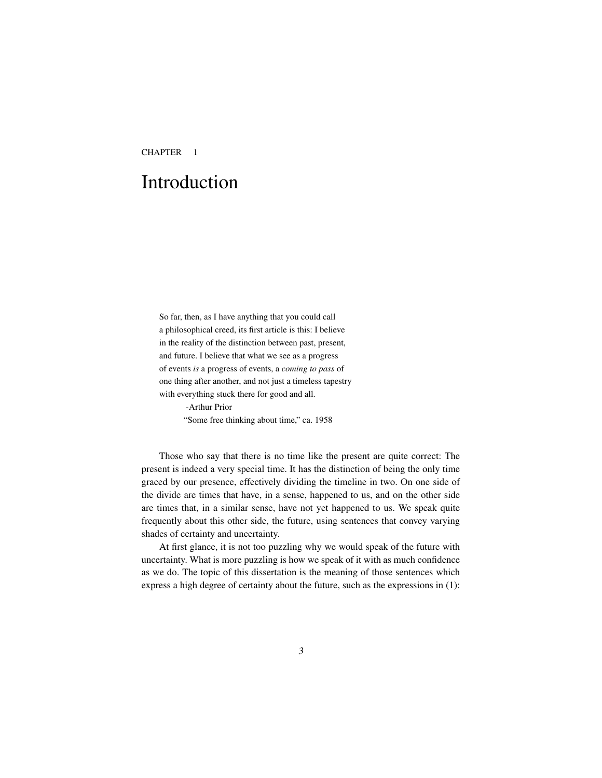CHAPTER<sub>1</sub>

# Introduction

So far, then, as I have anything that you could call a philosophical creed, its first article is this: I believe in the reality of the distinction between past, present, and future. I believe that what we see as a progress of events *is* a progress of events, a *coming to pass* of one thing after another, and not just a timeless tapestry with everything stuck there for good and all.

> -Arthur Prior "Some free thinking about time," ca. 1958

Those who say that there is no time like the present are quite correct: The present is indeed a very special time. It has the distinction of being the only time graced by our presence, effectively dividing the timeline in two. On one side of the divide are times that have, in a sense, happened to us, and on the other side are times that, in a similar sense, have not yet happened to us. We speak quite frequently about this other side, the future, using sentences that convey varying shades of certainty and uncertainty.

At first glance, it is not too puzzling why we would speak of the future with uncertainty. What is more puzzling is how we speak of it with as much confidence as we do. The topic of this dissertation is the meaning of those sentences which express a high degree of certainty about the future, such as the expressions in (1):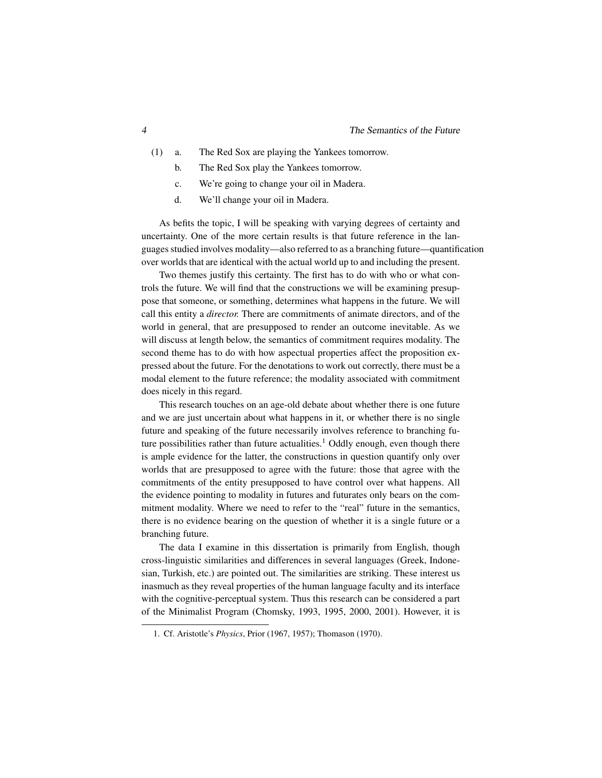- (1) a. The Red Sox are playing the Yankees tomorrow.
	- b. The Red Sox play the Yankees tomorrow.
	- c. We're going to change your oil in Madera.
	- d. We'll change your oil in Madera.

As befits the topic, I will be speaking with varying degrees of certainty and uncertainty. One of the more certain results is that future reference in the languages studied involves modality—also referred to as a branching future—quantification over worlds that are identical with the actual world up to and including the present.

Two themes justify this certainty. The first has to do with who or what controls the future. We will find that the constructions we will be examining presuppose that someone, or something, determines what happens in the future. We will call this entity a *director.* There are commitments of animate directors, and of the world in general, that are presupposed to render an outcome inevitable. As we will discuss at length below, the semantics of commitment requires modality. The second theme has to do with how aspectual properties affect the proposition expressed about the future. For the denotations to work out correctly, there must be a modal element to the future reference; the modality associated with commitment does nicely in this regard.

This research touches on an age-old debate about whether there is one future and we are just uncertain about what happens in it, or whether there is no single future and speaking of the future necessarily involves reference to branching future possibilities rather than future actualities.<sup>1</sup> Oddly enough, even though there is ample evidence for the latter, the constructions in question quantify only over worlds that are presupposed to agree with the future: those that agree with the commitments of the entity presupposed to have control over what happens. All the evidence pointing to modality in futures and futurates only bears on the commitment modality. Where we need to refer to the "real" future in the semantics, there is no evidence bearing on the question of whether it is a single future or a branching future.

The data I examine in this dissertation is primarily from English, though cross-linguistic similarities and differences in several languages (Greek, Indonesian, Turkish, etc.) are pointed out. The similarities are striking. These interest us inasmuch as they reveal properties of the human language faculty and its interface with the cognitive-perceptual system. Thus this research can be considered a part of the Minimalist Program (Chomsky, 1993, 1995, 2000, 2001). However, it is

<sup>1.</sup> Cf. Aristotle's *Physics*, Prior (1967, 1957); Thomason (1970).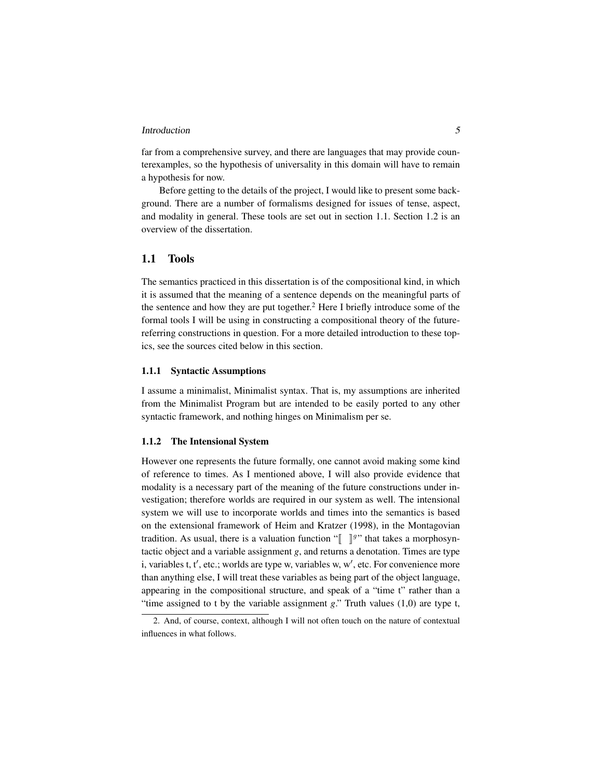## Introduction 5

far from a comprehensive survey, and there are languages that may provide counterexamples, so the hypothesis of universality in this domain will have to remain a hypothesis for now.

Before getting to the details of the project, I would like to present some background. There are a number of formalisms designed for issues of tense, aspect, and modality in general. These tools are set out in section 1.1. Section 1.2 is an overview of the dissertation.

## 1.1 Tools

The semantics practiced in this dissertation is of the compositional kind, in which it is assumed that the meaning of a sentence depends on the meaningful parts of the sentence and how they are put together.<sup>2</sup> Here I briefly introduce some of the formal tools I will be using in constructing a compositional theory of the futurereferring constructions in question. For a more detailed introduction to these topics, see the sources cited below in this section.

#### 1.1.1 Syntactic Assumptions

I assume a minimalist, Minimalist syntax. That is, my assumptions are inherited from the Minimalist Program but are intended to be easily ported to any other syntactic framework, and nothing hinges on Minimalism per se.

#### 1.1.2 The Intensional System

However one represents the future formally, one cannot avoid making some kind of reference to times. As I mentioned above, I will also provide evidence that modality is a necessary part of the meaning of the future constructions under investigation; therefore worlds are required in our system as well. The intensional system we will use to incorporate worlds and times into the semantics is based on the extensional framework of Heim and Kratzer (1998), in the Montagovian tradition. As usual, there is a valuation function " $\llbracket \quad \rrbracket^{g}$ " that takes a morphosyntactic object and a variable assignment *g*, and returns a denotation. Times are type i, variables t, t', etc.; worlds are type w, variables w, w', etc. For convenience more than anything else, I will treat these variables as being part of the object language, appearing in the compositional structure, and speak of a "time t" rather than a "time assigned to t by the variable assignment *g*." Truth values (1,0) are type t,

<sup>2.</sup> And, of course, context, although I will not often touch on the nature of contextual influences in what follows.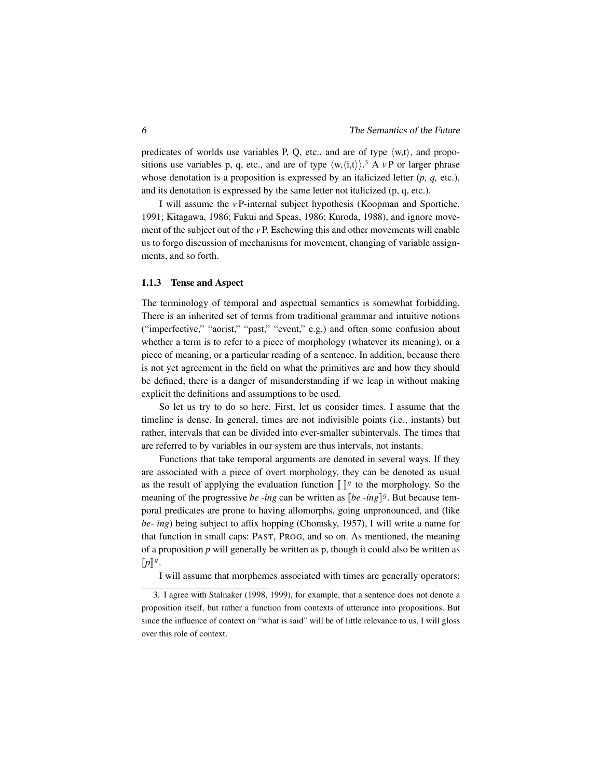predicates of worlds use variables P, Q, etc., and are of type  $\langle w, t \rangle$ , and propositions use variables p, q, etc., and are of type  $\langle w, \langle i, t \rangle \rangle$ .<sup>3</sup> A *v* P or larger phrase whose denotation is a proposition is expressed by an italicized letter (*p, q,* etc.), and its denotation is expressed by the same letter not italicized (p, q, etc.).

I will assume the *v* P-internal subject hypothesis (Koopman and Sportiche, 1991; Kitagawa, 1986; Fukui and Speas, 1986; Kuroda, 1988), and ignore movement of the subject out of the  $\nu$  P. Eschewing this and other movements will enable us to forgo discussion of mechanisms for movement, changing of variable assignments, and so forth.

#### 1.1.3 Tense and Aspect

The terminology of temporal and aspectual semantics is somewhat forbidding. There is an inherited set of terms from traditional grammar and intuitive notions ("imperfective," "aorist," "past," "event," e.g.) and often some confusion about whether a term is to refer to a piece of morphology (whatever its meaning), or a piece of meaning, or a particular reading of a sentence. In addition, because there is not yet agreement in the field on what the primitives are and how they should be defined, there is a danger of misunderstanding if we leap in without making explicit the definitions and assumptions to be used.

So let us try to do so here. First, let us consider times. I assume that the timeline is dense. In general, times are not indivisible points (i.e., instants) but rather, intervals that can be divided into ever-smaller subintervals. The times that are referred to by variables in our system are thus intervals, not instants.

Functions that take temporal arguments are denoted in several ways. If they are associated with a piece of overt morphology, they can be denoted as usual as the result of applying the evaluation function  $\llbracket \cdot \rrbracket^g$  to the morphology. So the meaning of the progressive *be -ing* can be written as  $[be -ing]^g$ . But because temporal predicates are prone to having allomorphs, going unpronounced, and (like *be- ing*) being subject to affix hopping (Chomsky, 1957), I will write a name for that function in small caps: PAST, PROG, and so on. As mentioned, the meaning of a proposition *p* will generally be written as p, though it could also be written as  $[p]$ <sup>g</sup>.

I will assume that morphemes associated with times are generally operators:

<sup>3.</sup> I agree with Stalnaker (1998, 1999), for example, that a sentence does not denote a proposition itself, but rather a function from contexts of utterance into propositions. But since the influence of context on "what is said" will be of little relevance to us, I will gloss over this role of context.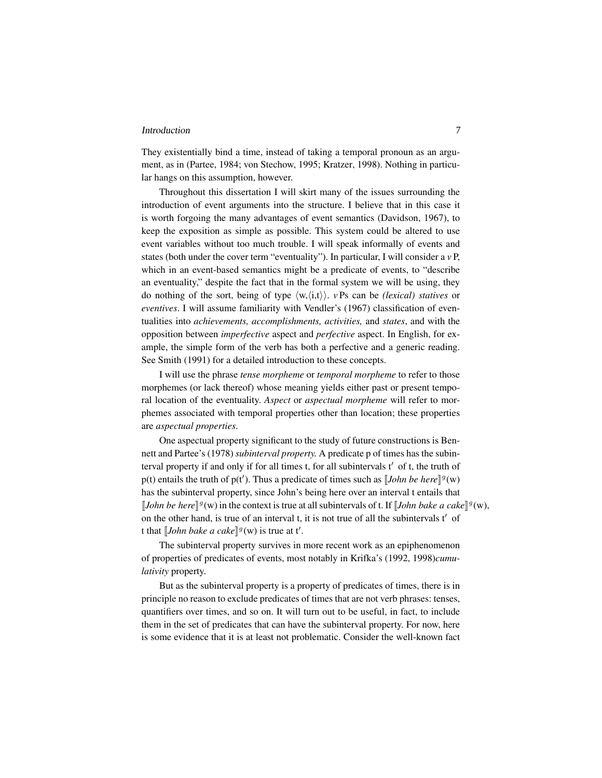## Introduction 7

They existentially bind a time, instead of taking a temporal pronoun as an argument, as in (Partee, 1984; von Stechow, 1995; Kratzer, 1998). Nothing in particular hangs on this assumption, however.

Throughout this dissertation I will skirt many of the issues surrounding the introduction of event arguments into the structure. I believe that in this case it is worth forgoing the many advantages of event semantics (Davidson, 1967), to keep the exposition as simple as possible. This system could be altered to use event variables without too much trouble. I will speak informally of events and states (both under the cover term "eventuality"). In particular, I will consider a *v* P, which in an event-based semantics might be a predicate of events, to "describe an eventuality," despite the fact that in the formal system we will be using, they do nothing of the sort, being of type  $\langle w, \langle i, t \rangle \rangle$ . *v* Ps can be *(lexical) statives* or *eventives*. I will assume familiarity with Vendler's (1967) classification of eventualities into *achievements, accomplishments, activities,* and *states*, and with the opposition between *imperfective* aspect and *perfective* aspect. In English, for example, the simple form of the verb has both a perfective and a generic reading. See Smith (1991) for a detailed introduction to these concepts.

I will use the phrase *tense morpheme* or *temporal morpheme* to refer to those morphemes (or lack thereof) whose meaning yields either past or present temporal location of the eventuality. *Aspect* or *aspectual morpheme* will refer to morphemes associated with temporal properties other than location; these properties are *aspectual properties*.

One aspectual property significant to the study of future constructions is Bennett and Partee's (1978) *subinterval property.* A predicate p of times has the subinterval property if and only if for all times t, for all subintervals  $t'$  of t, the truth of p(t) entails the truth of p(t'). Thus a predicate of times such as  $\llbracket John \, be \, here \rrbracket^g(w)$ has the subinterval property, since John's being here over an interval t entails that [*John be here*]<sup>g</sup>(w) in the context is true at all subintervals of t. If [*John bake a cake*]<sup>g</sup>(w), on the other hand, is true of an interval t, it is not true of all the subintervals  $t'$  of t that [*John bake a cake*]<sup> $g$ </sup>(w) is true at t'.

The subinterval property survives in more recent work as an epiphenomenon of properties of predicates of events, most notably in Krifka's (1992, 1998)*cumulativity* property.

But as the subinterval property is a property of predicates of times, there is in principle no reason to exclude predicates of times that are not verb phrases: tenses, quantifiers over times, and so on. It will turn out to be useful, in fact, to include them in the set of predicates that can have the subinterval property. For now, here is some evidence that it is at least not problematic. Consider the well-known fact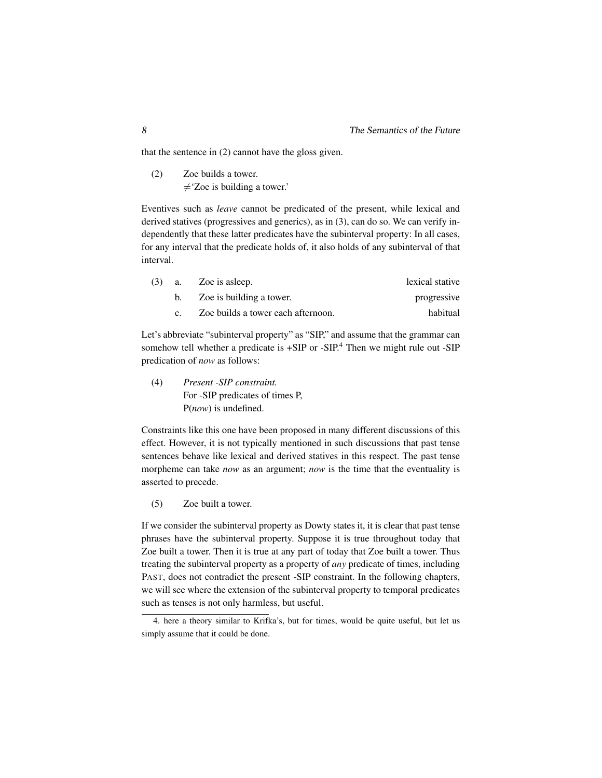that the sentence in (2) cannot have the gloss given.

(2) Zoe builds a tower.  $\neq$ 'Zoe is building a tower.'

Eventives such as *leave* cannot be predicated of the present, while lexical and derived statives (progressives and generics), as in (3), can do so. We can verify independently that these latter predicates have the subinterval property: In all cases, for any interval that the predicate holds of, it also holds of any subinterval of that interval.

|  | $(3)$ a. Zoe is asleep.            | lexical stative |
|--|------------------------------------|-----------------|
|  | Zoe is building a tower.           | progressive     |
|  | Zoe builds a tower each afternoon. | habitual        |

Let's abbreviate "subinterval property" as "SIP," and assume that the grammar can somehow tell whether a predicate is  $+SIP$  or  $-SIP<sup>4</sup>$ . Then we might rule out -SIP predication of *now* as follows:

(4) *Present -SIP constraint.* For -SIP predicates of times P, P(*now*) is undefined.

Constraints like this one have been proposed in many different discussions of this effect. However, it is not typically mentioned in such discussions that past tense sentences behave like lexical and derived statives in this respect. The past tense morpheme can take *now* as an argument; *now* is the time that the eventuality is asserted to precede.

(5) Zoe built a tower.

If we consider the subinterval property as Dowty states it, it is clear that past tense phrases have the subinterval property. Suppose it is true throughout today that Zoe built a tower. Then it is true at any part of today that Zoe built a tower. Thus treating the subinterval property as a property of *any* predicate of times, including PAST, does not contradict the present -SIP constraint. In the following chapters, we will see where the extension of the subinterval property to temporal predicates such as tenses is not only harmless, but useful.

<sup>4.</sup> here a theory similar to Krifka's, but for times, would be quite useful, but let us simply assume that it could be done.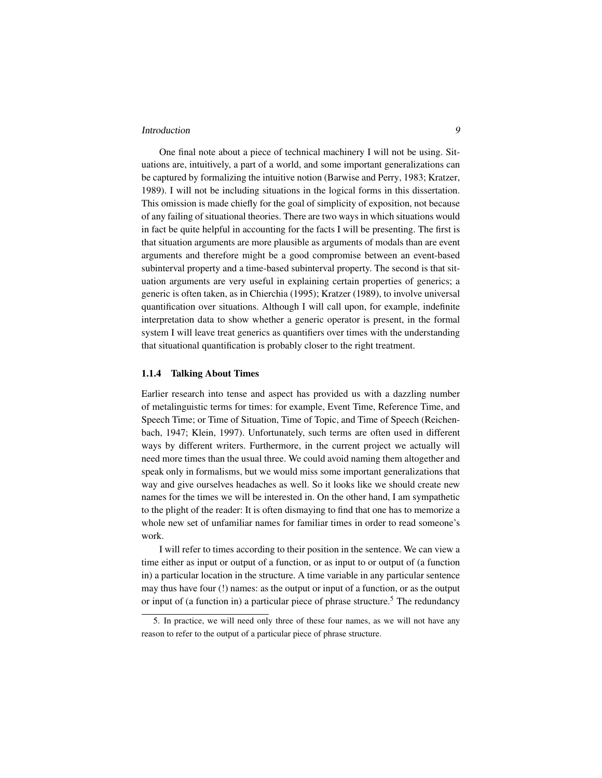## **Introduction** 9

One final note about a piece of technical machinery I will not be using. Situations are, intuitively, a part of a world, and some important generalizations can be captured by formalizing the intuitive notion (Barwise and Perry, 1983; Kratzer, 1989). I will not be including situations in the logical forms in this dissertation. This omission is made chiefly for the goal of simplicity of exposition, not because of any failing of situational theories. There are two ways in which situations would in fact be quite helpful in accounting for the facts I will be presenting. The first is that situation arguments are more plausible as arguments of modals than are event arguments and therefore might be a good compromise between an event-based subinterval property and a time-based subinterval property. The second is that situation arguments are very useful in explaining certain properties of generics; a generic is often taken, as in Chierchia (1995); Kratzer (1989), to involve universal quantification over situations. Although I will call upon, for example, indefinite interpretation data to show whether a generic operator is present, in the formal system I will leave treat generics as quantifiers over times with the understanding that situational quantification is probably closer to the right treatment.

#### 1.1.4 Talking About Times

Earlier research into tense and aspect has provided us with a dazzling number of metalinguistic terms for times: for example, Event Time, Reference Time, and Speech Time; or Time of Situation, Time of Topic, and Time of Speech (Reichenbach, 1947; Klein, 1997). Unfortunately, such terms are often used in different ways by different writers. Furthermore, in the current project we actually will need more times than the usual three. We could avoid naming them altogether and speak only in formalisms, but we would miss some important generalizations that way and give ourselves headaches as well. So it looks like we should create new names for the times we will be interested in. On the other hand, I am sympathetic to the plight of the reader: It is often dismaying to find that one has to memorize a whole new set of unfamiliar names for familiar times in order to read someone's work.

I will refer to times according to their position in the sentence. We can view a time either as input or output of a function, or as input to or output of (a function in) a particular location in the structure. A time variable in any particular sentence may thus have four (!) names: as the output or input of a function, or as the output or input of (a function in) a particular piece of phrase structure.<sup>5</sup> The redundancy

<sup>5.</sup> In practice, we will need only three of these four names, as we will not have any reason to refer to the output of a particular piece of phrase structure.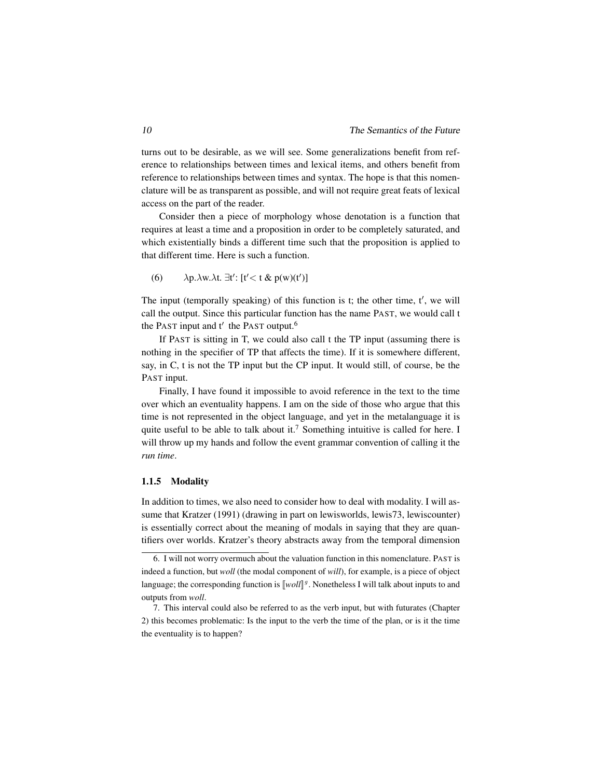turns out to be desirable, as we will see. Some generalizations benefit from reference to relationships between times and lexical items, and others benefit from reference to relationships between times and syntax. The hope is that this nomenclature will be as transparent as possible, and will not require great feats of lexical access on the part of the reader.

Consider then a piece of morphology whose denotation is a function that requires at least a time and a proposition in order to be completely saturated, and which existentially binds a different time such that the proposition is applied to that different time. Here is such a function.

(6)  $\lambda p.\lambda w.\lambda t. \exists t' : [t' < t \& p(w)(t')]$ 

The input (temporally speaking) of this function is  $t$ ; the other time,  $t'$ , we will call the output. Since this particular function has the name PAST, we would call t the PAST input and  $t'$  the PAST output.<sup>6</sup>

If PAST is sitting in T, we could also call t the TP input (assuming there is nothing in the specifier of TP that affects the time). If it is somewhere different, say, in C, t is not the TP input but the CP input. It would still, of course, be the PAST input.

Finally, I have found it impossible to avoid reference in the text to the time over which an eventuality happens. I am on the side of those who argue that this time is not represented in the object language, and yet in the metalanguage it is quite useful to be able to talk about it.<sup>7</sup> Something intuitive is called for here. I will throw up my hands and follow the event grammar convention of calling it the *run time*.

#### 1.1.5 Modality

In addition to times, we also need to consider how to deal with modality. I will assume that Kratzer (1991) (drawing in part on lewisworlds, lewis73, lewiscounter) is essentially correct about the meaning of modals in saying that they are quantifiers over worlds. Kratzer's theory abstracts away from the temporal dimension

<sup>6.</sup> I will not worry overmuch about the valuation function in this nomenclature. PAST is indeed a function, but *woll* (the modal component of *will*), for example, is a piece of object language; the corresponding function is  $\llbracket woll \rrbracket^g$ . Nonetheless I will talk about inputs to and outputs from *woll*.

<sup>7.</sup> This interval could also be referred to as the verb input, but with futurates (Chapter 2) this becomes problematic: Is the input to the verb the time of the plan, or is it the time the eventuality is to happen?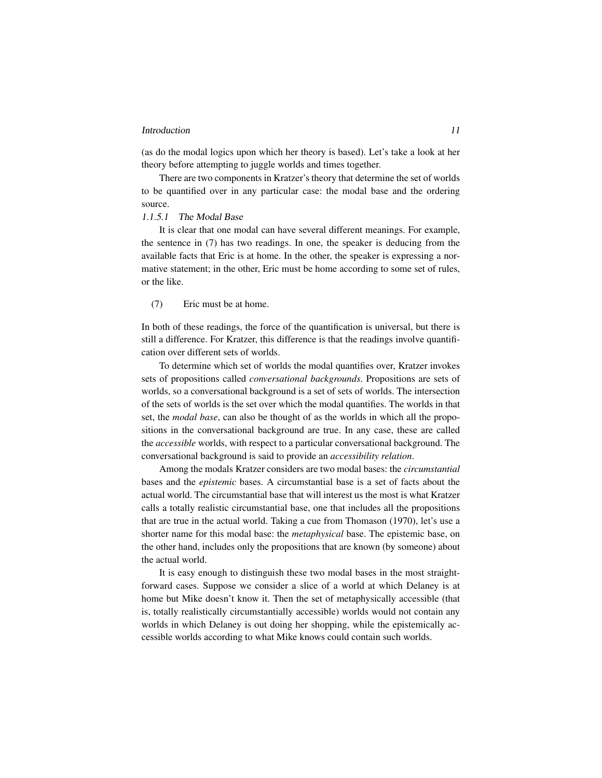## Introduction 2008 and 2008 and 2008 and 2008 and 2008 and 2008 and 2008 and 2008 and 2008 and 2008 and 2008 and 2008 and 2008 and 2008 and 2008 and 2008 and 2008 and 2008 and 2008 and 2008 and 2008 and 2008 and 2008 and 20

(as do the modal logics upon which her theory is based). Let's take a look at her theory before attempting to juggle worlds and times together.

There are two components in Kratzer's theory that determine the set of worlds to be quantified over in any particular case: the modal base and the ordering source.

#### 1.1.5.1 The Modal Base

It is clear that one modal can have several different meanings. For example, the sentence in (7) has two readings. In one, the speaker is deducing from the available facts that Eric is at home. In the other, the speaker is expressing a normative statement; in the other, Eric must be home according to some set of rules, or the like.

(7) Eric must be at home.

In both of these readings, the force of the quantification is universal, but there is still a difference. For Kratzer, this difference is that the readings involve quantification over different sets of worlds.

To determine which set of worlds the modal quantifies over, Kratzer invokes sets of propositions called *conversational backgrounds*. Propositions are sets of worlds, so a conversational background is a set of sets of worlds. The intersection of the sets of worlds is the set over which the modal quantifies. The worlds in that set, the *modal base*, can also be thought of as the worlds in which all the propositions in the conversational background are true. In any case, these are called the *accessible* worlds, with respect to a particular conversational background. The conversational background is said to provide an *accessibility relation*.

Among the modals Kratzer considers are two modal bases: the *circumstantial* bases and the *epistemic* bases. A circumstantial base is a set of facts about the actual world. The circumstantial base that will interest us the most is what Kratzer calls a totally realistic circumstantial base, one that includes all the propositions that are true in the actual world. Taking a cue from Thomason (1970), let's use a shorter name for this modal base: the *metaphysical* base. The epistemic base, on the other hand, includes only the propositions that are known (by someone) about the actual world.

It is easy enough to distinguish these two modal bases in the most straightforward cases. Suppose we consider a slice of a world at which Delaney is at home but Mike doesn't know it. Then the set of metaphysically accessible (that is, totally realistically circumstantially accessible) worlds would not contain any worlds in which Delaney is out doing her shopping, while the epistemically accessible worlds according to what Mike knows could contain such worlds.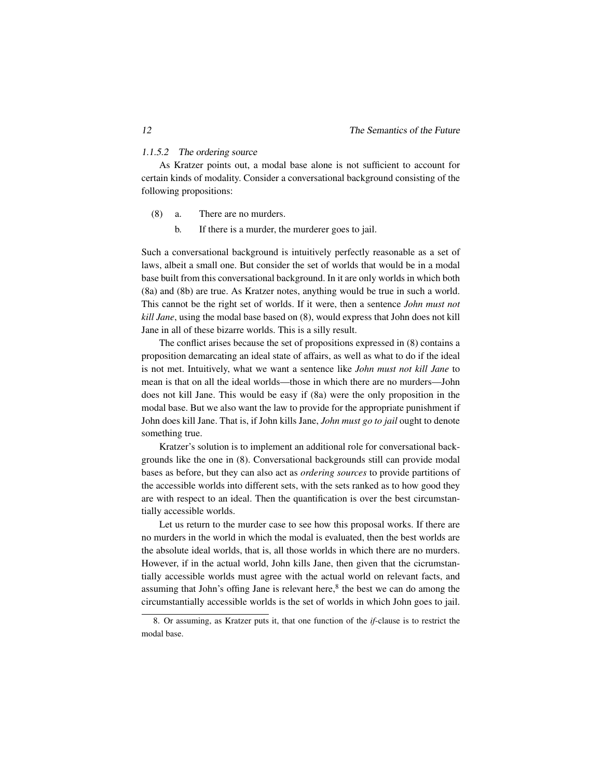#### 1.1.5.2 The ordering source

As Kratzer points out, a modal base alone is not sufficient to account for certain kinds of modality. Consider a conversational background consisting of the following propositions:

- (8) a. There are no murders.
	- b. If there is a murder, the murderer goes to jail.

Such a conversational background is intuitively perfectly reasonable as a set of laws, albeit a small one. But consider the set of worlds that would be in a modal base built from this conversational background. In it are only worlds in which both (8a) and (8b) are true. As Kratzer notes, anything would be true in such a world. This cannot be the right set of worlds. If it were, then a sentence *John must not kill Jane*, using the modal base based on (8), would express that John does not kill Jane in all of these bizarre worlds. This is a silly result.

The conflict arises because the set of propositions expressed in (8) contains a proposition demarcating an ideal state of affairs, as well as what to do if the ideal is not met. Intuitively, what we want a sentence like *John must not kill Jane* to mean is that on all the ideal worlds—those in which there are no murders—John does not kill Jane. This would be easy if (8a) were the only proposition in the modal base. But we also want the law to provide for the appropriate punishment if John does kill Jane. That is, if John kills Jane, *John must go to jail* ought to denote something true.

Kratzer's solution is to implement an additional role for conversational backgrounds like the one in (8). Conversational backgrounds still can provide modal bases as before, but they can also act as *ordering sources* to provide partitions of the accessible worlds into different sets, with the sets ranked as to how good they are with respect to an ideal. Then the quantification is over the best circumstantially accessible worlds.

Let us return to the murder case to see how this proposal works. If there are no murders in the world in which the modal is evaluated, then the best worlds are the absolute ideal worlds, that is, all those worlds in which there are no murders. However, if in the actual world, John kills Jane, then given that the cicrumstantially accessible worlds must agree with the actual world on relevant facts, and assuming that John's offing Jane is relevant here, ${}^{8}$  the best we can do among the circumstantially accessible worlds is the set of worlds in which John goes to jail.

<sup>8.</sup> Or assuming, as Kratzer puts it, that one function of the *if*-clause is to restrict the modal base.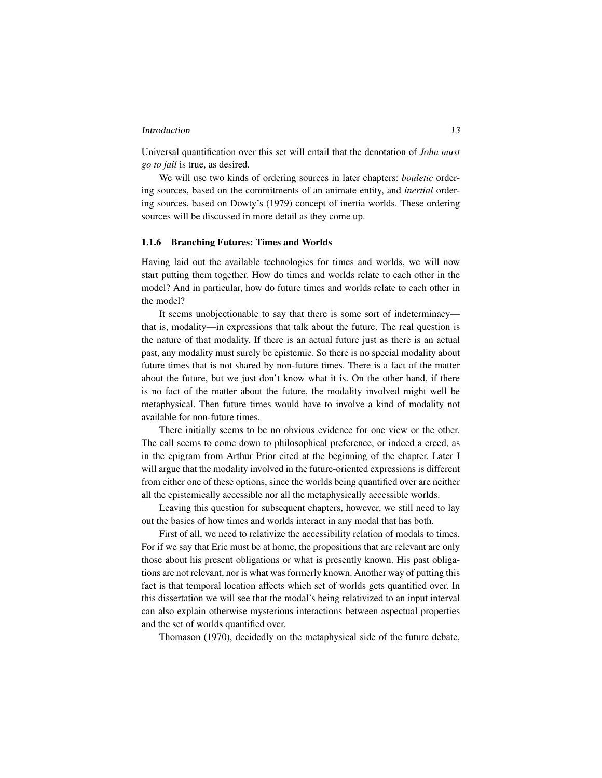## Introduction 13

Universal quantification over this set will entail that the denotation of *John must go to jail* is true, as desired.

We will use two kinds of ordering sources in later chapters: *bouletic* ordering sources, based on the commitments of an animate entity, and *inertial* ordering sources, based on Dowty's (1979) concept of inertia worlds. These ordering sources will be discussed in more detail as they come up.

#### 1.1.6 Branching Futures: Times and Worlds

Having laid out the available technologies for times and worlds, we will now start putting them together. How do times and worlds relate to each other in the model? And in particular, how do future times and worlds relate to each other in the model?

It seems unobjectionable to say that there is some sort of indeterminacy that is, modality—in expressions that talk about the future. The real question is the nature of that modality. If there is an actual future just as there is an actual past, any modality must surely be epistemic. So there is no special modality about future times that is not shared by non-future times. There is a fact of the matter about the future, but we just don't know what it is. On the other hand, if there is no fact of the matter about the future, the modality involved might well be metaphysical. Then future times would have to involve a kind of modality not available for non-future times.

There initially seems to be no obvious evidence for one view or the other. The call seems to come down to philosophical preference, or indeed a creed, as in the epigram from Arthur Prior cited at the beginning of the chapter. Later I will argue that the modality involved in the future-oriented expressions is different from either one of these options, since the worlds being quantified over are neither all the epistemically accessible nor all the metaphysically accessible worlds.

Leaving this question for subsequent chapters, however, we still need to lay out the basics of how times and worlds interact in any modal that has both.

First of all, we need to relativize the accessibility relation of modals to times. For if we say that Eric must be at home, the propositions that are relevant are only those about his present obligations or what is presently known. His past obligations are not relevant, nor is what was formerly known. Another way of putting this fact is that temporal location affects which set of worlds gets quantified over. In this dissertation we will see that the modal's being relativized to an input interval can also explain otherwise mysterious interactions between aspectual properties and the set of worlds quantified over.

Thomason (1970), decidedly on the metaphysical side of the future debate,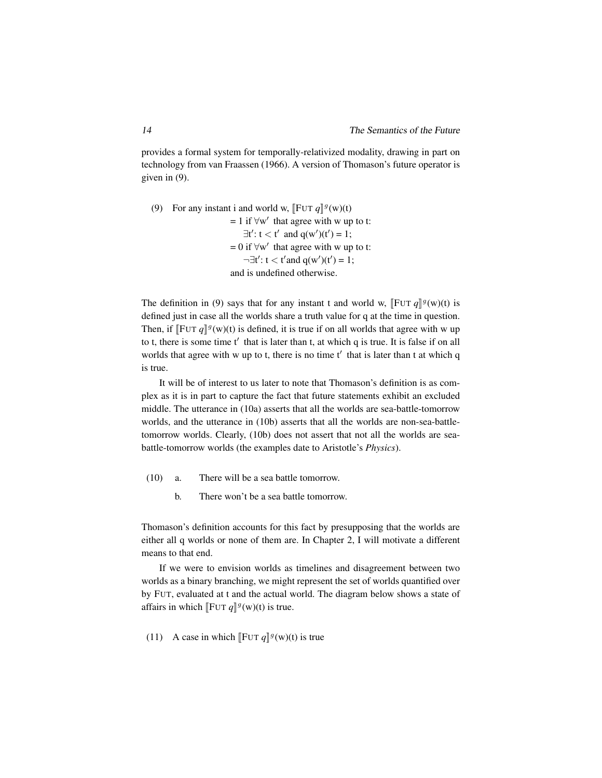provides a formal system for temporally-relativized modality, drawing in part on technology from van Fraassen (1966). A version of Thomason's future operator is given in (9).

(9) For any instant i and world w,  $[$ FUT  $q$  $]$ <sup>g</sup>(w)(t)  $= 1$  if  $\forall w'$  that agree with w up to t:  $\exists t' : t < t'$  and  $q(w')(t') = 1$ ;  $= 0$  if  $\forall w'$  that agree with w up to t:  $\neg \exists t': t < t'$  and  $q(w')(t') = 1;$ and is undefined otherwise.

The definition in (9) says that for any instant t and world w,  $[$ FUT  $q$  $]$ <sup>g</sup>(w)(t) is defined just in case all the worlds share a truth value for q at the time in question. Then, if  $[\nabla \text{tr} q]$ <sup>g</sup> $(w)(t)$  is defined, it is true if on all worlds that agree with w up to t, there is some time  $t'$  that is later than t, at which q is true. It is false if on all worlds that agree with  $w$  up to t, there is no time  $t'$  that is later than t at which  $q$ is true.

It will be of interest to us later to note that Thomason's definition is as complex as it is in part to capture the fact that future statements exhibit an excluded middle. The utterance in (10a) asserts that all the worlds are sea-battle-tomorrow worlds, and the utterance in (10b) asserts that all the worlds are non-sea-battletomorrow worlds. Clearly, (10b) does not assert that not all the worlds are seabattle-tomorrow worlds (the examples date to Aristotle's *Physics*).

(10) a. There will be a sea battle tomorrow.

b. There won't be a sea battle tomorrow.

Thomason's definition accounts for this fact by presupposing that the worlds are either all q worlds or none of them are. In Chapter 2, I will motivate a different means to that end.

If we were to envision worlds as timelines and disagreement between two worlds as a binary branching, we might represent the set of worlds quantified over by FUT, evaluated at t and the actual world. The diagram below shows a state of affairs in which  $[$ FUT  $q$  $]$ <sup>g</sup>(w)(t) is true.

(11) A case in which  $[$ FUT  $q$  $]$ <sup>g</sup>(w)(t) is true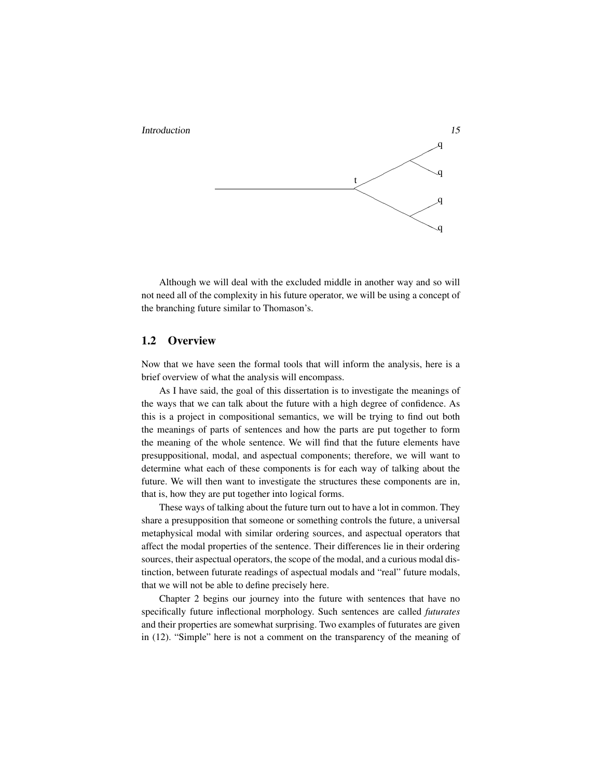Introduction 15



Although we will deal with the excluded middle in another way and so will not need all of the complexity in his future operator, we will be using a concept of the branching future similar to Thomason's.

## 1.2 Overview

Now that we have seen the formal tools that will inform the analysis, here is a brief overview of what the analysis will encompass.

As I have said, the goal of this dissertation is to investigate the meanings of the ways that we can talk about the future with a high degree of confidence. As this is a project in compositional semantics, we will be trying to find out both the meanings of parts of sentences and how the parts are put together to form the meaning of the whole sentence. We will find that the future elements have presuppositional, modal, and aspectual components; therefore, we will want to determine what each of these components is for each way of talking about the future. We will then want to investigate the structures these components are in, that is, how they are put together into logical forms.

These ways of talking about the future turn out to have a lot in common. They share a presupposition that someone or something controls the future, a universal metaphysical modal with similar ordering sources, and aspectual operators that affect the modal properties of the sentence. Their differences lie in their ordering sources, their aspectual operators, the scope of the modal, and a curious modal distinction, between futurate readings of aspectual modals and "real" future modals, that we will not be able to define precisely here.

Chapter 2 begins our journey into the future with sentences that have no specifically future inflectional morphology. Such sentences are called *futurates* and their properties are somewhat surprising. Two examples of futurates are given in (12). "Simple" here is not a comment on the transparency of the meaning of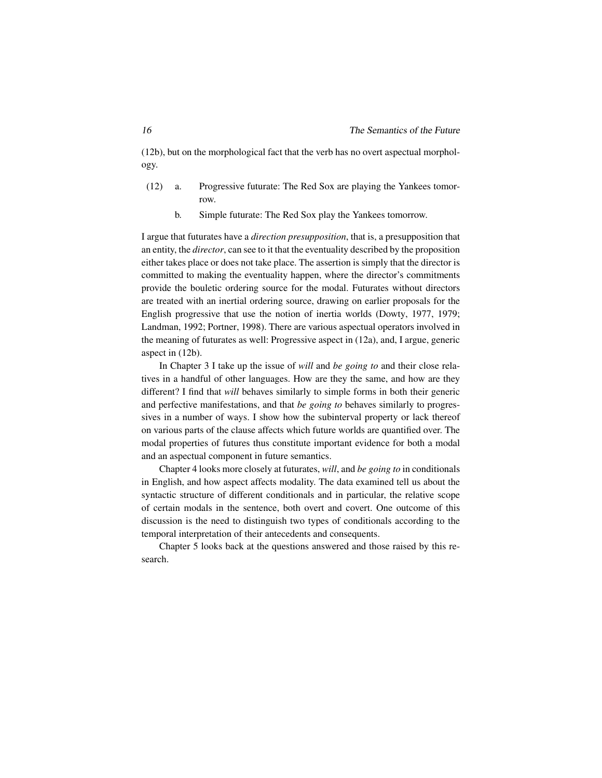(12b), but on the morphological fact that the verb has no overt aspectual morphology.

- (12) a. Progressive futurate: The Red Sox are playing the Yankees tomorrow.
	- b. Simple futurate: The Red Sox play the Yankees tomorrow.

I argue that futurates have a *direction presupposition*, that is, a presupposition that an entity, the *director*, can see to it that the eventuality described by the proposition either takes place or does not take place. The assertion is simply that the director is committed to making the eventuality happen, where the director's commitments provide the bouletic ordering source for the modal. Futurates without directors are treated with an inertial ordering source, drawing on earlier proposals for the English progressive that use the notion of inertia worlds (Dowty, 1977, 1979; Landman, 1992; Portner, 1998). There are various aspectual operators involved in the meaning of futurates as well: Progressive aspect in (12a), and, I argue, generic aspect in (12b).

In Chapter 3 I take up the issue of *will* and *be going to* and their close relatives in a handful of other languages. How are they the same, and how are they different? I find that *will* behaves similarly to simple forms in both their generic and perfective manifestations, and that *be going to* behaves similarly to progressives in a number of ways. I show how the subinterval property or lack thereof on various parts of the clause affects which future worlds are quantified over. The modal properties of futures thus constitute important evidence for both a modal and an aspectual component in future semantics.

Chapter 4 looks more closely at futurates, *will*, and *be going to* in conditionals in English, and how aspect affects modality. The data examined tell us about the syntactic structure of different conditionals and in particular, the relative scope of certain modals in the sentence, both overt and covert. One outcome of this discussion is the need to distinguish two types of conditionals according to the temporal interpretation of their antecedents and consequents.

Chapter 5 looks back at the questions answered and those raised by this research.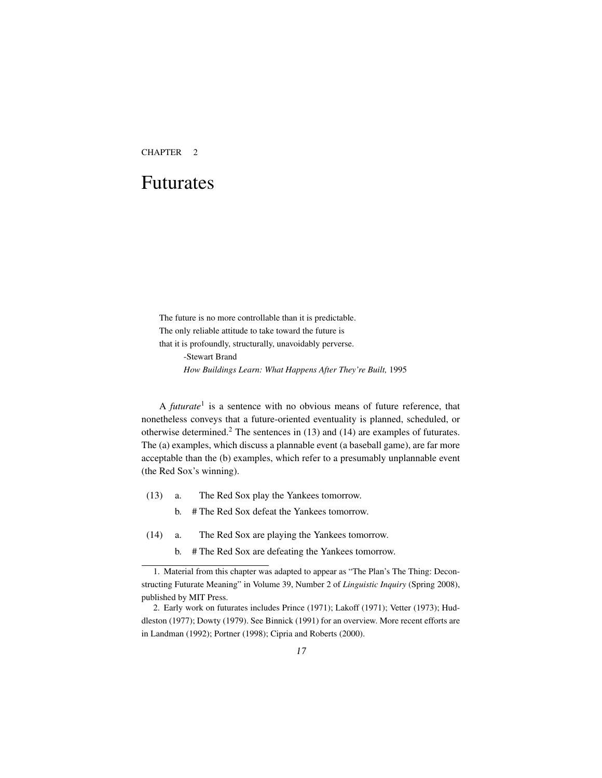CHAPTER<sub>2</sub>

## Futurates

The future is no more controllable than it is predictable. The only reliable attitude to take toward the future is that it is profoundly, structurally, unavoidably perverse. -Stewart Brand *How Buildings Learn: What Happens After They're Built,* 1995

A *futurate*<sup>1</sup> is a sentence with no obvious means of future reference, that nonetheless conveys that a future-oriented eventuality is planned, scheduled, or otherwise determined.<sup>2</sup> The sentences in  $(13)$  and  $(14)$  are examples of futurates. The (a) examples, which discuss a plannable event (a baseball game), are far more acceptable than the (b) examples, which refer to a presumably unplannable event (the Red Sox's winning).

- (13) a. The Red Sox play the Yankees tomorrow.
	- b. # The Red Sox defeat the Yankees tomorrow.
- (14) a. The Red Sox are playing the Yankees tomorrow.
	- b. # The Red Sox are defeating the Yankees tomorrow.

<sup>1.</sup> Material from this chapter was adapted to appear as "The Plan's The Thing: Deconstructing Futurate Meaning" in Volume 39, Number 2 of *Linguistic Inquiry* (Spring 2008), published by MIT Press.

<sup>2.</sup> Early work on futurates includes Prince (1971); Lakoff (1971); Vetter (1973); Huddleston (1977); Dowty (1979). See Binnick (1991) for an overview. More recent efforts are in Landman (1992); Portner (1998); Cipria and Roberts (2000).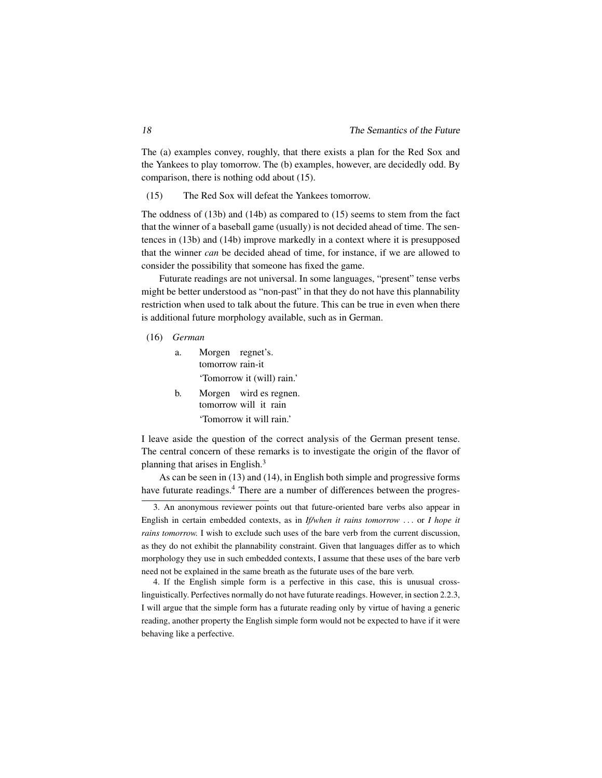The (a) examples convey, roughly, that there exists a plan for the Red Sox and the Yankees to play tomorrow. The (b) examples, however, are decidedly odd. By comparison, there is nothing odd about (15).

(15) The Red Sox will defeat the Yankees tomorrow.

The oddness of (13b) and (14b) as compared to (15) seems to stem from the fact that the winner of a baseball game (usually) is not decided ahead of time. The sentences in (13b) and (14b) improve markedly in a context where it is presupposed that the winner *can* be decided ahead of time, for instance, if we are allowed to consider the possibility that someone has fixed the game.

Futurate readings are not universal. In some languages, "present" tense verbs might be better understood as "non-past" in that they do not have this plannability restriction when used to talk about the future. This can be true in even when there is additional future morphology available, such as in German.

(16) *German*

| a. | Morgen regnet's.                                |  |
|----|-------------------------------------------------|--|
|    | tomorrow rain-it                                |  |
|    | 'Tomorrow it (will) rain.'                      |  |
| b. | Morgen wird es regnen.<br>tomorrow will it rain |  |
|    | 'Tomorrow it will rain.'                        |  |

I leave aside the question of the correct analysis of the German present tense. The central concern of these remarks is to investigate the origin of the flavor of planning that arises in English.<sup>3</sup>

As can be seen in (13) and (14), in English both simple and progressive forms have futurate readings.<sup>4</sup> There are a number of differences between the progres-

<sup>3.</sup> An anonymous reviewer points out that future-oriented bare verbs also appear in English in certain embedded contexts, as in *If/when it rains tomorrow* . . . or *I hope it rains tomorrow.* I wish to exclude such uses of the bare verb from the current discussion, as they do not exhibit the plannability constraint. Given that languages differ as to which morphology they use in such embedded contexts, I assume that these uses of the bare verb need not be explained in the same breath as the futurate uses of the bare verb.

<sup>4.</sup> If the English simple form is a perfective in this case, this is unusual crosslinguistically. Perfectives normally do not have futurate readings. However, in section 2.2.3, I will argue that the simple form has a futurate reading only by virtue of having a generic reading, another property the English simple form would not be expected to have if it were behaving like a perfective.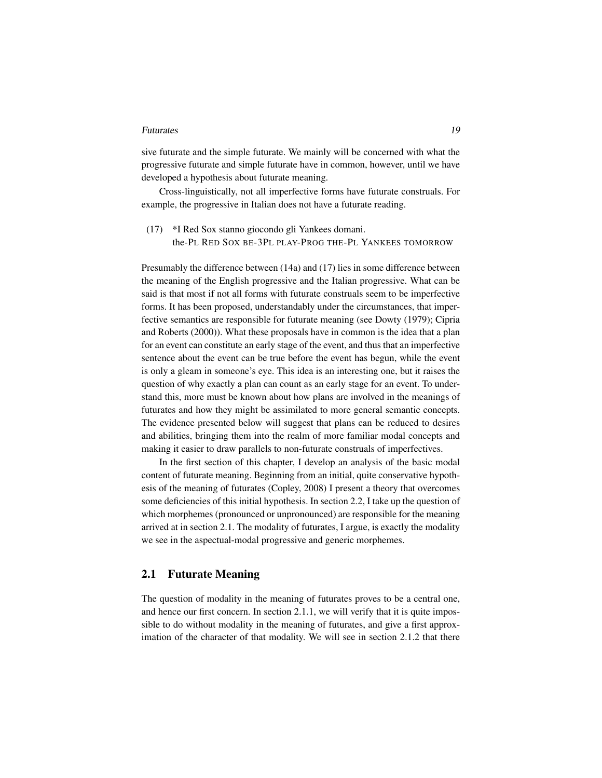sive futurate and the simple futurate. We mainly will be concerned with what the progressive futurate and simple futurate have in common, however, until we have developed a hypothesis about futurate meaning.

Cross-linguistically, not all imperfective forms have futurate construals. For example, the progressive in Italian does not have a futurate reading.

## (17) \*I Red Sox stanno giocondo gli Yankees domani. the-PL RED SOX BE-3PL PLAY-PROG THE-PL YANKEES TOMORROW

Presumably the difference between (14a) and (17) lies in some difference between the meaning of the English progressive and the Italian progressive. What can be said is that most if not all forms with futurate construals seem to be imperfective forms. It has been proposed, understandably under the circumstances, that imperfective semantics are responsible for futurate meaning (see Dowty (1979); Cipria and Roberts (2000)). What these proposals have in common is the idea that a plan for an event can constitute an early stage of the event, and thus that an imperfective sentence about the event can be true before the event has begun, while the event is only a gleam in someone's eye. This idea is an interesting one, but it raises the question of why exactly a plan can count as an early stage for an event. To understand this, more must be known about how plans are involved in the meanings of futurates and how they might be assimilated to more general semantic concepts. The evidence presented below will suggest that plans can be reduced to desires and abilities, bringing them into the realm of more familiar modal concepts and making it easier to draw parallels to non-futurate construals of imperfectives.

In the first section of this chapter, I develop an analysis of the basic modal content of futurate meaning. Beginning from an initial, quite conservative hypothesis of the meaning of futurates (Copley, 2008) I present a theory that overcomes some deficiencies of this initial hypothesis. In section 2.2, I take up the question of which morphemes (pronounced or unpronounced) are responsible for the meaning arrived at in section 2.1. The modality of futurates, I argue, is exactly the modality we see in the aspectual-modal progressive and generic morphemes.

## 2.1 Futurate Meaning

The question of modality in the meaning of futurates proves to be a central one, and hence our first concern. In section 2.1.1, we will verify that it is quite impossible to do without modality in the meaning of futurates, and give a first approximation of the character of that modality. We will see in section 2.1.2 that there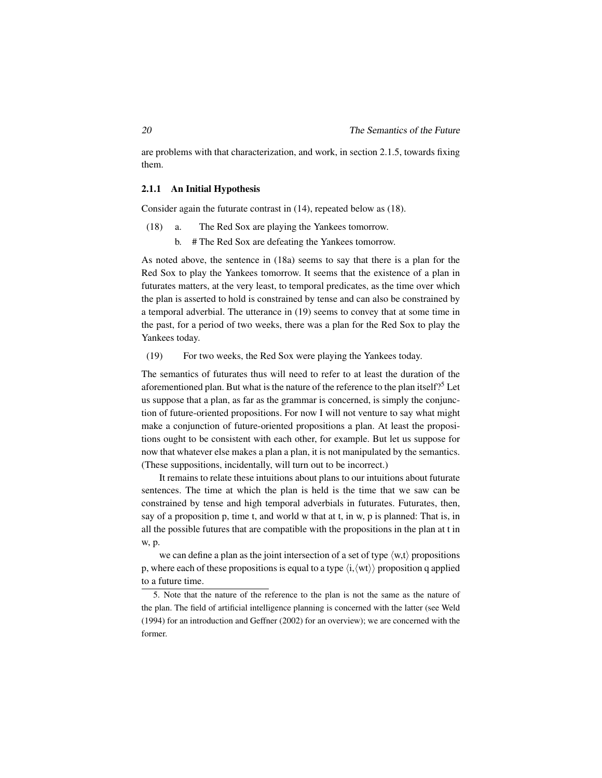are problems with that characterization, and work, in section 2.1.5, towards fixing them.

#### 2.1.1 An Initial Hypothesis

Consider again the futurate contrast in (14), repeated below as (18).

- (18) a. The Red Sox are playing the Yankees tomorrow.
	- b. # The Red Sox are defeating the Yankees tomorrow.

As noted above, the sentence in (18a) seems to say that there is a plan for the Red Sox to play the Yankees tomorrow. It seems that the existence of a plan in futurates matters, at the very least, to temporal predicates, as the time over which the plan is asserted to hold is constrained by tense and can also be constrained by a temporal adverbial. The utterance in (19) seems to convey that at some time in the past, for a period of two weeks, there was a plan for the Red Sox to play the Yankees today.

(19) For two weeks, the Red Sox were playing the Yankees today.

The semantics of futurates thus will need to refer to at least the duration of the aforementioned plan. But what is the nature of the reference to the plan itself?<sup>5</sup> Let us suppose that a plan, as far as the grammar is concerned, is simply the conjunction of future-oriented propositions. For now I will not venture to say what might make a conjunction of future-oriented propositions a plan. At least the propositions ought to be consistent with each other, for example. But let us suppose for now that whatever else makes a plan a plan, it is not manipulated by the semantics. (These suppositions, incidentally, will turn out to be incorrect.)

It remains to relate these intuitions about plans to our intuitions about futurate sentences. The time at which the plan is held is the time that we saw can be constrained by tense and high temporal adverbials in futurates. Futurates, then, say of a proposition p, time t, and world w that at t, in w, p is planned: That is, in all the possible futures that are compatible with the propositions in the plan at t in w, p.

we can define a plan as the joint intersection of a set of type  $\langle w,t \rangle$  propositions p, where each of these propositions is equal to a type  $\langle i,\langle \mathrm{wt} \rangle \rangle$  proposition q applied to a future time.

<sup>5.</sup> Note that the nature of the reference to the plan is not the same as the nature of the plan. The field of artificial intelligence planning is concerned with the latter (see Weld (1994) for an introduction and Geffner (2002) for an overview); we are concerned with the former.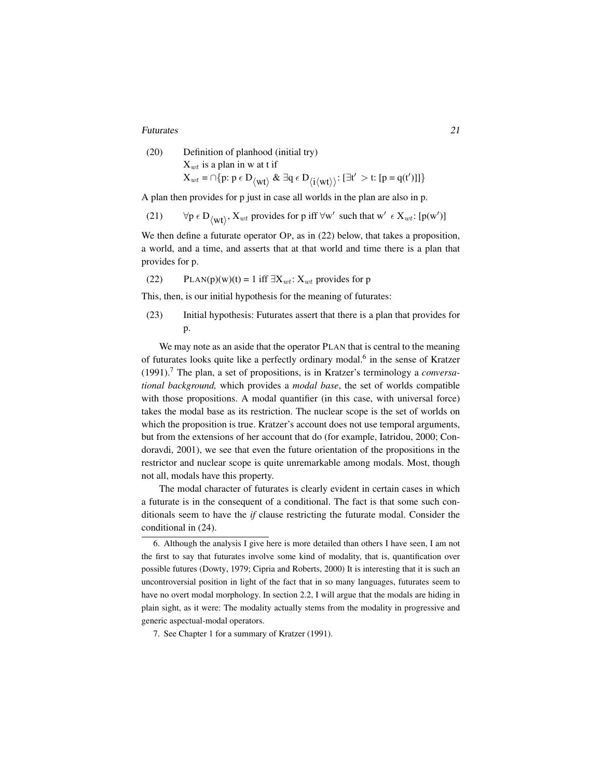(20) Definition of planned (initial try)  
\n
$$
X_{wt}
$$
 is a plan in w at if  
\n $X_{wt} = \bigcap \{p : p \in D_{\langle wt \rangle} \& \exists q \in D_{\langle i \langle wt \rangle \rangle} : [\exists t' > t : [p = q(t')]]\}$ 

A plan then provides for p just in case all worlds in the plan are also in p.

(21) 
$$
\forall p \in D_{\langle \text{wt} \rangle}
$$
,  $X_{wt}$  provides for p iff  $\forall w'$  such that  $w' \in X_{wt}$ :  $[p(w')]$ 

We then define a futurate operator OP, as in  $(22)$  below, that takes a proposition, a world, and a time, and asserts that at that world and time there is a plan that provides for p.

(22) 
$$
PLAN(p)(w)(t) = 1 \text{ iff } \exists X_{wt}: X_{wt} \text{ provides for } p
$$

This, then, is our initial hypothesis for the meaning of futurates:

(23) Initial hypothesis: Futurates assert that there is a plan that provides for p.

We may note as an aside that the operator PLAN that is central to the meaning of futurates looks quite like a perfectly ordinary modal.<sup>6</sup> in the sense of Kratzer (1991).<sup>7</sup> The plan, a set of propositions, is in Kratzer's terminology a *conversational background,* which provides a *modal base*, the set of worlds compatible with those propositions. A modal quantifier (in this case, with universal force) takes the modal base as its restriction. The nuclear scope is the set of worlds on which the proposition is true. Kratzer's account does not use temporal arguments, but from the extensions of her account that do (for example, Iatridou, 2000; Condoravdi, 2001), we see that even the future orientation of the propositions in the restrictor and nuclear scope is quite unremarkable among modals. Most, though not all, modals have this property.

The modal character of futurates is clearly evident in certain cases in which a futurate is in the consequent of a conditional. The fact is that some such conditionals seem to have the *if* clause restricting the futurate modal. Consider the conditional in (24).

<sup>6.</sup> Although the analysis I give here is more detailed than others I have seen, I am not the first to say that futurates involve some kind of modality, that is, quantification over possible futures (Dowty, 1979; Cipria and Roberts, 2000) It is interesting that it is such an uncontroversial position in light of the fact that in so many languages, futurates seem to have no overt modal morphology. In section 2.2, I will argue that the modals are hiding in plain sight, as it were: The modality actually stems from the modality in progressive and generic aspectual-modal operators.

<sup>7.</sup> See Chapter 1 for a summary of Kratzer (1991).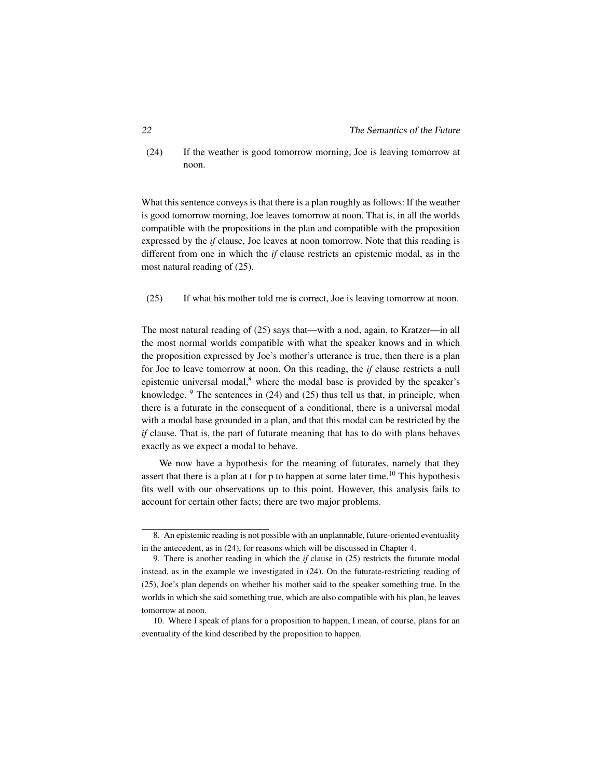(24) If the weather is good tomorrow morning, Joe is leaving tomorrow at noon.

What this sentence conveys is that there is a plan roughly as follows: If the weather is good tomorrow morning, Joe leaves tomorrow at noon. That is, in all the worlds compatible with the propositions in the plan and compatible with the proposition expressed by the *if* clause, Joe leaves at noon tomorrow. Note that this reading is different from one in which the *if* clause restricts an epistemic modal, as in the most natural reading of (25).

(25) If what his mother told me is correct, Joe is leaving tomorrow at noon.

The most natural reading of (25) says that—with a nod, again, to Kratzer—in all the most normal worlds compatible with what the speaker knows and in which the proposition expressed by Joe's mother's utterance is true, then there is a plan for Joe to leave tomorrow at noon. On this reading, the *if* clause restricts a null epistemic universal modal,<sup>8</sup> where the modal base is provided by the speaker's knowledge.  $9$  The sentences in (24) and (25) thus tell us that, in principle, when there is a futurate in the consequent of a conditional, there is a universal modal with a modal base grounded in a plan, and that this modal can be restricted by the *if* clause. That is, the part of futurate meaning that has to do with plans behaves exactly as we expect a modal to behave.

We now have a hypothesis for the meaning of futurates, namely that they assert that there is a plan at t for p to happen at some later time.<sup>10</sup> This hypothesis fits well with our observations up to this point. However, this analysis fails to account for certain other facts; there are two major problems.

<sup>8.</sup> An epistemic reading is not possible with an unplannable, future-oriented eventuality in the antecedent, as in (24), for reasons which will be discussed in Chapter 4.

<sup>9.</sup> There is another reading in which the *if* clause in (25) restricts the futurate modal instead, as in the example we investigated in (24). On the futurate-restricting reading of (25), Joe's plan depends on whether his mother said to the speaker something true. In the worlds in which she said something true, which are also compatible with his plan, he leaves tomorrow at noon.

<sup>10.</sup> Where I speak of plans for a proposition to happen, I mean, of course, plans for an eventuality of the kind described by the proposition to happen.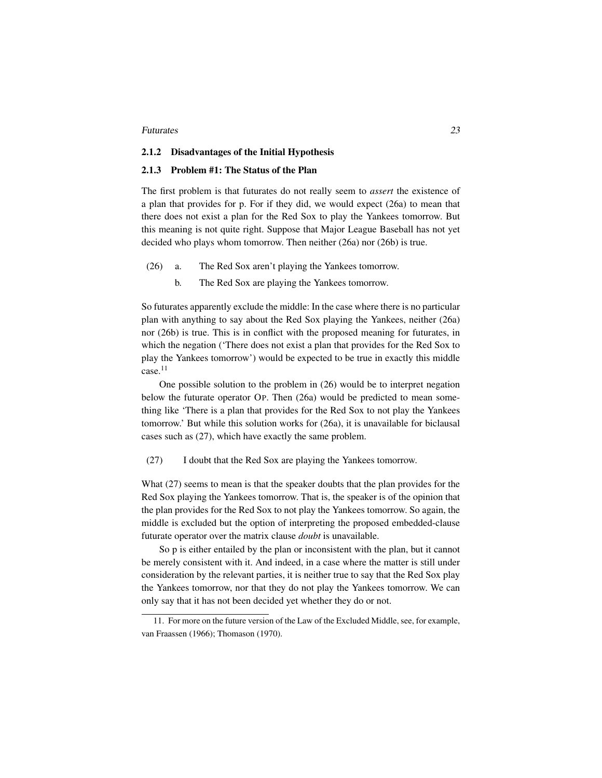#### 2.1.2 Disadvantages of the Initial Hypothesis

#### 2.1.3 Problem #1: The Status of the Plan

The first problem is that futurates do not really seem to *assert* the existence of a plan that provides for p. For if they did, we would expect (26a) to mean that there does not exist a plan for the Red Sox to play the Yankees tomorrow. But this meaning is not quite right. Suppose that Major League Baseball has not yet decided who plays whom tomorrow. Then neither (26a) nor (26b) is true.

- (26) a. The Red Sox aren't playing the Yankees tomorrow.
	- b. The Red Sox are playing the Yankees tomorrow.

So futurates apparently exclude the middle: In the case where there is no particular plan with anything to say about the Red Sox playing the Yankees, neither (26a) nor (26b) is true. This is in conflict with the proposed meaning for futurates, in which the negation ('There does not exist a plan that provides for the Red Sox to play the Yankees tomorrow') would be expected to be true in exactly this middle case.<sup>11</sup>

One possible solution to the problem in (26) would be to interpret negation below the futurate operator OP. Then (26a) would be predicted to mean something like 'There is a plan that provides for the Red Sox to not play the Yankees tomorrow.' But while this solution works for (26a), it is unavailable for biclausal cases such as (27), which have exactly the same problem.

(27) I doubt that the Red Sox are playing the Yankees tomorrow.

What (27) seems to mean is that the speaker doubts that the plan provides for the Red Sox playing the Yankees tomorrow. That is, the speaker is of the opinion that the plan provides for the Red Sox to not play the Yankees tomorrow. So again, the middle is excluded but the option of interpreting the proposed embedded-clause futurate operator over the matrix clause *doubt* is unavailable.

So p is either entailed by the plan or inconsistent with the plan, but it cannot be merely consistent with it. And indeed, in a case where the matter is still under consideration by the relevant parties, it is neither true to say that the Red Sox play the Yankees tomorrow, nor that they do not play the Yankees tomorrow. We can only say that it has not been decided yet whether they do or not.

<sup>11.</sup> For more on the future version of the Law of the Excluded Middle, see, for example, van Fraassen (1966); Thomason (1970).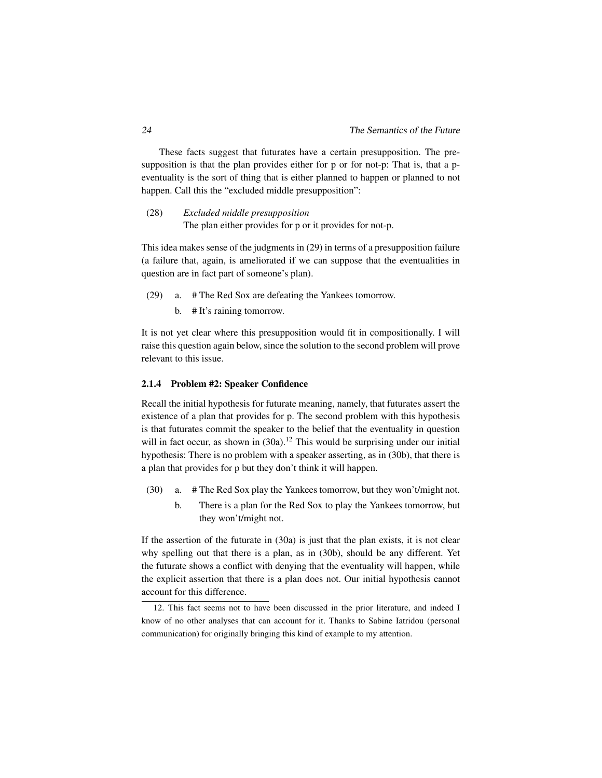These facts suggest that futurates have a certain presupposition. The presupposition is that the plan provides either for p or for not-p: That is, that a peventuality is the sort of thing that is either planned to happen or planned to not happen. Call this the "excluded middle presupposition":

(28) *Excluded middle presupposition* The plan either provides for p or it provides for not-p.

This idea makes sense of the judgments in (29) in terms of a presupposition failure (a failure that, again, is ameliorated if we can suppose that the eventualities in question are in fact part of someone's plan).

- (29) a. # The Red Sox are defeating the Yankees tomorrow.
	- b. # It's raining tomorrow.

It is not yet clear where this presupposition would fit in compositionally. I will raise this question again below, since the solution to the second problem will prove relevant to this issue.

#### 2.1.4 Problem #2: Speaker Confidence

Recall the initial hypothesis for futurate meaning, namely, that futurates assert the existence of a plan that provides for p. The second problem with this hypothesis is that futurates commit the speaker to the belief that the eventuality in question will in fact occur, as shown in  $(30a)$ .<sup>12</sup> This would be surprising under our initial hypothesis: There is no problem with a speaker asserting, as in (30b), that there is a plan that provides for p but they don't think it will happen.

- (30) a. # The Red Sox play the Yankees tomorrow, but they won't/might not.
	- b. There is a plan for the Red Sox to play the Yankees tomorrow, but they won't/might not.

If the assertion of the futurate in (30a) is just that the plan exists, it is not clear why spelling out that there is a plan, as in (30b), should be any different. Yet the futurate shows a conflict with denying that the eventuality will happen, while the explicit assertion that there is a plan does not. Our initial hypothesis cannot account for this difference.

<sup>12.</sup> This fact seems not to have been discussed in the prior literature, and indeed I know of no other analyses that can account for it. Thanks to Sabine Iatridou (personal communication) for originally bringing this kind of example to my attention.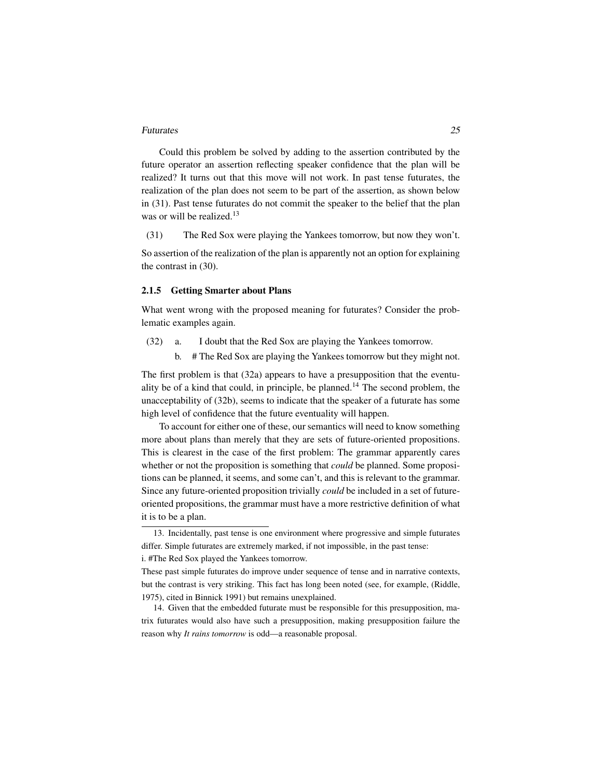Could this problem be solved by adding to the assertion contributed by the future operator an assertion reflecting speaker confidence that the plan will be realized? It turns out that this move will not work. In past tense futurates, the realization of the plan does not seem to be part of the assertion, as shown below in (31). Past tense futurates do not commit the speaker to the belief that the plan was or will be realized.<sup>13</sup>

(31) The Red Sox were playing the Yankees tomorrow, but now they won't.

So assertion of the realization of the plan is apparently not an option for explaining the contrast in (30).

## 2.1.5 Getting Smarter about Plans

What went wrong with the proposed meaning for futurates? Consider the problematic examples again.

- (32) a. I doubt that the Red Sox are playing the Yankees tomorrow.
	- b. # The Red Sox are playing the Yankees tomorrow but they might not.

The first problem is that (32a) appears to have a presupposition that the eventuality be of a kind that could, in principle, be planned.<sup>14</sup> The second problem, the unacceptability of (32b), seems to indicate that the speaker of a futurate has some high level of confidence that the future eventuality will happen.

To account for either one of these, our semantics will need to know something more about plans than merely that they are sets of future-oriented propositions. This is clearest in the case of the first problem: The grammar apparently cares whether or not the proposition is something that *could* be planned. Some propositions can be planned, it seems, and some can't, and this is relevant to the grammar. Since any future-oriented proposition trivially *could* be included in a set of futureoriented propositions, the grammar must have a more restrictive definition of what it is to be a plan.

<sup>13.</sup> Incidentally, past tense is one environment where progressive and simple futurates differ. Simple futurates are extremely marked, if not impossible, in the past tense: i. #The Red Sox played the Yankees tomorrow.

These past simple futurates do improve under sequence of tense and in narrative contexts, but the contrast is very striking. This fact has long been noted (see, for example, (Riddle, 1975), cited in Binnick 1991) but remains unexplained.

<sup>14.</sup> Given that the embedded futurate must be responsible for this presupposition, matrix futurates would also have such a presupposition, making presupposition failure the reason why *It rains tomorrow* is odd—a reasonable proposal.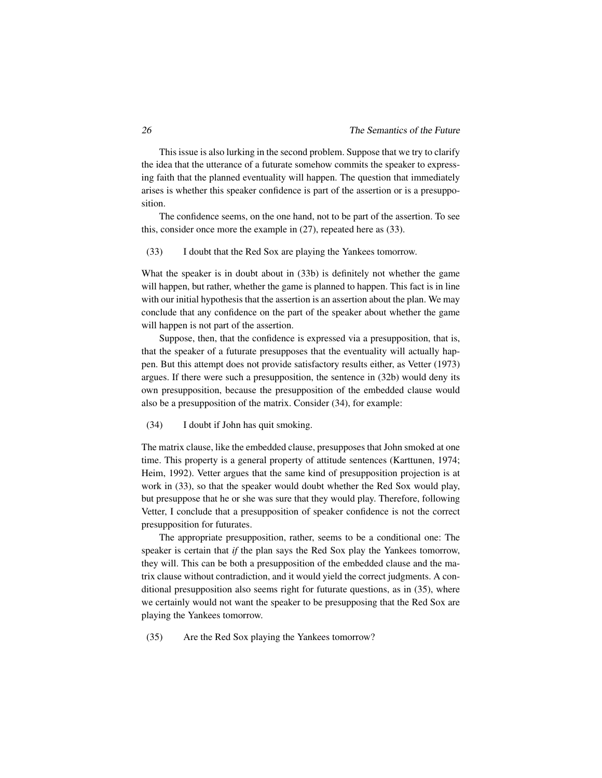This issue is also lurking in the second problem. Suppose that we try to clarify the idea that the utterance of a futurate somehow commits the speaker to expressing faith that the planned eventuality will happen. The question that immediately arises is whether this speaker confidence is part of the assertion or is a presupposition.

The confidence seems, on the one hand, not to be part of the assertion. To see this, consider once more the example in (27), repeated here as (33).

(33) I doubt that the Red Sox are playing the Yankees tomorrow.

What the speaker is in doubt about in (33b) is definitely not whether the game will happen, but rather, whether the game is planned to happen. This fact is in line with our initial hypothesis that the assertion is an assertion about the plan. We may conclude that any confidence on the part of the speaker about whether the game will happen is not part of the assertion.

Suppose, then, that the confidence is expressed via a presupposition, that is, that the speaker of a futurate presupposes that the eventuality will actually happen. But this attempt does not provide satisfactory results either, as Vetter (1973) argues. If there were such a presupposition, the sentence in (32b) would deny its own presupposition, because the presupposition of the embedded clause would also be a presupposition of the matrix. Consider (34), for example:

(34) I doubt if John has quit smoking.

The matrix clause, like the embedded clause, presupposes that John smoked at one time. This property is a general property of attitude sentences (Karttunen, 1974; Heim, 1992). Vetter argues that the same kind of presupposition projection is at work in (33), so that the speaker would doubt whether the Red Sox would play, but presuppose that he or she was sure that they would play. Therefore, following Vetter, I conclude that a presupposition of speaker confidence is not the correct presupposition for futurates.

The appropriate presupposition, rather, seems to be a conditional one: The speaker is certain that *if* the plan says the Red Sox play the Yankees tomorrow, they will. This can be both a presupposition of the embedded clause and the matrix clause without contradiction, and it would yield the correct judgments. A conditional presupposition also seems right for futurate questions, as in (35), where we certainly would not want the speaker to be presupposing that the Red Sox are playing the Yankees tomorrow.

(35) Are the Red Sox playing the Yankees tomorrow?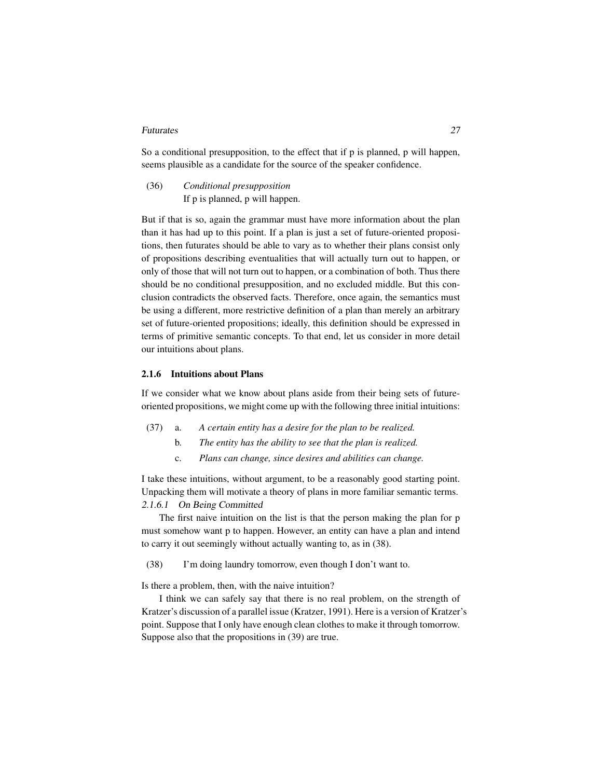So a conditional presupposition, to the effect that if p is planned, p will happen, seems plausible as a candidate for the source of the speaker confidence.

(36) *Conditional presupposition* If p is planned, p will happen.

But if that is so, again the grammar must have more information about the plan than it has had up to this point. If a plan is just a set of future-oriented propositions, then futurates should be able to vary as to whether their plans consist only of propositions describing eventualities that will actually turn out to happen, or only of those that will not turn out to happen, or a combination of both. Thus there should be no conditional presupposition, and no excluded middle. But this conclusion contradicts the observed facts. Therefore, once again, the semantics must be using a different, more restrictive definition of a plan than merely an arbitrary set of future-oriented propositions; ideally, this definition should be expressed in terms of primitive semantic concepts. To that end, let us consider in more detail our intuitions about plans.

## 2.1.6 Intuitions about Plans

If we consider what we know about plans aside from their being sets of futureoriented propositions, we might come up with the following three initial intuitions:

- (37) a. *A certain entity has a desire for the plan to be realized.*
	- b. *The entity has the ability to see that the plan is realized.*
	- c. *Plans can change, since desires and abilities can change.*

I take these intuitions, without argument, to be a reasonably good starting point. Unpacking them will motivate a theory of plans in more familiar semantic terms. 2.1.6.1 On Being Committed

The first naive intuition on the list is that the person making the plan for p must somehow want p to happen. However, an entity can have a plan and intend to carry it out seemingly without actually wanting to, as in (38).

(38) I'm doing laundry tomorrow, even though I don't want to.

Is there a problem, then, with the naive intuition?

I think we can safely say that there is no real problem, on the strength of Kratzer's discussion of a parallel issue (Kratzer, 1991). Here is a version of Kratzer's point. Suppose that I only have enough clean clothes to make it through tomorrow. Suppose also that the propositions in (39) are true.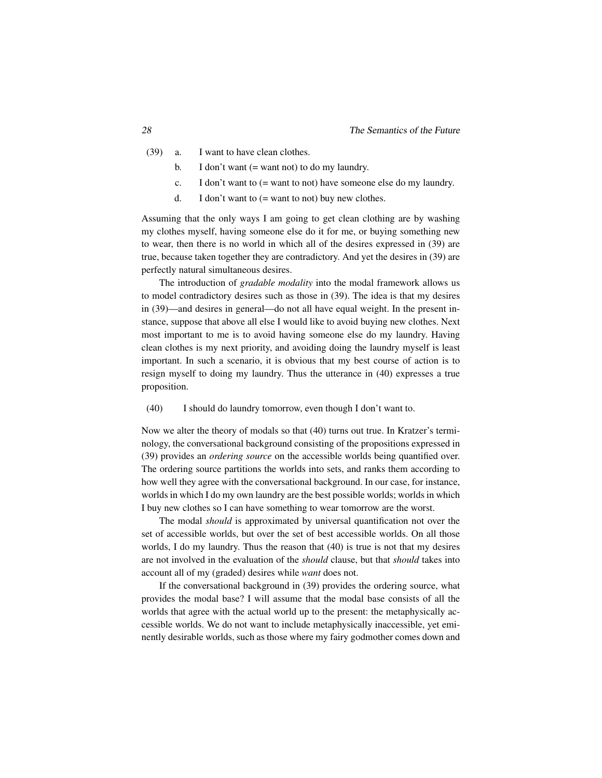(39) a. I want to have clean clothes.

- b. I don't want (= want not) to do my laundry.
- c. I don't want to (= want to not) have someone else do my laundry.
- d. I don't want to  $(=$  want to not) buy new clothes.

Assuming that the only ways I am going to get clean clothing are by washing my clothes myself, having someone else do it for me, or buying something new to wear, then there is no world in which all of the desires expressed in (39) are true, because taken together they are contradictory. And yet the desires in (39) are perfectly natural simultaneous desires.

The introduction of *gradable modality* into the modal framework allows us to model contradictory desires such as those in (39). The idea is that my desires in (39)—and desires in general—do not all have equal weight. In the present instance, suppose that above all else I would like to avoid buying new clothes. Next most important to me is to avoid having someone else do my laundry. Having clean clothes is my next priority, and avoiding doing the laundry myself is least important. In such a scenario, it is obvious that my best course of action is to resign myself to doing my laundry. Thus the utterance in (40) expresses a true proposition.

(40) I should do laundry tomorrow, even though I don't want to.

Now we alter the theory of modals so that (40) turns out true. In Kratzer's terminology, the conversational background consisting of the propositions expressed in (39) provides an *ordering source* on the accessible worlds being quantified over. The ordering source partitions the worlds into sets, and ranks them according to how well they agree with the conversational background. In our case, for instance, worlds in which I do my own laundry are the best possible worlds; worlds in which I buy new clothes so I can have something to wear tomorrow are the worst.

The modal *should* is approximated by universal quantification not over the set of accessible worlds, but over the set of best accessible worlds. On all those worlds, I do my laundry. Thus the reason that (40) is true is not that my desires are not involved in the evaluation of the *should* clause, but that *should* takes into account all of my (graded) desires while *want* does not.

If the conversational background in (39) provides the ordering source, what provides the modal base? I will assume that the modal base consists of all the worlds that agree with the actual world up to the present: the metaphysically accessible worlds. We do not want to include metaphysically inaccessible, yet eminently desirable worlds, such as those where my fairy godmother comes down and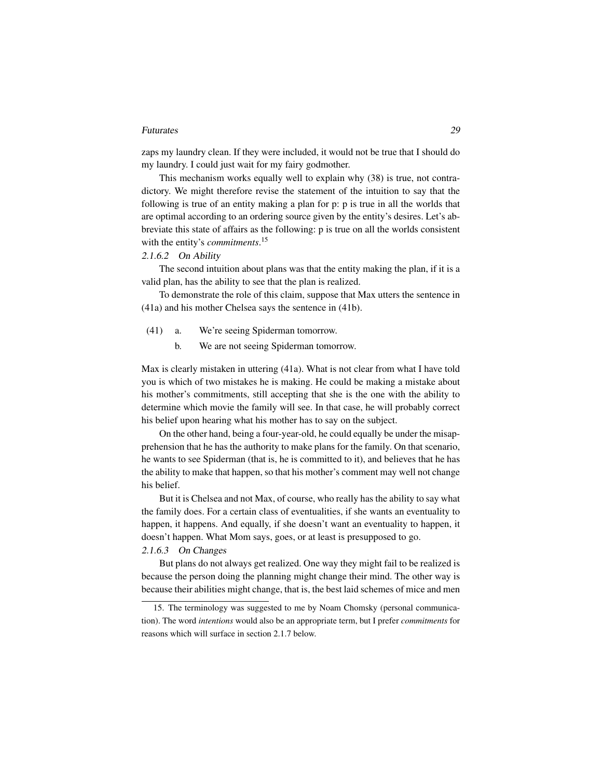zaps my laundry clean. If they were included, it would not be true that I should do my laundry. I could just wait for my fairy godmother.

This mechanism works equally well to explain why (38) is true, not contradictory. We might therefore revise the statement of the intuition to say that the following is true of an entity making a plan for p: p is true in all the worlds that are optimal according to an ordering source given by the entity's desires. Let's abbreviate this state of affairs as the following: p is true on all the worlds consistent with the entity's *commitments*. 15

#### 2.1.6.2 On Ability

The second intuition about plans was that the entity making the plan, if it is a valid plan, has the ability to see that the plan is realized.

To demonstrate the role of this claim, suppose that Max utters the sentence in (41a) and his mother Chelsea says the sentence in (41b).

- (41) a. We're seeing Spiderman tomorrow.
	- b. We are not seeing Spiderman tomorrow.

Max is clearly mistaken in uttering (41a). What is not clear from what I have told you is which of two mistakes he is making. He could be making a mistake about his mother's commitments, still accepting that she is the one with the ability to determine which movie the family will see. In that case, he will probably correct his belief upon hearing what his mother has to say on the subject.

On the other hand, being a four-year-old, he could equally be under the misapprehension that he has the authority to make plans for the family. On that scenario, he wants to see Spiderman (that is, he is committed to it), and believes that he has the ability to make that happen, so that his mother's comment may well not change his belief.

But it is Chelsea and not Max, of course, who really has the ability to say what the family does. For a certain class of eventualities, if she wants an eventuality to happen, it happens. And equally, if she doesn't want an eventuality to happen, it doesn't happen. What Mom says, goes, or at least is presupposed to go.

## 2.1.6.3 On Changes

But plans do not always get realized. One way they might fail to be realized is because the person doing the planning might change their mind. The other way is because their abilities might change, that is, the best laid schemes of mice and men

<sup>15.</sup> The terminology was suggested to me by Noam Chomsky (personal communication). The word *intentions* would also be an appropriate term, but I prefer *commitments* for reasons which will surface in section 2.1.7 below.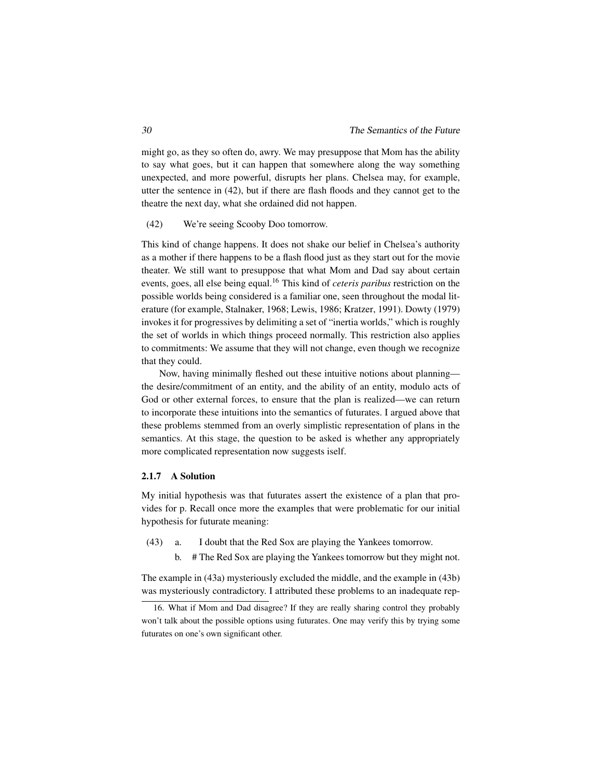might go, as they so often do, awry. We may presuppose that Mom has the ability to say what goes, but it can happen that somewhere along the way something unexpected, and more powerful, disrupts her plans. Chelsea may, for example, utter the sentence in (42), but if there are flash floods and they cannot get to the theatre the next day, what she ordained did not happen.

#### (42) We're seeing Scooby Doo tomorrow.

This kind of change happens. It does not shake our belief in Chelsea's authority as a mother if there happens to be a flash flood just as they start out for the movie theater. We still want to presuppose that what Mom and Dad say about certain events, goes, all else being equal.<sup>16</sup> This kind of *ceteris paribus* restriction on the possible worlds being considered is a familiar one, seen throughout the modal literature (for example, Stalnaker, 1968; Lewis, 1986; Kratzer, 1991). Dowty (1979) invokes it for progressives by delimiting a set of "inertia worlds," which is roughly the set of worlds in which things proceed normally. This restriction also applies to commitments: We assume that they will not change, even though we recognize that they could.

Now, having minimally fleshed out these intuitive notions about planning the desire/commitment of an entity, and the ability of an entity, modulo acts of God or other external forces, to ensure that the plan is realized—we can return to incorporate these intuitions into the semantics of futurates. I argued above that these problems stemmed from an overly simplistic representation of plans in the semantics. At this stage, the question to be asked is whether any appropriately more complicated representation now suggests iself.

#### 2.1.7 A Solution

My initial hypothesis was that futurates assert the existence of a plan that provides for p. Recall once more the examples that were problematic for our initial hypothesis for futurate meaning:

- (43) a. I doubt that the Red Sox are playing the Yankees tomorrow.
	- b. # The Red Sox are playing the Yankees tomorrow but they might not.

The example in (43a) mysteriously excluded the middle, and the example in (43b) was mysteriously contradictory. I attributed these problems to an inadequate rep-

<sup>16.</sup> What if Mom and Dad disagree? If they are really sharing control they probably won't talk about the possible options using futurates. One may verify this by trying some futurates on one's own significant other.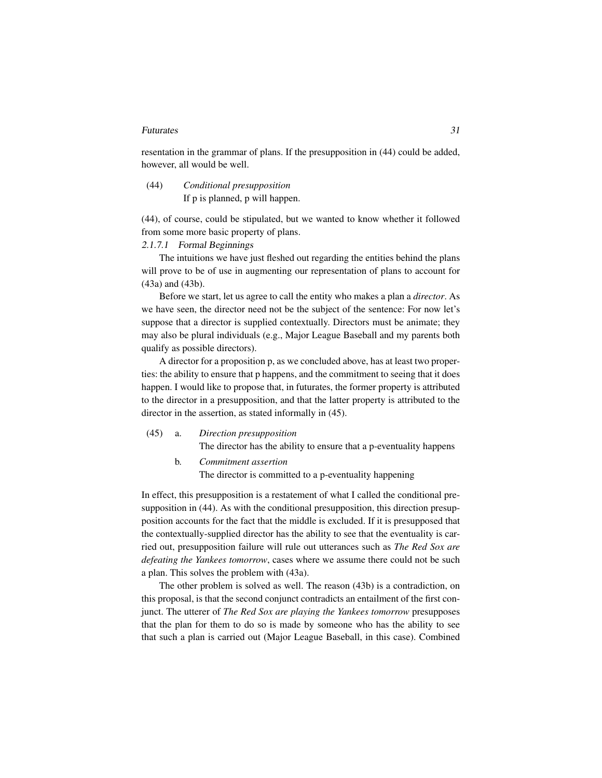resentation in the grammar of plans. If the presupposition in (44) could be added, however, all would be well.

(44) *Conditional presupposition* If p is planned, p will happen.

(44), of course, could be stipulated, but we wanted to know whether it followed from some more basic property of plans.

#### 2.1.7.1 Formal Beginnings

The intuitions we have just fleshed out regarding the entities behind the plans will prove to be of use in augmenting our representation of plans to account for (43a) and (43b).

Before we start, let us agree to call the entity who makes a plan a *director*. As we have seen, the director need not be the subject of the sentence: For now let's suppose that a director is supplied contextually. Directors must be animate; they may also be plural individuals (e.g., Major League Baseball and my parents both qualify as possible directors).

A director for a proposition p, as we concluded above, has at least two properties: the ability to ensure that p happens, and the commitment to seeing that it does happen. I would like to propose that, in futurates, the former property is attributed to the director in a presupposition, and that the latter property is attributed to the director in the assertion, as stated informally in (45).

(45) a. *Direction presupposition*

The director has the ability to ensure that a p-eventuality happens

b. *Commitment assertion* The director is committed to a p-eventuality happening

In effect, this presupposition is a restatement of what I called the conditional presupposition in (44). As with the conditional presupposition, this direction presupposition accounts for the fact that the middle is excluded. If it is presupposed that the contextually-supplied director has the ability to see that the eventuality is carried out, presupposition failure will rule out utterances such as *The Red Sox are defeating the Yankees tomorrow*, cases where we assume there could not be such a plan. This solves the problem with (43a).

The other problem is solved as well. The reason (43b) is a contradiction, on this proposal, is that the second conjunct contradicts an entailment of the first conjunct. The utterer of *The Red Sox are playing the Yankees tomorrow* presupposes that the plan for them to do so is made by someone who has the ability to see that such a plan is carried out (Major League Baseball, in this case). Combined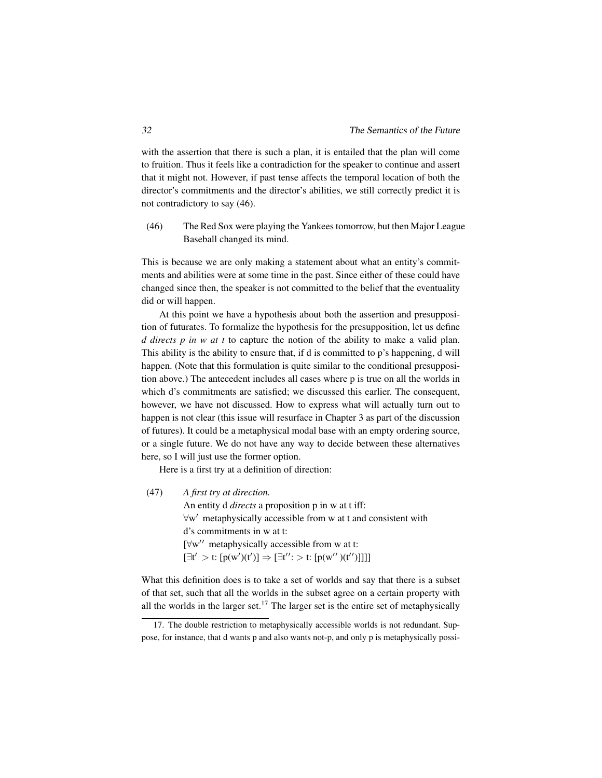with the assertion that there is such a plan, it is entailed that the plan will come to fruition. Thus it feels like a contradiction for the speaker to continue and assert that it might not. However, if past tense affects the temporal location of both the director's commitments and the director's abilities, we still correctly predict it is not contradictory to say (46).

(46) The Red Sox were playing the Yankees tomorrow, but then Major League Baseball changed its mind.

This is because we are only making a statement about what an entity's commitments and abilities were at some time in the past. Since either of these could have changed since then, the speaker is not committed to the belief that the eventuality did or will happen.

At this point we have a hypothesis about both the assertion and presupposition of futurates. To formalize the hypothesis for the presupposition, let us define *d directs p in w at t* to capture the notion of the ability to make a valid plan. This ability is the ability to ensure that, if d is committed to p's happening, d will happen. (Note that this formulation is quite similar to the conditional presupposition above.) The antecedent includes all cases where p is true on all the worlds in which d's commitments are satisfied; we discussed this earlier. The consequent, however, we have not discussed. How to express what will actually turn out to happen is not clear (this issue will resurface in Chapter 3 as part of the discussion of futures). It could be a metaphysical modal base with an empty ordering source, or a single future. We do not have any way to decide between these alternatives here, so I will just use the former option.

Here is a first try at a definition of direction:

(47) *A first try at direction.* An entity d *directs* a proposition p in w at t iff: ∀w <sup>0</sup> metaphysically accessible from w at t and consistent with d's commitments in w at t: [∀w" metaphysically accessible from w at t:  $[\exists t' > t: [p(w')(t')] \Rightarrow [\exists t'' : > t: [p(w'')(t'')]]]]$ 

What this definition does is to take a set of worlds and say that there is a subset of that set, such that all the worlds in the subset agree on a certain property with all the worlds in the larger set.<sup>17</sup> The larger set is the entire set of metaphysically

<sup>17.</sup> The double restriction to metaphysically accessible worlds is not redundant. Suppose, for instance, that d wants p and also wants not-p, and only p is metaphysically possi-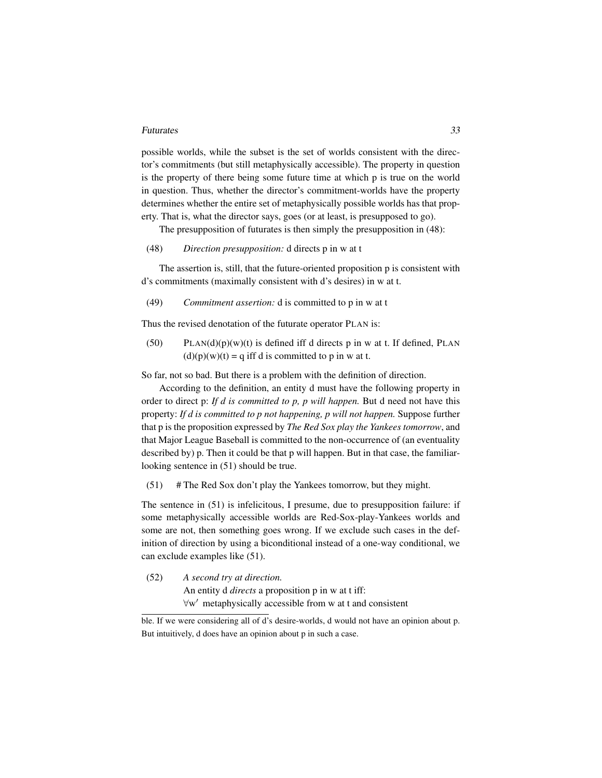possible worlds, while the subset is the set of worlds consistent with the director's commitments (but still metaphysically accessible). The property in question is the property of there being some future time at which p is true on the world in question. Thus, whether the director's commitment-worlds have the property determines whether the entire set of metaphysically possible worlds has that property. That is, what the director says, goes (or at least, is presupposed to go).

The presupposition of futurates is then simply the presupposition in (48):

#### (48) *Direction presupposition:* d directs p in w at t

The assertion is, still, that the future-oriented proposition p is consistent with d's commitments (maximally consistent with d's desires) in w at t.

(49) *Commitment assertion:* d is committed to p in w at t

Thus the revised denotation of the futurate operator PLAN is:

 $(50)$  PLAN(d)(p)(w)(t) is defined iff d directs p in w at t. If defined, PLAN  $(d)(p)(w)(t) = q$  iff d is committed to p in w at t.

So far, not so bad. But there is a problem with the definition of direction.

According to the definition, an entity d must have the following property in order to direct p: *If d is committed to p, p will happen.* But d need not have this property: *If d is committed to p not happening, p will not happen.* Suppose further that p is the proposition expressed by *The Red Sox play the Yankees tomorrow*, and that Major League Baseball is committed to the non-occurrence of (an eventuality described by) p. Then it could be that p will happen. But in that case, the familiarlooking sentence in (51) should be true.

(51) # The Red Sox don't play the Yankees tomorrow, but they might.

The sentence in (51) is infelicitous, I presume, due to presupposition failure: if some metaphysically accessible worlds are Red-Sox-play-Yankees worlds and some are not, then something goes wrong. If we exclude such cases in the definition of direction by using a biconditional instead of a one-way conditional, we can exclude examples like (51).

(52) *A second try at direction.* An entity d *directs* a proposition p in w at t iff: ∀w <sup>0</sup> metaphysically accessible from w at t and consistent

ble. If we were considering all of d's desire-worlds, d would not have an opinion about p. But intuitively, d does have an opinion about p in such a case.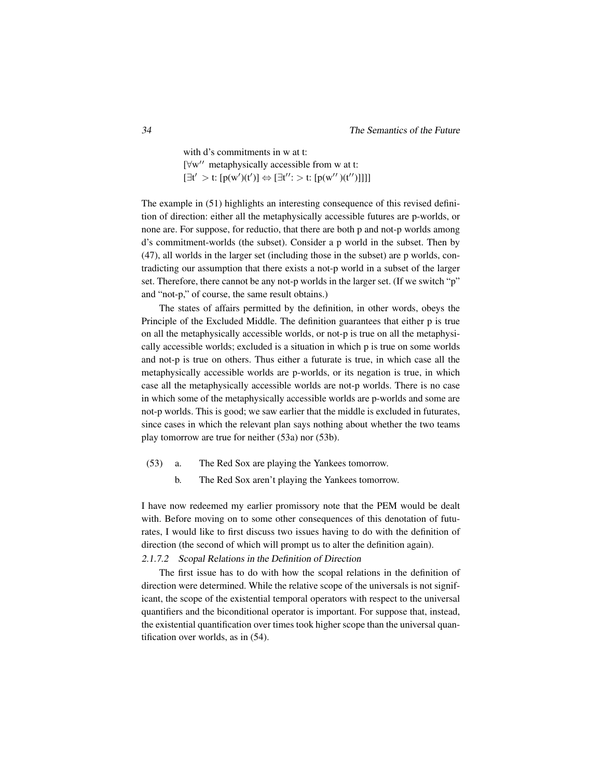with d's commitments in w at t: [∀w" metaphysically accessible from w at t:  $[\exists t' > t: [p(w')(t')] \Leftrightarrow [\exists t'': > t: [p(w'')(t'')]]]]$ 

The example in (51) highlights an interesting consequence of this revised definition of direction: either all the metaphysically accessible futures are p-worlds, or none are. For suppose, for reductio, that there are both p and not-p worlds among d's commitment-worlds (the subset). Consider a p world in the subset. Then by (47), all worlds in the larger set (including those in the subset) are p worlds, contradicting our assumption that there exists a not-p world in a subset of the larger set. Therefore, there cannot be any not-p worlds in the larger set. (If we switch "p" and "not-p," of course, the same result obtains.)

The states of affairs permitted by the definition, in other words, obeys the Principle of the Excluded Middle. The definition guarantees that either p is true on all the metaphysically accessible worlds, or not-p is true on all the metaphysically accessible worlds; excluded is a situation in which p is true on some worlds and not-p is true on others. Thus either a futurate is true, in which case all the metaphysically accessible worlds are p-worlds, or its negation is true, in which case all the metaphysically accessible worlds are not-p worlds. There is no case in which some of the metaphysically accessible worlds are p-worlds and some are not-p worlds. This is good; we saw earlier that the middle is excluded in futurates, since cases in which the relevant plan says nothing about whether the two teams play tomorrow are true for neither (53a) nor (53b).

- (53) a. The Red Sox are playing the Yankees tomorrow.
	- b. The Red Sox aren't playing the Yankees tomorrow.

I have now redeemed my earlier promissory note that the PEM would be dealt with. Before moving on to some other consequences of this denotation of futurates, I would like to first discuss two issues having to do with the definition of direction (the second of which will prompt us to alter the definition again).

#### 2.1.7.2 Scopal Relations in the Definition of Direction

The first issue has to do with how the scopal relations in the definition of direction were determined. While the relative scope of the universals is not significant, the scope of the existential temporal operators with respect to the universal quantifiers and the biconditional operator is important. For suppose that, instead, the existential quantification over times took higher scope than the universal quantification over worlds, as in (54).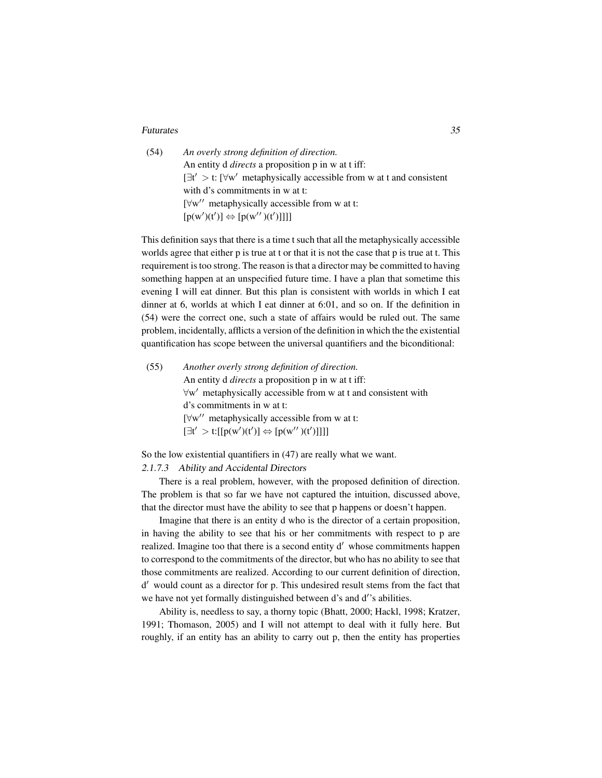(54) *An overly strong definition of direction.* An entity d *directs* a proposition p in w at t iff: [∃t' > t: [∀w' metaphysically accessible from w at t and consistent with d's commitments in w at t: [∀w" metaphysically accessible from w at t:  $[p(w')(t')] \Leftrightarrow [p(w'')(t')]]]$ 

This definition says that there is a time t such that all the metaphysically accessible worlds agree that either p is true at t or that it is not the case that p is true at t. This requirement is too strong. The reason is that a director may be committed to having something happen at an unspecified future time. I have a plan that sometime this evening I will eat dinner. But this plan is consistent with worlds in which I eat dinner at 6, worlds at which I eat dinner at 6:01, and so on. If the definition in (54) were the correct one, such a state of affairs would be ruled out. The same problem, incidentally, afflicts a version of the definition in which the the existential quantification has scope between the universal quantifiers and the biconditional:

(55) *Another overly strong definition of direction.* An entity d *directs* a proposition p in w at t iff: ∀w <sup>0</sup> metaphysically accessible from w at t and consistent with d's commitments in w at t: [∀w" metaphysically accessible from w at t:  $[\exists t' > t: [[p(w')(t')] \Leftrightarrow [p(w'')(t')]]]]$ 

So the low existential quantifiers in (47) are really what we want.

## 2.1.7.3 Ability and Accidental Directors

There is a real problem, however, with the proposed definition of direction. The problem is that so far we have not captured the intuition, discussed above, that the director must have the ability to see that p happens or doesn't happen.

Imagine that there is an entity d who is the director of a certain proposition, in having the ability to see that his or her commitments with respect to p are realized. Imagine too that there is a second entity  $d'$  whose commitments happen to correspond to the commitments of the director, but who has no ability to see that those commitments are realized. According to our current definition of direction, d' would count as a director for p. This undesired result stems from the fact that we have not yet formally distinguished between d's and d''s abilities.

Ability is, needless to say, a thorny topic (Bhatt, 2000; Hackl, 1998; Kratzer, 1991; Thomason, 2005) and I will not attempt to deal with it fully here. But roughly, if an entity has an ability to carry out p, then the entity has properties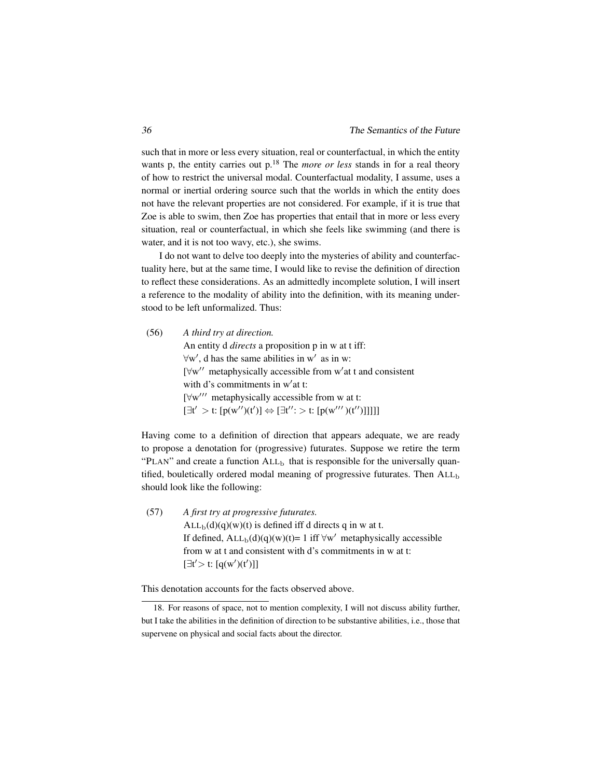such that in more or less every situation, real or counterfactual, in which the entity wants p, the entity carries out p.<sup>18</sup> The *more or less* stands in for a real theory of how to restrict the universal modal. Counterfactual modality, I assume, uses a normal or inertial ordering source such that the worlds in which the entity does not have the relevant properties are not considered. For example, if it is true that Zoe is able to swim, then Zoe has properties that entail that in more or less every situation, real or counterfactual, in which she feels like swimming (and there is water, and it is not too wavy, etc.), she swims.

I do not want to delve too deeply into the mysteries of ability and counterfactuality here, but at the same time, I would like to revise the definition of direction to reflect these considerations. As an admittedly incomplete solution, I will insert a reference to the modality of ability into the definition, with its meaning understood to be left unformalized. Thus:

(56) *A third try at direction.* An entity d *directs* a proposition p in w at t iff:  $\forall w'$ , d has the same abilities in w' as in w: [∀w" metaphysically accessible from w'at t and consistent with d's commitments in w'at t: [∀w'" metaphysically accessible from w at t:  $[\exists t' > t: [p(w'')(t')] \Leftrightarrow [\exists t'' : > t: [p(w''')(t'')]]]]]$ 

Having come to a definition of direction that appears adequate, we are ready to propose a denotation for (progressive) futurates. Suppose we retire the term "PLAN" and create a function  $ALL<sub>b</sub>$  that is responsible for the universally quantified, bouletically ordered modal meaning of progressive futurates. Then  $ALL<sub>b</sub>$ should look like the following:

(57) *A first try at progressive futurates.*  $ALL<sub>b</sub>(d)(q)(w)(t)$  is defined iff d directs q in w at t. If defined,  $ALL_b(d)(q)(w)(t) = 1$  iff  $\forall w'$  metaphysically accessible from w at t and consistent with d's commitments in w at t: [ $\exists t' > t$ : [q(w')(t')]]

This denotation accounts for the facts observed above.

<sup>18.</sup> For reasons of space, not to mention complexity, I will not discuss ability further, but I take the abilities in the definition of direction to be substantive abilities, i.e., those that supervene on physical and social facts about the director.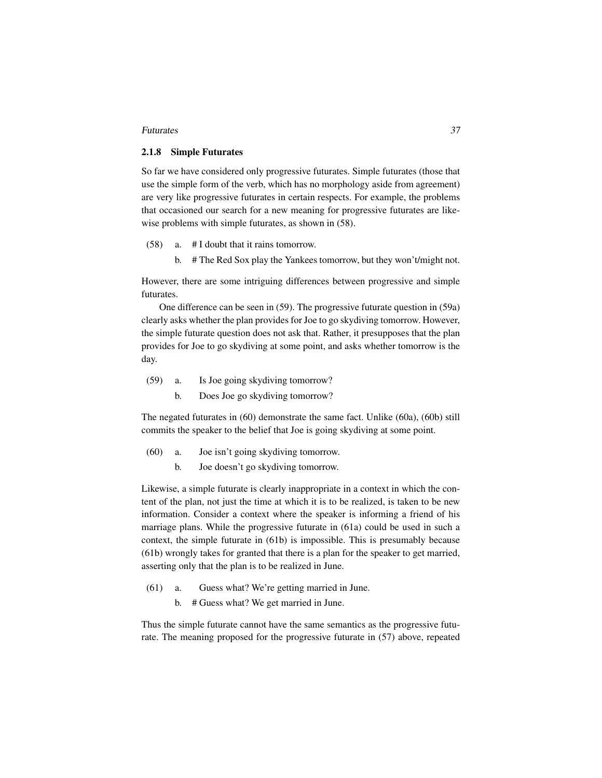# 2.1.8 Simple Futurates

So far we have considered only progressive futurates. Simple futurates (those that use the simple form of the verb, which has no morphology aside from agreement) are very like progressive futurates in certain respects. For example, the problems that occasioned our search for a new meaning for progressive futurates are likewise problems with simple futurates, as shown in (58).

- (58) a. # I doubt that it rains tomorrow.
	- b. # The Red Sox play the Yankees tomorrow, but they won't/might not.

However, there are some intriguing differences between progressive and simple futurates.

One difference can be seen in (59). The progressive futurate question in (59a) clearly asks whether the plan provides for Joe to go skydiving tomorrow. However, the simple futurate question does not ask that. Rather, it presupposes that the plan provides for Joe to go skydiving at some point, and asks whether tomorrow is the day.

- (59) a. Is Joe going skydiving tomorrow?
	- b. Does Joe go skydiving tomorrow?

The negated futurates in (60) demonstrate the same fact. Unlike (60a), (60b) still commits the speaker to the belief that Joe is going skydiving at some point.

- (60) a. Joe isn't going skydiving tomorrow.
	- b. Joe doesn't go skydiving tomorrow.

Likewise, a simple futurate is clearly inappropriate in a context in which the content of the plan, not just the time at which it is to be realized, is taken to be new information. Consider a context where the speaker is informing a friend of his marriage plans. While the progressive futurate in (61a) could be used in such a context, the simple futurate in (61b) is impossible. This is presumably because (61b) wrongly takes for granted that there is a plan for the speaker to get married, asserting only that the plan is to be realized in June.

- (61) a. Guess what? We're getting married in June.
	- b. # Guess what? We get married in June.

Thus the simple futurate cannot have the same semantics as the progressive futurate. The meaning proposed for the progressive futurate in (57) above, repeated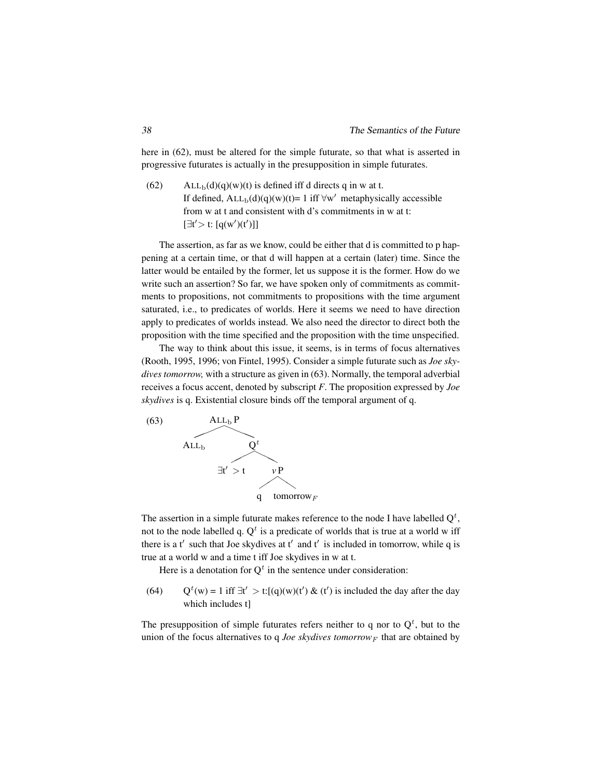here in (62), must be altered for the simple futurate, so that what is asserted in progressive futurates is actually in the presupposition in simple futurates.

 $(62)$  ALL<sub>b</sub> $(d)(q)(w)(t)$  is defined iff d directs q in w at t. If defined,  $ALL_b(d)(q)(w)(t) = 1$  iff  $\forall w'$  metaphysically accessible from w at t and consistent with d's commitments in w at t:  $[\exists t' > t : [q(w')(t')]]$ 

The assertion, as far as we know, could be either that d is committed to p happening at a certain time, or that d will happen at a certain (later) time. Since the latter would be entailed by the former, let us suppose it is the former. How do we write such an assertion? So far, we have spoken only of commitments as commitments to propositions, not commitments to propositions with the time argument saturated, i.e., to predicates of worlds. Here it seems we need to have direction apply to predicates of worlds instead. We also need the director to direct both the proposition with the time specified and the proposition with the time unspecified.

The way to think about this issue, it seems, is in terms of focus alternatives (Rooth, 1995, 1996; von Fintel, 1995). Consider a simple futurate such as *Joe skydives tomorrow,* with a structure as given in (63). Normally, the temporal adverbial receives a focus accent, denoted by subscript *F*. The proposition expressed by *Joe skydives* is q. Existential closure binds off the temporal argument of q.



The assertion in a simple futurate makes reference to the node I have labelled  $Q<sup>t</sup>$ , not to the node labelled q.  $Q^t$  is a predicate of worlds that is true at a world w iff there is a t' such that Joe skydives at t' and t' is included in tomorrow, while q is true at a world w and a time t iff Joe skydives in w at t.

Here is a denotation for  $Q<sup>t</sup>$  in the sentence under consideration:

 $(64)$  $(w) = 1$  iff  $\exists t' > t: [(q)(w)(t') \& (t')$  is included the day after the day which includes t]

The presupposition of simple futurates refers neither to q nor to  $Q<sup>t</sup>$ , but to the union of the focus alternatives to q *Joe skydives tomorrow<sub>F</sub>* that are obtained by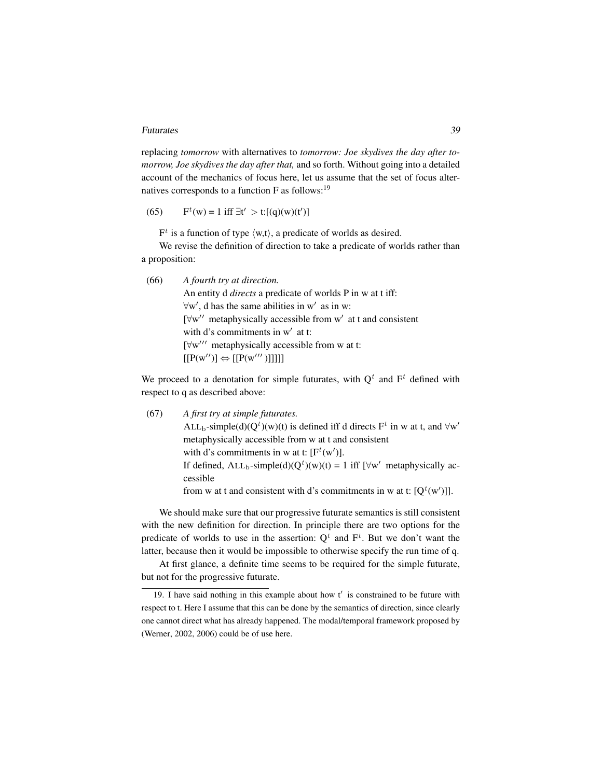replacing *tomorrow* with alternatives to *tomorrow: Joe skydives the day after tomorrow, Joe skydives the day after that,* and so forth. Without going into a detailed account of the mechanics of focus here, let us assume that the set of focus alternatives corresponds to a function  $F$  as follows:<sup>19</sup>

 $(65)$  $(w) = 1$  iff  $\exists t' > t: [(q)(w)(t')]$ 

 $F<sup>t</sup>$  is a function of type  $\langle w,t \rangle$ , a predicate of worlds as desired.

We revise the definition of direction to take a predicate of worlds rather than a proposition:

(66) *A fourth try at direction.* An entity d *directs* a predicate of worlds P in w at t iff:  $\forall w'$ , d has the same abilities in w' as in w: [∀w" metaphysically accessible from w' at t and consistent with d's commitments in w' at t: [∀w''' metaphysically accessible from w at t:  $[[P(w'')] \Leftrightarrow [[P(w''')]]]]]$ 

We proceed to a denotation for simple futurates, with  $Q<sup>t</sup>$  and  $F<sup>t</sup>$  defined with respect to q as described above:

(67) *A first try at simple futurates.* ALL<sub>b</sub>-simple(d)( $Q^t$ )(w)(t) is defined iff d directs  $F^t$  in w at t, and  $\forall w'$ metaphysically accessible from w at t and consistent with d's commitments in w at t:  $[F^t(w')]$ . If defined,  $ALL_b\text{-simple}(d)(Q^t)(w)(t) = 1$  iff  $[\forall w'$  metaphysically accessible from w at t and consistent with d's commitments in w at t:  $[Q^t(w')]$ .

We should make sure that our progressive futurate semantics is still consistent with the new definition for direction. In principle there are two options for the predicate of worlds to use in the assertion:  $Q^t$  and  $F^t$ . But we don't want the latter, because then it would be impossible to otherwise specify the run time of q.

At first glance, a definite time seems to be required for the simple futurate, but not for the progressive futurate.

<sup>19.</sup> I have said nothing in this example about how  $t'$  is constrained to be future with respect to t. Here I assume that this can be done by the semantics of direction, since clearly one cannot direct what has already happened. The modal/temporal framework proposed by (Werner, 2002, 2006) could be of use here.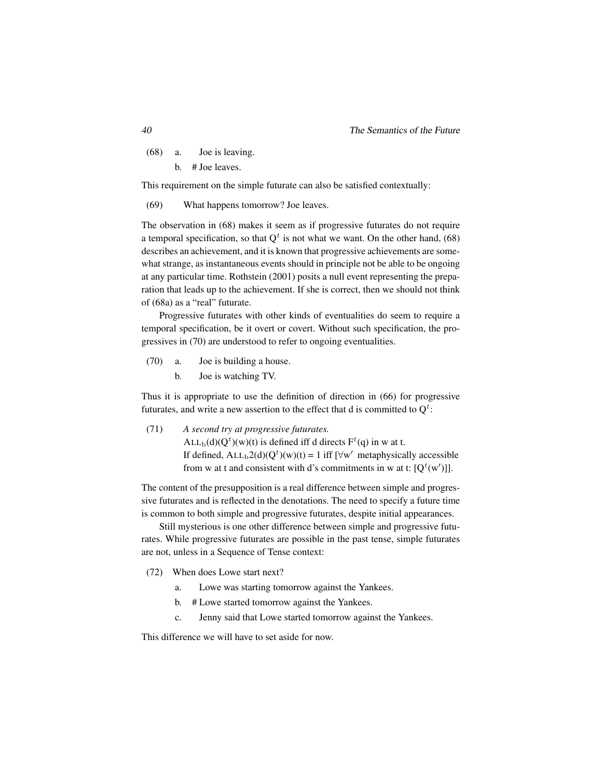(68) a. Joe is leaving.

b. # Joe leaves.

This requirement on the simple futurate can also be satisfied contextually:

(69) What happens tomorrow? Joe leaves.

The observation in (68) makes it seem as if progressive futurates do not require a temporal specification, so that  $Q<sup>t</sup>$  is not what we want. On the other hand, (68) describes an achievement, and it is known that progressive achievements are somewhat strange, as instantaneous events should in principle not be able to be ongoing at any particular time. Rothstein (2001) posits a null event representing the preparation that leads up to the achievement. If she is correct, then we should not think of (68a) as a "real" futurate.

Progressive futurates with other kinds of eventualities do seem to require a temporal specification, be it overt or covert. Without such specification, the progressives in (70) are understood to refer to ongoing eventualities.

- (70) a. Joe is building a house.
	- b. Joe is watching TV.

Thus it is appropriate to use the definition of direction in (66) for progressive futurates, and write a new assertion to the effect that d is committed to  $Q^t$ :

(71) *A second try at progressive futurates.*  $ALL_b(d)(Q<sup>t</sup>)(w)(t)$  is defined iff d directs  $F<sup>t</sup>(q)$  in w at t. If defined,  $ALL_b2(d)(Q^t)(w)(t) = 1$  iff  $[\forall w'$  metaphysically accessible from w at t and consistent with d's commitments in w at t:  $[Q^t(w')]$ .

The content of the presupposition is a real difference between simple and progressive futurates and is reflected in the denotations. The need to specify a future time is common to both simple and progressive futurates, despite initial appearances.

Still mysterious is one other difference between simple and progressive futurates. While progressive futurates are possible in the past tense, simple futurates are not, unless in a Sequence of Tense context:

- (72) When does Lowe start next?
	- a. Lowe was starting tomorrow against the Yankees.
	- b. # Lowe started tomorrow against the Yankees.
	- c. Jenny said that Lowe started tomorrow against the Yankees.

This difference we will have to set aside for now.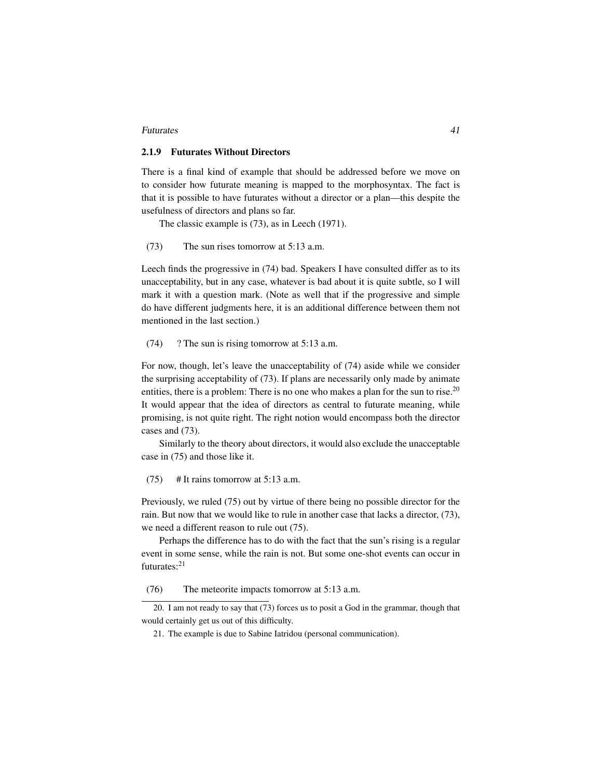# 2.1.9 Futurates Without Directors

There is a final kind of example that should be addressed before we move on to consider how futurate meaning is mapped to the morphosyntax. The fact is that it is possible to have futurates without a director or a plan—this despite the usefulness of directors and plans so far.

The classic example is (73), as in Leech (1971).

(73) The sun rises tomorrow at 5:13 a.m.

Leech finds the progressive in (74) bad. Speakers I have consulted differ as to its unacceptability, but in any case, whatever is bad about it is quite subtle, so I will mark it with a question mark. (Note as well that if the progressive and simple do have different judgments here, it is an additional difference between them not mentioned in the last section.)

(74) ? The sun is rising tomorrow at 5:13 a.m.

For now, though, let's leave the unacceptability of (74) aside while we consider the surprising acceptability of (73). If plans are necessarily only made by animate entities, there is a problem: There is no one who makes a plan for the sun to rise.<sup>20</sup> It would appear that the idea of directors as central to futurate meaning, while promising, is not quite right. The right notion would encompass both the director cases and (73).

Similarly to the theory about directors, it would also exclude the unacceptable case in (75) and those like it.

 $(75)$  # It rains tomorrow at 5:13 a.m.

Previously, we ruled (75) out by virtue of there being no possible director for the rain. But now that we would like to rule in another case that lacks a director, (73), we need a different reason to rule out (75).

Perhaps the difference has to do with the fact that the sun's rising is a regular event in some sense, while the rain is not. But some one-shot events can occur in futurates:<sup>21</sup>

(76) The meteorite impacts tomorrow at 5:13 a.m.

<sup>20.</sup> I am not ready to say that (73) forces us to posit a God in the grammar, though that would certainly get us out of this difficulty.

<sup>21.</sup> The example is due to Sabine Iatridou (personal communication).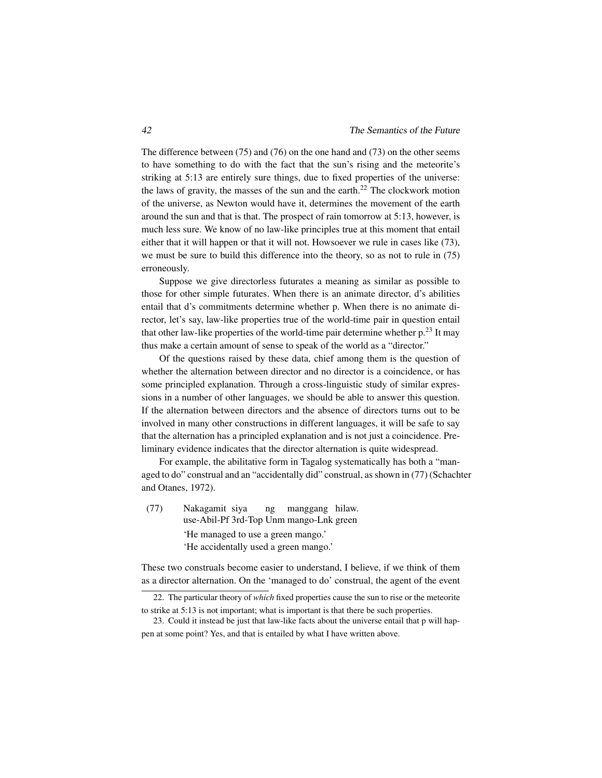The difference between (75) and (76) on the one hand and (73) on the other seems to have something to do with the fact that the sun's rising and the meteorite's striking at 5:13 are entirely sure things, due to fixed properties of the universe: the laws of gravity, the masses of the sun and the earth.<sup>22</sup> The clockwork motion of the universe, as Newton would have it, determines the movement of the earth around the sun and that is that. The prospect of rain tomorrow at 5:13, however, is much less sure. We know of no law-like principles true at this moment that entail either that it will happen or that it will not. Howsoever we rule in cases like (73), we must be sure to build this difference into the theory, so as not to rule in (75) erroneously.

Suppose we give directorless futurates a meaning as similar as possible to those for other simple futurates. When there is an animate director, d's abilities entail that d's commitments determine whether p. When there is no animate director, let's say, law-like properties true of the world-time pair in question entail that other law-like properties of the world-time pair determine whether  $p^{23}$  It may thus make a certain amount of sense to speak of the world as a "director."

Of the questions raised by these data, chief among them is the question of whether the alternation between director and no director is a coincidence, or has some principled explanation. Through a cross-linguistic study of similar expressions in a number of other languages, we should be able to answer this question. If the alternation between directors and the absence of directors turns out to be involved in many other constructions in different languages, it will be safe to say that the alternation has a principled explanation and is not just a coincidence. Preliminary evidence indicates that the director alternation is quite widespread.

For example, the abilitative form in Tagalog systematically has both a "managed to do" construal and an "accidentally did" construal, as shown in (77) (Schachter and Otanes, 1972).

(77) Nakagamit siya use-Abil-Pf 3rd-Top Unm mango-Lnk green ng manggang hilaw. 'He managed to use a green mango.' 'He accidentally used a green mango.'

These two construals become easier to understand, I believe, if we think of them as a director alternation. On the 'managed to do' construal, the agent of the event

<sup>22.</sup> The particular theory of *which* fixed properties cause the sun to rise or the meteorite to strike at 5:13 is not important; what is important is that there be such properties.

<sup>23.</sup> Could it instead be just that law-like facts about the universe entail that p will happen at some point? Yes, and that is entailed by what I have written above.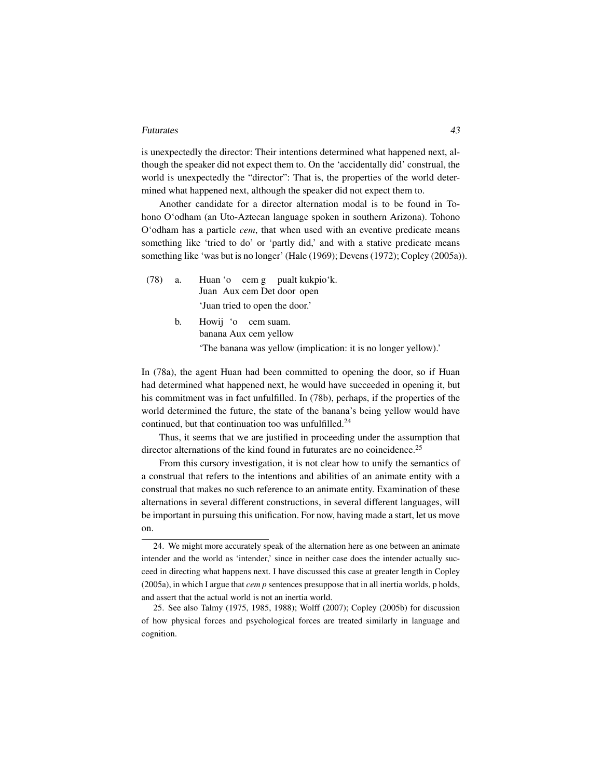is unexpectedly the director: Their intentions determined what happened next, although the speaker did not expect them to. On the 'accidentally did' construal, the world is unexpectedly the "director": That is, the properties of the world determined what happened next, although the speaker did not expect them to.

Another candidate for a director alternation modal is to be found in Tohono O'odham (an Uto-Aztecan language spoken in southern Arizona). Tohono O'odham has a particle *cem*, that when used with an eventive predicate means something like 'tried to do' or 'partly did,' and with a stative predicate means something like 'was but is no longer' (Hale (1969); Devens (1972); Copley (2005a)).

(78) a. Huan 'o cem g pualt kukpio'k. Juan Aux cem Det door open 'Juan tried to open the door.'

> b. Howij 'o cem suam. banana Aux cem yellow 'The banana was yellow (implication: it is no longer yellow).'

In (78a), the agent Huan had been committed to opening the door, so if Huan had determined what happened next, he would have succeeded in opening it, but his commitment was in fact unfulfilled. In (78b), perhaps, if the properties of the world determined the future, the state of the banana's being yellow would have continued, but that continuation too was unfulfilled.<sup>24</sup>

Thus, it seems that we are justified in proceeding under the assumption that director alternations of the kind found in futurates are no coincidence.<sup>25</sup>

From this cursory investigation, it is not clear how to unify the semantics of a construal that refers to the intentions and abilities of an animate entity with a construal that makes no such reference to an animate entity. Examination of these alternations in several different constructions, in several different languages, will be important in pursuing this unification. For now, having made a start, let us move on.

<sup>24.</sup> We might more accurately speak of the alternation here as one between an animate intender and the world as 'intender,' since in neither case does the intender actually succeed in directing what happens next. I have discussed this case at greater length in Copley (2005a), in which I argue that *cem p* sentences presuppose that in all inertia worlds, p holds, and assert that the actual world is not an inertia world.

<sup>25.</sup> See also Talmy (1975, 1985, 1988); Wolff (2007); Copley (2005b) for discussion of how physical forces and psychological forces are treated similarly in language and cognition.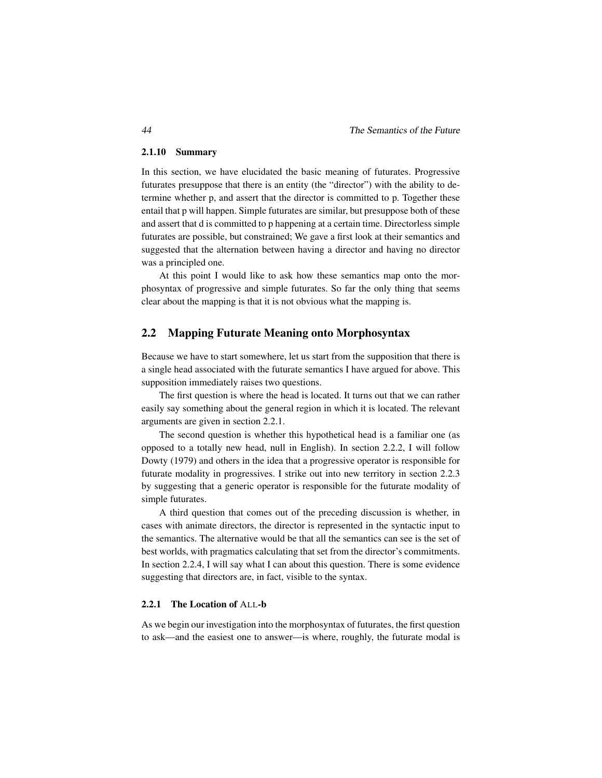# 2.1.10 Summary

In this section, we have elucidated the basic meaning of futurates. Progressive futurates presuppose that there is an entity (the "director") with the ability to determine whether p, and assert that the director is committed to p. Together these entail that p will happen. Simple futurates are similar, but presuppose both of these and assert that d is committed to p happening at a certain time. Directorless simple futurates are possible, but constrained; We gave a first look at their semantics and suggested that the alternation between having a director and having no director was a principled one.

At this point I would like to ask how these semantics map onto the morphosyntax of progressive and simple futurates. So far the only thing that seems clear about the mapping is that it is not obvious what the mapping is.

# 2.2 Mapping Futurate Meaning onto Morphosyntax

Because we have to start somewhere, let us start from the supposition that there is a single head associated with the futurate semantics I have argued for above. This supposition immediately raises two questions.

The first question is where the head is located. It turns out that we can rather easily say something about the general region in which it is located. The relevant arguments are given in section 2.2.1.

The second question is whether this hypothetical head is a familiar one (as opposed to a totally new head, null in English). In section 2.2.2, I will follow Dowty (1979) and others in the idea that a progressive operator is responsible for futurate modality in progressives. I strike out into new territory in section 2.2.3 by suggesting that a generic operator is responsible for the futurate modality of simple futurates.

A third question that comes out of the preceding discussion is whether, in cases with animate directors, the director is represented in the syntactic input to the semantics. The alternative would be that all the semantics can see is the set of best worlds, with pragmatics calculating that set from the director's commitments. In section 2.2.4, I will say what I can about this question. There is some evidence suggesting that directors are, in fact, visible to the syntax.

# 2.2.1 The Location of ALL-b

As we begin our investigation into the morphosyntax of futurates, the first question to ask—and the easiest one to answer—is where, roughly, the futurate modal is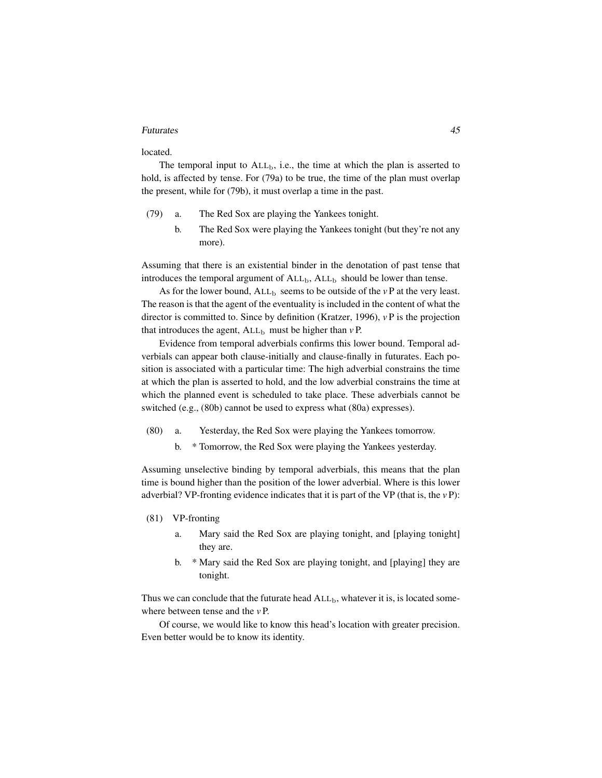located.

The temporal input to  $ALL<sub>b</sub>$ , i.e., the time at which the plan is asserted to hold, is affected by tense. For (79a) to be true, the time of the plan must overlap the present, while for (79b), it must overlap a time in the past.

- (79) a. The Red Sox are playing the Yankees tonight.
	- b. The Red Sox were playing the Yankees tonight (but they're not any more).

Assuming that there is an existential binder in the denotation of past tense that introduces the temporal argument of  $ALL_b$ ,  $ALL_b$  should be lower than tense.

As for the lower bound,  $ALL_b$  seems to be outside of the  $vP$  at the very least. The reason is that the agent of the eventuality is included in the content of what the director is committed to. Since by definition (Kratzer, 1996), *v* P is the projection that introduces the agent,  $ALL<sub>b</sub>$  must be higher than  $v$  P.

Evidence from temporal adverbials confirms this lower bound. Temporal adverbials can appear both clause-initially and clause-finally in futurates. Each position is associated with a particular time: The high adverbial constrains the time at which the plan is asserted to hold, and the low adverbial constrains the time at which the planned event is scheduled to take place. These adverbials cannot be switched (e.g., (80b) cannot be used to express what (80a) expresses).

- (80) a. Yesterday, the Red Sox were playing the Yankees tomorrow.
	- b. \* Tomorrow, the Red Sox were playing the Yankees yesterday.

Assuming unselective binding by temporal adverbials, this means that the plan time is bound higher than the position of the lower adverbial. Where is this lower adverbial? VP-fronting evidence indicates that it is part of the VP (that is, the *v* P):

- (81) VP-fronting
	- a. Mary said the Red Sox are playing tonight, and [playing tonight] they are.
	- b. \* Mary said the Red Sox are playing tonight, and [playing] they are tonight.

Thus we can conclude that the futurate head  $ALL_b$ , whatever it is, is located somewhere between tense and the *v* P.

Of course, we would like to know this head's location with greater precision. Even better would be to know its identity.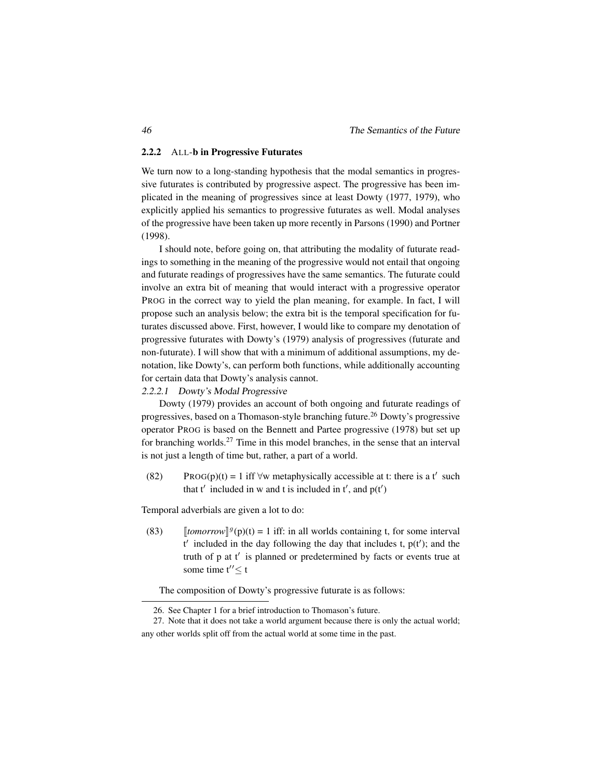# 2.2.2 ALL-b in Progressive Futurates

We turn now to a long-standing hypothesis that the modal semantics in progressive futurates is contributed by progressive aspect. The progressive has been implicated in the meaning of progressives since at least Dowty (1977, 1979), who explicitly applied his semantics to progressive futurates as well. Modal analyses of the progressive have been taken up more recently in Parsons (1990) and Portner (1998).

I should note, before going on, that attributing the modality of futurate readings to something in the meaning of the progressive would not entail that ongoing and futurate readings of progressives have the same semantics. The futurate could involve an extra bit of meaning that would interact with a progressive operator PROG in the correct way to yield the plan meaning, for example. In fact, I will propose such an analysis below; the extra bit is the temporal specification for futurates discussed above. First, however, I would like to compare my denotation of progressive futurates with Dowty's (1979) analysis of progressives (futurate and non-futurate). I will show that with a minimum of additional assumptions, my denotation, like Dowty's, can perform both functions, while additionally accounting for certain data that Dowty's analysis cannot.

#### 2.2.2.1 Dowty's Modal Progressive

Dowty (1979) provides an account of both ongoing and futurate readings of progressives, based on a Thomason-style branching future.<sup>26</sup> Dowty's progressive operator PROG is based on the Bennett and Partee progressive (1978) but set up for branching worlds.<sup>27</sup> Time in this model branches, in the sense that an interval is not just a length of time but, rather, a part of a world.

(82) PROG(p)(t) = 1 iff  $\forall$ w metaphysically accessible at t: there is a t' such that t' included in w and t is included in  $t'$ , and  $p(t')$ 

Temporal adverbials are given a lot to do:

(83) [*tomorrow*]<sup>g</sup>(p)(t) = 1 iff: in all worlds containing t, for some interval  $t'$  included in the day following the day that includes t,  $p(t')$ ; and the truth of p at t' is planned or predetermined by facts or events true at some time  $t'' \leq t$ 

The composition of Dowty's progressive futurate is as follows:

<sup>26.</sup> See Chapter 1 for a brief introduction to Thomason's future.

<sup>27.</sup> Note that it does not take a world argument because there is only the actual world; any other worlds split off from the actual world at some time in the past.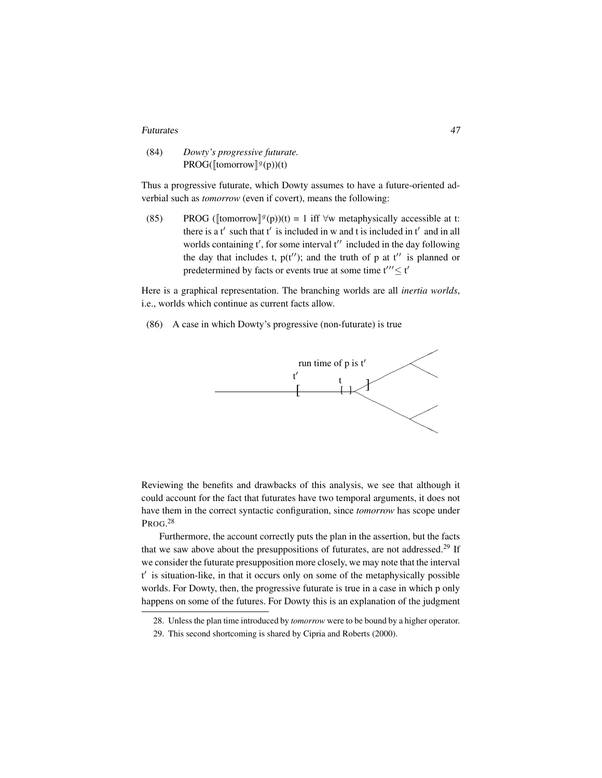(84) *Downty's progressive future*. 
$$
PROG([tomorrow]^{g}(p))(t)
$$

Thus a progressive futurate, which Dowty assumes to have a future-oriented adverbial such as *tomorrow* (even if covert), means the following:

(85) PROG ([[tomorrow]<sup>g</sup>(p))(t) = 1 iff  $\forall$ w metaphysically accessible at t: there is a t' such that t' is included in w and t is included in t' and in all worlds containing t', for some interval t'' included in the day following the day that includes t,  $p(t'')$ ; and the truth of p at  $t''$  is planned or predetermined by facts or events true at some time  $t'' \le t'$ 

Here is a graphical representation. The branching worlds are all *inertia worlds*, i.e., worlds which continue as current facts allow.

(86) A case in which Dowty's progressive (non-futurate) is true



Reviewing the benefits and drawbacks of this analysis, we see that although it could account for the fact that futurates have two temporal arguments, it does not have them in the correct syntactic configuration, since *tomorrow* has scope under PROG. 28

Furthermore, the account correctly puts the plan in the assertion, but the facts that we saw above about the presuppositions of futurates, are not addressed.<sup>29</sup> If we consider the futurate presupposition more closely, we may note that the interval t' is situation-like, in that it occurs only on some of the metaphysically possible worlds. For Dowty, then, the progressive futurate is true in a case in which p only happens on some of the futures. For Dowty this is an explanation of the judgment

<sup>28.</sup> Unless the plan time introduced by *tomorrow* were to be bound by a higher operator.

<sup>29.</sup> This second shortcoming is shared by Cipria and Roberts (2000).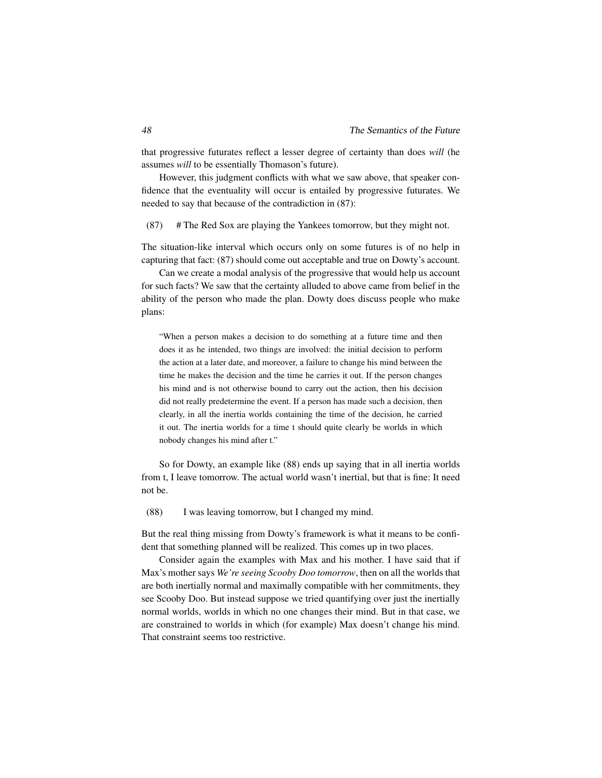that progressive futurates reflect a lesser degree of certainty than does *will* (he assumes *will* to be essentially Thomason's future).

However, this judgment conflicts with what we saw above, that speaker confidence that the eventuality will occur is entailed by progressive futurates. We needed to say that because of the contradiction in (87):

(87) # The Red Sox are playing the Yankees tomorrow, but they might not.

The situation-like interval which occurs only on some futures is of no help in capturing that fact: (87) should come out acceptable and true on Dowty's account.

Can we create a modal analysis of the progressive that would help us account for such facts? We saw that the certainty alluded to above came from belief in the ability of the person who made the plan. Dowty does discuss people who make plans:

"When a person makes a decision to do something at a future time and then does it as he intended, two things are involved: the initial decision to perform the action at a later date, and moreover, a failure to change his mind between the time he makes the decision and the time he carries it out. If the person changes his mind and is not otherwise bound to carry out the action, then his decision did not really predetermine the event. If a person has made such a decision, then clearly, in all the inertia worlds containing the time of the decision, he carried it out. The inertia worlds for a time t should quite clearly be worlds in which nobody changes his mind after t."

So for Dowty, an example like (88) ends up saying that in all inertia worlds from t, I leave tomorrow. The actual world wasn't inertial, but that is fine: It need not be.

(88) I was leaving tomorrow, but I changed my mind.

But the real thing missing from Dowty's framework is what it means to be confident that something planned will be realized. This comes up in two places.

Consider again the examples with Max and his mother. I have said that if Max's mother says *We're seeing Scooby Doo tomorrow*, then on all the worlds that are both inertially normal and maximally compatible with her commitments, they see Scooby Doo. But instead suppose we tried quantifying over just the inertially normal worlds, worlds in which no one changes their mind. But in that case, we are constrained to worlds in which (for example) Max doesn't change his mind. That constraint seems too restrictive.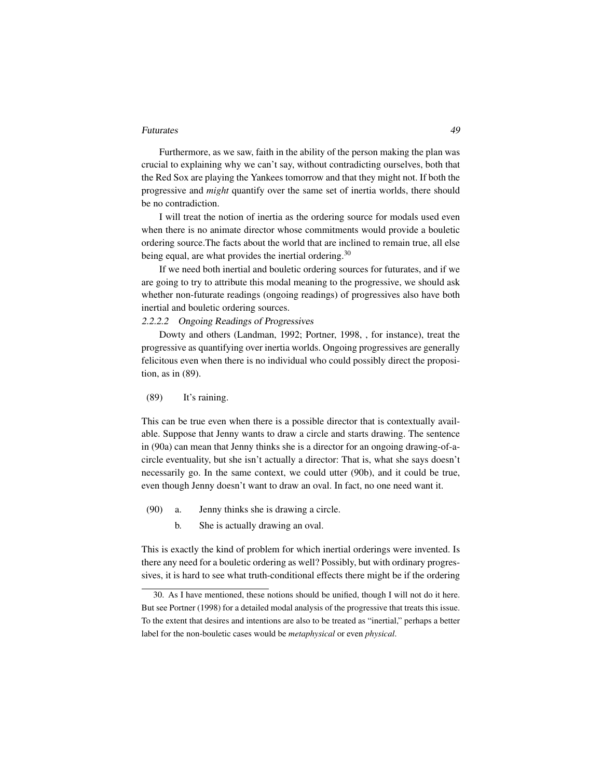Furthermore, as we saw, faith in the ability of the person making the plan was crucial to explaining why we can't say, without contradicting ourselves, both that the Red Sox are playing the Yankees tomorrow and that they might not. If both the progressive and *might* quantify over the same set of inertia worlds, there should be no contradiction.

I will treat the notion of inertia as the ordering source for modals used even when there is no animate director whose commitments would provide a bouletic ordering source.The facts about the world that are inclined to remain true, all else being equal, are what provides the inertial ordering.<sup>30</sup>

If we need both inertial and bouletic ordering sources for futurates, and if we are going to try to attribute this modal meaning to the progressive, we should ask whether non-futurate readings (ongoing readings) of progressives also have both inertial and bouletic ordering sources.

2.2.2.2 Ongoing Readings of Progressives

Dowty and others (Landman, 1992; Portner, 1998, , for instance), treat the progressive as quantifying over inertia worlds. Ongoing progressives are generally felicitous even when there is no individual who could possibly direct the proposition, as in (89).

# (89) It's raining.

This can be true even when there is a possible director that is contextually available. Suppose that Jenny wants to draw a circle and starts drawing. The sentence in (90a) can mean that Jenny thinks she is a director for an ongoing drawing-of-acircle eventuality, but she isn't actually a director: That is, what she says doesn't necessarily go. In the same context, we could utter (90b), and it could be true, even though Jenny doesn't want to draw an oval. In fact, no one need want it.

- (90) a. Jenny thinks she is drawing a circle.
	- b. She is actually drawing an oval.

This is exactly the kind of problem for which inertial orderings were invented. Is there any need for a bouletic ordering as well? Possibly, but with ordinary progressives, it is hard to see what truth-conditional effects there might be if the ordering

<sup>30.</sup> As I have mentioned, these notions should be unified, though I will not do it here. But see Portner (1998) for a detailed modal analysis of the progressive that treats this issue. To the extent that desires and intentions are also to be treated as "inertial," perhaps a better label for the non-bouletic cases would be *metaphysical* or even *physical*.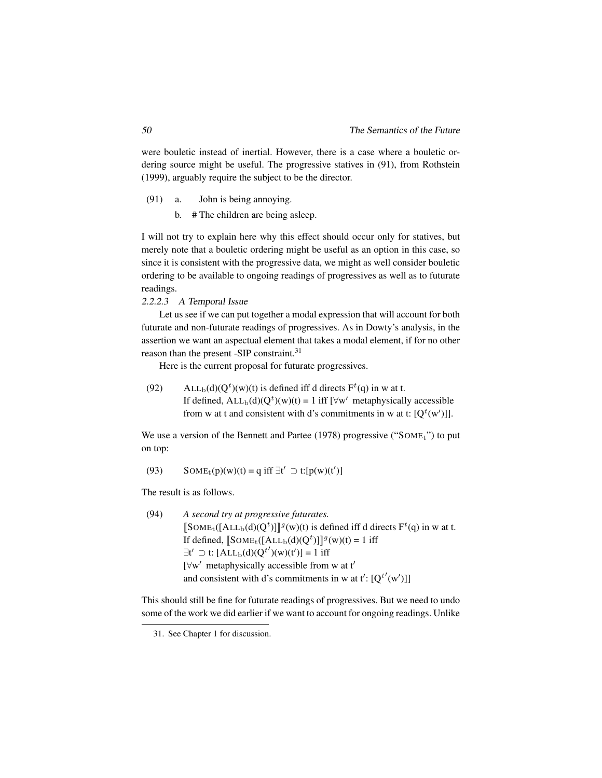were bouletic instead of inertial. However, there is a case where a bouletic ordering source might be useful. The progressive statives in (91), from Rothstein (1999), arguably require the subject to be the director.

- (91) a. John is being annoying.
	- b. # The children are being asleep.

I will not try to explain here why this effect should occur only for statives, but merely note that a bouletic ordering might be useful as an option in this case, so since it is consistent with the progressive data, we might as well consider bouletic ordering to be available to ongoing readings of progressives as well as to futurate readings.

2.2.2.3 A Temporal Issue

Let us see if we can put together a modal expression that will account for both futurate and non-futurate readings of progressives. As in Dowty's analysis, in the assertion we want an aspectual element that takes a modal element, if for no other reason than the present -SIP constraint.<sup>31</sup>

Here is the current proposal for futurate progressives.

(92) ALL<sub>b</sub>(d)(Q<sup>t</sup>)(w)(t) is defined iff d directs  $F<sup>t</sup>(q)$  in w at t. If defined,  $ALL_b(d)(Q<sup>t</sup>)(w)(t) = 1$  iff  $[\forall w'$  metaphysically accessible from w at t and consistent with d's commitments in w at t:  $[Q^t(w')]$ .

We use a version of the Bennett and Partee (1978) progressive (" $SOME<sub>t</sub>$ ") to put on top:

(93) SOME<sub>t</sub>(p)(w)(t) = q iff  $\exists t' \supset t$ :[p(w)(t')]

The result is as follows.

(94) *A second try at progressive futurates.*  $\llbracket$ SOME<sub>t</sub>([ALL<sub>b</sub>(d)(Q<sup>t</sup>)]]<sup>g</sup>(w)(t) is defined iff d directs F<sup>t</sup>(q) in w at t. If defined,  $[\text{SOME}_t([\text{ALL}_b(d)(Q^t)]]^g(w)(t) = 1$  iff  $\exists t' \supset t$ :  $[ALL_b(d)(Q^{t'})(w)(t')] = 1$  iff [∀w' metaphysically accessible from w at t' and consistent with d's commitments in w at t':  $[Q^{t'}(w')]$ 

This should still be fine for futurate readings of progressives. But we need to undo some of the work we did earlier if we want to account for ongoing readings. Unlike

<sup>31.</sup> See Chapter 1 for discussion.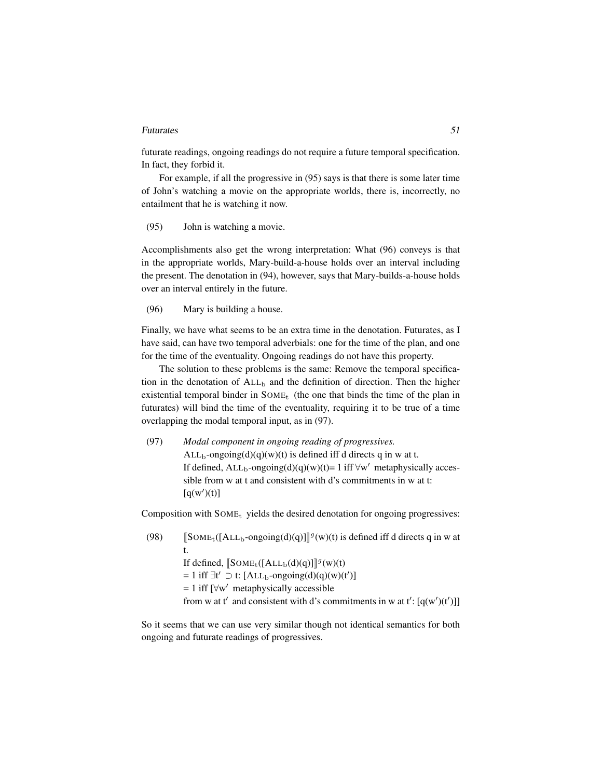futurate readings, ongoing readings do not require a future temporal specification. In fact, they forbid it.

For example, if all the progressive in (95) says is that there is some later time of John's watching a movie on the appropriate worlds, there is, incorrectly, no entailment that he is watching it now.

(95) John is watching a movie.

Accomplishments also get the wrong interpretation: What (96) conveys is that in the appropriate worlds, Mary-build-a-house holds over an interval including the present. The denotation in (94), however, says that Mary-builds-a-house holds over an interval entirely in the future.

(96) Mary is building a house.

Finally, we have what seems to be an extra time in the denotation. Futurates, as I have said, can have two temporal adverbials: one for the time of the plan, and one for the time of the eventuality. Ongoing readings do not have this property.

The solution to these problems is the same: Remove the temporal specification in the denotation of  $ALL<sub>b</sub>$  and the definition of direction. Then the higher existential temporal binder in  $SOME_t$  (the one that binds the time of the plan in futurates) will bind the time of the eventuality, requiring it to be true of a time overlapping the modal temporal input, as in (97).

(97) *Modal component in ongoing reading of progressives.*  $ALL_b\text{-ongoing}(d)(q)(w)(t)$  is defined iff d directs q in w at t. If defined,  $ALL_b\text{-ongoing}(d)(q)(w)(t)= 1$  iff  $\forall w'$  metaphysically accessible from w at t and consistent with d's commitments in w at t:  $[q(w')(t)]$ 

Composition with  $SOME_t$  yields the desired denotation for ongoing progressives:

(98) [SOME<sub>t</sub>([ALL<sub>b</sub>-ongoing(d)(q)]]<sup>g</sup>(w)(t) is defined iff d directs q in w at t. If defined,  $\llbracket \text{SOME}_t([\text{ALL}_b(d)(q)] \rrbracket^g(w)(t)$  $= 1$  iff  $\exists t' \supset t$ : [ALL<sub>b</sub>-ongoing(d)(q)(w)(t')] = 1 iff [∀w <sup>0</sup> metaphysically accessible from w at t' and consistent with d's commitments in w at t':  $[q(w')(t')]$ 

So it seems that we can use very similar though not identical semantics for both ongoing and futurate readings of progressives.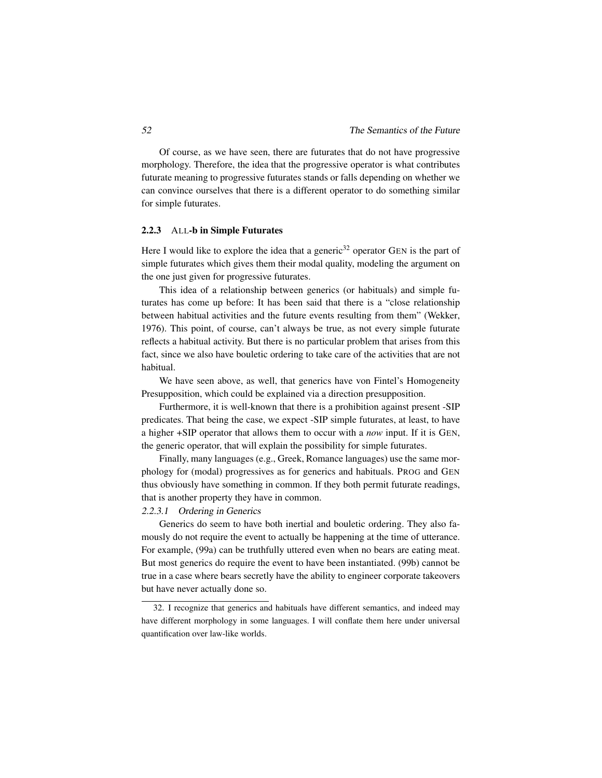Of course, as we have seen, there are futurates that do not have progressive morphology. Therefore, the idea that the progressive operator is what contributes futurate meaning to progressive futurates stands or falls depending on whether we can convince ourselves that there is a different operator to do something similar for simple futurates.

#### 2.2.3 ALL-b in Simple Futurates

Here I would like to explore the idea that a generic<sup>32</sup> operator GEN is the part of simple futurates which gives them their modal quality, modeling the argument on the one just given for progressive futurates.

This idea of a relationship between generics (or habituals) and simple futurates has come up before: It has been said that there is a "close relationship between habitual activities and the future events resulting from them" (Wekker, 1976). This point, of course, can't always be true, as not every simple futurate reflects a habitual activity. But there is no particular problem that arises from this fact, since we also have bouletic ordering to take care of the activities that are not habitual.

We have seen above, as well, that generics have von Fintel's Homogeneity Presupposition, which could be explained via a direction presupposition.

Furthermore, it is well-known that there is a prohibition against present -SIP predicates. That being the case, we expect -SIP simple futurates, at least, to have a higher +SIP operator that allows them to occur with a *now* input. If it is GEN, the generic operator, that will explain the possibility for simple futurates.

Finally, many languages (e.g., Greek, Romance languages) use the same morphology for (modal) progressives as for generics and habituals. PROG and GEN thus obviously have something in common. If they both permit futurate readings, that is another property they have in common.

# 2.2.3.1 Ordering in Generics

Generics do seem to have both inertial and bouletic ordering. They also famously do not require the event to actually be happening at the time of utterance. For example, (99a) can be truthfully uttered even when no bears are eating meat. But most generics do require the event to have been instantiated. (99b) cannot be true in a case where bears secretly have the ability to engineer corporate takeovers but have never actually done so.

<sup>32.</sup> I recognize that generics and habituals have different semantics, and indeed may have different morphology in some languages. I will conflate them here under universal quantification over law-like worlds.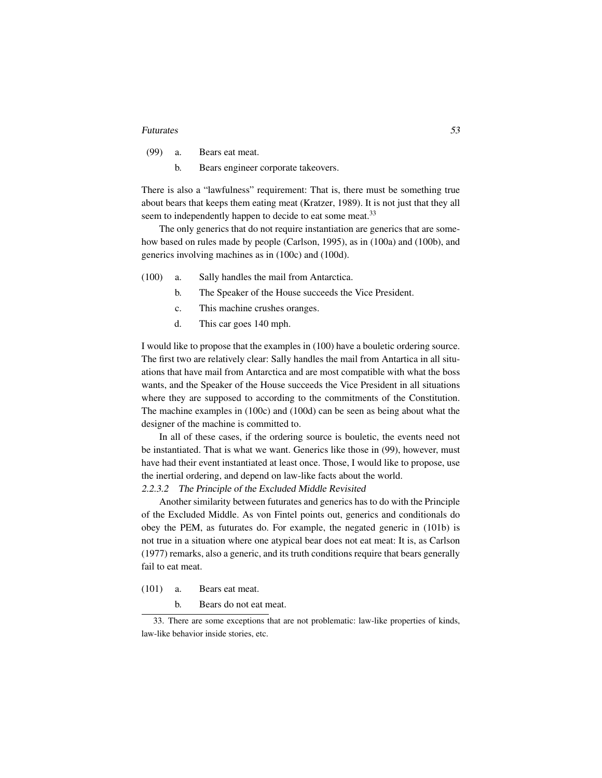- (99) a. Bears eat meat.
	- b. Bears engineer corporate takeovers.

There is also a "lawfulness" requirement: That is, there must be something true about bears that keeps them eating meat (Kratzer, 1989). It is not just that they all seem to independently happen to decide to eat some meat.<sup>33</sup>

The only generics that do not require instantiation are generics that are somehow based on rules made by people (Carlson, 1995), as in (100a) and (100b), and generics involving machines as in (100c) and (100d).

- (100) a. Sally handles the mail from Antarctica.
	- b. The Speaker of the House succeeds the Vice President.
	- c. This machine crushes oranges.
	- d. This car goes 140 mph.

I would like to propose that the examples in (100) have a bouletic ordering source. The first two are relatively clear: Sally handles the mail from Antartica in all situations that have mail from Antarctica and are most compatible with what the boss wants, and the Speaker of the House succeeds the Vice President in all situations where they are supposed to according to the commitments of the Constitution. The machine examples in (100c) and (100d) can be seen as being about what the designer of the machine is committed to.

In all of these cases, if the ordering source is bouletic, the events need not be instantiated. That is what we want. Generics like those in (99), however, must have had their event instantiated at least once. Those, I would like to propose, use the inertial ordering, and depend on law-like facts about the world.

# 2.2.3.2 The Principle of the Excluded Middle Revisited

Another similarity between futurates and generics has to do with the Principle of the Excluded Middle. As von Fintel points out, generics and conditionals do obey the PEM, as futurates do. For example, the negated generic in (101b) is not true in a situation where one atypical bear does not eat meat: It is, as Carlson (1977) remarks, also a generic, and its truth conditions require that bears generally fail to eat meat.

- (101) a. Bears eat meat.
	- b. Bears do not eat meat.

<sup>33.</sup> There are some exceptions that are not problematic: law-like properties of kinds, law-like behavior inside stories, etc.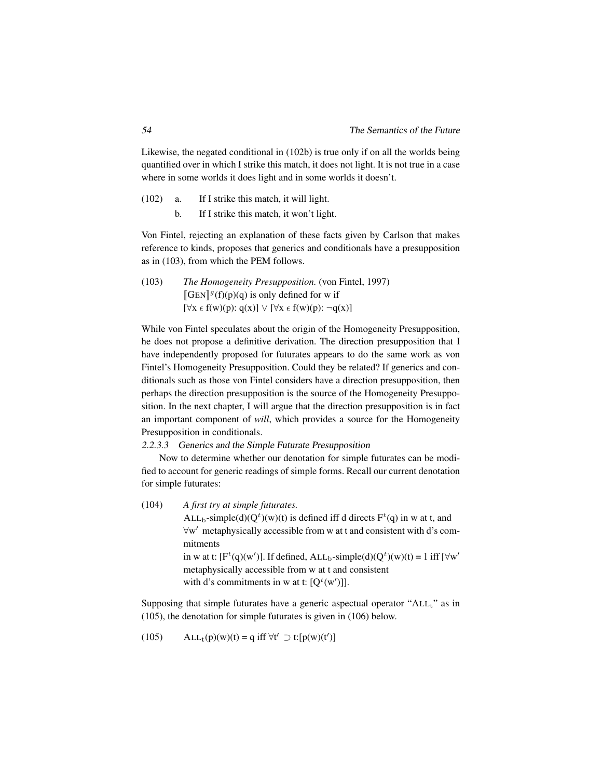Likewise, the negated conditional in (102b) is true only if on all the worlds being quantified over in which I strike this match, it does not light. It is not true in a case where in some worlds it does light and in some worlds it doesn't.

- (102) a. If I strike this match, it will light.
	- b. If I strike this match, it won't light.

Von Fintel, rejecting an explanation of these facts given by Carlson that makes reference to kinds, proposes that generics and conditionals have a presupposition as in (103), from which the PEM follows.

(103) *The Homogeneity Presupposition.* (von Fintel, 1997)  $\llbracket$ GEN $\rrbracket$ <sup>g</sup>(f)(p)(q) is only defined for w if  $[\forall x \in f(w)(p): q(x)] \lor [\forall x \in f(w)(p): \neg q(x)]$ 

While von Fintel speculates about the origin of the Homogeneity Presupposition, he does not propose a definitive derivation. The direction presupposition that I have independently proposed for futurates appears to do the same work as von Fintel's Homogeneity Presupposition. Could they be related? If generics and conditionals such as those von Fintel considers have a direction presupposition, then perhaps the direction presupposition is the source of the Homogeneity Presupposition. In the next chapter, I will argue that the direction presupposition is in fact an important component of *will*, which provides a source for the Homogeneity Presupposition in conditionals.

# 2.2.3.3 Generics and the Simple Futurate Presupposition

Now to determine whether our denotation for simple futurates can be modified to account for generic readings of simple forms. Recall our current denotation for simple futurates:

(104) *A first try at simple futurates.*

 $ALL_b\text{-simple}(d)(Q^t)(w)(t)$  is defined iff d directs  $F^t(q)$  in w at t, and ∀w <sup>0</sup> metaphysically accessible from w at t and consistent with d's commitments in w at t: [ $F^t(q)(w')$ ]. If defined,  $ALL_b\text{-simple}(d)(Q^t)(w)(t) = 1$  iff  $[\forall w'$ metaphysically accessible from w at t and consistent

with d's commitments in w at t:  $[Q^t(w')]$ .

Supposing that simple futurates have a generic aspectual operator " $ALL_t$ " as in (105), the denotation for simple futurates is given in (106) below.

(105)  $\text{ALL}_{t}(p)(w)(t) = q \text{ iff } \forall t' \supset t:[p(w)(t')]$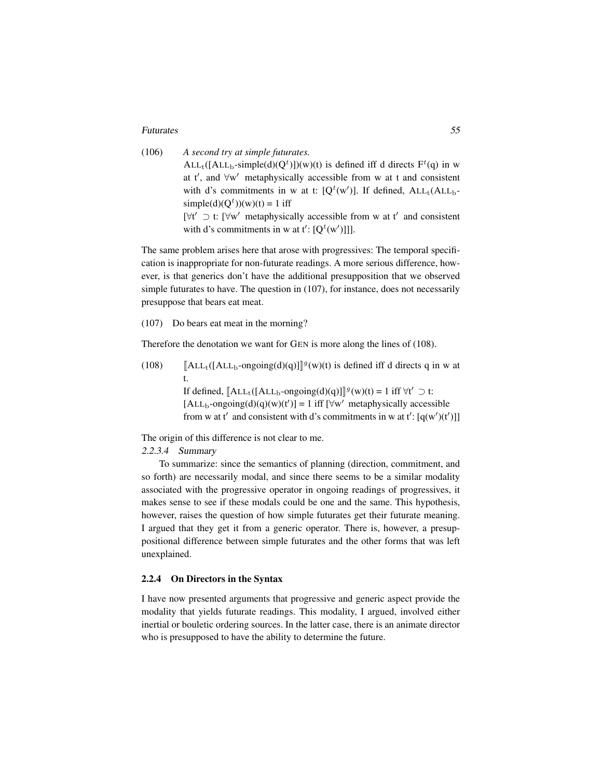(106) *A second try at simple futurates.*  $ALL_t([ALL_b\text{-simple}(d)(Q^t)])(w)(t)$  is defined iff d directs  $F^t(q)$  in w at  $t'$ , and  $\forall w'$  metaphysically accessible from w at t and consistent with d's commitments in w at t:  $[Q^t(w')]$ . If defined,  $ALL_t(ALL_b - ...)$  $simple(d)(Q<sup>t</sup>))(w)(t) = 1$  iff [∀t' ⊃ t: [∀w' metaphysically accessible from w at t' and consistent with d's commitments in w at t':  $[Q^t(w')]$ ].

The same problem arises here that arose with progressives: The temporal specification is inappropriate for non-futurate readings. A more serious difference, however, is that generics don't have the additional presupposition that we observed simple futurates to have. The question in (107), for instance, does not necessarily presuppose that bears eat meat.

(107) Do bears eat meat in the morning?

Therefore the denotation we want for GEN is more along the lines of (108).

(108) [ALL<sub>t</sub>([ALL<sub>b</sub>-ongoing(d)(q)]]<sup>g</sup>(w)(t) is defined iff d directs q in w at t. If defined,  $\left[\text{ALL}_{t}([\text{ALL}_{b} \text{-ongoing}(d)(q)]\right]^{g}(w)(t) = 1 \text{ iff } \forall t' \supset t$ :  $[ALL_b\text{-ongoing}(d)(q)(w)(t')] = 1$  iff  $[\forall w'$  metaphysically accessible from w at t' and consistent with d's commitments in w at t':  $[q(w')(t')]$ 

The origin of this difference is not clear to me.

2.2.3.4 Summary

To summarize: since the semantics of planning (direction, commitment, and so forth) are necessarily modal, and since there seems to be a similar modality associated with the progressive operator in ongoing readings of progressives, it makes sense to see if these modals could be one and the same. This hypothesis, however, raises the question of how simple futurates get their futurate meaning. I argued that they get it from a generic operator. There is, however, a presuppositional difference between simple futurates and the other forms that was left unexplained.

# 2.2.4 On Directors in the Syntax

I have now presented arguments that progressive and generic aspect provide the modality that yields futurate readings. This modality, I argued, involved either inertial or bouletic ordering sources. In the latter case, there is an animate director who is presupposed to have the ability to determine the future.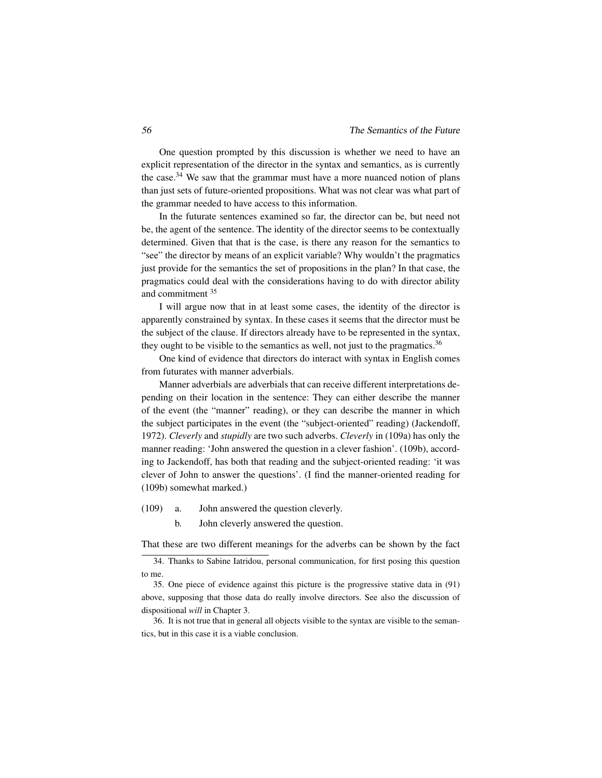# 56 The Semantics of the Future

One question prompted by this discussion is whether we need to have an explicit representation of the director in the syntax and semantics, as is currently the case.<sup>34</sup> We saw that the grammar must have a more nuanced notion of plans than just sets of future-oriented propositions. What was not clear was what part of the grammar needed to have access to this information.

In the futurate sentences examined so far, the director can be, but need not be, the agent of the sentence. The identity of the director seems to be contextually determined. Given that that is the case, is there any reason for the semantics to "see" the director by means of an explicit variable? Why wouldn't the pragmatics just provide for the semantics the set of propositions in the plan? In that case, the pragmatics could deal with the considerations having to do with director ability and commitment <sup>35</sup>

I will argue now that in at least some cases, the identity of the director is apparently constrained by syntax. In these cases it seems that the director must be the subject of the clause. If directors already have to be represented in the syntax, they ought to be visible to the semantics as well, not just to the pragmatics.<sup>36</sup>

One kind of evidence that directors do interact with syntax in English comes from futurates with manner adverbials.

Manner adverbials are adverbials that can receive different interpretations depending on their location in the sentence: They can either describe the manner of the event (the "manner" reading), or they can describe the manner in which the subject participates in the event (the "subject-oriented" reading) (Jackendoff, 1972). *Cleverly* and *stupidly* are two such adverbs. *Cleverly* in (109a) has only the manner reading: 'John answered the question in a clever fashion'. (109b), according to Jackendoff, has both that reading and the subject-oriented reading: 'it was clever of John to answer the questions'. (I find the manner-oriented reading for (109b) somewhat marked.)

- (109) a. John answered the question cleverly.
	- b. John cleverly answered the question.

That these are two different meanings for the adverbs can be shown by the fact

<sup>34.</sup> Thanks to Sabine Iatridou, personal communication, for first posing this question to me.

<sup>35.</sup> One piece of evidence against this picture is the progressive stative data in (91) above, supposing that those data do really involve directors. See also the discussion of dispositional *will* in Chapter 3.

<sup>36.</sup> It is not true that in general all objects visible to the syntax are visible to the semantics, but in this case it is a viable conclusion.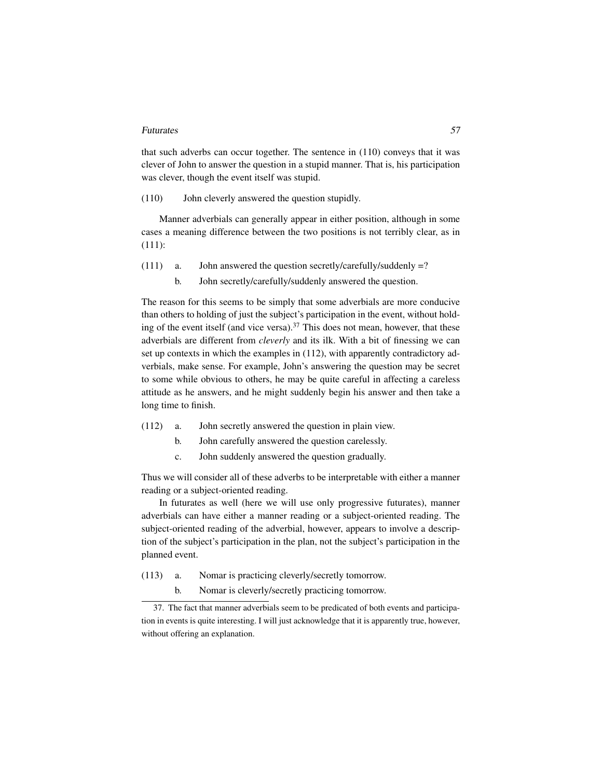that such adverbs can occur together. The sentence in (110) conveys that it was clever of John to answer the question in a stupid manner. That is, his participation was clever, though the event itself was stupid.

(110) John cleverly answered the question stupidly.

Manner adverbials can generally appear in either position, although in some cases a meaning difference between the two positions is not terribly clear, as in (111):

- (111) a. John answered the question secretly/carefully/suddenly =?
	- b. John secretly/carefully/suddenly answered the question.

The reason for this seems to be simply that some adverbials are more conducive than others to holding of just the subject's participation in the event, without holding of the event itself (and vice versa). $37$  This does not mean, however, that these adverbials are different from *cleverly* and its ilk. With a bit of finessing we can set up contexts in which the examples in (112), with apparently contradictory adverbials, make sense. For example, John's answering the question may be secret to some while obvious to others, he may be quite careful in affecting a careless attitude as he answers, and he might suddenly begin his answer and then take a long time to finish.

- (112) a. John secretly answered the question in plain view.
	- b. John carefully answered the question carelessly.
	- c. John suddenly answered the question gradually.

Thus we will consider all of these adverbs to be interpretable with either a manner reading or a subject-oriented reading.

In futurates as well (here we will use only progressive futurates), manner adverbials can have either a manner reading or a subject-oriented reading. The subject-oriented reading of the adverbial, however, appears to involve a description of the subject's participation in the plan, not the subject's participation in the planned event.

(113) a. Nomar is practicing cleverly/secretly tomorrow.

b. Nomar is cleverly/secretly practicing tomorrow.

<sup>37.</sup> The fact that manner adverbials seem to be predicated of both events and participation in events is quite interesting. I will just acknowledge that it is apparently true, however, without offering an explanation.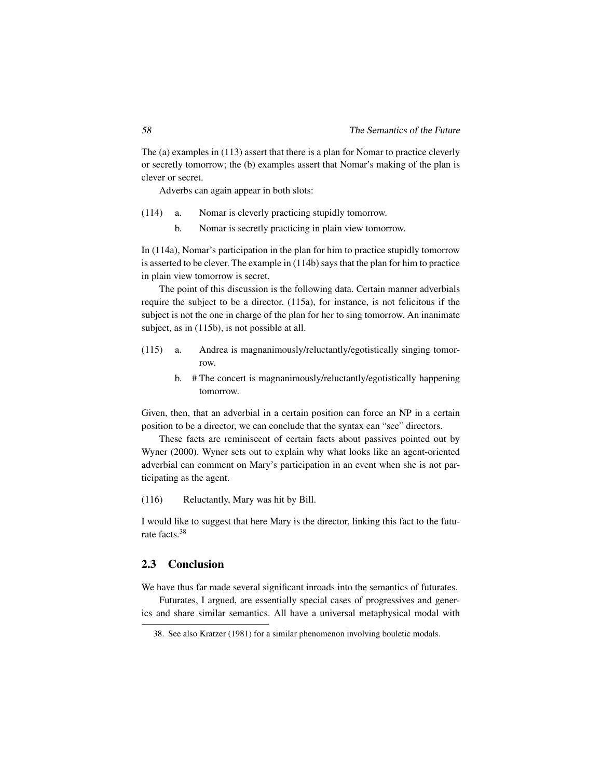The (a) examples in (113) assert that there is a plan for Nomar to practice cleverly or secretly tomorrow; the (b) examples assert that Nomar's making of the plan is clever or secret.

Adverbs can again appear in both slots:

- (114) a. Nomar is cleverly practicing stupidly tomorrow.
	- b. Nomar is secretly practicing in plain view tomorrow.

In (114a), Nomar's participation in the plan for him to practice stupidly tomorrow is asserted to be clever. The example in (114b) says that the plan for him to practice in plain view tomorrow is secret.

The point of this discussion is the following data. Certain manner adverbials require the subject to be a director. (115a), for instance, is not felicitous if the subject is not the one in charge of the plan for her to sing tomorrow. An inanimate subject, as in (115b), is not possible at all.

- (115) a. Andrea is magnanimously/reluctantly/egotistically singing tomorrow.
	- b. # The concert is magnanimously/reluctantly/egotistically happening tomorrow.

Given, then, that an adverbial in a certain position can force an NP in a certain position to be a director, we can conclude that the syntax can "see" directors.

These facts are reminiscent of certain facts about passives pointed out by Wyner (2000). Wyner sets out to explain why what looks like an agent-oriented adverbial can comment on Mary's participation in an event when she is not participating as the agent.

(116) Reluctantly, Mary was hit by Bill.

I would like to suggest that here Mary is the director, linking this fact to the futurate facts.<sup>38</sup>

# 2.3 Conclusion

We have thus far made several significant inroads into the semantics of futurates.

Futurates, I argued, are essentially special cases of progressives and generics and share similar semantics. All have a universal metaphysical modal with

<sup>38.</sup> See also Kratzer (1981) for a similar phenomenon involving bouletic modals.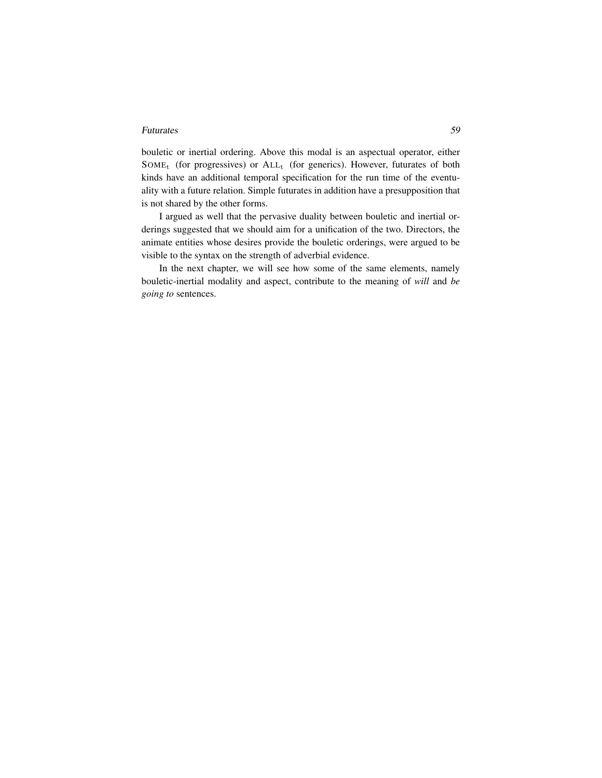bouletic or inertial ordering. Above this modal is an aspectual operator, either  $SOME_t$  (for progressives) or  $ALL_t$  (for generics). However, futurates of both kinds have an additional temporal specification for the run time of the eventuality with a future relation. Simple futurates in addition have a presupposition that is not shared by the other forms.

I argued as well that the pervasive duality between bouletic and inertial orderings suggested that we should aim for a unification of the two. Directors, the animate entities whose desires provide the bouletic orderings, were argued to be visible to the syntax on the strength of adverbial evidence.

In the next chapter, we will see how some of the same elements, namely bouletic-inertial modality and aspect, contribute to the meaning of *will* and *be going to* sentences.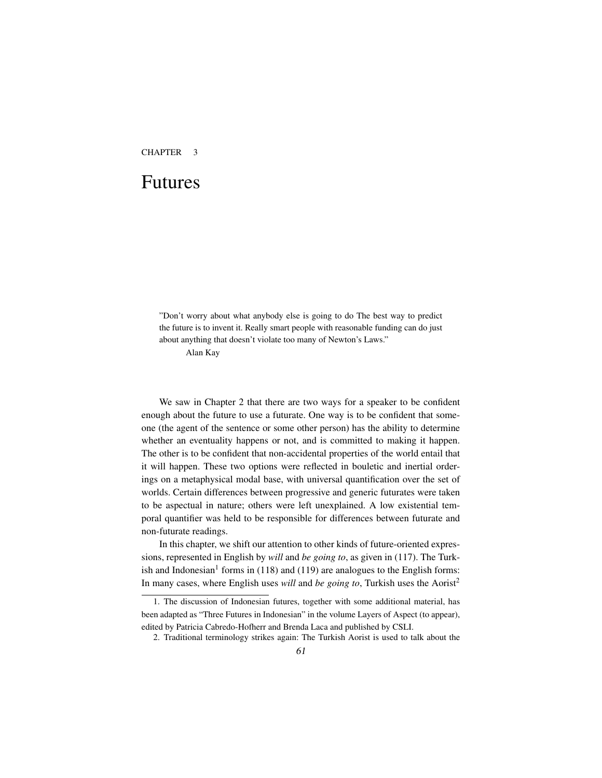CHAPTER 3

# Futures

"Don't worry about what anybody else is going to do The best way to predict the future is to invent it. Really smart people with reasonable funding can do just about anything that doesn't violate too many of Newton's Laws."

Alan Kay

We saw in Chapter 2 that there are two ways for a speaker to be confident enough about the future to use a futurate. One way is to be confident that someone (the agent of the sentence or some other person) has the ability to determine whether an eventuality happens or not, and is committed to making it happen. The other is to be confident that non-accidental properties of the world entail that it will happen. These two options were reflected in bouletic and inertial orderings on a metaphysical modal base, with universal quantification over the set of worlds. Certain differences between progressive and generic futurates were taken to be aspectual in nature; others were left unexplained. A low existential temporal quantifier was held to be responsible for differences between futurate and non-futurate readings.

In this chapter, we shift our attention to other kinds of future-oriented expressions, represented in English by *will* and *be going to*, as given in (117). The Turkish and Indonesian<sup>1</sup> forms in (118) and (119) are analogues to the English forms: In many cases, where English uses *will* and *be going to*, Turkish uses the Aorist<sup>2</sup>

<sup>1.</sup> The discussion of Indonesian futures, together with some additional material, has been adapted as "Three Futures in Indonesian" in the volume Layers of Aspect (to appear), edited by Patricia Cabredo-Hofherr and Brenda Laca and published by CSLI.

<sup>2.</sup> Traditional terminology strikes again: The Turkish Aorist is used to talk about the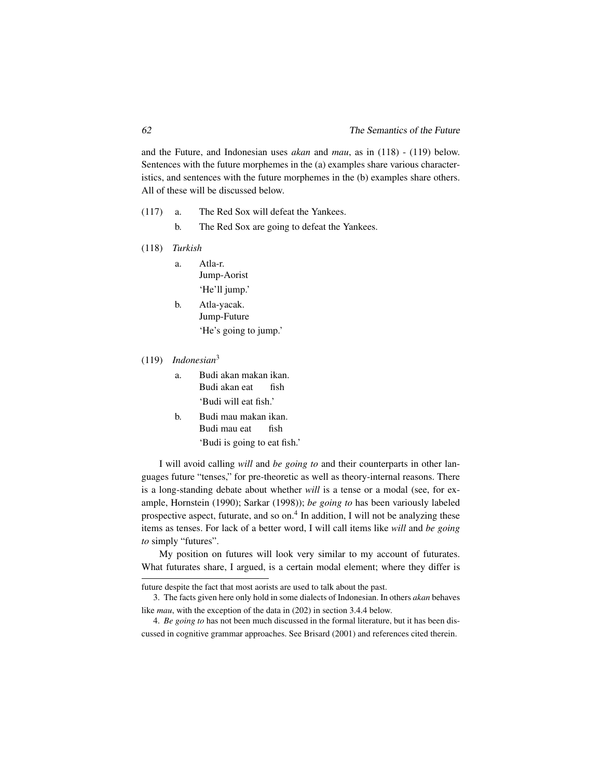and the Future, and Indonesian uses *akan* and *mau*, as in (118) - (119) below. Sentences with the future morphemes in the (a) examples share various characteristics, and sentences with the future morphemes in the (b) examples share others. All of these will be discussed below.

- (117) a. The Red Sox will defeat the Yankees.
	- b. The Red Sox are going to defeat the Yankees.
- (118) *Turkish*

a. Atla-r. Jump-Aorist 'He'll jump.'

b. Atla-yacak. Jump-Future 'He's going to jump.'

# (119) *Indonesian*<sup>3</sup>

- a. Budi akan makan ikan. Budi akan eat fish 'Budi will eat fish.'
- b. Budi mau makan ikan. Budi mau eat fish 'Budi is going to eat fish.'

I will avoid calling *will* and *be going to* and their counterparts in other languages future "tenses," for pre-theoretic as well as theory-internal reasons. There is a long-standing debate about whether *will* is a tense or a modal (see, for example, Hornstein (1990); Sarkar (1998)); *be going to* has been variously labeled prospective aspect, futurate, and so on.<sup>4</sup> In addition, I will not be analyzing these items as tenses. For lack of a better word, I will call items like *will* and *be going to* simply "futures".

My position on futures will look very similar to my account of futurates. What futurates share, I argued, is a certain modal element; where they differ is

future despite the fact that most aorists are used to talk about the past.

<sup>3.</sup> The facts given here only hold in some dialects of Indonesian. In others *akan* behaves like *mau*, with the exception of the data in (202) in section 3.4.4 below.

<sup>4.</sup> *Be going to* has not been much discussed in the formal literature, but it has been discussed in cognitive grammar approaches. See Brisard (2001) and references cited therein.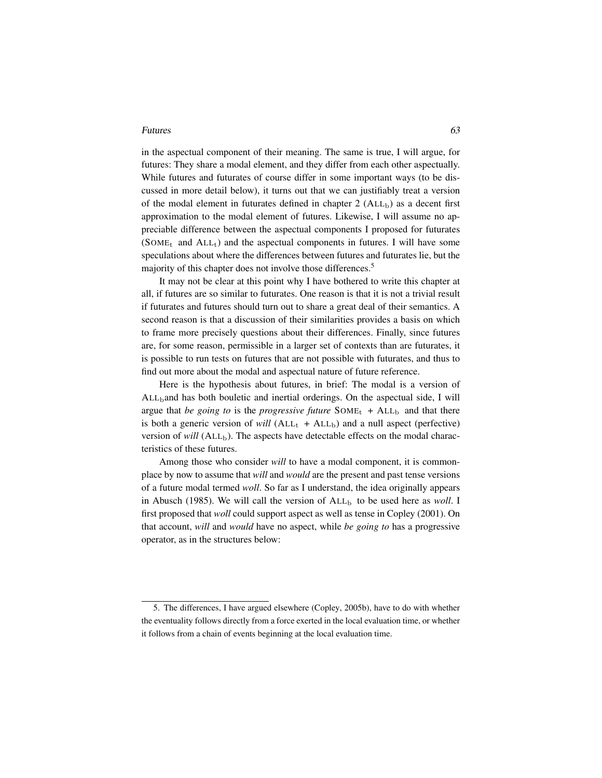# Futures 63

in the aspectual component of their meaning. The same is true, I will argue, for futures: They share a modal element, and they differ from each other aspectually. While futures and futurates of course differ in some important ways (to be discussed in more detail below), it turns out that we can justifiably treat a version of the modal element in futurates defined in chapter 2  $(ALL<sub>b</sub>)$  as a decent first approximation to the modal element of futures. Likewise, I will assume no appreciable difference between the aspectual components I proposed for futurates (SOME<sub>t</sub> and  $ALL<sub>t</sub>$ ) and the aspectual components in futures. I will have some speculations about where the differences between futures and futurates lie, but the majority of this chapter does not involve those differences.<sup>5</sup>

It may not be clear at this point why I have bothered to write this chapter at all, if futures are so similar to futurates. One reason is that it is not a trivial result if futurates and futures should turn out to share a great deal of their semantics. A second reason is that a discussion of their similarities provides a basis on which to frame more precisely questions about their differences. Finally, since futures are, for some reason, permissible in a larger set of contexts than are futurates, it is possible to run tests on futures that are not possible with futurates, and thus to find out more about the modal and aspectual nature of future reference.

Here is the hypothesis about futures, in brief: The modal is a version of ALLband has both bouletic and inertial orderings. On the aspectual side, I will argue that *be going to* is the *progressive future*  $SOME_t + ALL_b$  and that there is both a generic version of *will*  $(ALL_t + ALL_b)$  and a null aspect (perfective) version of *will* (ALL<sub>b</sub>). The aspects have detectable effects on the modal characteristics of these futures.

Among those who consider *will* to have a modal component, it is commonplace by now to assume that *will* and *would* are the present and past tense versions of a future modal termed *woll*. So far as I understand, the idea originally appears in Abusch (1985). We will call the version of  $ALL<sub>b</sub>$  to be used here as *woll*. I first proposed that *woll* could support aspect as well as tense in Copley (2001). On that account, *will* and *would* have no aspect, while *be going to* has a progressive operator, as in the structures below:

<sup>5.</sup> The differences, I have argued elsewhere (Copley, 2005b), have to do with whether the eventuality follows directly from a force exerted in the local evaluation time, or whether it follows from a chain of events beginning at the local evaluation time.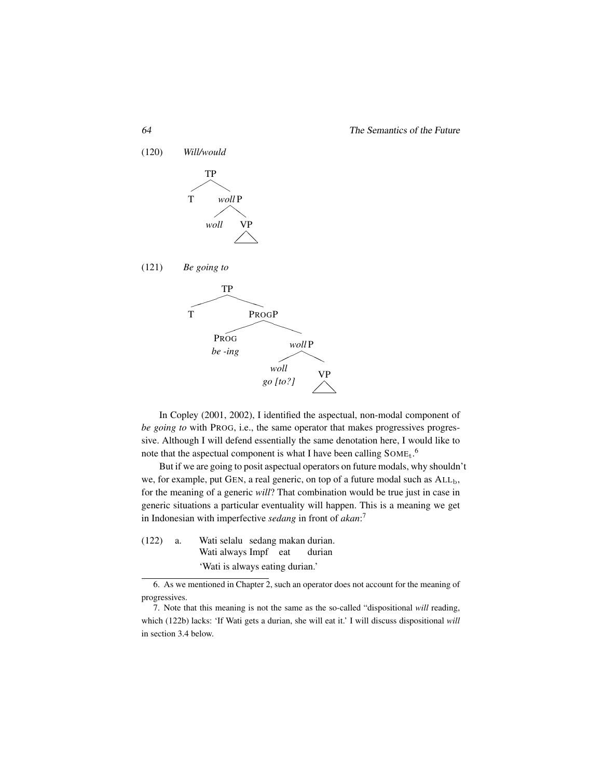64 The Semantics of the Future



In Copley (2001, 2002), I identified the aspectual, non-modal component of *be going to* with PROG, i.e., the same operator that makes progressives progressive. Although I will defend essentially the same denotation here, I would like to note that the aspectual component is what I have been calling  $SOME<sub>t</sub>$ .<sup>6</sup>

But if we are going to posit aspectual operators on future modals, why shouldn't we, for example, put GEN, a real generic, on top of a future modal such as ALL<sub>b</sub>, for the meaning of a generic *will*? That combination would be true just in case in generic situations a particular eventuality will happen. This is a meaning we get in Indonesian with imperfective *sedang* in front of *akan*: 7

 $(122)$  a. Wati always Impf eat selalu sedang makan durian. durian 'Wati is always eating durian.'

<sup>6.</sup> As we mentioned in Chapter 2, such an operator does not account for the meaning of progressives.

<sup>7.</sup> Note that this meaning is not the same as the so-called "dispositional *will* reading, which (122b) lacks: 'If Wati gets a durian, she will eat it.' I will discuss dispositional *will* in section 3.4 below.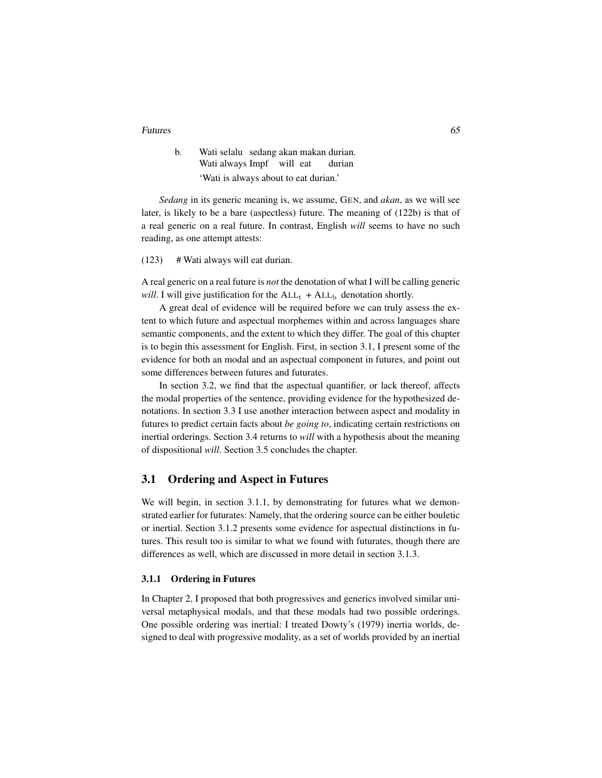# Futures 65

b. Wati selalu sedang akan makan durian. Wati always Impf will eat durian 'Wati is always about to eat durian.'

*Sedang* in its generic meaning is, we assume, GEN, and *akan*, as we will see later, is likely to be a bare (aspectless) future. The meaning of (122b) is that of a real generic on a real future. In contrast, English *will* seems to have no such reading, as one attempt attests:

 $(123)$  # Wati always will eat durian.

A real generic on a real future is *not* the denotation of what I will be calling generic *will*. I will give justification for the  $ALL_t + ALL_b$  denotation shortly.

A great deal of evidence will be required before we can truly assess the extent to which future and aspectual morphemes within and across languages share semantic components, and the extent to which they differ. The goal of this chapter is to begin this assessment for English. First, in section 3.1, I present some of the evidence for both an modal and an aspectual component in futures, and point out some differences between futures and futurates.

In section 3.2, we find that the aspectual quantifier, or lack thereof, affects the modal properties of the sentence, providing evidence for the hypothesized denotations. In section 3.3 I use another interaction between aspect and modality in futures to predict certain facts about *be going to*, indicating certain restrictions on inertial orderings. Section 3.4 returns to *will* with a hypothesis about the meaning of dispositional *will*. Section 3.5 concludes the chapter.

# 3.1 Ordering and Aspect in Futures

We will begin, in section 3.1.1, by demonstrating for futures what we demonstrated earlier for futurates: Namely, that the ordering source can be either bouletic or inertial. Section 3.1.2 presents some evidence for aspectual distinctions in futures. This result too is similar to what we found with futurates, though there are differences as well, which are discussed in more detail in section 3.1.3.

# 3.1.1 Ordering in Futures

In Chapter 2, I proposed that both progressives and generics involved similar universal metaphysical modals, and that these modals had two possible orderings. One possible ordering was inertial: I treated Dowty's (1979) inertia worlds, designed to deal with progressive modality, as a set of worlds provided by an inertial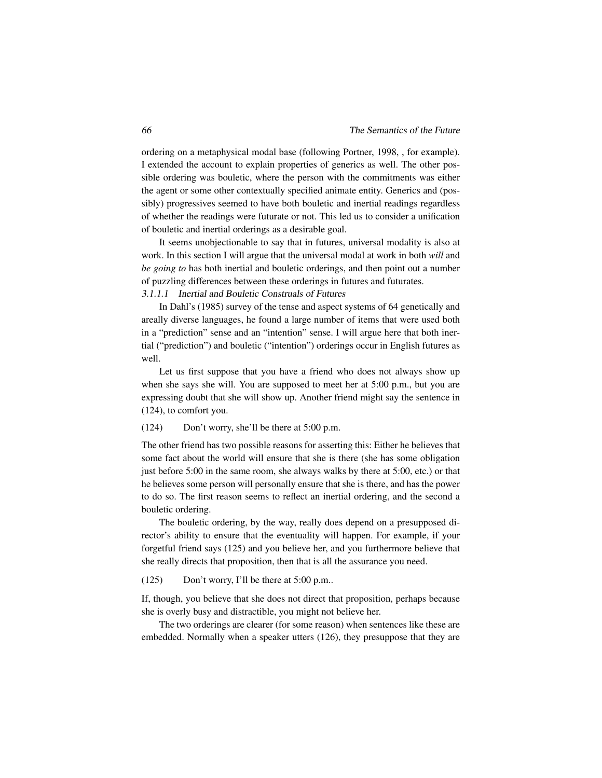# 66 The Semantics of the Future

ordering on a metaphysical modal base (following Portner, 1998, , for example). I extended the account to explain properties of generics as well. The other possible ordering was bouletic, where the person with the commitments was either the agent or some other contextually specified animate entity. Generics and (possibly) progressives seemed to have both bouletic and inertial readings regardless of whether the readings were futurate or not. This led us to consider a unification of bouletic and inertial orderings as a desirable goal.

It seems unobjectionable to say that in futures, universal modality is also at work. In this section I will argue that the universal modal at work in both *will* and *be going to* has both inertial and bouletic orderings, and then point out a number of puzzling differences between these orderings in futures and futurates.

3.1.1.1 Inertial and Bouletic Construals of Futures

In Dahl's (1985) survey of the tense and aspect systems of 64 genetically and areally diverse languages, he found a large number of items that were used both in a "prediction" sense and an "intention" sense. I will argue here that both inertial ("prediction") and bouletic ("intention") orderings occur in English futures as well.

Let us first suppose that you have a friend who does not always show up when she says she will. You are supposed to meet her at 5:00 p.m., but you are expressing doubt that she will show up. Another friend might say the sentence in (124), to comfort you.

# (124) Don't worry, she'll be there at 5:00 p.m.

The other friend has two possible reasons for asserting this: Either he believes that some fact about the world will ensure that she is there (she has some obligation just before 5:00 in the same room, she always walks by there at 5:00, etc.) or that he believes some person will personally ensure that she is there, and has the power to do so. The first reason seems to reflect an inertial ordering, and the second a bouletic ordering.

The bouletic ordering, by the way, really does depend on a presupposed director's ability to ensure that the eventuality will happen. For example, if your forgetful friend says (125) and you believe her, and you furthermore believe that she really directs that proposition, then that is all the assurance you need.

(125) Don't worry, I'll be there at 5:00 p.m..

If, though, you believe that she does not direct that proposition, perhaps because she is overly busy and distractible, you might not believe her.

The two orderings are clearer (for some reason) when sentences like these are embedded. Normally when a speaker utters (126), they presuppose that they are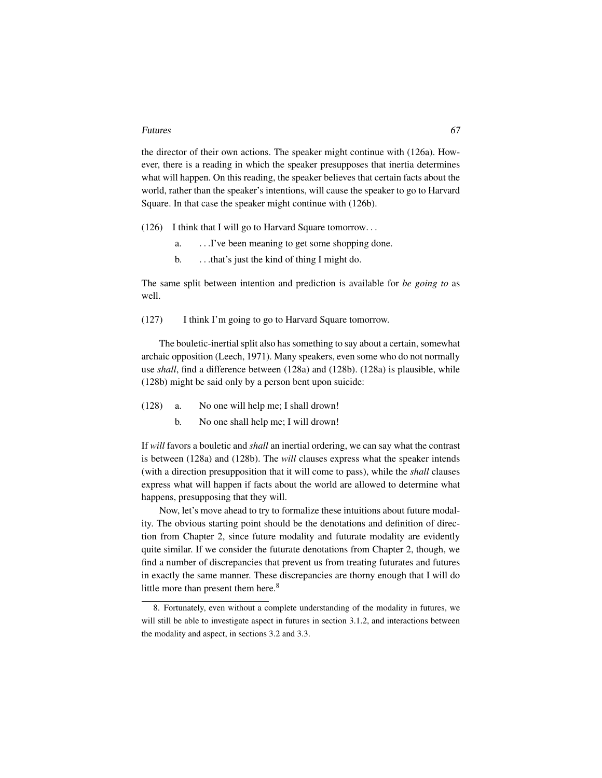# Futures 67

the director of their own actions. The speaker might continue with (126a). However, there is a reading in which the speaker presupposes that inertia determines what will happen. On this reading, the speaker believes that certain facts about the world, rather than the speaker's intentions, will cause the speaker to go to Harvard Square. In that case the speaker might continue with (126b).

(126) I think that I will go to Harvard Square tomorrow. . .

- a. . . .I've been meaning to get some shopping done.
- b. . . .that's just the kind of thing I might do.

The same split between intention and prediction is available for *be going to* as well.

(127) I think I'm going to go to Harvard Square tomorrow.

The bouletic-inertial split also has something to say about a certain, somewhat archaic opposition (Leech, 1971). Many speakers, even some who do not normally use *shall*, find a difference between (128a) and (128b). (128a) is plausible, while (128b) might be said only by a person bent upon suicide:

- (128) a. No one will help me; I shall drown!
	- b. No one shall help me; I will drown!

If *will* favors a bouletic and *shall* an inertial ordering, we can say what the contrast is between (128a) and (128b). The *will* clauses express what the speaker intends (with a direction presupposition that it will come to pass), while the *shall* clauses express what will happen if facts about the world are allowed to determine what happens, presupposing that they will.

Now, let's move ahead to try to formalize these intuitions about future modality. The obvious starting point should be the denotations and definition of direction from Chapter 2, since future modality and futurate modality are evidently quite similar. If we consider the futurate denotations from Chapter 2, though, we find a number of discrepancies that prevent us from treating futurates and futures in exactly the same manner. These discrepancies are thorny enough that I will do little more than present them here.<sup>8</sup>

<sup>8.</sup> Fortunately, even without a complete understanding of the modality in futures, we will still be able to investigate aspect in futures in section 3.1.2, and interactions between the modality and aspect, in sections 3.2 and 3.3.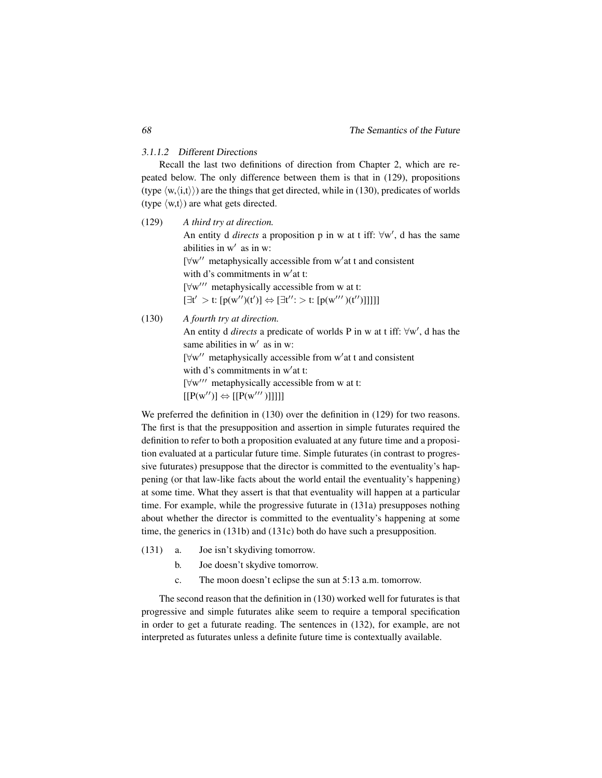# 3.1.1.2 Different Directions

Recall the last two definitions of direction from Chapter 2, which are repeated below. The only difference between them is that in (129), propositions (type  $\langle w,(i,t) \rangle$ ) are the things that get directed, while in (130), predicates of worlds (type  $\langle w,t \rangle$ ) are what gets directed.

(129) *A third try at direction.* An entity d *directs* a proposition p in w at t iff: ∀w', d has the same abilities in  $w'$  as in w: [∀w" metaphysically accessible from w'at t and consistent with d's commitments in w'at t: [∀w''' metaphysically accessible from w at t: [∃t' > t: [p(w'')(t')]  $\Leftrightarrow$  [∃t'': > t: [p(w''')(t'')]]]]] (130) *A fourth try at direction.*

An entity d *directs* a predicate of worlds P in w at t iff: ∀w', d has the same abilities in w' as in w: [∀w" metaphysically accessible from w'at t and consistent with d's commitments in w'at t: [∀w''' metaphysically accessible from w at t:  $[[P(w'')] \Leftrightarrow [[P(w''')]]]]$ 

We preferred the definition in (130) over the definition in (129) for two reasons. The first is that the presupposition and assertion in simple futurates required the definition to refer to both a proposition evaluated at any future time and a proposition evaluated at a particular future time. Simple futurates (in contrast to progressive futurates) presuppose that the director is committed to the eventuality's happening (or that law-like facts about the world entail the eventuality's happening) at some time. What they assert is that that eventuality will happen at a particular time. For example, while the progressive futurate in (131a) presupposes nothing about whether the director is committed to the eventuality's happening at some time, the generics in (131b) and (131c) both do have such a presupposition.

- (131) a. Joe isn't skydiving tomorrow.
	- b. Joe doesn't skydive tomorrow.
	- c. The moon doesn't eclipse the sun at 5:13 a.m. tomorrow.

The second reason that the definition in (130) worked well for futurates is that progressive and simple futurates alike seem to require a temporal specification in order to get a futurate reading. The sentences in (132), for example, are not interpreted as futurates unless a definite future time is contextually available.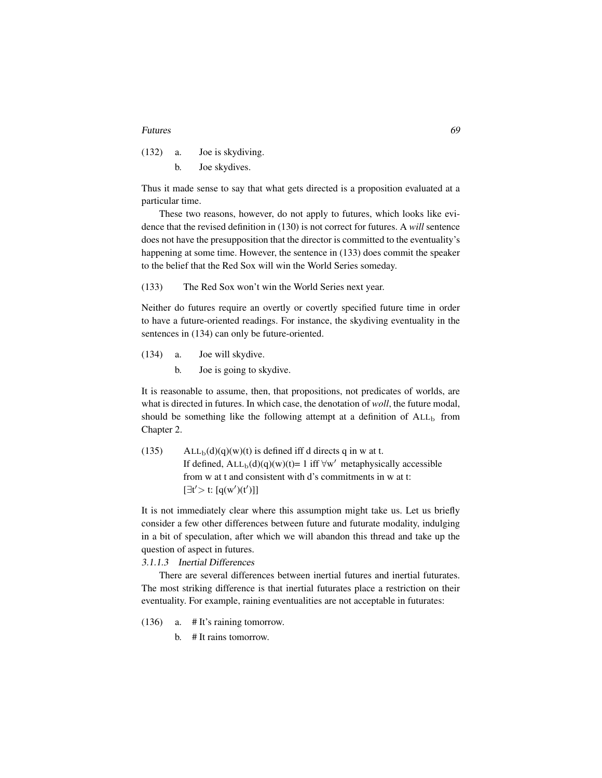Futures 69

(132) a. Joe is skydiving.

b. Joe skydives.

Thus it made sense to say that what gets directed is a proposition evaluated at a particular time.

These two reasons, however, do not apply to futures, which looks like evidence that the revised definition in (130) is not correct for futures. A *will* sentence does not have the presupposition that the director is committed to the eventuality's happening at some time. However, the sentence in (133) does commit the speaker to the belief that the Red Sox will win the World Series someday.

(133) The Red Sox won't win the World Series next year.

Neither do futures require an overtly or covertly specified future time in order to have a future-oriented readings. For instance, the skydiving eventuality in the sentences in (134) can only be future-oriented.

(134) a. Joe will skydive.

b. Joe is going to skydive.

It is reasonable to assume, then, that propositions, not predicates of worlds, are what is directed in futures. In which case, the denotation of *woll*, the future modal, should be something like the following attempt at a definition of  $ALL<sub>b</sub>$  from Chapter 2.

(135) ALL<sub>b</sub>(d)(q)(w)(t) is defined iff d directs q in w at t. If defined,  $ALL_b(d)(q)(w)(t)= 1$  iff  $\forall w'$  metaphysically accessible from w at t and consistent with d's commitments in w at t: [ $\exists t' > t$ : [q(w')(t')]]

It is not immediately clear where this assumption might take us. Let us briefly consider a few other differences between future and futurate modality, indulging in a bit of speculation, after which we will abandon this thread and take up the question of aspect in futures.

3.1.1.3 Inertial Differences

There are several differences between inertial futures and inertial futurates. The most striking difference is that inertial futurates place a restriction on their eventuality. For example, raining eventualities are not acceptable in futurates:

- (136) a. # It's raining tomorrow.
	- b. # It rains tomorrow.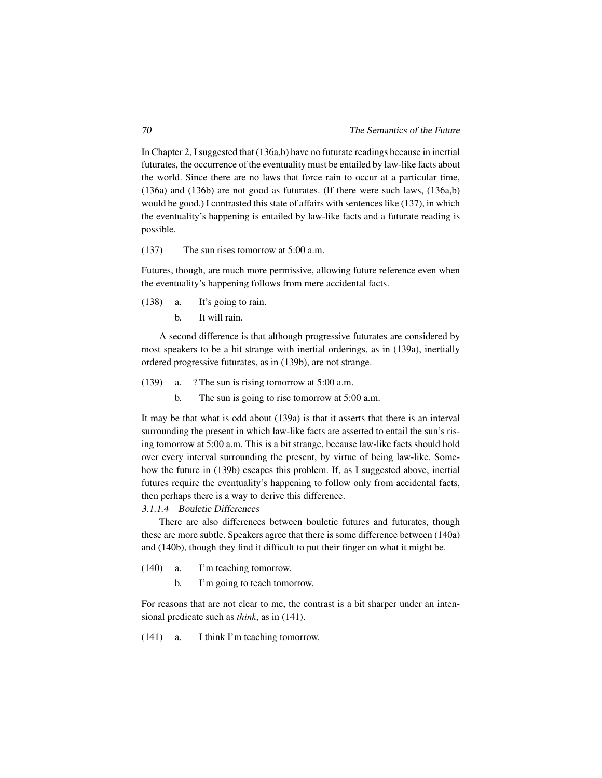In Chapter 2, I suggested that (136a,b) have no futurate readings because in inertial futurates, the occurrence of the eventuality must be entailed by law-like facts about the world. Since there are no laws that force rain to occur at a particular time, (136a) and (136b) are not good as futurates. (If there were such laws, (136a,b) would be good.) I contrasted this state of affairs with sentences like (137), in which the eventuality's happening is entailed by law-like facts and a futurate reading is possible.

(137) The sun rises tomorrow at 5:00 a.m.

Futures, though, are much more permissive, allowing future reference even when the eventuality's happening follows from mere accidental facts.

- (138) a. It's going to rain.
	- b. It will rain.

A second difference is that although progressive futurates are considered by most speakers to be a bit strange with inertial orderings, as in (139a), inertially ordered progressive futurates, as in (139b), are not strange.

(139) a. ? The sun is rising tomorrow at 5:00 a.m.

b. The sun is going to rise tomorrow at 5:00 a.m.

It may be that what is odd about (139a) is that it asserts that there is an interval surrounding the present in which law-like facts are asserted to entail the sun's rising tomorrow at 5:00 a.m. This is a bit strange, because law-like facts should hold over every interval surrounding the present, by virtue of being law-like. Somehow the future in (139b) escapes this problem. If, as I suggested above, inertial futures require the eventuality's happening to follow only from accidental facts, then perhaps there is a way to derive this difference.

# 3.1.1.4 Bouletic Differences

There are also differences between bouletic futures and futurates, though these are more subtle. Speakers agree that there is some difference between (140a) and (140b), though they find it difficult to put their finger on what it might be.

- (140) a. I'm teaching tomorrow.
	- b. I'm going to teach tomorrow.

For reasons that are not clear to me, the contrast is a bit sharper under an intensional predicate such as *think*, as in (141).

(141) a. I think I'm teaching tomorrow.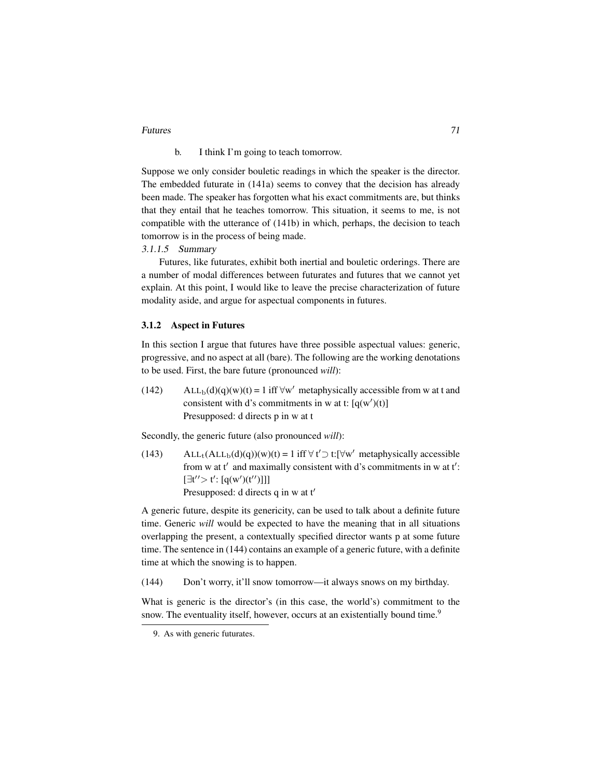Futures 71

# b. I think I'm going to teach tomorrow.

Suppose we only consider bouletic readings in which the speaker is the director. The embedded futurate in (141a) seems to convey that the decision has already been made. The speaker has forgotten what his exact commitments are, but thinks that they entail that he teaches tomorrow. This situation, it seems to me, is not compatible with the utterance of (141b) in which, perhaps, the decision to teach tomorrow is in the process of being made.

3.1.1.5 Summary

Futures, like futurates, exhibit both inertial and bouletic orderings. There are a number of modal differences between futurates and futures that we cannot yet explain. At this point, I would like to leave the precise characterization of future modality aside, and argue for aspectual components in futures.

# 3.1.2 Aspect in Futures

In this section I argue that futures have three possible aspectual values: generic, progressive, and no aspect at all (bare). The following are the working denotations to be used. First, the bare future (pronounced *will*):

(142) ALL<sub>b</sub>(d)(q)(w)(t) = 1 iff  $\forall w'$  metaphysically accessible from w at t and consistent with d's commitments in w at t:  $[q(w')(t)]$ Presupposed: d directs p in w at t

Secondly, the generic future (also pronounced *will*):

(143) ALL<sub>t</sub>(ALL<sub>b</sub>(d)(q))(w)(t) = 1 iff  $\forall$  t' $\supset$  t:[ $\forall$ w' metaphysically accessible from w at t' and maximally consistent with d's commitments in w at t': [ $\exists t'' > t'$ : [q(w')(t'')]]] Presupposed: d directs q in w at  $t'$ 

A generic future, despite its genericity, can be used to talk about a definite future time. Generic *will* would be expected to have the meaning that in all situations overlapping the present, a contextually specified director wants p at some future time. The sentence in (144) contains an example of a generic future, with a definite time at which the snowing is to happen.

(144) Don't worry, it'll snow tomorrow—it always snows on my birthday.

What is generic is the director's (in this case, the world's) commitment to the snow. The eventuality itself, however, occurs at an existentially bound time.<sup>9</sup>

<sup>9.</sup> As with generic futurates.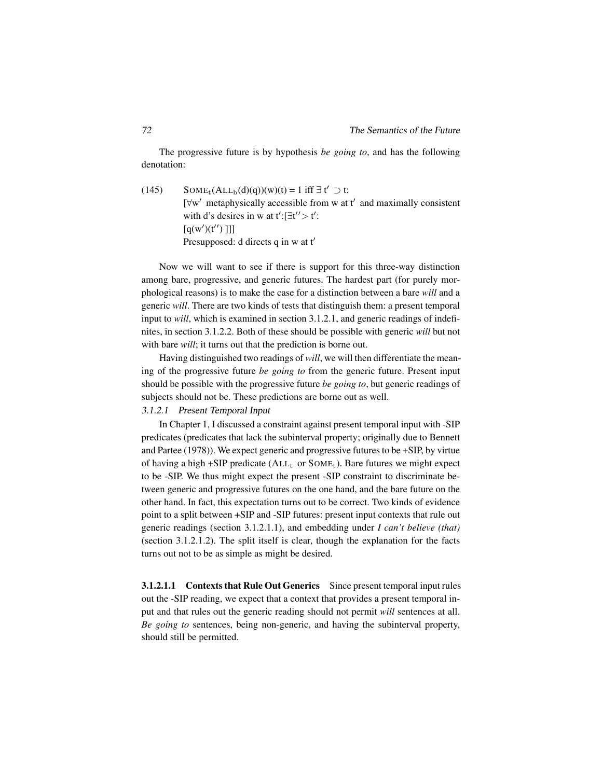The progressive future is by hypothesis *be going to*, and has the following denotation:

(145) SOME<sub>t</sub>(ALL<sub>b</sub>(d)(q))(w)(t) = 1 iff  $\exists$  t'  $\supset$  t: [∀w' metaphysically accessible from w at t' and maximally consistent with d's desires in w at  $t':[\exists t'' > t':$  $[q(w')(t'')]$ Presupposed: d directs q in w at  $t'$ 

Now we will want to see if there is support for this three-way distinction among bare, progressive, and generic futures. The hardest part (for purely morphological reasons) is to make the case for a distinction between a bare *will* and a generic *will*. There are two kinds of tests that distinguish them: a present temporal input to *will*, which is examined in section 3.1.2.1, and generic readings of indefinites, in section 3.1.2.2. Both of these should be possible with generic *will* but not with bare *will*; it turns out that the prediction is borne out.

Having distinguished two readings of *will*, we will then differentiate the meaning of the progressive future *be going to* from the generic future. Present input should be possible with the progressive future *be going to*, but generic readings of subjects should not be. These predictions are borne out as well.

# 3.1.2.1 Present Temporal Input

In Chapter 1, I discussed a constraint against present temporal input with -SIP predicates (predicates that lack the subinterval property; originally due to Bennett and Partee (1978)). We expect generic and progressive futures to be +SIP, by virtue of having a high +SIP predicate  $(ALL_t \text{ or } SOME_t)$ . Bare futures we might expect to be -SIP. We thus might expect the present -SIP constraint to discriminate between generic and progressive futures on the one hand, and the bare future on the other hand. In fact, this expectation turns out to be correct. Two kinds of evidence point to a split between +SIP and -SIP futures: present input contexts that rule out generic readings (section 3.1.2.1.1), and embedding under *I can't believe (that)* (section 3.1.2.1.2). The split itself is clear, though the explanation for the facts turns out not to be as simple as might be desired.

3.1.2.1.1 Contexts that Rule Out Generics Since present temporal input rules out the -SIP reading, we expect that a context that provides a present temporal input and that rules out the generic reading should not permit *will* sentences at all. *Be going to* sentences, being non-generic, and having the subinterval property, should still be permitted.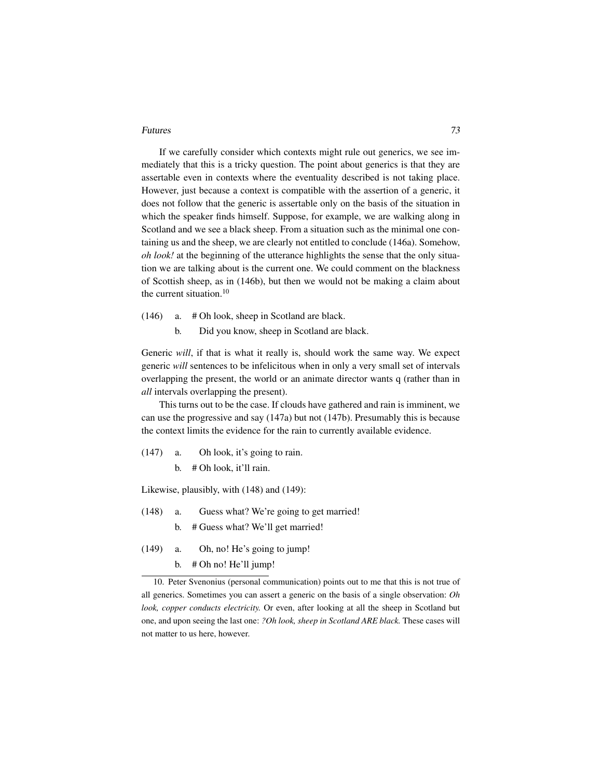If we carefully consider which contexts might rule out generics, we see immediately that this is a tricky question. The point about generics is that they are assertable even in contexts where the eventuality described is not taking place. However, just because a context is compatible with the assertion of a generic, it does not follow that the generic is assertable only on the basis of the situation in which the speaker finds himself. Suppose, for example, we are walking along in Scotland and we see a black sheep. From a situation such as the minimal one containing us and the sheep, we are clearly not entitled to conclude (146a). Somehow, *oh look!* at the beginning of the utterance highlights the sense that the only situation we are talking about is the current one. We could comment on the blackness of Scottish sheep, as in (146b), but then we would not be making a claim about the current situation. $10$ 

- (146) a. # Oh look, sheep in Scotland are black.
	- b. Did you know, sheep in Scotland are black.

Generic *will*, if that is what it really is, should work the same way. We expect generic *will* sentences to be infelicitous when in only a very small set of intervals overlapping the present, the world or an animate director wants q (rather than in *all* intervals overlapping the present).

This turns out to be the case. If clouds have gathered and rain is imminent, we can use the progressive and say (147a) but not (147b). Presumably this is because the context limits the evidence for the rain to currently available evidence.

- (147) a. Oh look, it's going to rain.
	- b. # Oh look, it'll rain.

Likewise, plausibly, with (148) and (149):

- (148) a. Guess what? We're going to get married!
	- b. # Guess what? We'll get married!
- (149) a. Oh, no! He's going to jump!
	- b. # Oh no! He'll jump!

10. Peter Svenonius (personal communication) points out to me that this is not true of all generics. Sometimes you can assert a generic on the basis of a single observation: *Oh look, copper conducts electricity.* Or even, after looking at all the sheep in Scotland but one, and upon seeing the last one: *?Oh look, sheep in Scotland ARE black.* These cases will not matter to us here, however.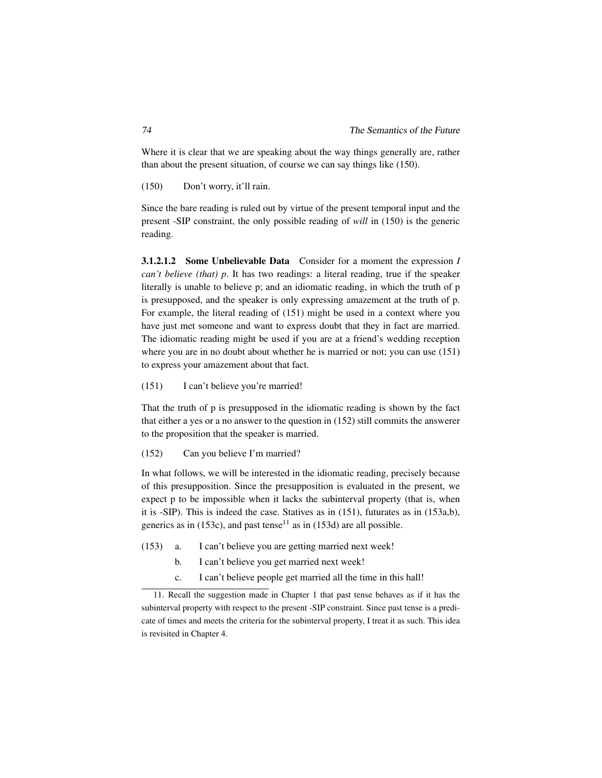Where it is clear that we are speaking about the way things generally are, rather than about the present situation, of course we can say things like (150).

(150) Don't worry, it'll rain.

Since the bare reading is ruled out by virtue of the present temporal input and the present -SIP constraint, the only possible reading of *will* in (150) is the generic reading.

3.1.2.1.2 Some Unbelievable Data Consider for a moment the expression *I can't believe (that) p*. It has two readings: a literal reading, true if the speaker literally is unable to believe p; and an idiomatic reading, in which the truth of p is presupposed, and the speaker is only expressing amazement at the truth of p. For example, the literal reading of (151) might be used in a context where you have just met someone and want to express doubt that they in fact are married. The idiomatic reading might be used if you are at a friend's wedding reception where you are in no doubt about whether he is married or not; you can use (151) to express your amazement about that fact.

#### (151) I can't believe you're married!

That the truth of p is presupposed in the idiomatic reading is shown by the fact that either a yes or a no answer to the question in (152) still commits the answerer to the proposition that the speaker is married.

#### (152) Can you believe I'm married?

In what follows, we will be interested in the idiomatic reading, precisely because of this presupposition. Since the presupposition is evaluated in the present, we expect p to be impossible when it lacks the subinterval property (that is, when it is -SIP). This is indeed the case. Statives as in (151), futurates as in (153a,b), generics as in (153c), and past tense<sup>11</sup> as in (153d) are all possible.

- (153) a. I can't believe you are getting married next week!
	- b. I can't believe you get married next week!
	- c. I can't believe people get married all the time in this hall!

<sup>11.</sup> Recall the suggestion made in Chapter 1 that past tense behaves as if it has the subinterval property with respect to the present -SIP constraint. Since past tense is a predicate of times and meets the criteria for the subinterval property, I treat it as such. This idea is revisited in Chapter 4.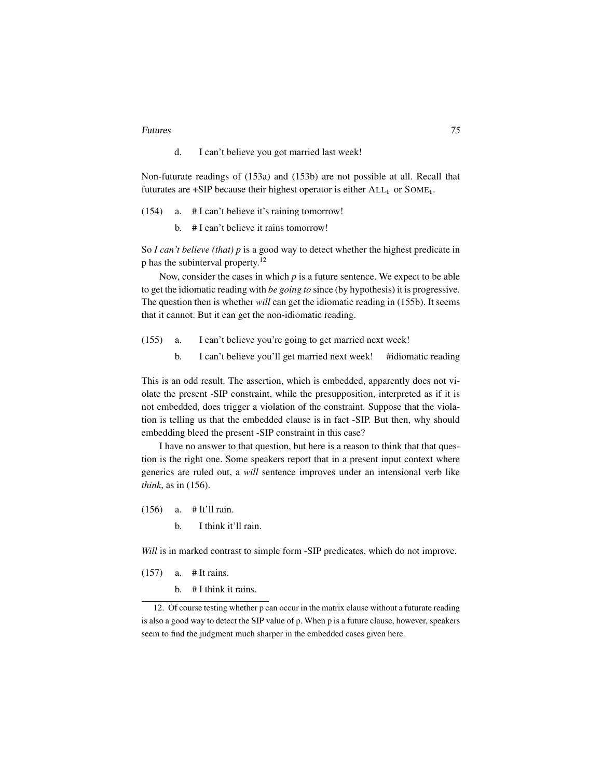d. I can't believe you got married last week!

Non-futurate readings of (153a) and (153b) are not possible at all. Recall that futurates are +SIP because their highest operator is either  $ALL_t$  or  $SOME_t$ .

- (154) a. # I can't believe it's raining tomorrow!
	- b. # I can't believe it rains tomorrow!

So *I can't believe (that) p* is a good way to detect whether the highest predicate in p has the subinterval property.<sup>12</sup>

Now, consider the cases in which *p* is a future sentence. We expect to be able to get the idiomatic reading with *be going to* since (by hypothesis) it is progressive. The question then is whether *will* can get the idiomatic reading in (155b). It seems that it cannot. But it can get the non-idiomatic reading.

- (155) a. I can't believe you're going to get married next week!
	- b. I can't believe you'll get married next week! #idiomatic reading

This is an odd result. The assertion, which is embedded, apparently does not violate the present -SIP constraint, while the presupposition, interpreted as if it is not embedded, does trigger a violation of the constraint. Suppose that the violation is telling us that the embedded clause is in fact -SIP. But then, why should embedding bleed the present -SIP constraint in this case?

I have no answer to that question, but here is a reason to think that that question is the right one. Some speakers report that in a present input context where generics are ruled out, a *will* sentence improves under an intensional verb like *think*, as in (156).

- (156) a. # It'll rain.
	- b. I think it'll rain.

*Will* is in marked contrast to simple form -SIP predicates, which do not improve.

- (157) a. # It rains.
	- b. # I think it rains.

12. Of course testing whether p can occur in the matrix clause without a futurate reading is also a good way to detect the SIP value of p. When p is a future clause, however, speakers seem to find the judgment much sharper in the embedded cases given here.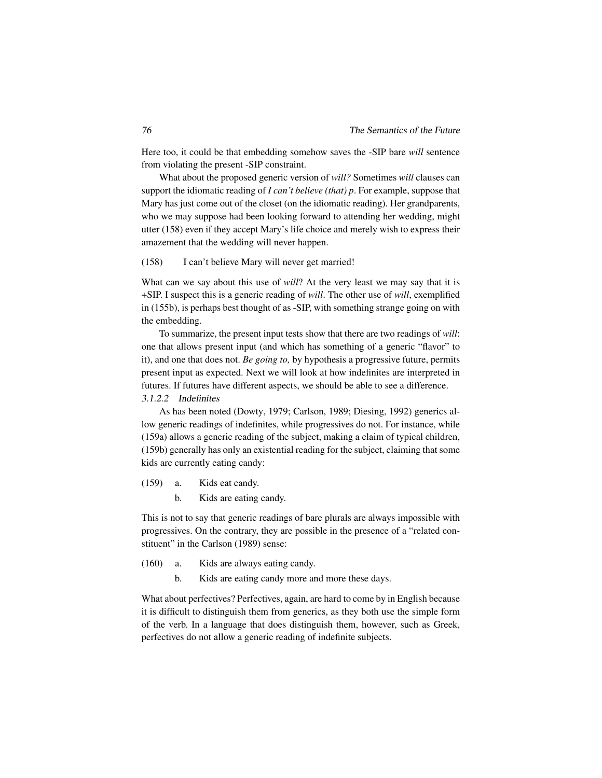Here too, it could be that embedding somehow saves the -SIP bare *will* sentence from violating the present -SIP constraint.

What about the proposed generic version of *will?* Sometimes *will* clauses can support the idiomatic reading of *I can't believe (that) p*. For example, suppose that Mary has just come out of the closet (on the idiomatic reading). Her grandparents, who we may suppose had been looking forward to attending her wedding, might utter (158) even if they accept Mary's life choice and merely wish to express their amazement that the wedding will never happen.

#### (158) I can't believe Mary will never get married!

What can we say about this use of *will*? At the very least we may say that it is +SIP. I suspect this is a generic reading of *will*. The other use of *will*, exemplified in (155b), is perhaps best thought of as -SIP, with something strange going on with the embedding.

To summarize, the present input tests show that there are two readings of *will*: one that allows present input (and which has something of a generic "flavor" to it), and one that does not. *Be going to,* by hypothesis a progressive future, permits present input as expected. Next we will look at how indefinites are interpreted in futures. If futures have different aspects, we should be able to see a difference.

### 3.1.2.2 Indefinites

As has been noted (Dowty, 1979; Carlson, 1989; Diesing, 1992) generics allow generic readings of indefinites, while progressives do not. For instance, while (159a) allows a generic reading of the subject, making a claim of typical children, (159b) generally has only an existential reading for the subject, claiming that some kids are currently eating candy:

- (159) a. Kids eat candy.
	- b. Kids are eating candy.

This is not to say that generic readings of bare plurals are always impossible with progressives. On the contrary, they are possible in the presence of a "related constituent" in the Carlson (1989) sense:

- (160) a. Kids are always eating candy.
	- b. Kids are eating candy more and more these days.

What about perfectives? Perfectives, again, are hard to come by in English because it is difficult to distinguish them from generics, as they both use the simple form of the verb. In a language that does distinguish them, however, such as Greek, perfectives do not allow a generic reading of indefinite subjects.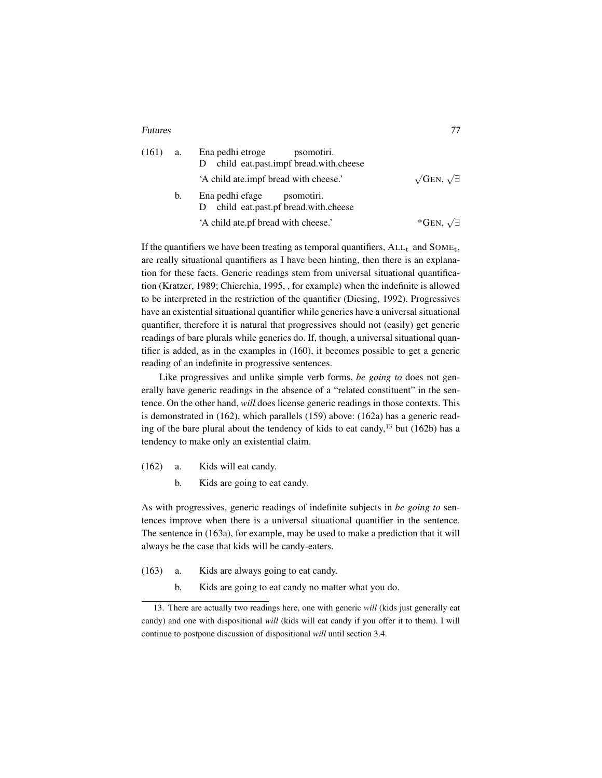| $(161)$ a. |    | Ena pedhi etroge psomotiri.<br>child eat.past.impf bread.with.cheese |                                 |
|------------|----|----------------------------------------------------------------------|---------------------------------|
|            |    | 'A child ate impf bread with cheese.'                                | $\sqrt{GEN}$ , $\sqrt{\exists}$ |
|            | b. | Ena pedhi efage psomotiri.<br>child eat.past.pf bread.with.cheese    |                                 |
|            |    | 'A child ate.pf bread with cheese.'                                  | *GEN, $\sqrt{\exists}$          |

If the quantifiers we have been treating as temporal quantifiers,  $ALL_t$  and  $SOME_t$ , are really situational quantifiers as I have been hinting, then there is an explanation for these facts. Generic readings stem from universal situational quantification (Kratzer, 1989; Chierchia, 1995, , for example) when the indefinite is allowed to be interpreted in the restriction of the quantifier (Diesing, 1992). Progressives have an existential situational quantifier while generics have a universal situational quantifier, therefore it is natural that progressives should not (easily) get generic readings of bare plurals while generics do. If, though, a universal situational quantifier is added, as in the examples in (160), it becomes possible to get a generic reading of an indefinite in progressive sentences.

Like progressives and unlike simple verb forms, *be going to* does not generally have generic readings in the absence of a "related constituent" in the sentence. On the other hand, *will* does license generic readings in those contexts. This is demonstrated in (162), which parallels (159) above: (162a) has a generic reading of the bare plural about the tendency of kids to eat candy, $^{13}$  but (162b) has a tendency to make only an existential claim.

- (162) a. Kids will eat candy.
	- b. Kids are going to eat candy.

As with progressives, generic readings of indefinite subjects in *be going to* sentences improve when there is a universal situational quantifier in the sentence. The sentence in (163a), for example, may be used to make a prediction that it will always be the case that kids will be candy-eaters.

- (163) a. Kids are always going to eat candy.
	- b. Kids are going to eat candy no matter what you do.

<sup>13.</sup> There are actually two readings here, one with generic *will* (kids just generally eat candy) and one with dispositional *will* (kids will eat candy if you offer it to them). I will continue to postpone discussion of dispositional *will* until section 3.4.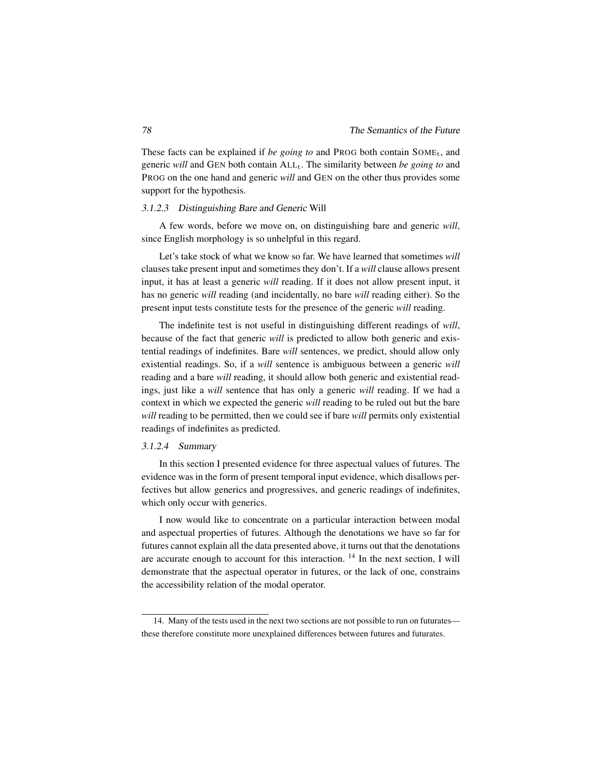These facts can be explained if *be going to* and PROG both contain SOME<sub>t</sub>, and generic *will* and GEN both contain ALL<sub>t</sub>. The similarity between *be going to* and PROG on the one hand and generic *will* and GEN on the other thus provides some support for the hypothesis.

#### 3.1.2.3 Distinguishing Bare and Generic Will

A few words, before we move on, on distinguishing bare and generic *will*, since English morphology is so unhelpful in this regard.

Let's take stock of what we know so far. We have learned that sometimes *will* clauses take present input and sometimes they don't. If a *will* clause allows present input, it has at least a generic *will* reading. If it does not allow present input, it has no generic *will* reading (and incidentally, no bare *will* reading either). So the present input tests constitute tests for the presence of the generic *will* reading.

The indefinite test is not useful in distinguishing different readings of *will*, because of the fact that generic *will* is predicted to allow both generic and existential readings of indefinites. Bare *will* sentences, we predict, should allow only existential readings. So, if a *will* sentence is ambiguous between a generic *will* reading and a bare *will* reading, it should allow both generic and existential readings, just like a *will* sentence that has only a generic *will* reading. If we had a context in which we expected the generic *will* reading to be ruled out but the bare *will* reading to be permitted, then we could see if bare *will* permits only existential readings of indefinites as predicted.

#### 3.1.2.4 Summary

In this section I presented evidence for three aspectual values of futures. The evidence was in the form of present temporal input evidence, which disallows perfectives but allow generics and progressives, and generic readings of indefinites, which only occur with generics.

I now would like to concentrate on a particular interaction between modal and aspectual properties of futures. Although the denotations we have so far for futures cannot explain all the data presented above, it turns out that the denotations are accurate enough to account for this interaction. <sup>14</sup> In the next section, I will demonstrate that the aspectual operator in futures, or the lack of one, constrains the accessibility relation of the modal operator.

<sup>14.</sup> Many of the tests used in the next two sections are not possible to run on futurates these therefore constitute more unexplained differences between futures and futurates.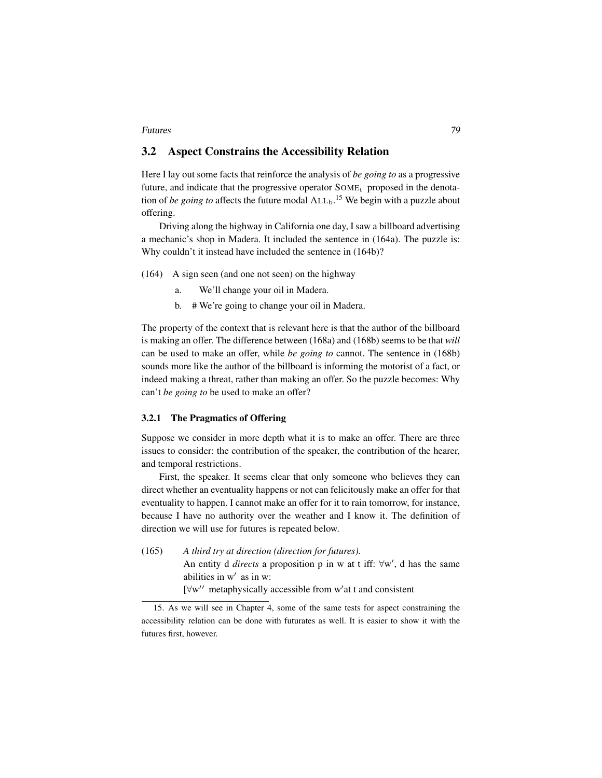# 3.2 Aspect Constrains the Accessibility Relation

Here I lay out some facts that reinforce the analysis of *be going to* as a progressive future, and indicate that the progressive operator  $SOME_t$  proposed in the denotation of *be going to* affects the future modal  $ALL_b$ .<sup>15</sup> We begin with a puzzle about offering.

Driving along the highway in California one day, I saw a billboard advertising a mechanic's shop in Madera. It included the sentence in (164a). The puzzle is: Why couldn't it instead have included the sentence in (164b)?

(164) A sign seen (and one not seen) on the highway

- a. We'll change your oil in Madera.
- b. # We're going to change your oil in Madera.

The property of the context that is relevant here is that the author of the billboard is making an offer. The difference between (168a) and (168b) seems to be that *will* can be used to make an offer, while *be going to* cannot. The sentence in (168b) sounds more like the author of the billboard is informing the motorist of a fact, or indeed making a threat, rather than making an offer. So the puzzle becomes: Why can't *be going to* be used to make an offer?

#### 3.2.1 The Pragmatics of Offering

Suppose we consider in more depth what it is to make an offer. There are three issues to consider: the contribution of the speaker, the contribution of the hearer, and temporal restrictions.

First, the speaker. It seems clear that only someone who believes they can direct whether an eventuality happens or not can felicitously make an offer for that eventuality to happen. I cannot make an offer for it to rain tomorrow, for instance, because I have no authority over the weather and I know it. The definition of direction we will use for futures is repeated below.

(165) *A third try at direction (direction for futures).*

An entity d *directs* a proposition p in w at t iff: ∀w', d has the same abilities in  $w'$  as in w:

[∀w" metaphysically accessible from w'at t and consistent

<sup>15.</sup> As we will see in Chapter 4, some of the same tests for aspect constraining the accessibility relation can be done with futurates as well. It is easier to show it with the futures first, however.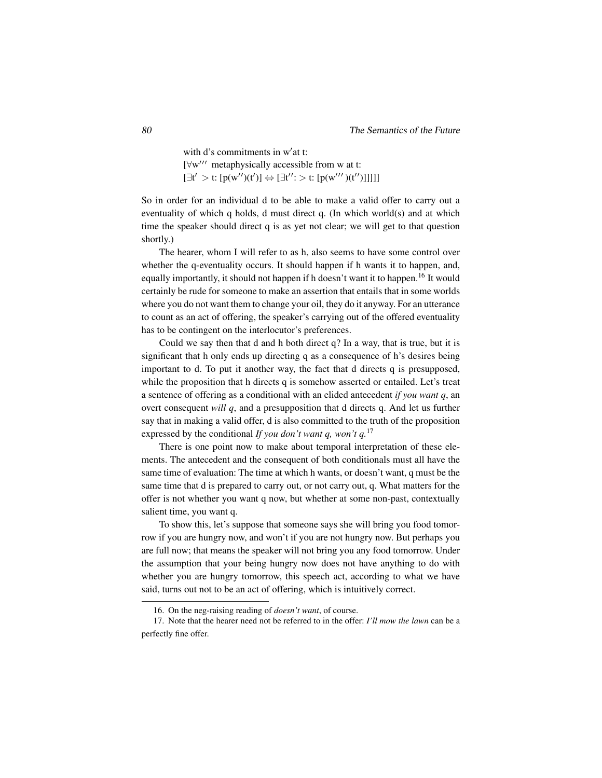with d's commitments in w'at t: [∀w''' metaphysically accessible from w at t: [∃t' > t: [p(w'')(t')]  $\Leftrightarrow$  [∃t'': > t: [p(w''')(t'')]]]]]

So in order for an individual d to be able to make a valid offer to carry out a eventuality of which q holds, d must direct q. (In which world(s) and at which time the speaker should direct q is as yet not clear; we will get to that question shortly.)

The hearer, whom I will refer to as h, also seems to have some control over whether the q-eventuality occurs. It should happen if h wants it to happen, and, equally importantly, it should not happen if h doesn't want it to happen.<sup>16</sup> It would certainly be rude for someone to make an assertion that entails that in some worlds where you do not want them to change your oil, they do it anyway. For an utterance to count as an act of offering, the speaker's carrying out of the offered eventuality has to be contingent on the interlocutor's preferences.

Could we say then that d and h both direct q? In a way, that is true, but it is significant that h only ends up directing q as a consequence of h's desires being important to d. To put it another way, the fact that d directs q is presupposed, while the proposition that h directs q is somehow asserted or entailed. Let's treat a sentence of offering as a conditional with an elided antecedent *if you want q*, an overt consequent *will q*, and a presupposition that d directs q. And let us further say that in making a valid offer, d is also committed to the truth of the proposition expressed by the conditional *If you don't want q, won't q.*<sup>17</sup>

There is one point now to make about temporal interpretation of these elements. The antecedent and the consequent of both conditionals must all have the same time of evaluation: The time at which h wants, or doesn't want, q must be the same time that d is prepared to carry out, or not carry out, q. What matters for the offer is not whether you want q now, but whether at some non-past, contextually salient time, you want q.

To show this, let's suppose that someone says she will bring you food tomorrow if you are hungry now, and won't if you are not hungry now. But perhaps you are full now; that means the speaker will not bring you any food tomorrow. Under the assumption that your being hungry now does not have anything to do with whether you are hungry tomorrow, this speech act, according to what we have said, turns out not to be an act of offering, which is intuitively correct.

<sup>16.</sup> On the neg-raising reading of *doesn't want*, of course.

<sup>17.</sup> Note that the hearer need not be referred to in the offer: *I'll mow the lawn* can be a perfectly fine offer.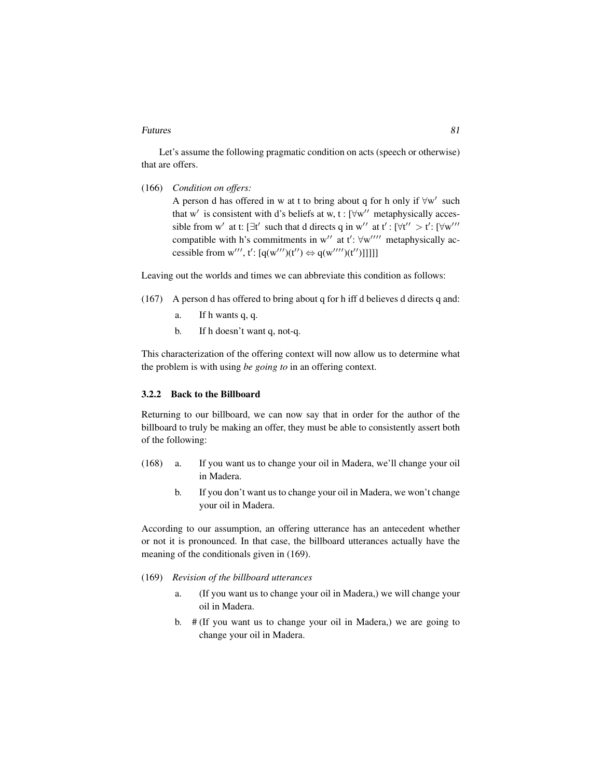Let's assume the following pragmatic condition on acts (speech or otherwise) that are offers.

(166) *Condition on offers:*

A person d has offered in w at t to bring about q for h only if  $\forall w'$  such that w' is consistent with d's beliefs at w, t :  $[\forall w''$  metaphysically accessible from w' at t: [ $\exists t'$  such that d directs q in w'' at  $t'$  : [ $\forall t'' > t'$  : [ $\forall w'''$ compatible with h's commitments in w" at t':  $\forall w''''$  metaphysically accessible from w''', t': [q(w''')(t'')  $\Leftrightarrow$  q(w'''')(t'')]]]]]

Leaving out the worlds and times we can abbreviate this condition as follows:

- (167) A person d has offered to bring about q for h iff d believes d directs q and:
	- a. If h wants q, q.
	- b. If h doesn't want q, not-q.

This characterization of the offering context will now allow us to determine what the problem is with using *be going to* in an offering context.

## 3.2.2 Back to the Billboard

Returning to our billboard, we can now say that in order for the author of the billboard to truly be making an offer, they must be able to consistently assert both of the following:

- (168) a. If you want us to change your oil in Madera, we'll change your oil in Madera.
	- b. If you don't want us to change your oil in Madera, we won't change your oil in Madera.

According to our assumption, an offering utterance has an antecedent whether or not it is pronounced. In that case, the billboard utterances actually have the meaning of the conditionals given in (169).

### (169) *Revision of the billboard utterances*

- a. (If you want us to change your oil in Madera,) we will change your oil in Madera.
- b. # (If you want us to change your oil in Madera,) we are going to change your oil in Madera.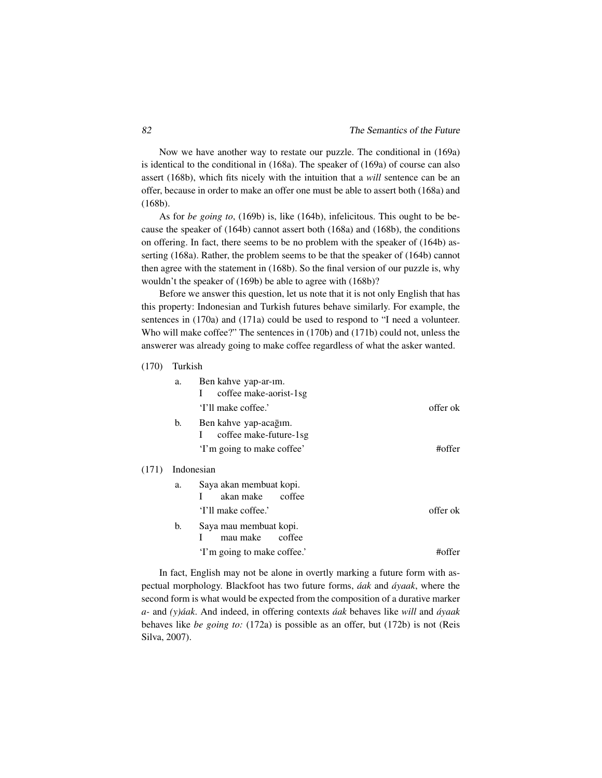Now we have another way to restate our puzzle. The conditional in (169a) is identical to the conditional in (168a). The speaker of (169a) of course can also assert (168b), which fits nicely with the intuition that a *will* sentence can be an offer, because in order to make an offer one must be able to assert both (168a) and (168b).

As for *be going to*, (169b) is, like (164b), infelicitous. This ought to be because the speaker of (164b) cannot assert both (168a) and (168b), the conditions on offering. In fact, there seems to be no problem with the speaker of (164b) asserting (168a). Rather, the problem seems to be that the speaker of (164b) cannot then agree with the statement in (168b). So the final version of our puzzle is, why wouldn't the speaker of (169b) be able to agree with (168b)?

Before we answer this question, let us note that it is not only English that has this property: Indonesian and Turkish futures behave similarly. For example, the sentences in (170a) and (171a) could be used to respond to "I need a volunteer. Who will make coffee?" The sentences in (170b) and (171b) could not, unless the answerer was already going to make coffee regardless of what the asker wanted.

#### (170) Turkish

|       | a. | Ben kahve yap-ar-im.<br>coffee make-aorist-1sg<br>L<br>'I'll make coffee.' | offer ok |  |
|-------|----|----------------------------------------------------------------------------|----------|--|
|       | b. | Ben kahve yap-acagim.<br>coffee make-future-1sg<br>Ι                       |          |  |
|       |    | 'I'm going to make coffee'                                                 | #offer   |  |
| (171) |    | Indonesian                                                                 |          |  |
|       | a. | Saya akan membuat kopi.<br>akan make<br>coffee<br>'I'll make coffee.'      | offer ok |  |
|       | b. | Saya mau membuat kopi.<br>mau make<br>coffee<br>I                          |          |  |
|       |    | 'I'm going to make coffee.'                                                | #offer   |  |

In fact, English may not be alone in overtly marking a future form with aspectual morphology. Blackfoot has two future forms, *áak* and *áyaak*, where the second form is what would be expected from the composition of a durative marker *a-* and *(y)aak ´* . And indeed, in offering contexts *aak ´* behaves like *will* and *ayaak ´* behaves like *be going to:* (172a) is possible as an offer, but (172b) is not (Reis Silva, 2007).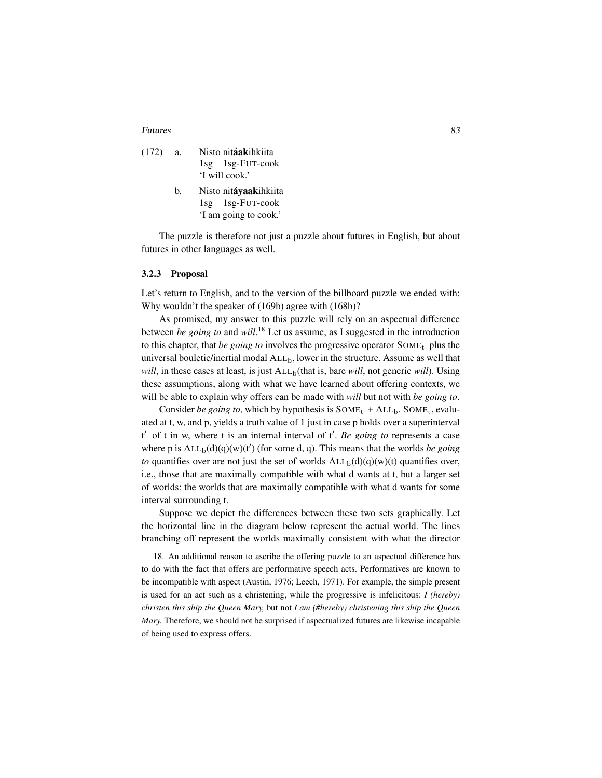| (172) | a. | Nisto nitáakihkiita            |  |
|-------|----|--------------------------------|--|
|       |    | $1sg$ 1sg-FUT-cook             |  |
|       |    | 'I will cook.'                 |  |
|       | h. | Nisto nit <b>ávaak</b> ihkiita |  |
|       |    | $1sg$ $1sg$ -FUT-cook          |  |

'I am going to cook.'

The puzzle is therefore not just a puzzle about futures in English, but about futures in other languages as well.

#### 3.2.3 Proposal

Let's return to English, and to the version of the billboard puzzle we ended with: Why wouldn't the speaker of (169b) agree with (168b)?

As promised, my answer to this puzzle will rely on an aspectual difference between *be going to* and *will*. <sup>18</sup> Let us assume, as I suggested in the introduction to this chapter, that *be going to* involves the progressive operator  $SOME_t$  plus the universal bouletic/inertial modal  $ALL<sub>b</sub>$ , lower in the structure. Assume as well that *will*, in these cases at least, is just  $ALL_b$  (that is, bare *will*, not generic *will*). Using these assumptions, along with what we have learned about offering contexts, we will be able to explain why offers can be made with *will* but not with *be going to*.

Consider *be going to*, which by hypothesis is  $SOME_t + ALL_b$ .  $SOME_t$ , evaluated at t, w, and p, yields a truth value of 1 just in case p holds over a superinterval  $t'$  of t in w, where t is an internal interval of  $t'$ . *Be going to* represents a case where p is  $ALL_b(d)(q)(w)(t')$  (for some d, q). This means that the worlds *be going to* quantifies over are not just the set of worlds  $ALL<sub>b</sub>(d)(q)(w)(t)$  quantifies over, i.e., those that are maximally compatible with what d wants at t, but a larger set of worlds: the worlds that are maximally compatible with what d wants for some interval surrounding t.

Suppose we depict the differences between these two sets graphically. Let the horizontal line in the diagram below represent the actual world. The lines branching off represent the worlds maximally consistent with what the director

<sup>18.</sup> An additional reason to ascribe the offering puzzle to an aspectual difference has to do with the fact that offers are performative speech acts. Performatives are known to be incompatible with aspect (Austin, 1976; Leech, 1971). For example, the simple present is used for an act such as a christening, while the progressive is infelicitous: *I (hereby) christen this ship the Queen Mary,* but not *I am (#hereby) christening this ship the Queen Mary.* Therefore, we should not be surprised if aspectualized futures are likewise incapable of being used to express offers.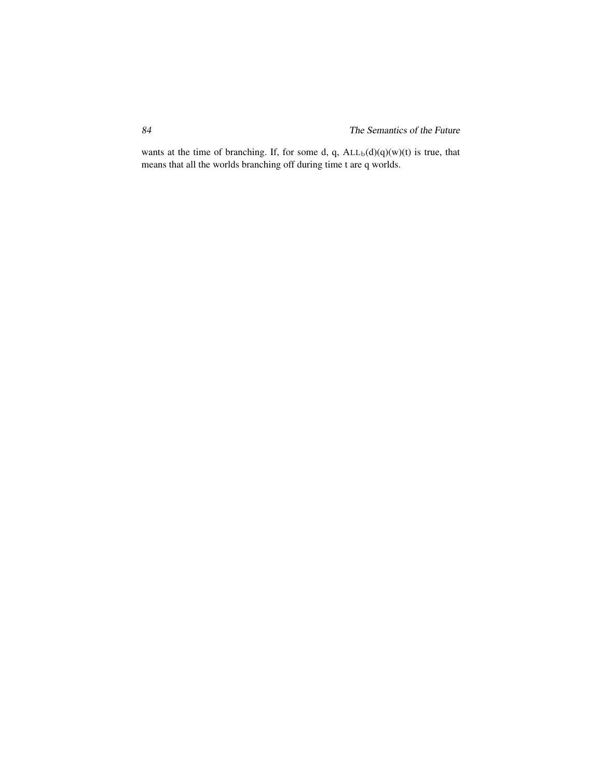wants at the time of branching. If, for some d, q,  $ALL_b(d)(q)(w)(t)$  is true, that means that all the worlds branching off during time t are q worlds.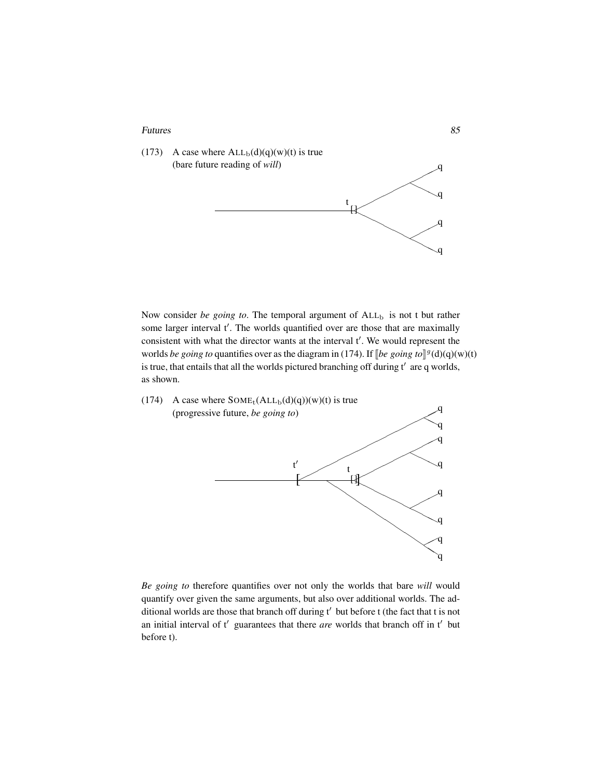

Now consider *be going to*. The temporal argument of ALL<sub>b</sub> is not t but rather some larger interval t'. The worlds quantified over are those that are maximally consistent with what the director wants at the interval  $t'$ . We would represent the worlds *be going to* quantifies over as the diagram in (174). If  $[be \text{ going to}]^g(d)(q)(w)(t)$ is true, that entails that all the worlds pictured branching off during  $t'$  are q worlds, as shown.



*Be going to* therefore quantifies over not only the worlds that bare *will* would quantify over given the same arguments, but also over additional worlds. The additional worlds are those that branch off during  $t'$  but before t (the fact that t is not an initial interval of  $t'$  guarantees that there *are* worlds that branch off in  $t'$  but before t).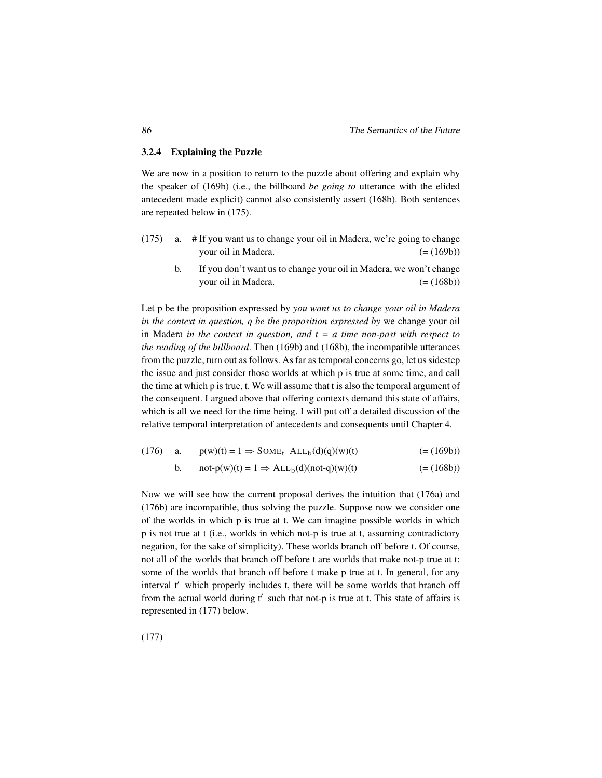#### 3.2.4 Explaining the Puzzle

We are now in a position to return to the puzzle about offering and explain why the speaker of (169b) (i.e., the billboard *be going to* utterance with the elided antecedent made explicit) cannot also consistently assert (168b). Both sentences are repeated below in (175).

- (175) a. # If you want us to change your oil in Madera, we're going to change your oil in Madera. (= (169b))
	- b. If you don't want us to change your oil in Madera, we won't change your oil in Madera. (= (168b))

Let p be the proposition expressed by *you want us to change your oil in Madera in the context in question, q be the proposition expressed by* we change your oil in Madera *in the context in question, and t = a time non-past with respect to the reading of the billboard*. Then (169b) and (168b), the incompatible utterances from the puzzle, turn out as follows. As far as temporal concerns go, let us sidestep the issue and just consider those worlds at which p is true at some time, and call the time at which p is true, t. We will assume that t is also the temporal argument of the consequent. I argued above that offering contexts demand this state of affairs, which is all we need for the time being. I will put off a detailed discussion of the relative temporal interpretation of antecedents and consequents until Chapter 4.

| $(176)$ a. | $p(w)(t) = 1 \Rightarrow$ SOME <sub>t</sub> ALL <sub>b</sub> (d)(q)(w)(t) |  | $(=(169b))$ |
|------------|---------------------------------------------------------------------------|--|-------------|
|------------|---------------------------------------------------------------------------|--|-------------|

b. not-p(w)(t) = 
$$
1 \Rightarrow
$$
 ALL<sub>b</sub>(d)(not-q)(w)(t) (= (168b))

Now we will see how the current proposal derives the intuition that (176a) and (176b) are incompatible, thus solving the puzzle. Suppose now we consider one of the worlds in which p is true at t. We can imagine possible worlds in which p is not true at t (i.e., worlds in which not-p is true at t, assuming contradictory negation, for the sake of simplicity). These worlds branch off before t. Of course, not all of the worlds that branch off before t are worlds that make not-p true at t: some of the worlds that branch off before t make p true at t. In general, for any interval  $t'$  which properly includes t, there will be some worlds that branch off from the actual world during  $t'$  such that not-p is true at t. This state of affairs is represented in (177) below.

(177)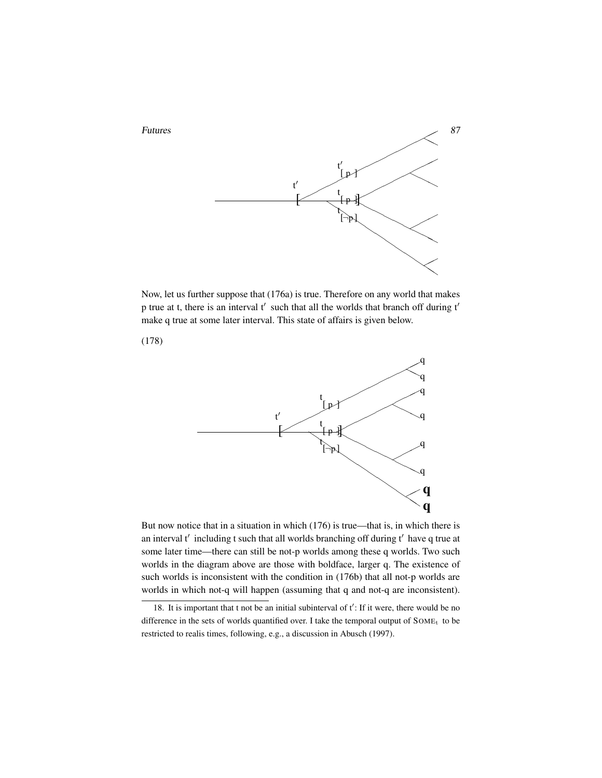

Now, let us further suppose that (176a) is true. Therefore on any world that makes p true at t, there is an interval  $t'$  such that all the worlds that branch off during  $t'$ make q true at some later interval. This state of affairs is given below.

(178)



But now notice that in a situation in which (176) is true—that is, in which there is an interval  $t'$  including t such that all worlds branching off during  $t'$  have q true at some later time—there can still be not-p worlds among these q worlds. Two such worlds in the diagram above are those with boldface, larger q. The existence of such worlds is inconsistent with the condition in (176b) that all not-p worlds are worlds in which not-q will happen (assuming that q and not-q are inconsistent).

<sup>18.</sup> It is important that t not be an initial subinterval of  $t'$ : If it were, there would be no difference in the sets of worlds quantified over. I take the temporal output of SOME<sub>t</sub> to be restricted to realis times, following, e.g., a discussion in Abusch (1997).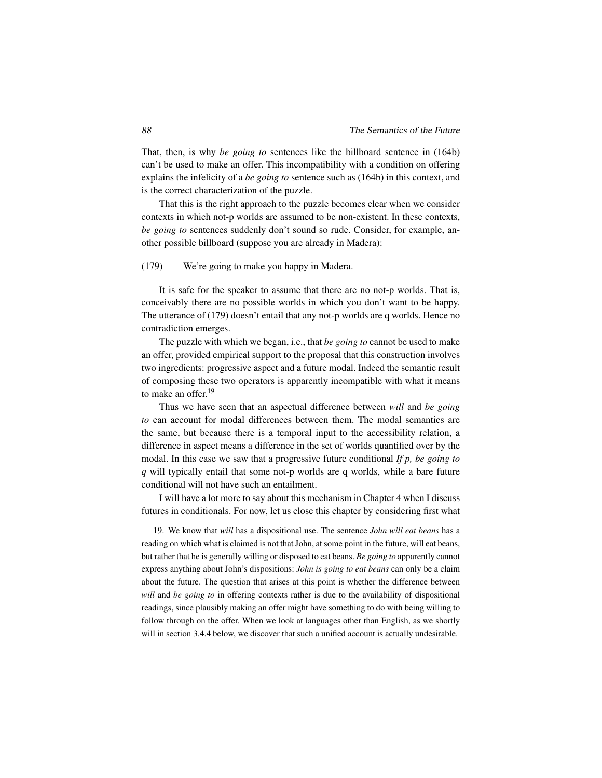That, then, is why *be going to* sentences like the billboard sentence in (164b) can't be used to make an offer. This incompatibility with a condition on offering explains the infelicity of a *be going to* sentence such as (164b) in this context, and is the correct characterization of the puzzle.

That this is the right approach to the puzzle becomes clear when we consider contexts in which not-p worlds are assumed to be non-existent. In these contexts, *be going to* sentences suddenly don't sound so rude. Consider, for example, another possible billboard (suppose you are already in Madera):

(179) We're going to make you happy in Madera.

It is safe for the speaker to assume that there are no not-p worlds. That is, conceivably there are no possible worlds in which you don't want to be happy. The utterance of (179) doesn't entail that any not-p worlds are q worlds. Hence no contradiction emerges.

The puzzle with which we began, i.e., that *be going to* cannot be used to make an offer, provided empirical support to the proposal that this construction involves two ingredients: progressive aspect and a future modal. Indeed the semantic result of composing these two operators is apparently incompatible with what it means to make an offer.<sup>19</sup>

Thus we have seen that an aspectual difference between *will* and *be going to* can account for modal differences between them. The modal semantics are the same, but because there is a temporal input to the accessibility relation, a difference in aspect means a difference in the set of worlds quantified over by the modal. In this case we saw that a progressive future conditional *If p, be going to q* will typically entail that some not-p worlds are q worlds, while a bare future conditional will not have such an entailment.

I will have a lot more to say about this mechanism in Chapter 4 when I discuss futures in conditionals. For now, let us close this chapter by considering first what

<sup>19.</sup> We know that *will* has a dispositional use. The sentence *John will eat beans* has a reading on which what is claimed is not that John, at some point in the future, will eat beans, but rather that he is generally willing or disposed to eat beans. *Be going to* apparently cannot express anything about John's dispositions: *John is going to eat beans* can only be a claim about the future. The question that arises at this point is whether the difference between *will* and *be going to* in offering contexts rather is due to the availability of dispositional readings, since plausibly making an offer might have something to do with being willing to follow through on the offer. When we look at languages other than English, as we shortly will in section 3.4.4 below, we discover that such a unified account is actually undesirable.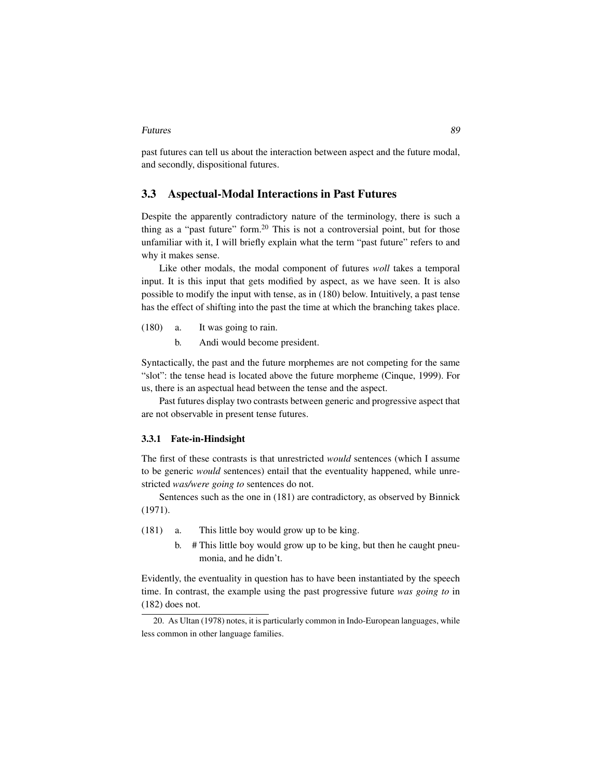past futures can tell us about the interaction between aspect and the future modal, and secondly, dispositional futures.

# 3.3 Aspectual-Modal Interactions in Past Futures

Despite the apparently contradictory nature of the terminology, there is such a thing as a "past future" form.<sup>20</sup> This is not a controversial point, but for those unfamiliar with it, I will briefly explain what the term "past future" refers to and why it makes sense.

Like other modals, the modal component of futures *woll* takes a temporal input. It is this input that gets modified by aspect, as we have seen. It is also possible to modify the input with tense, as in (180) below. Intuitively, a past tense has the effect of shifting into the past the time at which the branching takes place.

- (180) a. It was going to rain.
	- b. Andi would become president.

Syntactically, the past and the future morphemes are not competing for the same "slot": the tense head is located above the future morpheme (Cinque, 1999). For us, there is an aspectual head between the tense and the aspect.

Past futures display two contrasts between generic and progressive aspect that are not observable in present tense futures.

#### 3.3.1 Fate-in-Hindsight

The first of these contrasts is that unrestricted *would* sentences (which I assume to be generic *would* sentences) entail that the eventuality happened, while unrestricted *was/were going to* sentences do not.

Sentences such as the one in (181) are contradictory, as observed by Binnick (1971).

- (181) a. This little boy would grow up to be king.
	- b. # This little boy would grow up to be king, but then he caught pneumonia, and he didn't.

Evidently, the eventuality in question has to have been instantiated by the speech time. In contrast, the example using the past progressive future *was going to* in (182) does not.

<sup>20.</sup> As Ultan (1978) notes, it is particularly common in Indo-European languages, while less common in other language families.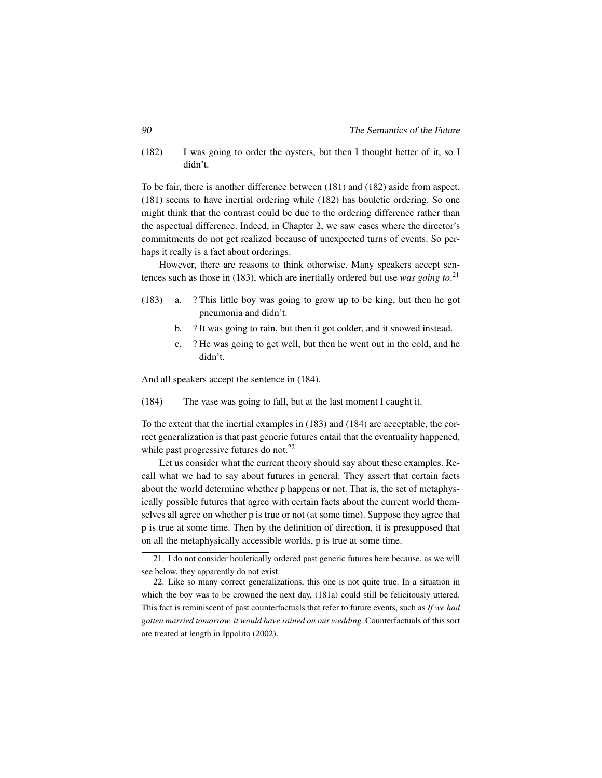(182) I was going to order the oysters, but then I thought better of it, so I didn't.

To be fair, there is another difference between (181) and (182) aside from aspect. (181) seems to have inertial ordering while (182) has bouletic ordering. So one might think that the contrast could be due to the ordering difference rather than the aspectual difference. Indeed, in Chapter 2, we saw cases where the director's commitments do not get realized because of unexpected turns of events. So perhaps it really is a fact about orderings.

However, there are reasons to think otherwise. Many speakers accept sentences such as those in (183), which are inertially ordered but use *was going to*. 21

- (183) a. ? This little boy was going to grow up to be king, but then he got pneumonia and didn't.
	- b. ? It was going to rain, but then it got colder, and it snowed instead.
	- c. ? He was going to get well, but then he went out in the cold, and he didn't.

And all speakers accept the sentence in (184).

(184) The vase was going to fall, but at the last moment I caught it.

To the extent that the inertial examples in (183) and (184) are acceptable, the correct generalization is that past generic futures entail that the eventuality happened, while past progressive futures do not.<sup>22</sup>

Let us consider what the current theory should say about these examples. Recall what we had to say about futures in general: They assert that certain facts about the world determine whether p happens or not. That is, the set of metaphysically possible futures that agree with certain facts about the current world themselves all agree on whether p is true or not (at some time). Suppose they agree that p is true at some time. Then by the definition of direction, it is presupposed that on all the metaphysically accessible worlds, p is true at some time.

<sup>21.</sup> I do not consider bouletically ordered past generic futures here because, as we will see below, they apparently do not exist.

<sup>22.</sup> Like so many correct generalizations, this one is not quite true. In a situation in which the boy was to be crowned the next day, (181a) could still be felicitously uttered. This fact is reminiscent of past counterfactuals that refer to future events, such as *If we had gotten married tomorrow, it would have rained on our wedding.* Counterfactuals of this sort are treated at length in Ippolito (2002).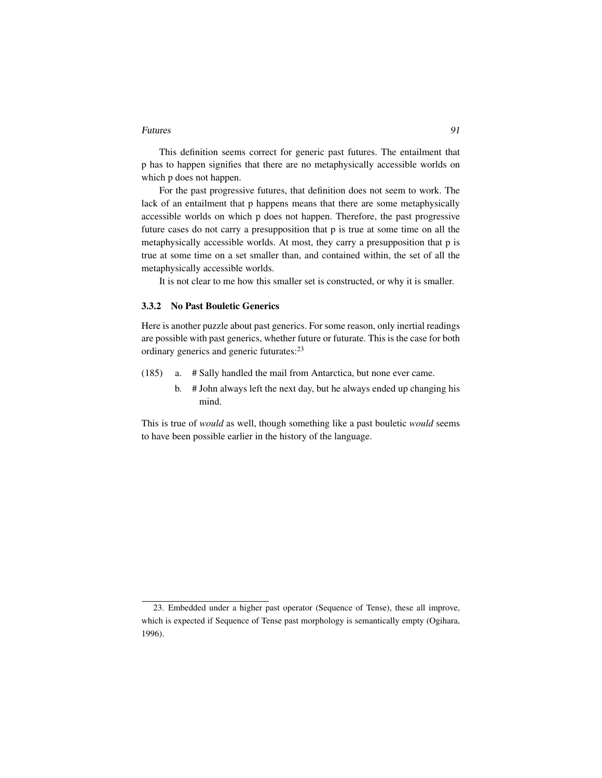This definition seems correct for generic past futures. The entailment that p has to happen signifies that there are no metaphysically accessible worlds on which p does not happen.

For the past progressive futures, that definition does not seem to work. The lack of an entailment that p happens means that there are some metaphysically accessible worlds on which p does not happen. Therefore, the past progressive future cases do not carry a presupposition that p is true at some time on all the metaphysically accessible worlds. At most, they carry a presupposition that p is true at some time on a set smaller than, and contained within, the set of all the metaphysically accessible worlds.

It is not clear to me how this smaller set is constructed, or why it is smaller.

### 3.3.2 No Past Bouletic Generics

Here is another puzzle about past generics. For some reason, only inertial readings are possible with past generics, whether future or futurate. This is the case for both ordinary generics and generic futurates:<sup>23</sup>

- (185) a. # Sally handled the mail from Antarctica, but none ever came.
	- b. # John always left the next day, but he always ended up changing his mind.

This is true of *would* as well, though something like a past bouletic *would* seems to have been possible earlier in the history of the language.

<sup>23.</sup> Embedded under a higher past operator (Sequence of Tense), these all improve, which is expected if Sequence of Tense past morphology is semantically empty (Ogihara, 1996).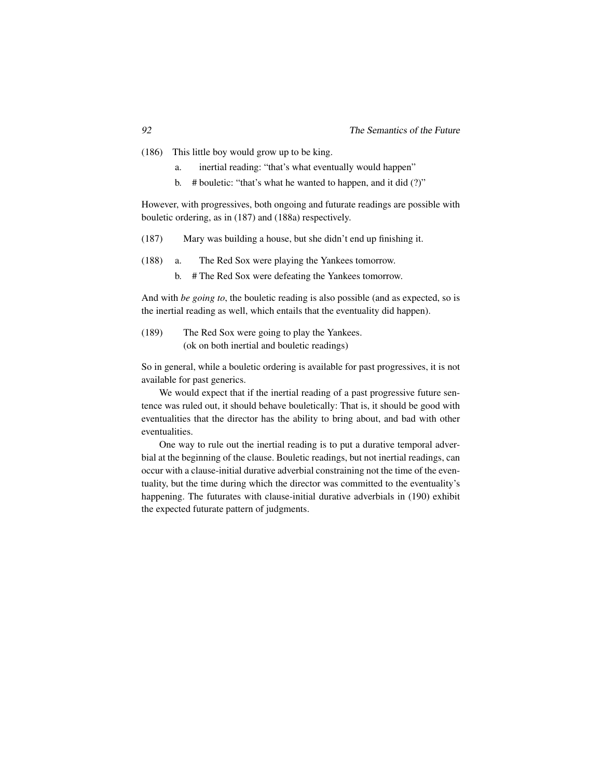(186) This little boy would grow up to be king.

- a. inertial reading: "that's what eventually would happen"
- b. # bouletic: "that's what he wanted to happen, and it did (?)"

However, with progressives, both ongoing and futurate readings are possible with bouletic ordering, as in (187) and (188a) respectively.

- (187) Mary was building a house, but she didn't end up finishing it.
- (188) a. The Red Sox were playing the Yankees tomorrow.
	- b. # The Red Sox were defeating the Yankees tomorrow.

And with *be going to*, the bouletic reading is also possible (and as expected, so is the inertial reading as well, which entails that the eventuality did happen).

(189) The Red Sox were going to play the Yankees. (ok on both inertial and bouletic readings)

So in general, while a bouletic ordering is available for past progressives, it is not available for past generics.

We would expect that if the inertial reading of a past progressive future sentence was ruled out, it should behave bouletically: That is, it should be good with eventualities that the director has the ability to bring about, and bad with other eventualities.

One way to rule out the inertial reading is to put a durative temporal adverbial at the beginning of the clause. Bouletic readings, but not inertial readings, can occur with a clause-initial durative adverbial constraining not the time of the eventuality, but the time during which the director was committed to the eventuality's happening. The futurates with clause-initial durative adverbials in (190) exhibit the expected futurate pattern of judgments.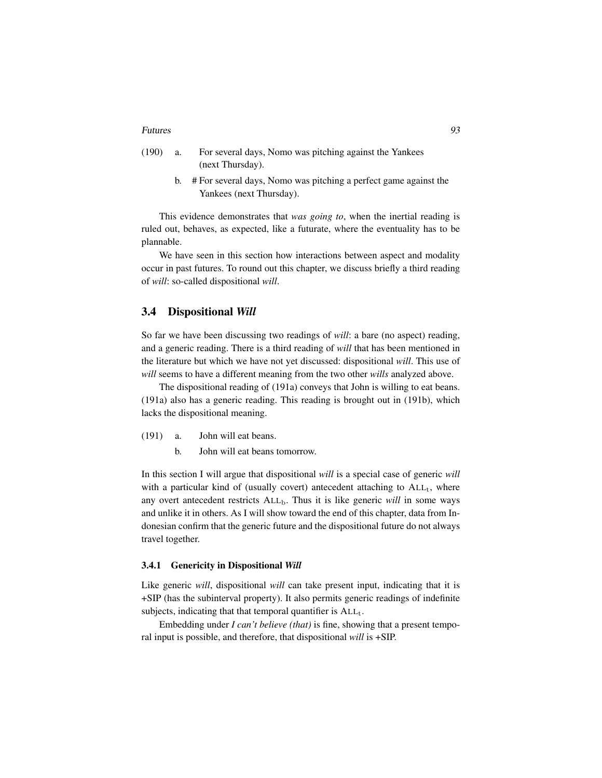- (190) a. For several days, Nomo was pitching against the Yankees (next Thursday).
	- b. # For several days, Nomo was pitching a perfect game against the Yankees (next Thursday).

This evidence demonstrates that *was going to*, when the inertial reading is ruled out, behaves, as expected, like a futurate, where the eventuality has to be plannable.

We have seen in this section how interactions between aspect and modality occur in past futures. To round out this chapter, we discuss briefly a third reading of *will*: so-called dispositional *will*.

# 3.4 Dispositional *Will*

So far we have been discussing two readings of *will*: a bare (no aspect) reading, and a generic reading. There is a third reading of *will* that has been mentioned in the literature but which we have not yet discussed: dispositional *will*. This use of *will* seems to have a different meaning from the two other *wills* analyzed above.

The dispositional reading of (191a) conveys that John is willing to eat beans. (191a) also has a generic reading. This reading is brought out in (191b), which lacks the dispositional meaning.

- (191) a. John will eat beans.
	- b. John will eat beans tomorrow.

In this section I will argue that dispositional *will* is a special case of generic *will* with a particular kind of (usually covert) antecedent attaching to  $ALL<sub>t</sub>$ , where any overt antecedent restricts  $ALL<sub>b</sub>$ . Thus it is like generic *will* in some ways and unlike it in others. As I will show toward the end of this chapter, data from Indonesian confirm that the generic future and the dispositional future do not always travel together.

#### 3.4.1 Genericity in Dispositional *Will*

Like generic *will*, dispositional *will* can take present input, indicating that it is +SIP (has the subinterval property). It also permits generic readings of indefinite subjects, indicating that that temporal quantifier is  $ALL_t$ .

Embedding under *I can't believe (that)* is fine, showing that a present temporal input is possible, and therefore, that dispositional *will* is +SIP.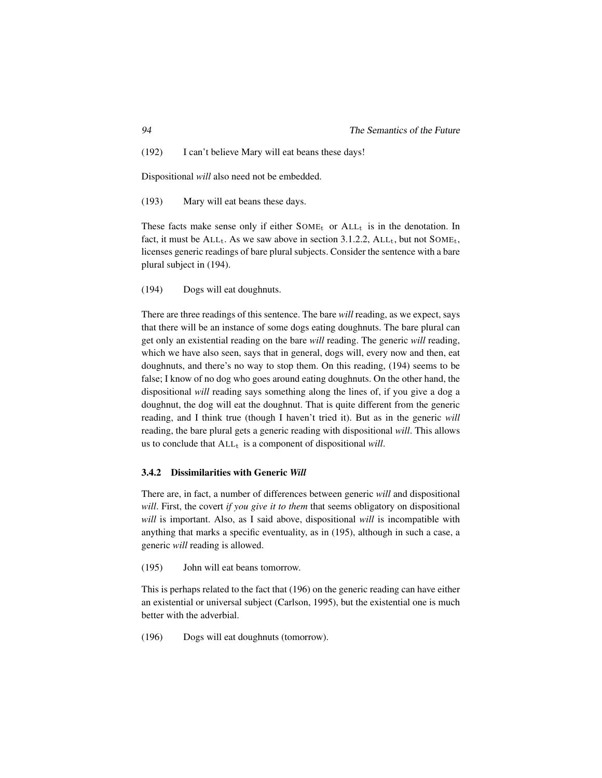(192) I can't believe Mary will eat beans these days!

Dispositional *will* also need not be embedded.

(193) Mary will eat beans these days.

These facts make sense only if either  $SOME_t$  or  $ALL_t$  is in the denotation. In fact, it must be  $ALL_t$ . As we saw above in section 3.1.2.2,  $ALL_t$ , but not  $SOME_t$ , licenses generic readings of bare plural subjects. Consider the sentence with a bare plural subject in (194).

(194) Dogs will eat doughnuts.

There are three readings of this sentence. The bare *will* reading, as we expect, says that there will be an instance of some dogs eating doughnuts. The bare plural can get only an existential reading on the bare *will* reading. The generic *will* reading, which we have also seen, says that in general, dogs will, every now and then, eat doughnuts, and there's no way to stop them. On this reading, (194) seems to be false; I know of no dog who goes around eating doughnuts. On the other hand, the dispositional *will* reading says something along the lines of, if you give a dog a doughnut, the dog will eat the doughnut. That is quite different from the generic reading, and I think true (though I haven't tried it). But as in the generic *will* reading, the bare plural gets a generic reading with dispositional *will*. This allows us to conclude that  $ALL_t$  is a component of dispositional *will*.

#### 3.4.2 Dissimilarities with Generic *Will*

There are, in fact, a number of differences between generic *will* and dispositional *will*. First, the covert *if you give it to them* that seems obligatory on dispositional *will* is important. Also, as I said above, dispositional *will* is incompatible with anything that marks a specific eventuality, as in (195), although in such a case, a generic *will* reading is allowed.

(195) John will eat beans tomorrow.

This is perhaps related to the fact that (196) on the generic reading can have either an existential or universal subject (Carlson, 1995), but the existential one is much better with the adverbial.

(196) Dogs will eat doughnuts (tomorrow).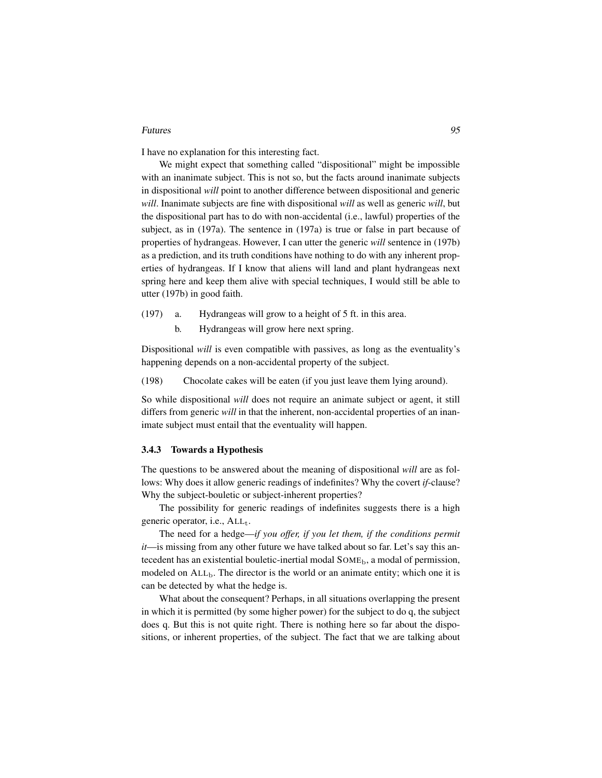I have no explanation for this interesting fact.

We might expect that something called "dispositional" might be impossible with an inanimate subject. This is not so, but the facts around inanimate subjects in dispositional *will* point to another difference between dispositional and generic *will*. Inanimate subjects are fine with dispositional *will* as well as generic *will*, but the dispositional part has to do with non-accidental (i.e., lawful) properties of the subject, as in (197a). The sentence in (197a) is true or false in part because of properties of hydrangeas. However, I can utter the generic *will* sentence in (197b) as a prediction, and its truth conditions have nothing to do with any inherent properties of hydrangeas. If I know that aliens will land and plant hydrangeas next spring here and keep them alive with special techniques, I would still be able to utter (197b) in good faith.

(197) a. Hydrangeas will grow to a height of 5 ft. in this area.

b. Hydrangeas will grow here next spring.

Dispositional *will* is even compatible with passives, as long as the eventuality's happening depends on a non-accidental property of the subject.

(198) Chocolate cakes will be eaten (if you just leave them lying around).

So while dispositional *will* does not require an animate subject or agent, it still differs from generic *will* in that the inherent, non-accidental properties of an inanimate subject must entail that the eventuality will happen.

#### 3.4.3 Towards a Hypothesis

The questions to be answered about the meaning of dispositional *will* are as follows: Why does it allow generic readings of indefinites? Why the covert *if*-clause? Why the subject-bouletic or subject-inherent properties?

The possibility for generic readings of indefinites suggests there is a high generic operator, i.e.,  $ALL_t$ .

The need for a hedge—*if you offer, if you let them, if the conditions permit it*—is missing from any other future we have talked about so far. Let's say this antecedent has an existential bouletic-inertial modal  $SOME<sub>b</sub>$ , a modal of permission, modeled on  $ALL<sub>b</sub>$ . The director is the world or an animate entity; which one it is can be detected by what the hedge is.

What about the consequent? Perhaps, in all situations overlapping the present in which it is permitted (by some higher power) for the subject to do q, the subject does q. But this is not quite right. There is nothing here so far about the dispositions, or inherent properties, of the subject. The fact that we are talking about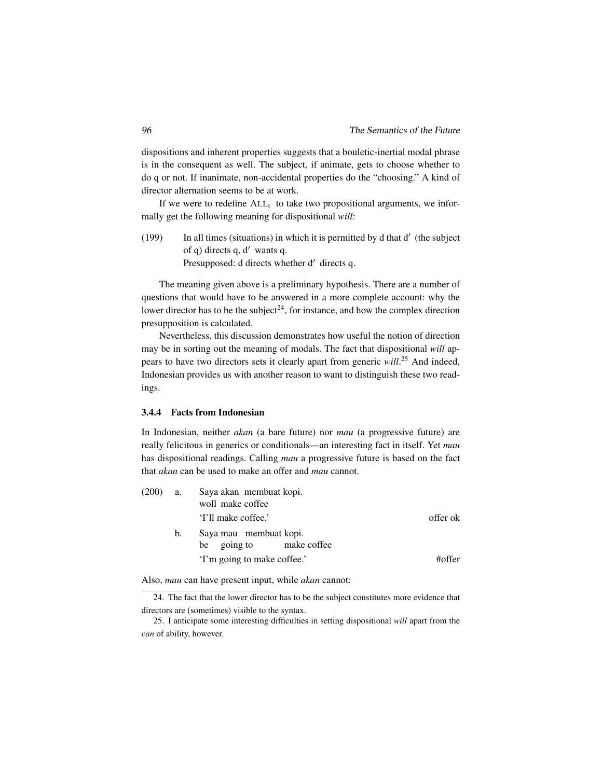dispositions and inherent properties suggests that a bouletic-inertial modal phrase is in the consequent as well. The subject, if animate, gets to choose whether to do q or not. If inanimate, non-accidental properties do the "choosing." A kind of director alternation seems to be at work.

If we were to redefine  $ALL_t$  to take two propositional arguments, we informally get the following meaning for dispositional *will*:

(199) In all times (situations) in which it is permitted by d that d' (the subject of q) directs q,  $d'$  wants q. Presupposed: d directs whether  $d'$  directs q.

The meaning given above is a preliminary hypothesis. There are a number of questions that would have to be answered in a more complete account: why the lower director has to be the subject<sup>24</sup>, for instance, and how the complex direction presupposition is calculated.

Nevertheless, this discussion demonstrates how useful the notion of direction may be in sorting out the meaning of modals. The fact that dispositional *will* appears to have two directors sets it clearly apart from generic *will*. <sup>25</sup> And indeed, Indonesian provides us with another reason to want to distinguish these two readings.

#### 3.4.4 Facts from Indonesian

In Indonesian, neither *akan* (a bare future) nor *mau* (a progressive future) are really felicitous in generics or conditionals—an interesting fact in itself. Yet *mau* has dispositional readings. Calling *mau* a progressive future is based on the fact that *akan* can be used to make an offer and *mau* cannot.

| (200) | a. | Saya akan membuat kopi.<br>woll make coffee          |          |
|-------|----|------------------------------------------------------|----------|
|       |    | 'I'll make coffee.'                                  | offer ok |
|       | b. | Saya mau membuat kopi.<br>going to make coffee<br>be |          |
|       |    | 'I'm going to make coffee.'                          | #offer   |
|       |    |                                                      |          |

Also, *mau* can have present input, while *akan* cannot:

<sup>24.</sup> The fact that the lower director has to be the subject constitutes more evidence that directors are (sometimes) visible to the syntax.

<sup>25.</sup> I anticipate some interesting difficulties in setting dispositional *will* apart from the *can* of ability, however.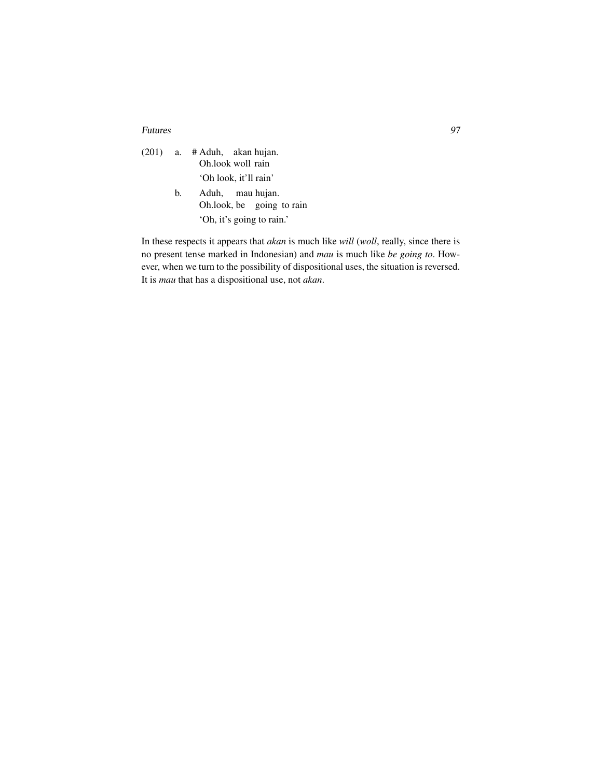| (201) |  | a. #Aduh, akan hujan. |
|-------|--|-----------------------|
|       |  | Oh.look woll rain     |
|       |  | 'Oh look, it'll rain' |

b. Aduh, Oh.look, be going to rain mau hujan. 'Oh, it's going to rain.'

In these respects it appears that *akan* is much like *will* (*woll*, really, since there is no present tense marked in Indonesian) and *mau* is much like *be going to*. However, when we turn to the possibility of dispositional uses, the situation is reversed. It is *mau* that has a dispositional use, not *akan*.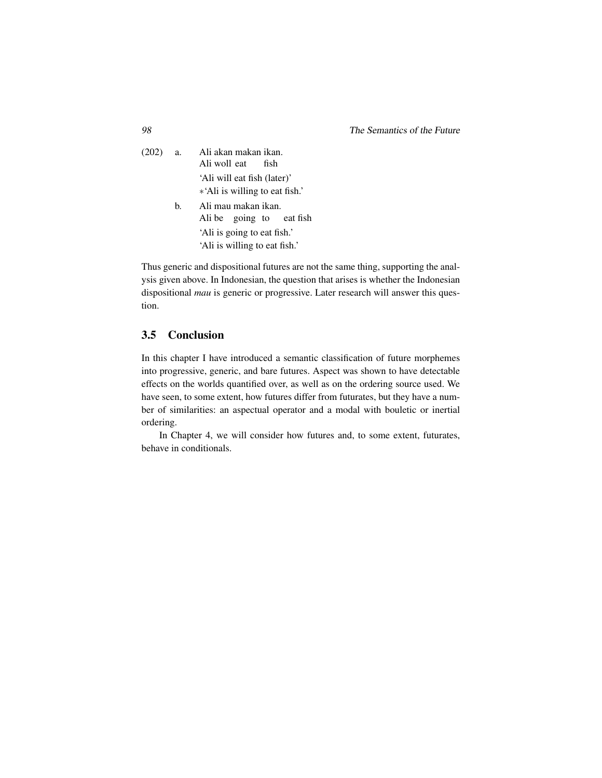| $(202)$ a. |    | Ali akan makan ikan.<br>Ali woll eat fish                     |
|------------|----|---------------------------------------------------------------|
|            |    | 'Ali will eat fish (later)'<br>*'Ali is willing to eat fish.' |
|            | b. | Ali mau makan ikan.<br>Ali be going to eat fish               |
|            |    | 'Ali is going to eat fish.'                                   |
|            |    | 'Ali is willing to eat fish.'                                 |

Thus generic and dispositional futures are not the same thing, supporting the analysis given above. In Indonesian, the question that arises is whether the Indonesian dispositional *mau* is generic or progressive. Later research will answer this question.

# 3.5 Conclusion

In this chapter I have introduced a semantic classification of future morphemes into progressive, generic, and bare futures. Aspect was shown to have detectable effects on the worlds quantified over, as well as on the ordering source used. We have seen, to some extent, how futures differ from futurates, but they have a number of similarities: an aspectual operator and a modal with bouletic or inertial ordering.

In Chapter 4, we will consider how futures and, to some extent, futurates, behave in conditionals.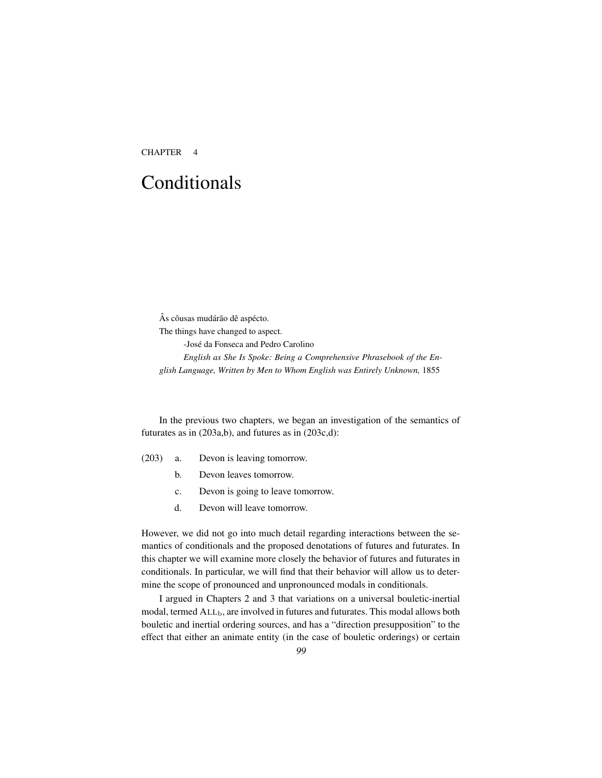CHAPTER 4

# Conditionals

Âs côusas mudárão dê aspécto. The things have changed to aspect. -José da Fonseca and Pedro Carolino *English as She Is Spoke: Being a Comprehensive Phrasebook of the English Language, Written by Men to Whom English was Entirely Unknown,* 1855

In the previous two chapters, we began an investigation of the semantics of futurates as in (203a,b), and futures as in (203c,d):

- (203) a. Devon is leaving tomorrow.
	- b. Devon leaves tomorrow.
	- c. Devon is going to leave tomorrow.
	- d. Devon will leave tomorrow.

However, we did not go into much detail regarding interactions between the semantics of conditionals and the proposed denotations of futures and futurates. In this chapter we will examine more closely the behavior of futures and futurates in conditionals. In particular, we will find that their behavior will allow us to determine the scope of pronounced and unpronounced modals in conditionals.

I argued in Chapters 2 and 3 that variations on a universal bouletic-inertial modal, termed ALL<sub>b</sub>, are involved in futures and futurates. This modal allows both bouletic and inertial ordering sources, and has a "direction presupposition" to the effect that either an animate entity (in the case of bouletic orderings) or certain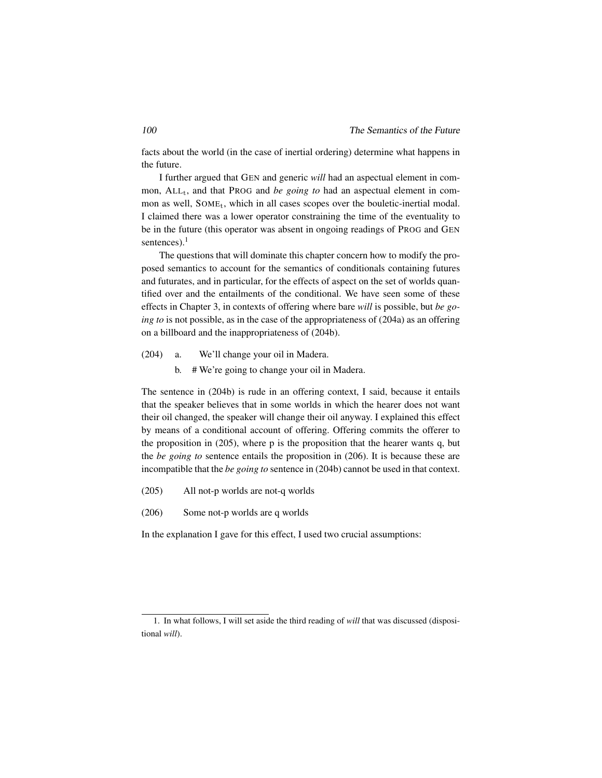facts about the world (in the case of inertial ordering) determine what happens in the future.

I further argued that GEN and generic *will* had an aspectual element in common, ALL<sub>t</sub>, and that PROG and *be going to* had an aspectual element in common as well, SOME<sub>t</sub>, which in all cases scopes over the bouletic-inertial modal. I claimed there was a lower operator constraining the time of the eventuality to be in the future (this operator was absent in ongoing readings of PROG and GEN sentences). $<sup>1</sup>$ </sup>

The questions that will dominate this chapter concern how to modify the proposed semantics to account for the semantics of conditionals containing futures and futurates, and in particular, for the effects of aspect on the set of worlds quantified over and the entailments of the conditional. We have seen some of these effects in Chapter 3, in contexts of offering where bare *will* is possible, but *be going to* is not possible, as in the case of the appropriateness of (204a) as an offering on a billboard and the inappropriateness of (204b).

(204) a. We'll change your oil in Madera.

b. # We're going to change your oil in Madera.

The sentence in (204b) is rude in an offering context, I said, because it entails that the speaker believes that in some worlds in which the hearer does not want their oil changed, the speaker will change their oil anyway. I explained this effect by means of a conditional account of offering. Offering commits the offerer to the proposition in (205), where p is the proposition that the hearer wants q, but the *be going to* sentence entails the proposition in (206). It is because these are incompatible that the *be going to* sentence in (204b) cannot be used in that context.

- (205) All not-p worlds are not-q worlds
- (206) Some not-p worlds are q worlds

In the explanation I gave for this effect, I used two crucial assumptions:

<sup>1.</sup> In what follows, I will set aside the third reading of *will* that was discussed (dispositional *will*).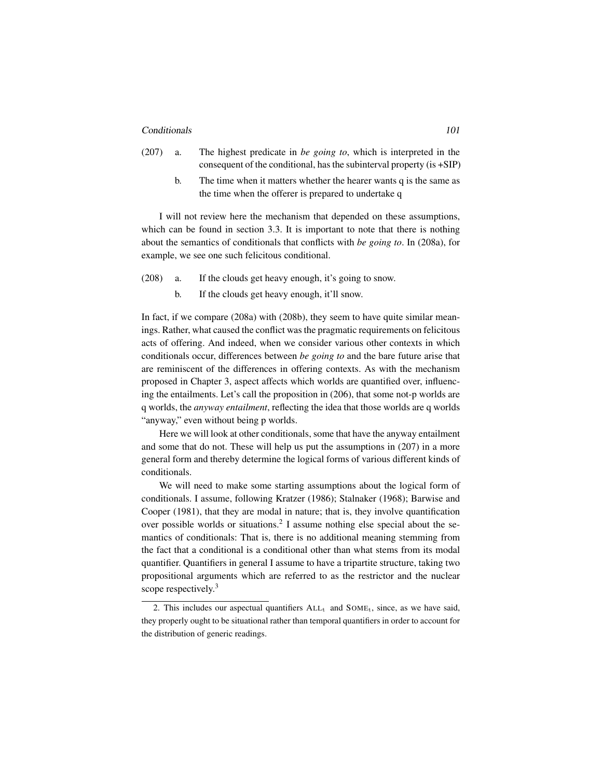### Conditionals 101

| (207) | The highest predicate in <i>be going to</i> , which is interpreted in the |
|-------|---------------------------------------------------------------------------|
|       | consequent of the conditional, has the subinterval property $(is + SIP)$  |

b. The time when it matters whether the hearer wants q is the same as the time when the offerer is prepared to undertake q

I will not review here the mechanism that depended on these assumptions, which can be found in section 3.3. It is important to note that there is nothing about the semantics of conditionals that conflicts with *be going to*. In (208a), for example, we see one such felicitous conditional.

- (208) a. If the clouds get heavy enough, it's going to snow.
	- b. If the clouds get heavy enough, it'll snow.

In fact, if we compare (208a) with (208b), they seem to have quite similar meanings. Rather, what caused the conflict was the pragmatic requirements on felicitous acts of offering. And indeed, when we consider various other contexts in which conditionals occur, differences between *be going to* and the bare future arise that are reminiscent of the differences in offering contexts. As with the mechanism proposed in Chapter 3, aspect affects which worlds are quantified over, influencing the entailments. Let's call the proposition in (206), that some not-p worlds are q worlds, the *anyway entailment*, reflecting the idea that those worlds are q worlds "anyway," even without being p worlds.

Here we will look at other conditionals, some that have the anyway entailment and some that do not. These will help us put the assumptions in (207) in a more general form and thereby determine the logical forms of various different kinds of conditionals.

We will need to make some starting assumptions about the logical form of conditionals. I assume, following Kratzer (1986); Stalnaker (1968); Barwise and Cooper (1981), that they are modal in nature; that is, they involve quantification over possible worlds or situations.<sup>2</sup> I assume nothing else special about the semantics of conditionals: That is, there is no additional meaning stemming from the fact that a conditional is a conditional other than what stems from its modal quantifier. Quantifiers in general I assume to have a tripartite structure, taking two propositional arguments which are referred to as the restrictor and the nuclear scope respectively.<sup>3</sup>

<sup>2.</sup> This includes our aspectual quantifiers  $ALL_t$  and  $SOME_t$ , since, as we have said, they properly ought to be situational rather than temporal quantifiers in order to account for the distribution of generic readings.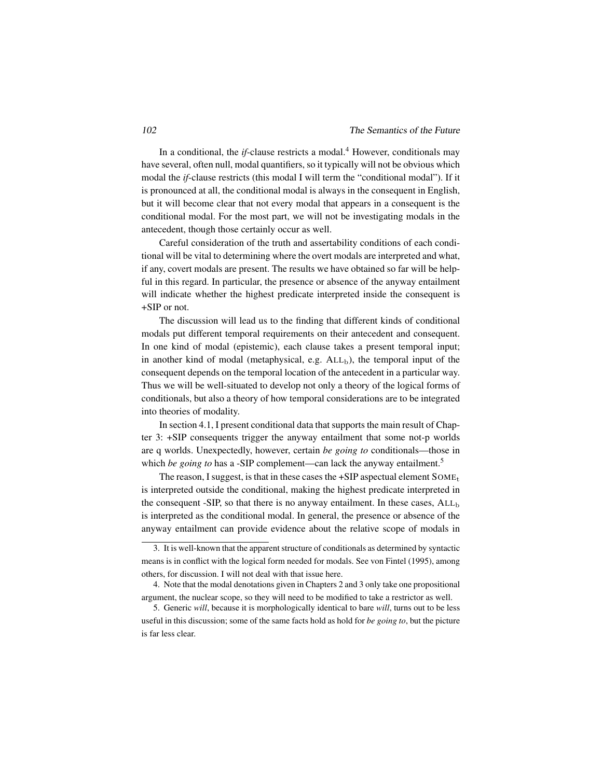### 102 The Semantics of the Future

In a conditional, the *if*-clause restricts a modal.<sup>4</sup> However, conditionals may have several, often null, modal quantifiers, so it typically will not be obvious which modal the *if*-clause restricts (this modal I will term the "conditional modal"). If it is pronounced at all, the conditional modal is always in the consequent in English, but it will become clear that not every modal that appears in a consequent is the conditional modal. For the most part, we will not be investigating modals in the antecedent, though those certainly occur as well.

Careful consideration of the truth and assertability conditions of each conditional will be vital to determining where the overt modals are interpreted and what, if any, covert modals are present. The results we have obtained so far will be helpful in this regard. In particular, the presence or absence of the anyway entailment will indicate whether the highest predicate interpreted inside the consequent is +SIP or not.

The discussion will lead us to the finding that different kinds of conditional modals put different temporal requirements on their antecedent and consequent. In one kind of modal (epistemic), each clause takes a present temporal input; in another kind of modal (metaphysical, e.g.  $ALL<sub>b</sub>$ ), the temporal input of the consequent depends on the temporal location of the antecedent in a particular way. Thus we will be well-situated to develop not only a theory of the logical forms of conditionals, but also a theory of how temporal considerations are to be integrated into theories of modality.

In section 4.1, I present conditional data that supports the main result of Chapter 3: +SIP consequents trigger the anyway entailment that some not-p worlds are q worlds. Unexpectedly, however, certain *be going to* conditionals—those in which *be going to* has a -SIP complement—can lack the anyway entailment.<sup>5</sup>

The reason, I suggest, is that in these cases the  $+SIP$  aspectual element  $SOME_t$ is interpreted outside the conditional, making the highest predicate interpreted in the consequent -SIP, so that there is no anyway entailment. In these cases,  $ALL<sub>b</sub>$ is interpreted as the conditional modal. In general, the presence or absence of the anyway entailment can provide evidence about the relative scope of modals in

<sup>3.</sup> It is well-known that the apparent structure of conditionals as determined by syntactic means is in conflict with the logical form needed for modals. See von Fintel (1995), among others, for discussion. I will not deal with that issue here.

<sup>4.</sup> Note that the modal denotations given in Chapters 2 and 3 only take one propositional argument, the nuclear scope, so they will need to be modified to take a restrictor as well.

<sup>5.</sup> Generic *will*, because it is morphologically identical to bare *will*, turns out to be less useful in this discussion; some of the same facts hold as hold for *be going to*, but the picture is far less clear.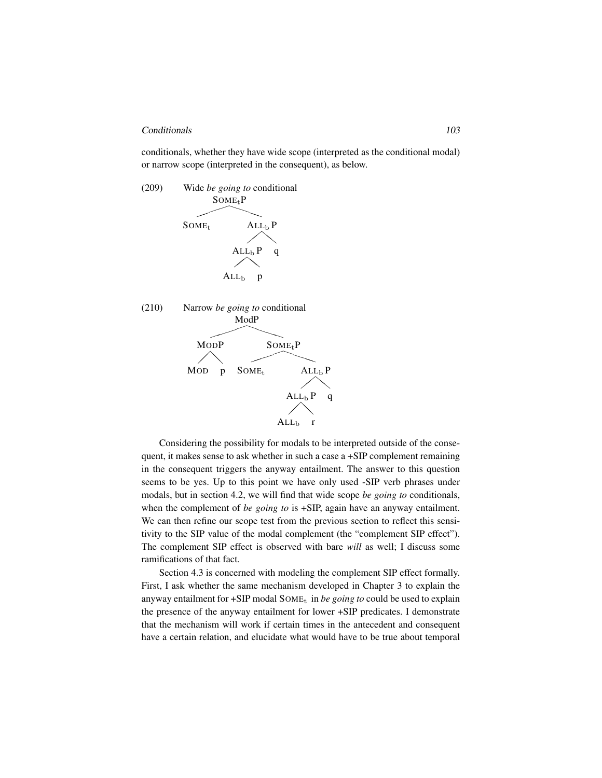# Conditionals 103

conditionals, whether they have wide scope (interpreted as the conditional modal) or narrow scope (interpreted in the consequent), as below.



Considering the possibility for modals to be interpreted outside of the consequent, it makes sense to ask whether in such a case a +SIP complement remaining in the consequent triggers the anyway entailment. The answer to this question seems to be yes. Up to this point we have only used -SIP verb phrases under modals, but in section 4.2, we will find that wide scope *be going to* conditionals, when the complement of *be going to* is +SIP, again have an anyway entailment. We can then refine our scope test from the previous section to reflect this sensitivity to the SIP value of the modal complement (the "complement SIP effect"). The complement SIP effect is observed with bare *will* as well; I discuss some ramifications of that fact.

Section 4.3 is concerned with modeling the complement SIP effect formally. First, I ask whether the same mechanism developed in Chapter 3 to explain the anyway entailment for  $+SIP$  modal  $SOME_t$  in *be going to* could be used to explain the presence of the anyway entailment for lower +SIP predicates. I demonstrate that the mechanism will work if certain times in the antecedent and consequent have a certain relation, and elucidate what would have to be true about temporal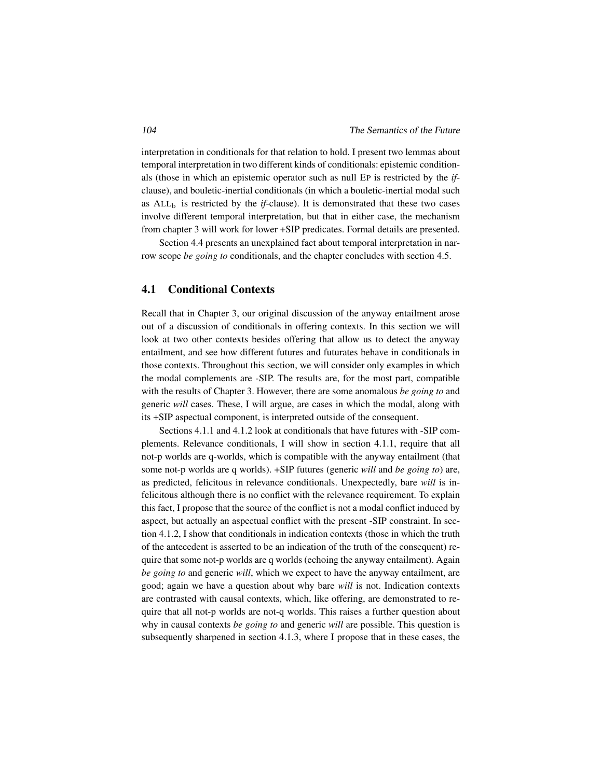interpretation in conditionals for that relation to hold. I present two lemmas about temporal interpretation in two different kinds of conditionals: epistemic conditionals (those in which an epistemic operator such as null EP is restricted by the *if*clause), and bouletic-inertial conditionals (in which a bouletic-inertial modal such as ALL<sub>b</sub> is restricted by the *if*-clause). It is demonstrated that these two cases involve different temporal interpretation, but that in either case, the mechanism from chapter 3 will work for lower +SIP predicates. Formal details are presented.

Section 4.4 presents an unexplained fact about temporal interpretation in narrow scope *be going to* conditionals, and the chapter concludes with section 4.5.

#### 4.1 Conditional Contexts

Recall that in Chapter 3, our original discussion of the anyway entailment arose out of a discussion of conditionals in offering contexts. In this section we will look at two other contexts besides offering that allow us to detect the anyway entailment, and see how different futures and futurates behave in conditionals in those contexts. Throughout this section, we will consider only examples in which the modal complements are -SIP. The results are, for the most part, compatible with the results of Chapter 3. However, there are some anomalous *be going to* and generic *will* cases. These, I will argue, are cases in which the modal, along with its +SIP aspectual component, is interpreted outside of the consequent.

Sections 4.1.1 and 4.1.2 look at conditionals that have futures with -SIP complements. Relevance conditionals, I will show in section 4.1.1, require that all not-p worlds are q-worlds, which is compatible with the anyway entailment (that some not-p worlds are q worlds). +SIP futures (generic *will* and *be going to*) are, as predicted, felicitous in relevance conditionals. Unexpectedly, bare *will* is infelicitous although there is no conflict with the relevance requirement. To explain this fact, I propose that the source of the conflict is not a modal conflict induced by aspect, but actually an aspectual conflict with the present -SIP constraint. In section 4.1.2, I show that conditionals in indication contexts (those in which the truth of the antecedent is asserted to be an indication of the truth of the consequent) require that some not-p worlds are q worlds (echoing the anyway entailment). Again *be going to* and generic *will*, which we expect to have the anyway entailment, are good; again we have a question about why bare *will* is not. Indication contexts are contrasted with causal contexts, which, like offering, are demonstrated to require that all not-p worlds are not-q worlds. This raises a further question about why in causal contexts *be going to* and generic *will* are possible. This question is subsequently sharpened in section 4.1.3, where I propose that in these cases, the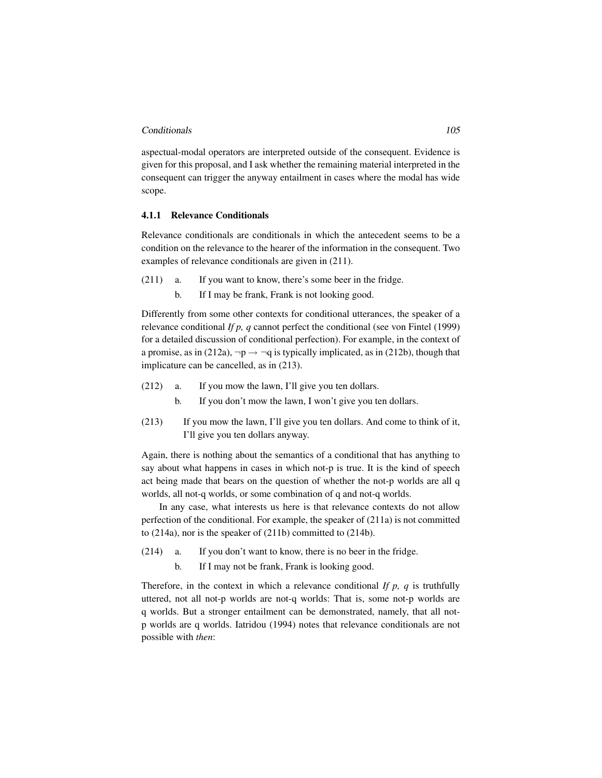aspectual-modal operators are interpreted outside of the consequent. Evidence is given for this proposal, and I ask whether the remaining material interpreted in the consequent can trigger the anyway entailment in cases where the modal has wide scope.

# 4.1.1 Relevance Conditionals

Relevance conditionals are conditionals in which the antecedent seems to be a condition on the relevance to the hearer of the information in the consequent. Two examples of relevance conditionals are given in (211).

- (211) a. If you want to know, there's some beer in the fridge.
	- b. If I may be frank, Frank is not looking good.

Differently from some other contexts for conditional utterances, the speaker of a relevance conditional *If p, q* cannot perfect the conditional (see von Fintel (1999) for a detailed discussion of conditional perfection). For example, in the context of a promise, as in (212a),  $\neg p \rightarrow \neg q$  is typically implicated, as in (212b), though that implicature can be cancelled, as in (213).

- (212) a. If you mow the lawn, I'll give you ten dollars.
	- b. If you don't mow the lawn, I won't give you ten dollars.
- (213) If you mow the lawn, I'll give you ten dollars. And come to think of it, I'll give you ten dollars anyway.

Again, there is nothing about the semantics of a conditional that has anything to say about what happens in cases in which not-p is true. It is the kind of speech act being made that bears on the question of whether the not-p worlds are all q worlds, all not-q worlds, or some combination of q and not-q worlds.

In any case, what interests us here is that relevance contexts do not allow perfection of the conditional. For example, the speaker of (211a) is not committed to (214a), nor is the speaker of (211b) committed to (214b).

- (214) a. If you don't want to know, there is no beer in the fridge.
	- b. If I may not be frank, Frank is looking good.

Therefore, in the context in which a relevance conditional *If p, q* is truthfully uttered, not all not-p worlds are not-q worlds: That is, some not-p worlds are q worlds. But a stronger entailment can be demonstrated, namely, that all notp worlds are q worlds. Iatridou (1994) notes that relevance conditionals are not possible with *then*: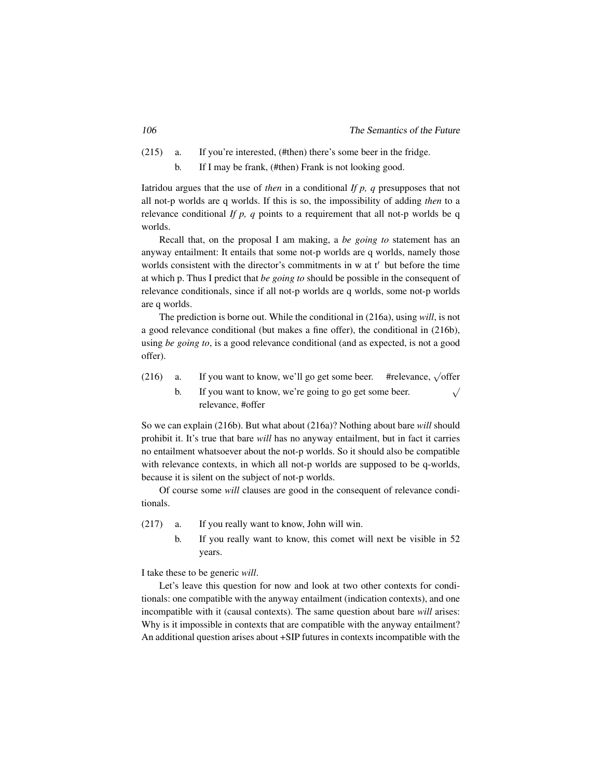(215) a. If you're interested, (#then) there's some beer in the fridge.

b. If I may be frank, (#then) Frank is not looking good.

Iatridou argues that the use of *then* in a conditional *If p, q* presupposes that not all not-p worlds are q worlds. If this is so, the impossibility of adding *then* to a relevance conditional *If p, q* points to a requirement that all not-p worlds be q worlds.

Recall that, on the proposal I am making, a *be going to* statement has an anyway entailment: It entails that some not-p worlds are q worlds, namely those worlds consistent with the director's commitments in  $w$  at  $t'$  but before the time at which p. Thus I predict that *be going to* should be possible in the consequent of relevance conditionals, since if all not-p worlds are q worlds, some not-p worlds are q worlds.

The prediction is borne out. While the conditional in (216a), using *will*, is not a good relevance conditional (but makes a fine offer), the conditional in (216b), using *be going to*, is a good relevance conditional (and as expected, is not a good offer).

(216) a. If you want to know, we'll go get some beer. #relevance,  $\sqrt{\text{offer}}$ b. If you want to know, we're going to go get some beer.  $\sqrt{}$ relevance, #offer

So we can explain (216b). But what about (216a)? Nothing about bare *will* should prohibit it. It's true that bare *will* has no anyway entailment, but in fact it carries no entailment whatsoever about the not-p worlds. So it should also be compatible with relevance contexts, in which all not-p worlds are supposed to be q-worlds, because it is silent on the subject of not-p worlds.

Of course some *will* clauses are good in the consequent of relevance conditionals.

- (217) a. If you really want to know, John will win.
	- b. If you really want to know, this comet will next be visible in 52 years.

I take these to be generic *will*.

Let's leave this question for now and look at two other contexts for conditionals: one compatible with the anyway entailment (indication contexts), and one incompatible with it (causal contexts). The same question about bare *will* arises: Why is it impossible in contexts that are compatible with the anyway entailment? An additional question arises about +SIP futures in contexts incompatible with the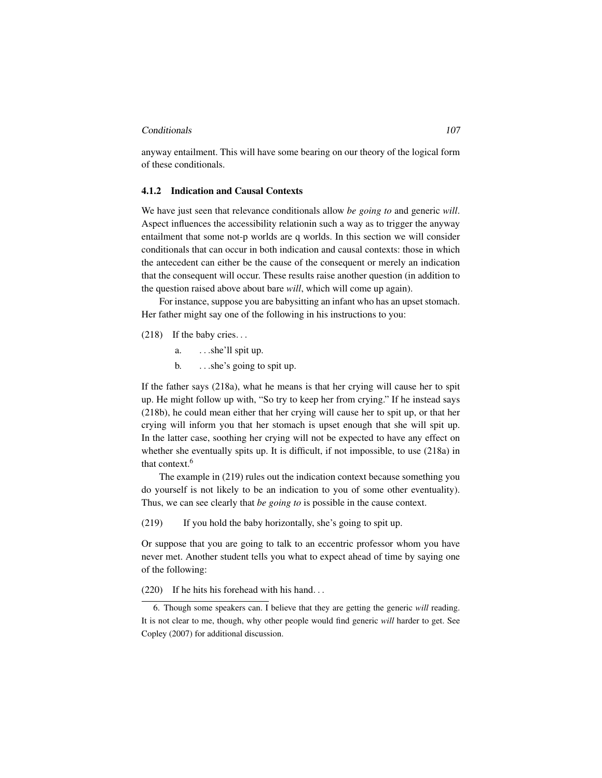# Conditionals 107

anyway entailment. This will have some bearing on our theory of the logical form of these conditionals.

#### 4.1.2 Indication and Causal Contexts

We have just seen that relevance conditionals allow *be going to* and generic *will*. Aspect influences the accessibility relationin such a way as to trigger the anyway entailment that some not-p worlds are q worlds. In this section we will consider conditionals that can occur in both indication and causal contexts: those in which the antecedent can either be the cause of the consequent or merely an indication that the consequent will occur. These results raise another question (in addition to the question raised above about bare *will*, which will come up again).

For instance, suppose you are babysitting an infant who has an upset stomach. Her father might say one of the following in his instructions to you:

- (218) If the baby cries. . .
	- a. . . .she'll spit up.
	- b.  $\ldots$ she's going to spit up.

If the father says (218a), what he means is that her crying will cause her to spit up. He might follow up with, "So try to keep her from crying." If he instead says (218b), he could mean either that her crying will cause her to spit up, or that her crying will inform you that her stomach is upset enough that she will spit up. In the latter case, soothing her crying will not be expected to have any effect on whether she eventually spits up. It is difficult, if not impossible, to use (218a) in that context.<sup>6</sup>

The example in (219) rules out the indication context because something you do yourself is not likely to be an indication to you of some other eventuality). Thus, we can see clearly that *be going to* is possible in the cause context.

(219) If you hold the baby horizontally, she's going to spit up.

Or suppose that you are going to talk to an eccentric professor whom you have never met. Another student tells you what to expect ahead of time by saying one of the following:

(220) If he hits his forehead with his hand. . .

<sup>6.</sup> Though some speakers can. I believe that they are getting the generic *will* reading. It is not clear to me, though, why other people would find generic *will* harder to get. See Copley (2007) for additional discussion.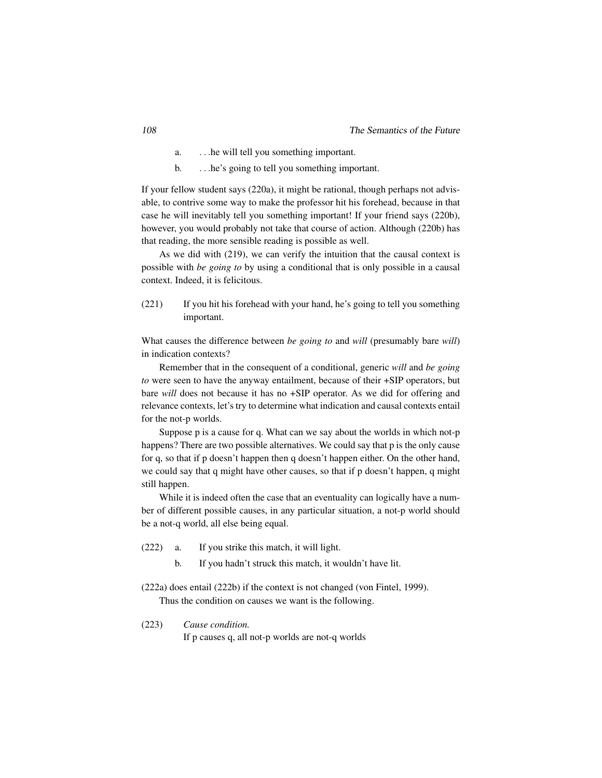- a. . . .he will tell you something important.
- b.  $\ldots$  he's going to tell you something important.

If your fellow student says (220a), it might be rational, though perhaps not advisable, to contrive some way to make the professor hit his forehead, because in that case he will inevitably tell you something important! If your friend says (220b), however, you would probably not take that course of action. Although (220b) has that reading, the more sensible reading is possible as well.

As we did with (219), we can verify the intuition that the causal context is possible with *be going to* by using a conditional that is only possible in a causal context. Indeed, it is felicitous.

(221) If you hit his forehead with your hand, he's going to tell you something important.

What causes the difference between *be going to* and *will* (presumably bare *will*) in indication contexts?

Remember that in the consequent of a conditional, generic *will* and *be going to* were seen to have the anyway entailment, because of their +SIP operators, but bare *will* does not because it has no +SIP operator. As we did for offering and relevance contexts, let's try to determine what indication and causal contexts entail for the not-p worlds.

Suppose p is a cause for q. What can we say about the worlds in which not-p happens? There are two possible alternatives. We could say that p is the only cause for q, so that if p doesn't happen then q doesn't happen either. On the other hand, we could say that q might have other causes, so that if p doesn't happen, q might still happen.

While it is indeed often the case that an eventuality can logically have a number of different possible causes, in any particular situation, a not-p world should be a not-q world, all else being equal.

- (222) a. If you strike this match, it will light.
	- b. If you hadn't struck this match, it wouldn't have lit.
- (222a) does entail (222b) if the context is not changed (von Fintel, 1999). Thus the condition on causes we want is the following.
- (223) *Cause condition.* If p causes q, all not-p worlds are not-q worlds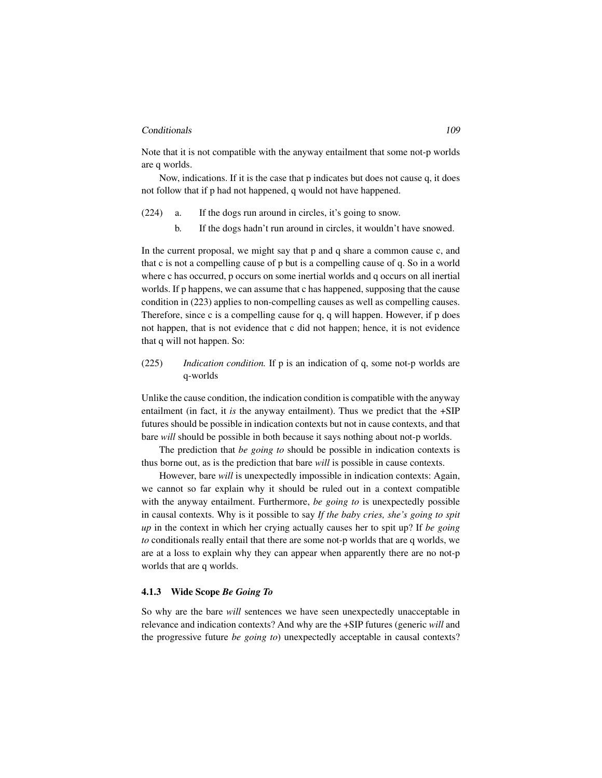Note that it is not compatible with the anyway entailment that some not-p worlds are q worlds.

Now, indications. If it is the case that p indicates but does not cause q, it does not follow that if p had not happened, q would not have happened.

- (224) a. If the dogs run around in circles, it's going to snow.
	- b. If the dogs hadn't run around in circles, it wouldn't have snowed.

In the current proposal, we might say that p and q share a common cause c, and that c is not a compelling cause of p but is a compelling cause of q. So in a world where c has occurred, p occurs on some inertial worlds and q occurs on all inertial worlds. If p happens, we can assume that c has happened, supposing that the cause condition in (223) applies to non-compelling causes as well as compelling causes. Therefore, since c is a compelling cause for q, q will happen. However, if  $p$  does not happen, that is not evidence that c did not happen; hence, it is not evidence that q will not happen. So:

(225) *Indication condition.* If p is an indication of q, some not-p worlds are q-worlds

Unlike the cause condition, the indication condition is compatible with the anyway entailment (in fact, it *is* the anyway entailment). Thus we predict that the +SIP futures should be possible in indication contexts but not in cause contexts, and that bare *will* should be possible in both because it says nothing about not-p worlds.

The prediction that *be going to* should be possible in indication contexts is thus borne out, as is the prediction that bare *will* is possible in cause contexts.

However, bare *will* is unexpectedly impossible in indication contexts: Again, we cannot so far explain why it should be ruled out in a context compatible with the anyway entailment. Furthermore, *be going to* is unexpectedly possible in causal contexts. Why is it possible to say *If the baby cries, she's going to spit up* in the context in which her crying actually causes her to spit up? If *be going to* conditionals really entail that there are some not-p worlds that are q worlds, we are at a loss to explain why they can appear when apparently there are no not-p worlds that are q worlds.

### 4.1.3 Wide Scope *Be Going To*

So why are the bare *will* sentences we have seen unexpectedly unacceptable in relevance and indication contexts? And why are the +SIP futures (generic *will* and the progressive future *be going to*) unexpectedly acceptable in causal contexts?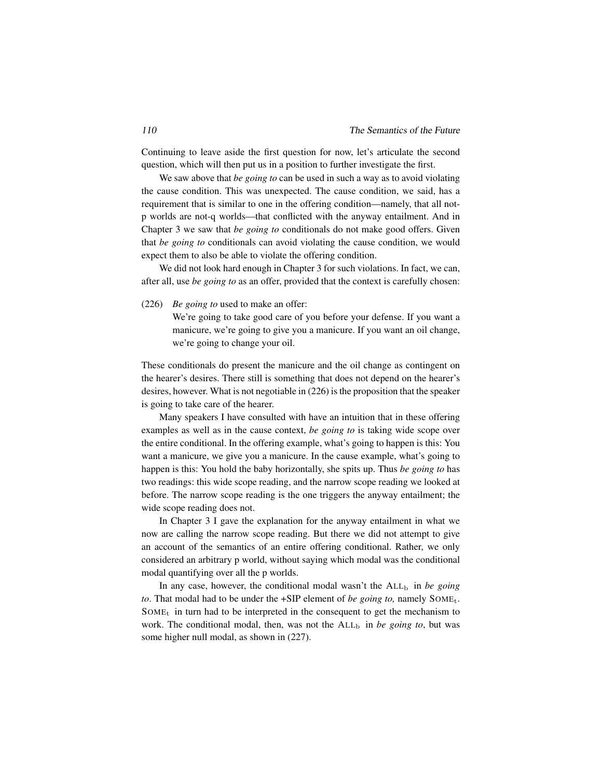# 110 The Semantics of the Future

Continuing to leave aside the first question for now, let's articulate the second question, which will then put us in a position to further investigate the first.

We saw above that *be going to* can be used in such a way as to avoid violating the cause condition. This was unexpected. The cause condition, we said, has a requirement that is similar to one in the offering condition—namely, that all notp worlds are not-q worlds—that conflicted with the anyway entailment. And in Chapter 3 we saw that *be going to* conditionals do not make good offers. Given that *be going to* conditionals can avoid violating the cause condition, we would expect them to also be able to violate the offering condition.

We did not look hard enough in Chapter 3 for such violations. In fact, we can, after all, use *be going to* as an offer, provided that the context is carefully chosen:

(226) *Be going to* used to make an offer:

We're going to take good care of you before your defense. If you want a manicure, we're going to give you a manicure. If you want an oil change, we're going to change your oil.

These conditionals do present the manicure and the oil change as contingent on the hearer's desires. There still is something that does not depend on the hearer's desires, however. What is not negotiable in (226) is the proposition that the speaker is going to take care of the hearer.

Many speakers I have consulted with have an intuition that in these offering examples as well as in the cause context, *be going to* is taking wide scope over the entire conditional. In the offering example, what's going to happen is this: You want a manicure, we give you a manicure. In the cause example, what's going to happen is this: You hold the baby horizontally, she spits up. Thus *be going to* has two readings: this wide scope reading, and the narrow scope reading we looked at before. The narrow scope reading is the one triggers the anyway entailment; the wide scope reading does not.

In Chapter 3 I gave the explanation for the anyway entailment in what we now are calling the narrow scope reading. But there we did not attempt to give an account of the semantics of an entire offering conditional. Rather, we only considered an arbitrary p world, without saying which modal was the conditional modal quantifying over all the p worlds.

In any case, however, the conditional modal wasn't the ALL<sub>b</sub> in *be going to*. That modal had to be under the  $+SIP$  element of *be going to*, namely  $SOME_t$ .  $SOME_t$  in turn had to be interpreted in the consequent to get the mechanism to work. The conditional modal, then, was not the ALL<sub>b</sub> in *be going to*, but was some higher null modal, as shown in (227).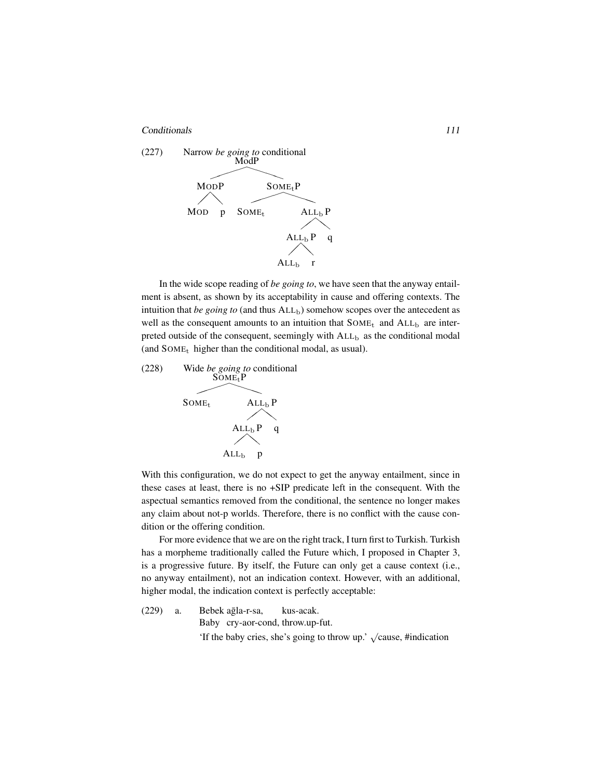

In the wide scope reading of *be going to*, we have seen that the anyway entailment is absent, as shown by its acceptability in cause and offering contexts. The intuition that *be going to* (and thus  $ALL<sub>b</sub>$ ) somehow scopes over the antecedent as well as the consequent amounts to an intuition that  $SOME_t$  and  $ALL_b$  are interpreted outside of the consequent, seemingly with ALL<sub>b</sub> as the conditional modal (and  $SOME_t$  higher than the conditional modal, as usual).



With this configuration, we do not expect to get the anyway entailment, since in these cases at least, there is no +SIP predicate left in the consequent. With the aspectual semantics removed from the conditional, the sentence no longer makes any claim about not-p worlds. Therefore, there is no conflict with the cause condition or the offering condition.

For more evidence that we are on the right track, I turn first to Turkish. Turkish has a morpheme traditionally called the Future which, I proposed in Chapter 3, is a progressive future. By itself, the Future can only get a cause context (i.e., no anyway entailment), not an indication context. However, with an additional, higher modal, the indication context is perfectly acceptable:

 $(229)$  a. Baby cry-aor-cond, throw.up-fut. Bebek ağla-r-sa, kus-acak. The baby cries, she's going to throw up.'  $\sqrt{\text{cause}}$ , #indication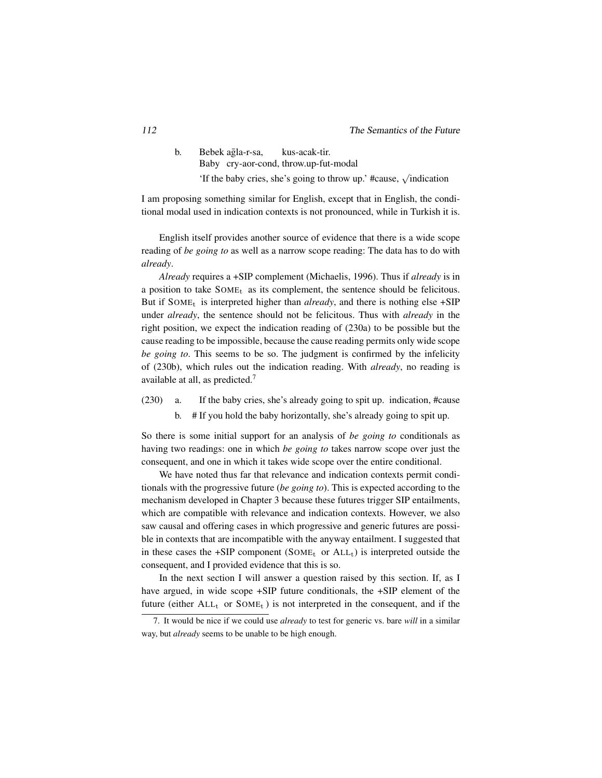b. Bebek ağla-r-sa, Baby cry-aor-cond, throw.up-fut-modal kus-acak-tir. The baby cries, she's going to throw up.' #cause,  $\sqrt{\text{indication}}$ 

I am proposing something similar for English, except that in English, the conditional modal used in indication contexts is not pronounced, while in Turkish it is.

English itself provides another source of evidence that there is a wide scope reading of *be going to* as well as a narrow scope reading: The data has to do with *already*.

*Already* requires a +SIP complement (Michaelis, 1996). Thus if *already* is in a position to take  $SOME<sub>t</sub>$  as its complement, the sentence should be felicitous. But if  $SOME_t$  is interpreted higher than *already*, and there is nothing else  $+SIP$ under *already*, the sentence should not be felicitous. Thus with *already* in the right position, we expect the indication reading of (230a) to be possible but the cause reading to be impossible, because the cause reading permits only wide scope *be going to*. This seems to be so. The judgment is confirmed by the infelicity of (230b), which rules out the indication reading. With *already*, no reading is available at all, as predicted.<sup>7</sup>

(230) a. If the baby cries, she's already going to spit up. indication, #cause b. # If you hold the baby horizontally, she's already going to spit up.

So there is some initial support for an analysis of *be going to* conditionals as having two readings: one in which *be going to* takes narrow scope over just the consequent, and one in which it takes wide scope over the entire conditional.

We have noted thus far that relevance and indication contexts permit conditionals with the progressive future (*be going to*). This is expected according to the mechanism developed in Chapter 3 because these futures trigger SIP entailments, which are compatible with relevance and indication contexts. However, we also saw causal and offering cases in which progressive and generic futures are possible in contexts that are incompatible with the anyway entailment. I suggested that in these cases the +SIP component (SOME<sub>t</sub> or  $ALL<sub>t</sub>$ ) is interpreted outside the consequent, and I provided evidence that this is so.

In the next section I will answer a question raised by this section. If, as I have argued, in wide scope +SIP future conditionals, the +SIP element of the future (either  $ALL_t$  or  $SOME_t$ ) is not interpreted in the consequent, and if the

<sup>7.</sup> It would be nice if we could use *already* to test for generic vs. bare *will* in a similar way, but *already* seems to be unable to be high enough.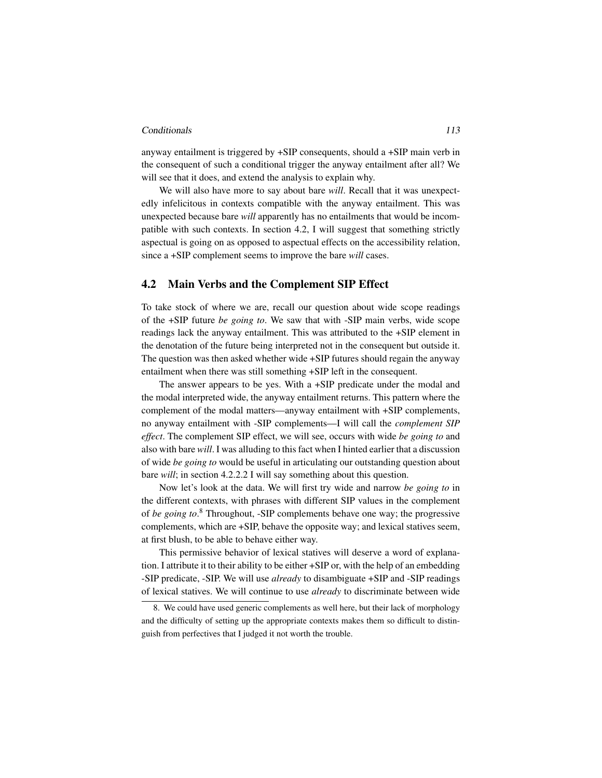anyway entailment is triggered by +SIP consequents, should a +SIP main verb in the consequent of such a conditional trigger the anyway entailment after all? We will see that it does, and extend the analysis to explain why.

We will also have more to say about bare *will*. Recall that it was unexpectedly infelicitous in contexts compatible with the anyway entailment. This was unexpected because bare *will* apparently has no entailments that would be incompatible with such contexts. In section 4.2, I will suggest that something strictly aspectual is going on as opposed to aspectual effects on the accessibility relation, since a +SIP complement seems to improve the bare *will* cases.

# 4.2 Main Verbs and the Complement SIP Effect

To take stock of where we are, recall our question about wide scope readings of the +SIP future *be going to*. We saw that with -SIP main verbs, wide scope readings lack the anyway entailment. This was attributed to the +SIP element in the denotation of the future being interpreted not in the consequent but outside it. The question was then asked whether wide +SIP futures should regain the anyway entailment when there was still something +SIP left in the consequent.

The answer appears to be yes. With a +SIP predicate under the modal and the modal interpreted wide, the anyway entailment returns. This pattern where the complement of the modal matters—anyway entailment with +SIP complements, no anyway entailment with -SIP complements—I will call the *complement SIP effect*. The complement SIP effect, we will see, occurs with wide *be going to* and also with bare *will*. I was alluding to this fact when I hinted earlier that a discussion of wide *be going to* would be useful in articulating our outstanding question about bare *will*; in section 4.2.2.2 I will say something about this question.

Now let's look at the data. We will first try wide and narrow *be going to* in the different contexts, with phrases with different SIP values in the complement of *be going to*. <sup>8</sup> Throughout, -SIP complements behave one way; the progressive complements, which are +SIP, behave the opposite way; and lexical statives seem, at first blush, to be able to behave either way.

This permissive behavior of lexical statives will deserve a word of explanation. I attribute it to their ability to be either +SIP or, with the help of an embedding -SIP predicate, -SIP. We will use *already* to disambiguate +SIP and -SIP readings of lexical statives. We will continue to use *already* to discriminate between wide

<sup>8.</sup> We could have used generic complements as well here, but their lack of morphology and the difficulty of setting up the appropriate contexts makes them so difficult to distinguish from perfectives that I judged it not worth the trouble.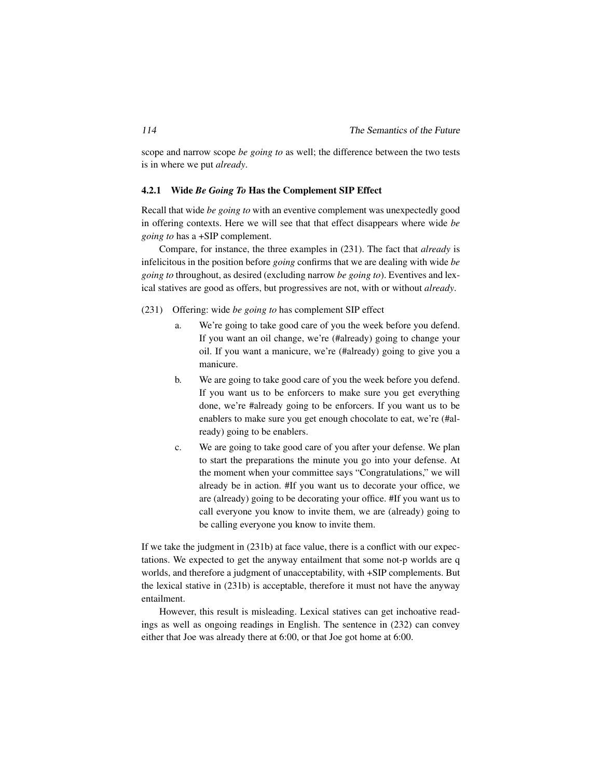scope and narrow scope *be going to* as well; the difference between the two tests is in where we put *already*.

### 4.2.1 Wide *Be Going To* Has the Complement SIP Effect

Recall that wide *be going to* with an eventive complement was unexpectedly good in offering contexts. Here we will see that that effect disappears where wide *be going to* has a +SIP complement.

Compare, for instance, the three examples in (231). The fact that *already* is infelicitous in the position before *going* confirms that we are dealing with wide *be going to* throughout, as desired (excluding narrow *be going to*). Eventives and lexical statives are good as offers, but progressives are not, with or without *already*.

- (231) Offering: wide *be going to* has complement SIP effect
	- a. We're going to take good care of you the week before you defend. If you want an oil change, we're (#already) going to change your oil. If you want a manicure, we're (#already) going to give you a manicure.
	- b. We are going to take good care of you the week before you defend. If you want us to be enforcers to make sure you get everything done, we're #already going to be enforcers. If you want us to be enablers to make sure you get enough chocolate to eat, we're (#already) going to be enablers.
	- c. We are going to take good care of you after your defense. We plan to start the preparations the minute you go into your defense. At the moment when your committee says "Congratulations," we will already be in action. #If you want us to decorate your office, we are (already) going to be decorating your office. #If you want us to call everyone you know to invite them, we are (already) going to be calling everyone you know to invite them.

If we take the judgment in (231b) at face value, there is a conflict with our expectations. We expected to get the anyway entailment that some not-p worlds are q worlds, and therefore a judgment of unacceptability, with +SIP complements. But the lexical stative in (231b) is acceptable, therefore it must not have the anyway entailment.

However, this result is misleading. Lexical statives can get inchoative readings as well as ongoing readings in English. The sentence in (232) can convey either that Joe was already there at 6:00, or that Joe got home at 6:00.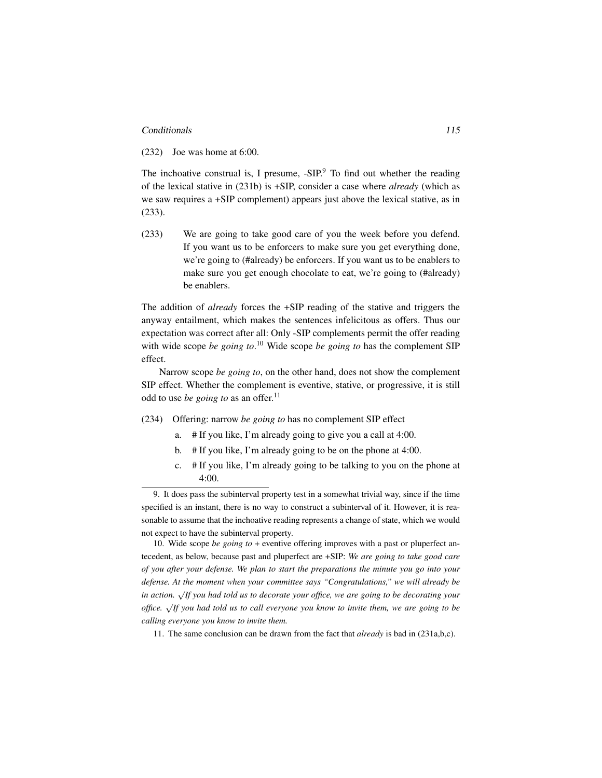### (232) Joe was home at 6:00.

The inchoative construal is, I presume,  $-SIP<sup>9</sup>$  To find out whether the reading of the lexical stative in (231b) is +SIP, consider a case where *already* (which as we saw requires a +SIP complement) appears just above the lexical stative, as in (233).

(233) We are going to take good care of you the week before you defend. If you want us to be enforcers to make sure you get everything done, we're going to (#already) be enforcers. If you want us to be enablers to make sure you get enough chocolate to eat, we're going to (#already) be enablers.

The addition of *already* forces the +SIP reading of the stative and triggers the anyway entailment, which makes the sentences infelicitous as offers. Thus our expectation was correct after all: Only -SIP complements permit the offer reading with wide scope *be going to*. <sup>10</sup> Wide scope *be going to* has the complement SIP effect.

Narrow scope *be going to*, on the other hand, does not show the complement SIP effect. Whether the complement is eventive, stative, or progressive, it is still odd to use *be going to* as an offer.<sup>11</sup>

(234) Offering: narrow *be going to* has no complement SIP effect

- a. # If you like, I'm already going to give you a call at 4:00.
- b. # If you like, I'm already going to be on the phone at 4:00.
- c. # If you like, I'm already going to be talking to you on the phone at 4:00.

9. It does pass the subinterval property test in a somewhat trivial way, since if the time specified is an instant, there is no way to construct a subinterval of it. However, it is reasonable to assume that the inchoative reading represents a change of state, which we would not expect to have the subinterval property.

10. Wide scope *be going to* + eventive offering improves with a past or pluperfect antecedent, as below, because past and pluperfect are +SIP: *We are going to take good care of you after your defense. We plan to start the preparations the minute you go into your defense. At the moment when your committee says "Congratulations," we will already be in action.* <sup>√</sup> *If you had told us to decorate your office, we are going to be decorating your office.* <sup>√</sup> *If you had told us to call everyone you know to invite them, we are going to be calling everyone you know to invite them.*

11. The same conclusion can be drawn from the fact that *already* is bad in (231a,b,c).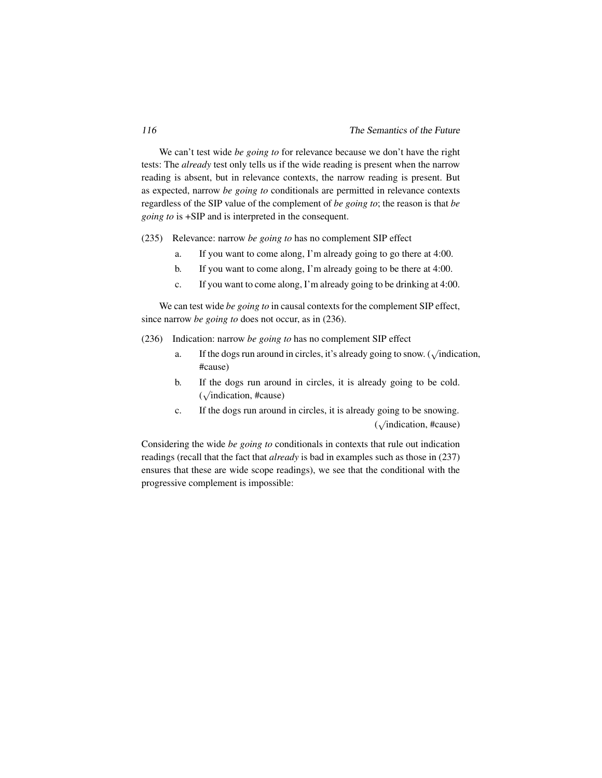We can't test wide *be going to* for relevance because we don't have the right tests: The *already* test only tells us if the wide reading is present when the narrow reading is absent, but in relevance contexts, the narrow reading is present. But as expected, narrow *be going to* conditionals are permitted in relevance contexts regardless of the SIP value of the complement of *be going to*; the reason is that *be going to* is +SIP and is interpreted in the consequent.

(235) Relevance: narrow *be going to* has no complement SIP effect

- a. If you want to come along, I'm already going to go there at 4:00.
- b. If you want to come along, I'm already going to be there at 4:00.
- c. If you want to come along, I'm already going to be drinking at 4:00.

We can test wide *be going to* in causal contexts for the complement SIP effect, since narrow *be going to* does not occur, as in (236).

- (236) Indication: narrow *be going to* has no complement SIP effect
	- a. If the dogs run around in circles, it's already going to snow. ( $\sqrt{\text{indication}}$ , #cause)
	- b. If the dogs run around in circles, it is already going to be cold.  $(\sqrt{\text{indication}}, \# \text{cause})$
	- c. If the dogs run around in circles, it is already going to be snowing.  $\zeta$  indication, #cause)

Considering the wide *be going to* conditionals in contexts that rule out indication readings (recall that the fact that *already* is bad in examples such as those in (237) ensures that these are wide scope readings), we see that the conditional with the progressive complement is impossible: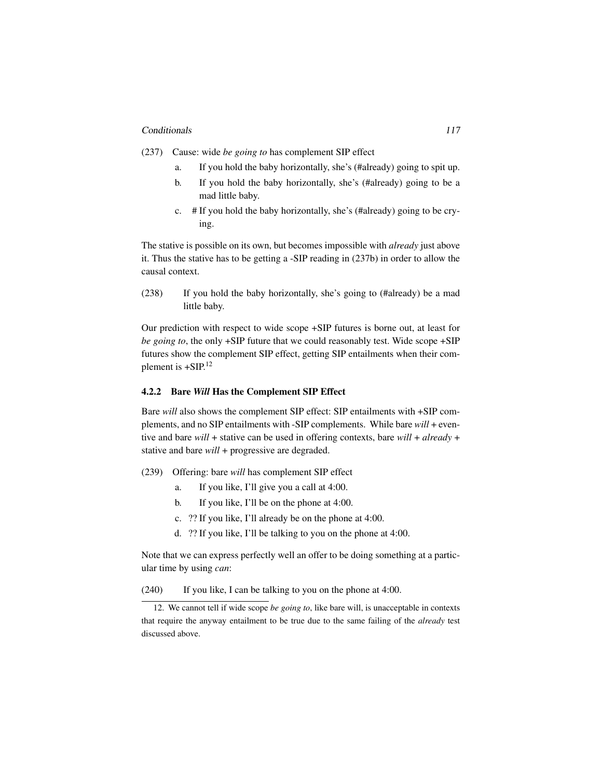### (237) Cause: wide *be going to* has complement SIP effect

- a. If you hold the baby horizontally, she's (#already) going to spit up.
- b. If you hold the baby horizontally, she's (#already) going to be a mad little baby.
- c. # If you hold the baby horizontally, she's (#already) going to be crying.

The stative is possible on its own, but becomes impossible with *already* just above it. Thus the stative has to be getting a -SIP reading in (237b) in order to allow the causal context.

(238) If you hold the baby horizontally, she's going to (#already) be a mad little baby.

Our prediction with respect to wide scope +SIP futures is borne out, at least for *be going to*, the only +SIP future that we could reasonably test. Wide scope +SIP futures show the complement SIP effect, getting SIP entailments when their complement is +SIP.<sup>12</sup>

### 4.2.2 Bare *Will* Has the Complement SIP Effect

Bare *will* also shows the complement SIP effect: SIP entailments with +SIP complements, and no SIP entailments with -SIP complements. While bare *will* + eventive and bare *will* + stative can be used in offering contexts, bare *will* + *already* + stative and bare *will* + progressive are degraded.

(239) Offering: bare *will* has complement SIP effect

- a. If you like, I'll give you a call at 4:00.
- b. If you like, I'll be on the phone at 4:00.
- c. ?? If you like, I'll already be on the phone at 4:00.
- d. ?? If you like, I'll be talking to you on the phone at 4:00.

Note that we can express perfectly well an offer to be doing something at a particular time by using *can*:

(240) If you like, I can be talking to you on the phone at 4:00.

<sup>12.</sup> We cannot tell if wide scope *be going to*, like bare will, is unacceptable in contexts that require the anyway entailment to be true due to the same failing of the *already* test discussed above.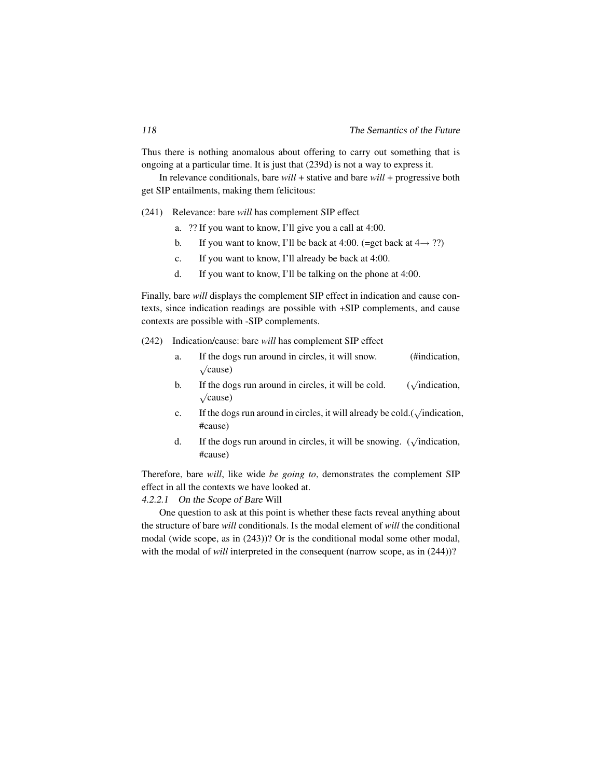Thus there is nothing anomalous about offering to carry out something that is ongoing at a particular time. It is just that (239d) is not a way to express it.

In relevance conditionals, bare *will* + stative and bare *will* + progressive both get SIP entailments, making them felicitous:

### (241) Relevance: bare *will* has complement SIP effect

- a. ?? If you want to know, I'll give you a call at 4:00.
- b. If you want to know, I'll be back at 4:00. (=get back at  $4 \rightarrow ?$ ?)
- c. If you want to know, I'll already be back at 4:00.
- d. If you want to know, I'll be talking on the phone at 4:00.

Finally, bare *will* displays the complement SIP effect in indication and cause contexts, since indication readings are possible with +SIP complements, and cause contexts are possible with -SIP complements.

# (242) Indication/cause: bare *will* has complement SIP effect

- a. If the dogs run around in circles, it will snow. (#indication,  $\sqrt{\text{cause}}$
- b. If the dogs run around in circles, it will be cold.  $(\sqrt{\sqrt{2}})$  $\left(\sqrt{\text{indication}}\right)$ ,  $\sqrt{\text{cause}}$
- c. If the dogs run around in circles, it will already be cold.( $\sqrt{\text{indication}}$ , #cause)
- d. If the dogs run around in circles, it will be snowing. ( $\sqrt{\text{indication}}$ , #cause)

Therefore, bare *will*, like wide *be going to*, demonstrates the complement SIP effect in all the contexts we have looked at.

4.2.2.1 On the Scope of Bare Will

One question to ask at this point is whether these facts reveal anything about the structure of bare *will* conditionals. Is the modal element of *will* the conditional modal (wide scope, as in (243))? Or is the conditional modal some other modal, with the modal of *will* interpreted in the consequent (narrow scope, as in  $(244)$ )?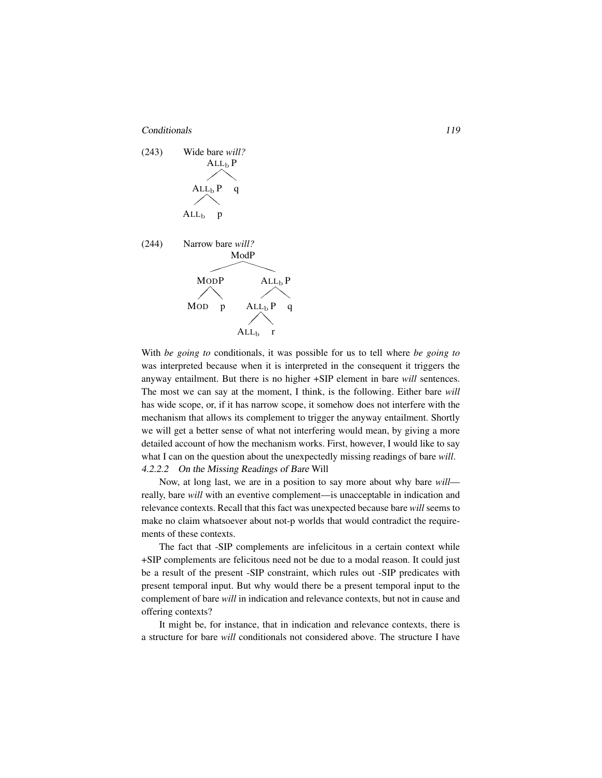

 $ALL<sub>b</sub>$ 

With *be going to* conditionals, it was possible for us to tell where *be going to* was interpreted because when it is interpreted in the consequent it triggers the anyway entailment. But there is no higher +SIP element in bare *will* sentences. The most we can say at the moment, I think, is the following. Either bare *will* has wide scope, or, if it has narrow scope, it somehow does not interfere with the mechanism that allows its complement to trigger the anyway entailment. Shortly we will get a better sense of what not interfering would mean, by giving a more detailed account of how the mechanism works. First, however, I would like to say what I can on the question about the unexpectedly missing readings of bare *will*. 4.2.2.2 On the Missing Readings of Bare Will

q

Now, at long last, we are in a position to say more about why bare *will* really, bare *will* with an eventive complement—is unacceptable in indication and relevance contexts. Recall that this fact was unexpected because bare *will* seems to make no claim whatsoever about not-p worlds that would contradict the requirements of these contexts.

The fact that -SIP complements are infelicitous in a certain context while +SIP complements are felicitous need not be due to a modal reason. It could just be a result of the present -SIP constraint, which rules out -SIP predicates with present temporal input. But why would there be a present temporal input to the complement of bare *will* in indication and relevance contexts, but not in cause and offering contexts?

It might be, for instance, that in indication and relevance contexts, there is a structure for bare *will* conditionals not considered above. The structure I have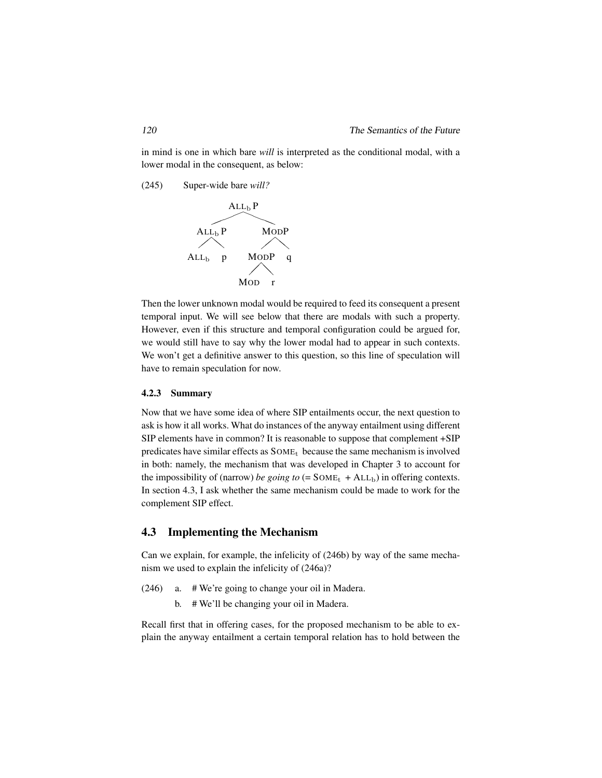in mind is one in which bare *will* is interpreted as the conditional modal, with a lower modal in the consequent, as below:

(245) Super-wide bare *will?*



Then the lower unknown modal would be required to feed its consequent a present temporal input. We will see below that there are modals with such a property. However, even if this structure and temporal configuration could be argued for, we would still have to say why the lower modal had to appear in such contexts. We won't get a definitive answer to this question, so this line of speculation will have to remain speculation for now.

### 4.2.3 Summary

Now that we have some idea of where SIP entailments occur, the next question to ask is how it all works. What do instances of the anyway entailment using different SIP elements have in common? It is reasonable to suppose that complement +SIP predicates have similar effects as  $SOME<sub>t</sub>$  because the same mechanism is involved in both: namely, the mechanism that was developed in Chapter 3 to account for the impossibility of (narrow) *be going to* (=  $SOME<sub>t</sub> + ALL<sub>b</sub>$ ) in offering contexts. In section 4.3, I ask whether the same mechanism could be made to work for the complement SIP effect.

# 4.3 Implementing the Mechanism

Can we explain, for example, the infelicity of (246b) by way of the same mechanism we used to explain the infelicity of (246a)?

- (246) a. # We're going to change your oil in Madera.
	- b. # We'll be changing your oil in Madera.

Recall first that in offering cases, for the proposed mechanism to be able to explain the anyway entailment a certain temporal relation has to hold between the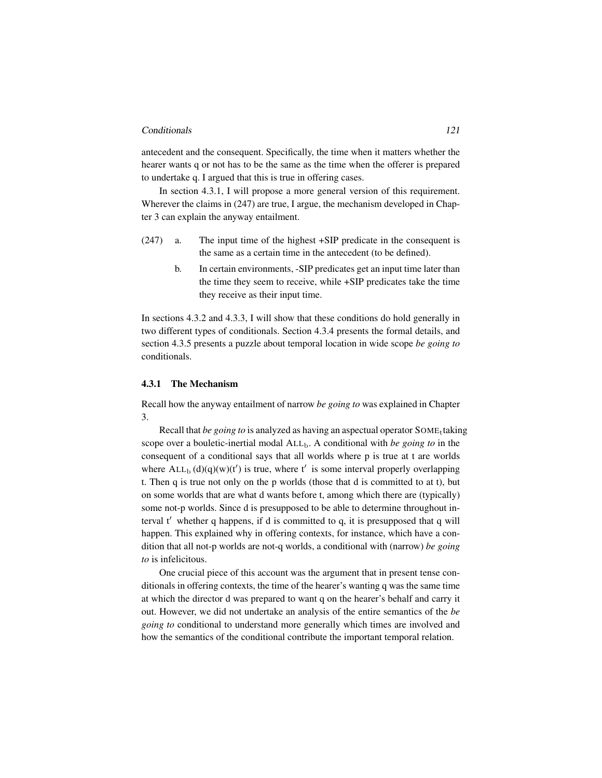antecedent and the consequent. Specifically, the time when it matters whether the hearer wants q or not has to be the same as the time when the offerer is prepared to undertake q. I argued that this is true in offering cases.

In section 4.3.1, I will propose a more general version of this requirement. Wherever the claims in (247) are true, I argue, the mechanism developed in Chapter 3 can explain the anyway entailment.

- (247) a. The input time of the highest +SIP predicate in the consequent is the same as a certain time in the antecedent (to be defined).
	- b. In certain environments, -SIP predicates get an input time later than the time they seem to receive, while +SIP predicates take the time they receive as their input time.

In sections 4.3.2 and 4.3.3, I will show that these conditions do hold generally in two different types of conditionals. Section 4.3.4 presents the formal details, and section 4.3.5 presents a puzzle about temporal location in wide scope *be going to* conditionals.

### 4.3.1 The Mechanism

Recall how the anyway entailment of narrow *be going to* was explained in Chapter 3.

Recall that *be going to* is analyzed as having an aspectual operator SOME<sub>t</sub> taking scope over a bouletic-inertial modal  $ALL_b$ . A conditional with *be going to* in the consequent of a conditional says that all worlds where p is true at t are worlds where  $ALL_b(d)(q)(w)(t')$  is true, where t' is some interval properly overlapping t. Then q is true not only on the p worlds (those that d is committed to at t), but on some worlds that are what d wants before t, among which there are (typically) some not-p worlds. Since d is presupposed to be able to determine throughout interval t' whether q happens, if d is committed to q, it is presupposed that q will happen. This explained why in offering contexts, for instance, which have a condition that all not-p worlds are not-q worlds, a conditional with (narrow) *be going to* is infelicitous.

One crucial piece of this account was the argument that in present tense conditionals in offering contexts, the time of the hearer's wanting q was the same time at which the director d was prepared to want q on the hearer's behalf and carry it out. However, we did not undertake an analysis of the entire semantics of the *be going to* conditional to understand more generally which times are involved and how the semantics of the conditional contribute the important temporal relation.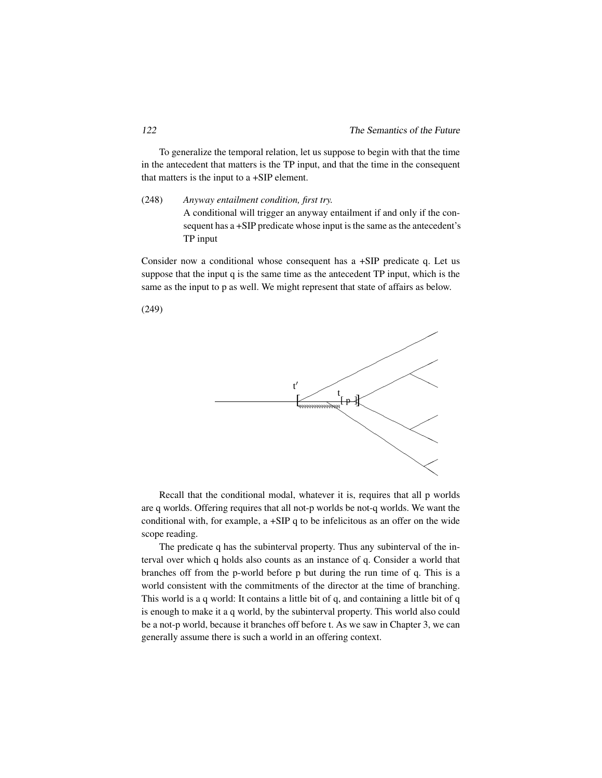To generalize the temporal relation, let us suppose to begin with that the time in the antecedent that matters is the TP input, and that the time in the consequent that matters is the input to a +SIP element.

(248) *Anyway entailment condition, first try.* A conditional will trigger an anyway entailment if and only if the consequent has a +SIP predicate whose input is the same as the antecedent's TP input

Consider now a conditional whose consequent has a +SIP predicate q. Let us suppose that the input q is the same time as the antecedent TP input, which is the same as the input to p as well. We might represent that state of affairs as below.

### (249)



Recall that the conditional modal, whatever it is, requires that all p worlds are q worlds. Offering requires that all not-p worlds be not-q worlds. We want the conditional with, for example, a +SIP q to be infelicitous as an offer on the wide scope reading.

The predicate q has the subinterval property. Thus any subinterval of the interval over which q holds also counts as an instance of q. Consider a world that branches off from the p-world before p but during the run time of q. This is a world consistent with the commitments of the director at the time of branching. This world is a q world: It contains a little bit of q, and containing a little bit of q is enough to make it a q world, by the subinterval property. This world also could be a not-p world, because it branches off before t. As we saw in Chapter 3, we can generally assume there is such a world in an offering context.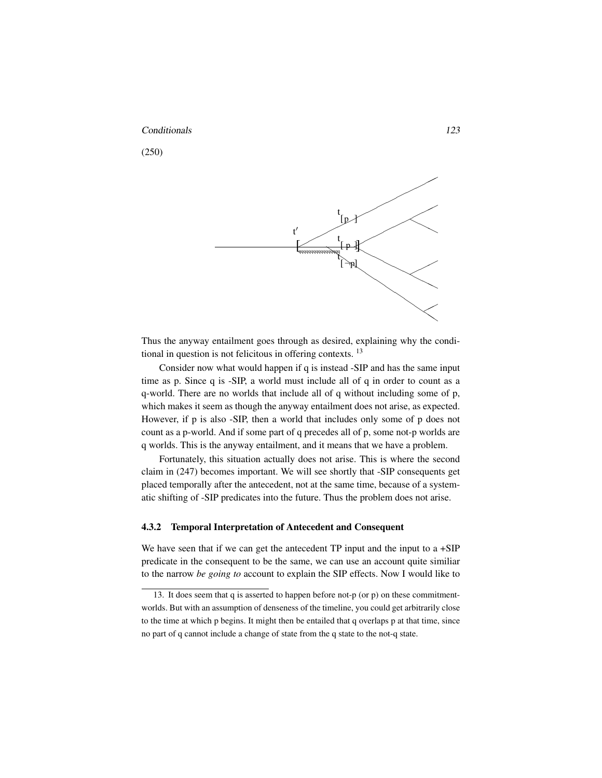



Thus the anyway entailment goes through as desired, explaining why the conditional in question is not felicitous in offering contexts. <sup>13</sup>

Consider now what would happen if q is instead -SIP and has the same input time as p. Since q is -SIP, a world must include all of q in order to count as a q-world. There are no worlds that include all of q without including some of p, which makes it seem as though the anyway entailment does not arise, as expected. However, if p is also -SIP, then a world that includes only some of p does not count as a p-world. And if some part of q precedes all of p, some not-p worlds are q worlds. This is the anyway entailment, and it means that we have a problem.

Fortunately, this situation actually does not arise. This is where the second claim in (247) becomes important. We will see shortly that -SIP consequents get placed temporally after the antecedent, not at the same time, because of a systematic shifting of -SIP predicates into the future. Thus the problem does not arise.

### 4.3.2 Temporal Interpretation of Antecedent and Consequent

We have seen that if we can get the antecedent TP input and the input to a  $+SIP$ predicate in the consequent to be the same, we can use an account quite similiar to the narrow *be going to* account to explain the SIP effects. Now I would like to

<sup>13.</sup> It does seem that q is asserted to happen before not-p (or p) on these commitmentworlds. But with an assumption of denseness of the timeline, you could get arbitrarily close to the time at which p begins. It might then be entailed that q overlaps p at that time, since no part of q cannot include a change of state from the q state to the not-q state.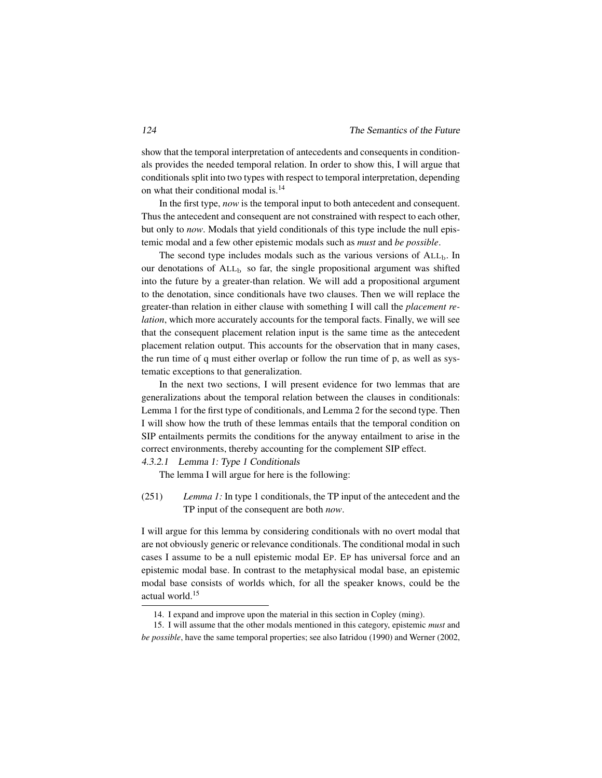show that the temporal interpretation of antecedents and consequents in conditionals provides the needed temporal relation. In order to show this, I will argue that conditionals split into two types with respect to temporal interpretation, depending on what their conditional modal is.<sup>14</sup>

In the first type, *now* is the temporal input to both antecedent and consequent. Thus the antecedent and consequent are not constrained with respect to each other, but only to *now*. Modals that yield conditionals of this type include the null epistemic modal and a few other epistemic modals such as *must* and *be possible*.

The second type includes modals such as the various versions of  $ALL<sub>b</sub>$ . In our denotations of  $ALL<sub>b</sub>$  so far, the single propositional argument was shifted into the future by a greater-than relation. We will add a propositional argument to the denotation, since conditionals have two clauses. Then we will replace the greater-than relation in either clause with something I will call the *placement relation*, which more accurately accounts for the temporal facts. Finally, we will see that the consequent placement relation input is the same time as the antecedent placement relation output. This accounts for the observation that in many cases, the run time of q must either overlap or follow the run time of p, as well as systematic exceptions to that generalization.

In the next two sections, I will present evidence for two lemmas that are generalizations about the temporal relation between the clauses in conditionals: Lemma 1 for the first type of conditionals, and Lemma 2 for the second type. Then I will show how the truth of these lemmas entails that the temporal condition on SIP entailments permits the conditions for the anyway entailment to arise in the correct environments, thereby accounting for the complement SIP effect.

4.3.2.1 Lemma 1: Type 1 Conditionals

The lemma I will argue for here is the following:

(251) *Lemma 1:* In type 1 conditionals, the TP input of the antecedent and the TP input of the consequent are both *now*.

I will argue for this lemma by considering conditionals with no overt modal that are not obviously generic or relevance conditionals. The conditional modal in such cases I assume to be a null epistemic modal EP. EP has universal force and an epistemic modal base. In contrast to the metaphysical modal base, an epistemic modal base consists of worlds which, for all the speaker knows, could be the actual world.<sup>15</sup>

<sup>14.</sup> I expand and improve upon the material in this section in Copley (ming).

<sup>15.</sup> I will assume that the other modals mentioned in this category, epistemic *must* and *be possible*, have the same temporal properties; see also Iatridou (1990) and Werner (2002,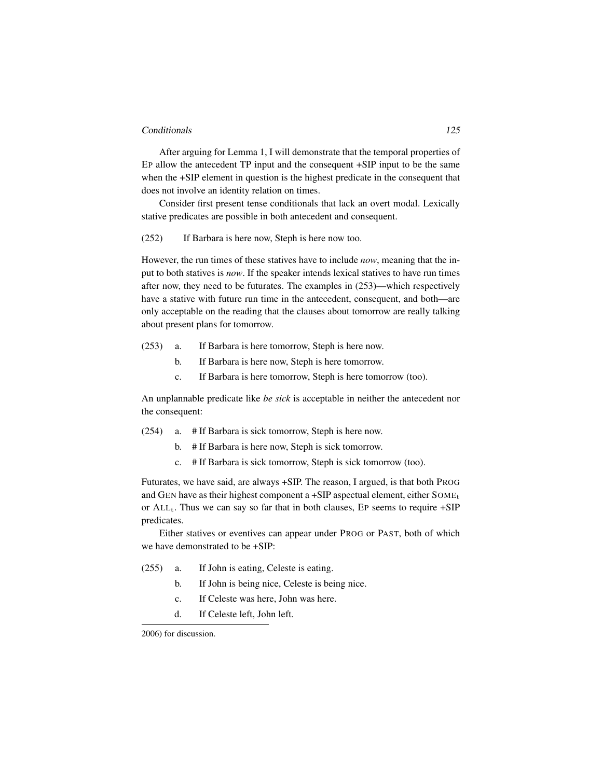After arguing for Lemma 1, I will demonstrate that the temporal properties of EP allow the antecedent TP input and the consequent +SIP input to be the same when the +SIP element in question is the highest predicate in the consequent that does not involve an identity relation on times.

Consider first present tense conditionals that lack an overt modal. Lexically stative predicates are possible in both antecedent and consequent.

(252) If Barbara is here now, Steph is here now too.

However, the run times of these statives have to include *now*, meaning that the input to both statives is *now*. If the speaker intends lexical statives to have run times after now, they need to be futurates. The examples in (253)—which respectively have a stative with future run time in the antecedent, consequent, and both—are only acceptable on the reading that the clauses about tomorrow are really talking about present plans for tomorrow.

- (253) a. If Barbara is here tomorrow, Steph is here now.
	- b. If Barbara is here now, Steph is here tomorrow.
	- c. If Barbara is here tomorrow, Steph is here tomorrow (too).

An unplannable predicate like *be sick* is acceptable in neither the antecedent nor the consequent:

- (254) a. # If Barbara is sick tomorrow, Steph is here now.
	- b. # If Barbara is here now, Steph is sick tomorrow.
	- c. # If Barbara is sick tomorrow, Steph is sick tomorrow (too).

Futurates, we have said, are always +SIP. The reason, I argued, is that both PROG and GEN have as their highest component a +SIP aspectual element, either  $SOME_t$ or  $ALL_t$ . Thus we can say so far that in both clauses, EP seems to require  $+SIP$ predicates.

Either statives or eventives can appear under PROG or PAST, both of which we have demonstrated to be +SIP:

- (255) a. If John is eating, Celeste is eating.
	- b. If John is being nice, Celeste is being nice.
	- c. If Celeste was here, John was here.
	- d. If Celeste left, John left.

<sup>2006)</sup> for discussion.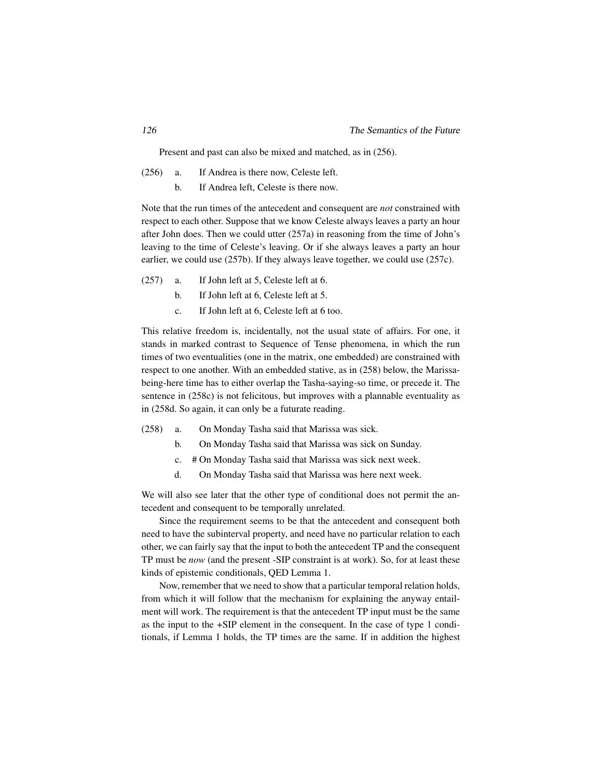Present and past can also be mixed and matched, as in (256).

- (256) a. If Andrea is there now, Celeste left.
	- b. If Andrea left, Celeste is there now.

Note that the run times of the antecedent and consequent are *not* constrained with respect to each other. Suppose that we know Celeste always leaves a party an hour after John does. Then we could utter (257a) in reasoning from the time of John's leaving to the time of Celeste's leaving. Or if she always leaves a party an hour earlier, we could use (257b). If they always leave together, we could use (257c).

- (257) a. If John left at 5, Celeste left at 6.
	- b. If John left at 6, Celeste left at 5.
	- c. If John left at 6, Celeste left at 6 too.

This relative freedom is, incidentally, not the usual state of affairs. For one, it stands in marked contrast to Sequence of Tense phenomena, in which the run times of two eventualities (one in the matrix, one embedded) are constrained with respect to one another. With an embedded stative, as in (258) below, the Marissabeing-here time has to either overlap the Tasha-saying-so time, or precede it. The sentence in (258c) is not felicitous, but improves with a plannable eventuality as in (258d. So again, it can only be a futurate reading.

- (258) a. On Monday Tasha said that Marissa was sick.
	- b. On Monday Tasha said that Marissa was sick on Sunday.
	- c. # On Monday Tasha said that Marissa was sick next week.
	- d. On Monday Tasha said that Marissa was here next week.

We will also see later that the other type of conditional does not permit the antecedent and consequent to be temporally unrelated.

Since the requirement seems to be that the antecedent and consequent both need to have the subinterval property, and need have no particular relation to each other, we can fairly say that the input to both the antecedent TP and the consequent TP must be *now* (and the present -SIP constraint is at work). So, for at least these kinds of epistemic conditionals, QED Lemma 1.

Now, remember that we need to show that a particular temporal relation holds, from which it will follow that the mechanism for explaining the anyway entailment will work. The requirement is that the antecedent TP input must be the same as the input to the +SIP element in the consequent. In the case of type 1 conditionals, if Lemma 1 holds, the TP times are the same. If in addition the highest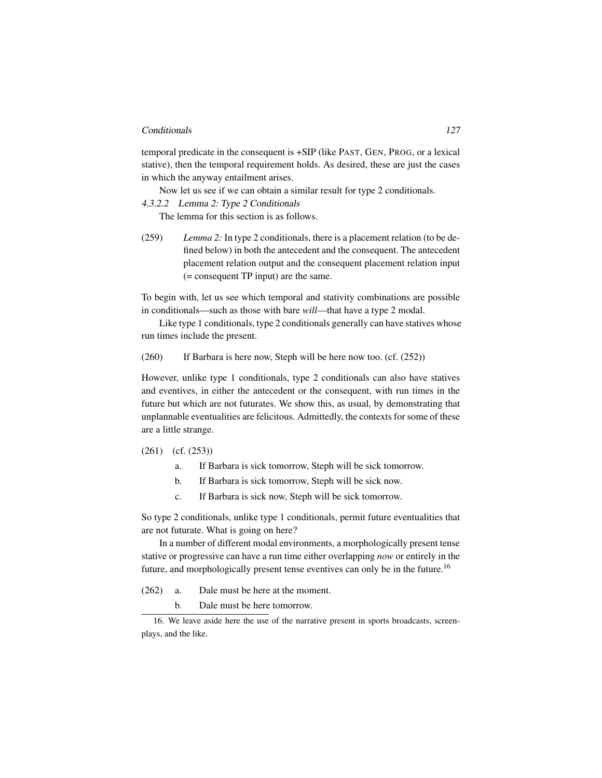temporal predicate in the consequent is +SIP (like PAST, GEN, PROG, or a lexical stative), then the temporal requirement holds. As desired, these are just the cases in which the anyway entailment arises.

Now let us see if we can obtain a similar result for type 2 conditionals.

4.3.2.2 Lemma 2: Type 2 Conditionals

The lemma for this section is as follows.

(259) *Lemma 2:* In type 2 conditionals, there is a placement relation (to be defined below) in both the antecedent and the consequent. The antecedent placement relation output and the consequent placement relation input (= consequent TP input) are the same.

To begin with, let us see which temporal and stativity combinations are possible in conditionals—such as those with bare *will*—that have a type 2 modal.

Like type 1 conditionals, type 2 conditionals generally can have statives whose run times include the present.

(260) If Barbara is here now, Steph will be here now too. (cf. (252))

However, unlike type 1 conditionals, type 2 conditionals can also have statives and eventives, in either the antecedent or the consequent, with run times in the future but which are not futurates. We show this, as usual, by demonstrating that unplannable eventualities are felicitous. Admittedly, the contexts for some of these are a little strange.

### $(261)$  (cf.  $(253)$ )

- a. If Barbara is sick tomorrow, Steph will be sick tomorrow.
- b. If Barbara is sick tomorrow, Steph will be sick now.
- c. If Barbara is sick now, Steph will be sick tomorrow.

So type 2 conditionals, unlike type 1 conditionals, permit future eventualities that are not futurate. What is going on here?

In a number of different modal environments, a morphologically present tense stative or progressive can have a run time either overlapping *now* or entirely in the future, and morphologically present tense eventives can only be in the future.<sup>16</sup>

(262) a. Dale must be here at the moment.

b. Dale must be here tomorrow.

16. We leave aside here the use of the narrative present in sports broadcasts, screenplays, and the like.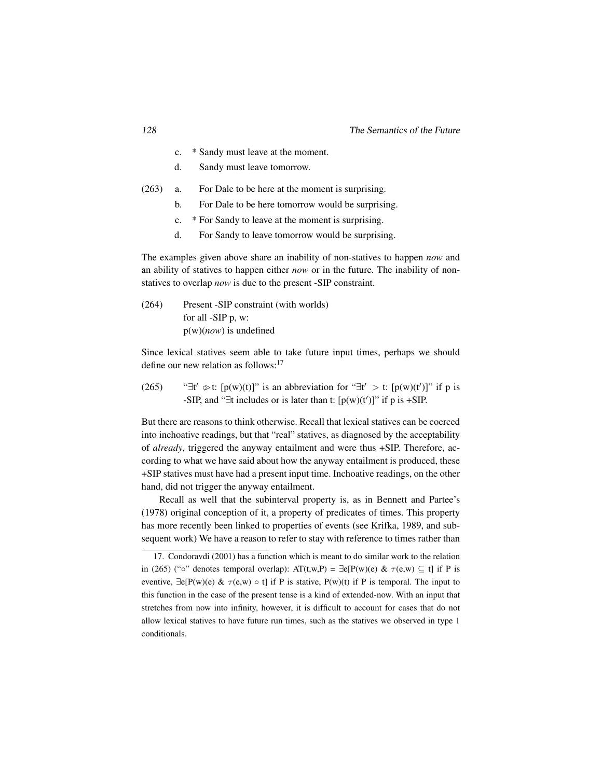- c. \* Sandy must leave at the moment.
- d. Sandy must leave tomorrow.
- (263) a. For Dale to be here at the moment is surprising.
	- b. For Dale to be here tomorrow would be surprising.
	- c. \* For Sandy to leave at the moment is surprising.
	- d. For Sandy to leave tomorrow would be surprising.

The examples given above share an inability of non-statives to happen *now* and an ability of statives to happen either *now* or in the future. The inability of nonstatives to overlap *now* is due to the present -SIP constraint.

(264) Present -SIP constraint (with worlds) for all -SIP p, w: p(w)(*now*) is undefined

Since lexical statives seem able to take future input times, perhaps we should define our new relation as follows: $17$ 

 $(265)$ '  $\Diamond$  t: [p(w)(t)]" is an abbreviation for " $\exists$ t' > t: [p(w)(t')]" if p is -SIP, and "∃t includes or is later than t:  $[p(w)(t')]$ " if p is +SIP.

But there are reasons to think otherwise. Recall that lexical statives can be coerced into inchoative readings, but that "real" statives, as diagnosed by the acceptability of *already*, triggered the anyway entailment and were thus +SIP. Therefore, according to what we have said about how the anyway entailment is produced, these +SIP statives must have had a present input time. Inchoative readings, on the other hand, did not trigger the anyway entailment.

Recall as well that the subinterval property is, as in Bennett and Partee's (1978) original conception of it, a property of predicates of times. This property has more recently been linked to properties of events (see Krifka, 1989, and subsequent work) We have a reason to refer to stay with reference to times rather than

<sup>17.</sup> Condoravdi (2001) has a function which is meant to do similar work to the relation in (265) ("∘" denotes temporal overlap): AT(t,w,P) =  $\exists e[P(w)(e) \& \tau(e,w) \subseteq t]$  if P is eventive,  $\exists e[P(w)(e) \& \tau(e,w) \circ t]$  if P is stative,  $P(w)(t)$  if P is temporal. The input to this function in the case of the present tense is a kind of extended-now. With an input that stretches from now into infinity, however, it is difficult to account for cases that do not allow lexical statives to have future run times, such as the statives we observed in type 1 conditionals.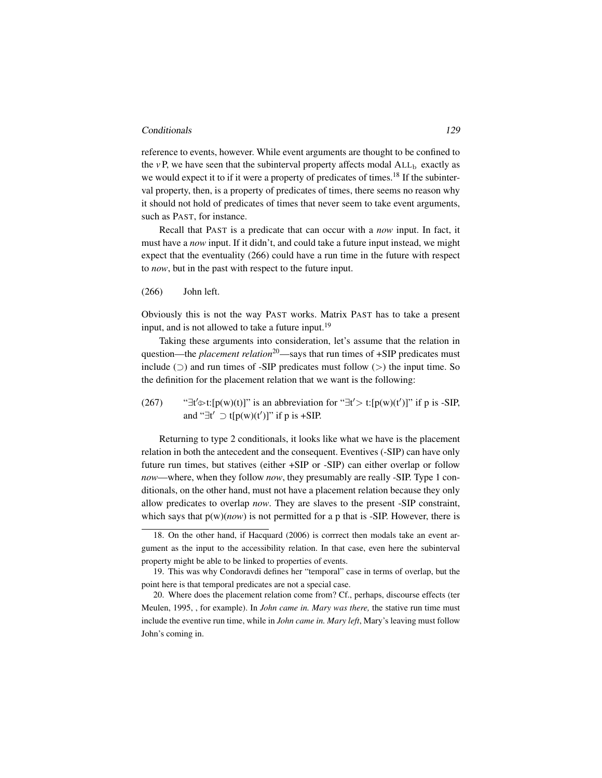reference to events, however. While event arguments are thought to be confined to the  $v$  P, we have seen that the subinterval property affects modal  $ALL<sub>b</sub>$  exactly as we would expect it to if it were a property of predicates of times.<sup>18</sup> If the subinterval property, then, is a property of predicates of times, there seems no reason why it should not hold of predicates of times that never seem to take event arguments, such as PAST, for instance.

Recall that PAST is a predicate that can occur with a *now* input. In fact, it must have a *now* input. If it didn't, and could take a future input instead, we might expect that the eventuality (266) could have a run time in the future with respect to *now*, but in the past with respect to the future input.

(266) John left.

Obviously this is not the way PAST works. Matrix PAST has to take a present input, and is not allowed to take a future input.<sup>19</sup>

Taking these arguments into consideration, let's assume that the relation in question—the *placement relation*<sup>20</sup>—says that run times of +SIP predicates must include  $($ ) and run times of -SIP predicates must follow  $($ >) the input time. So the definition for the placement relation that we want is the following:

 $(267)$  $\forall \diamond t$ :[p(w)(t)]" is an abbreviation for " $\exists t' > t$ :[p(w)(t')]" if p is -SIP, and " $\exists t' \supset t[p(w)(t')]$ " if p is +SIP.

Returning to type 2 conditionals, it looks like what we have is the placement relation in both the antecedent and the consequent. Eventives (-SIP) can have only future run times, but statives (either +SIP or -SIP) can either overlap or follow *now*—where, when they follow *now*, they presumably are really -SIP. Type 1 conditionals, on the other hand, must not have a placement relation because they only allow predicates to overlap *now*. They are slaves to the present -SIP constraint, which says that  $p(w)(now)$  is not permitted for a p that is -SIP. However, there is

<sup>18.</sup> On the other hand, if Hacquard (2006) is corrrect then modals take an event argument as the input to the accessibility relation. In that case, even here the subinterval property might be able to be linked to properties of events.

<sup>19.</sup> This was why Condoravdi defines her "temporal" case in terms of overlap, but the point here is that temporal predicates are not a special case.

<sup>20.</sup> Where does the placement relation come from? Cf., perhaps, discourse effects (ter Meulen, 1995, , for example). In *John came in. Mary was there,* the stative run time must include the eventive run time, while in *John came in. Mary left*, Mary's leaving must follow John's coming in.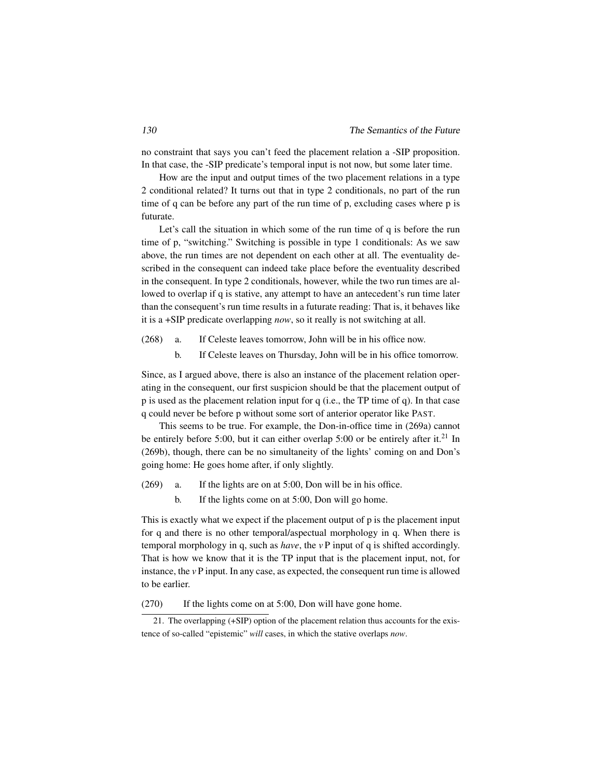no constraint that says you can't feed the placement relation a -SIP proposition. In that case, the -SIP predicate's temporal input is not now, but some later time.

How are the input and output times of the two placement relations in a type 2 conditional related? It turns out that in type 2 conditionals, no part of the run time of q can be before any part of the run time of p, excluding cases where p is futurate.

Let's call the situation in which some of the run time of q is before the run time of p, "switching." Switching is possible in type 1 conditionals: As we saw above, the run times are not dependent on each other at all. The eventuality described in the consequent can indeed take place before the eventuality described in the consequent. In type 2 conditionals, however, while the two run times are allowed to overlap if q is stative, any attempt to have an antecedent's run time later than the consequent's run time results in a futurate reading: That is, it behaves like it is a +SIP predicate overlapping *now*, so it really is not switching at all.

(268) a. If Celeste leaves tomorrow, John will be in his office now.

b. If Celeste leaves on Thursday, John will be in his office tomorrow.

Since, as I argued above, there is also an instance of the placement relation operating in the consequent, our first suspicion should be that the placement output of p is used as the placement relation input for q (i.e., the TP time of q). In that case q could never be before p without some sort of anterior operator like PAST.

This seems to be true. For example, the Don-in-office time in (269a) cannot be entirely before 5:00, but it can either overlap 5:00 or be entirely after it.<sup>21</sup> In (269b), though, there can be no simultaneity of the lights' coming on and Don's going home: He goes home after, if only slightly.

- (269) a. If the lights are on at 5:00, Don will be in his office.
	- b. If the lights come on at 5:00, Don will go home.

This is exactly what we expect if the placement output of p is the placement input for q and there is no other temporal/aspectual morphology in q. When there is temporal morphology in q, such as *have*, the *v* P input of q is shifted accordingly. That is how we know that it is the TP input that is the placement input, not, for instance, the *v* P input. In any case, as expected, the consequent run time is allowed to be earlier.

(270) If the lights come on at 5:00, Don will have gone home.

21. The overlapping (+SIP) option of the placement relation thus accounts for the existence of so-called "epistemic" *will* cases, in which the stative overlaps *now*.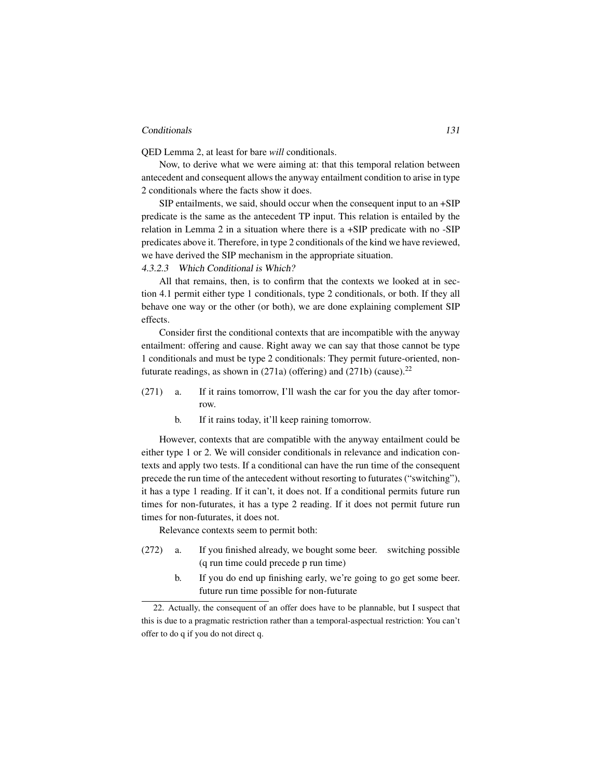QED Lemma 2, at least for bare *will* conditionals.

Now, to derive what we were aiming at: that this temporal relation between antecedent and consequent allows the anyway entailment condition to arise in type 2 conditionals where the facts show it does.

SIP entailments, we said, should occur when the consequent input to an +SIP predicate is the same as the antecedent TP input. This relation is entailed by the relation in Lemma 2 in a situation where there is a +SIP predicate with no -SIP predicates above it. Therefore, in type 2 conditionals of the kind we have reviewed, we have derived the SIP mechanism in the appropriate situation.

4.3.2.3 Which Conditional is Which?

All that remains, then, is to confirm that the contexts we looked at in section 4.1 permit either type 1 conditionals, type 2 conditionals, or both. If they all behave one way or the other (or both), we are done explaining complement SIP effects.

Consider first the conditional contexts that are incompatible with the anyway entailment: offering and cause. Right away we can say that those cannot be type 1 conditionals and must be type 2 conditionals: They permit future-oriented, nonfuturate readings, as shown in  $(271a)$  (offering) and  $(271b)$  (cause).<sup>22</sup>

- (271) a. If it rains tomorrow, I'll wash the car for you the day after tomorrow.
	- b. If it rains today, it'll keep raining tomorrow.

However, contexts that are compatible with the anyway entailment could be either type 1 or 2. We will consider conditionals in relevance and indication contexts and apply two tests. If a conditional can have the run time of the consequent precede the run time of the antecedent without resorting to futurates ("switching"), it has a type 1 reading. If it can't, it does not. If a conditional permits future run times for non-futurates, it has a type 2 reading. If it does not permit future run times for non-futurates, it does not.

Relevance contexts seem to permit both:

- (272) a. If you finished already, we bought some beer. switching possible (q run time could precede p run time)
	- b. If you do end up finishing early, we're going to go get some beer. future run time possible for non-futurate

<sup>22.</sup> Actually, the consequent of an offer does have to be plannable, but I suspect that this is due to a pragmatic restriction rather than a temporal-aspectual restriction: You can't offer to do q if you do not direct q.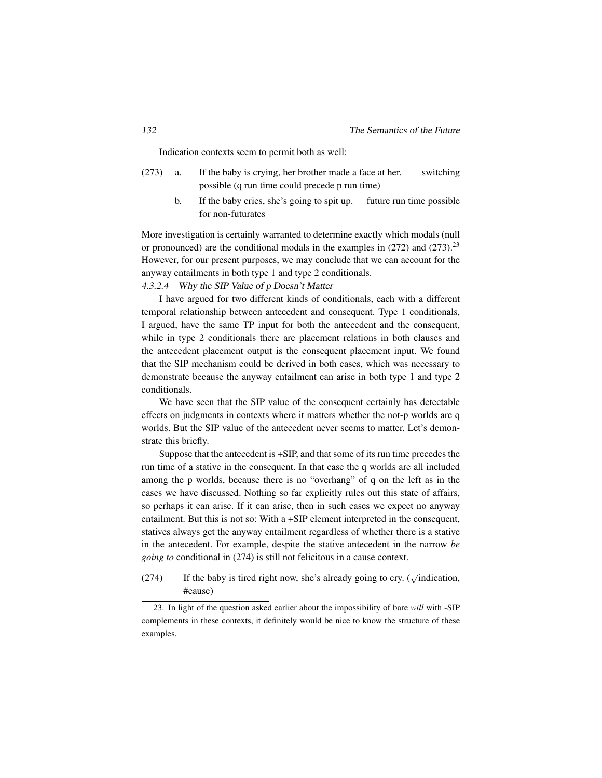Indication contexts seem to permit both as well:

- (273) a. If the baby is crying, her brother made a face at her. switching possible (q run time could precede p run time)
	- b. If the baby cries, she's going to spit up. future run time possible for non-futurates

More investigation is certainly warranted to determine exactly which modals (null or pronounced) are the conditional modals in the examples in  $(272)$  and  $(273)$ .<sup>23</sup> However, for our present purposes, we may conclude that we can account for the anyway entailments in both type 1 and type 2 conditionals.

4.3.2.4 Why the SIP Value of p Doesn't Matter

I have argued for two different kinds of conditionals, each with a different temporal relationship between antecedent and consequent. Type 1 conditionals, I argued, have the same TP input for both the antecedent and the consequent, while in type 2 conditionals there are placement relations in both clauses and the antecedent placement output is the consequent placement input. We found that the SIP mechanism could be derived in both cases, which was necessary to demonstrate because the anyway entailment can arise in both type 1 and type 2 conditionals.

We have seen that the SIP value of the consequent certainly has detectable effects on judgments in contexts where it matters whether the not-p worlds are q worlds. But the SIP value of the antecedent never seems to matter. Let's demonstrate this briefly.

Suppose that the antecedent is +SIP, and that some of its run time precedes the run time of a stative in the consequent. In that case the q worlds are all included among the p worlds, because there is no "overhang" of q on the left as in the cases we have discussed. Nothing so far explicitly rules out this state of affairs, so perhaps it can arise. If it can arise, then in such cases we expect no anyway entailment. But this is not so: With a +SIP element interpreted in the consequent, statives always get the anyway entailment regardless of whether there is a stative in the antecedent. For example, despite the stative antecedent in the narrow *be going to* conditional in (274) is still not felicitous in a cause context.

(274) If the baby is tired right now, she's already going to cry. ( $\sqrt{\text{indication}}$ , #cause)

<sup>23.</sup> In light of the question asked earlier about the impossibility of bare *will* with -SIP complements in these contexts, it definitely would be nice to know the structure of these examples.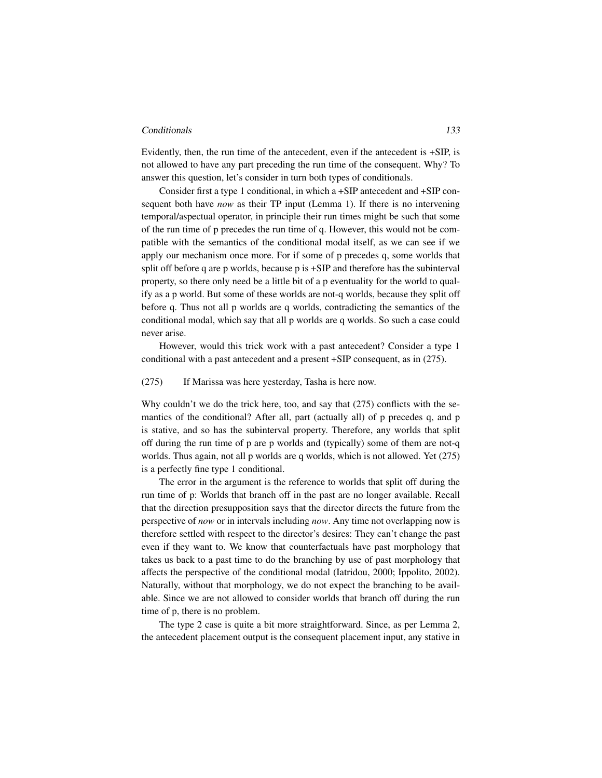Evidently, then, the run time of the antecedent, even if the antecedent is +SIP, is not allowed to have any part preceding the run time of the consequent. Why? To answer this question, let's consider in turn both types of conditionals.

Consider first a type 1 conditional, in which a +SIP antecedent and +SIP consequent both have *now* as their TP input (Lemma 1). If there is no intervening temporal/aspectual operator, in principle their run times might be such that some of the run time of p precedes the run time of q. However, this would not be compatible with the semantics of the conditional modal itself, as we can see if we apply our mechanism once more. For if some of p precedes q, some worlds that split off before q are p worlds, because p is +SIP and therefore has the subinterval property, so there only need be a little bit of a p eventuality for the world to qualify as a p world. But some of these worlds are not-q worlds, because they split off before q. Thus not all p worlds are q worlds, contradicting the semantics of the conditional modal, which say that all p worlds are q worlds. So such a case could never arise.

However, would this trick work with a past antecedent? Consider a type 1 conditional with a past antecedent and a present +SIP consequent, as in (275).

### (275) If Marissa was here yesterday, Tasha is here now.

Why couldn't we do the trick here, too, and say that (275) conflicts with the semantics of the conditional? After all, part (actually all) of p precedes q, and p is stative, and so has the subinterval property. Therefore, any worlds that split off during the run time of p are p worlds and (typically) some of them are not-q worlds. Thus again, not all p worlds are q worlds, which is not allowed. Yet (275) is a perfectly fine type 1 conditional.

The error in the argument is the reference to worlds that split off during the run time of p: Worlds that branch off in the past are no longer available. Recall that the direction presupposition says that the director directs the future from the perspective of *now* or in intervals including *now*. Any time not overlapping now is therefore settled with respect to the director's desires: They can't change the past even if they want to. We know that counterfactuals have past morphology that takes us back to a past time to do the branching by use of past morphology that affects the perspective of the conditional modal (Iatridou, 2000; Ippolito, 2002). Naturally, without that morphology, we do not expect the branching to be available. Since we are not allowed to consider worlds that branch off during the run time of p, there is no problem.

The type 2 case is quite a bit more straightforward. Since, as per Lemma 2, the antecedent placement output is the consequent placement input, any stative in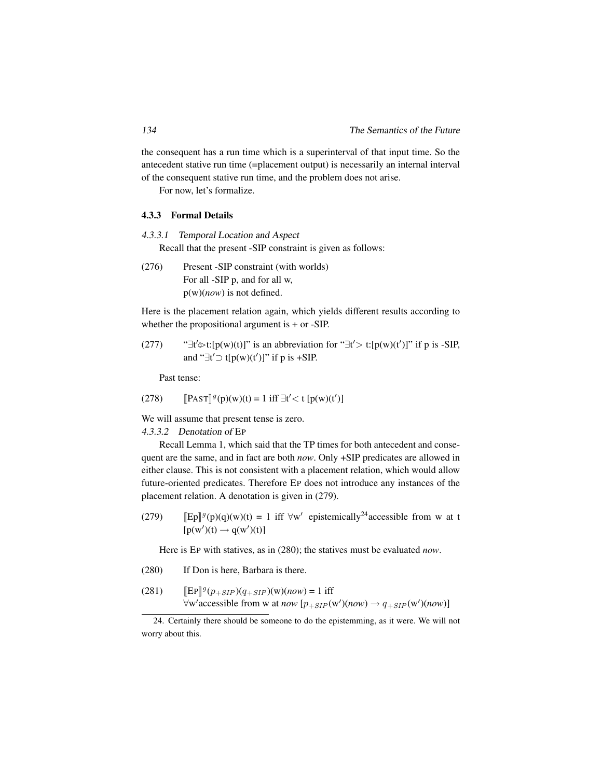the consequent has a run time which is a superinterval of that input time. So the antecedent stative run time (=placement output) is necessarily an internal interval of the consequent stative run time, and the problem does not arise.

For now, let's formalize.

# 4.3.3 Formal Details

- 4.3.3.1 Temporal Location and Aspect Recall that the present -SIP constraint is given as follows:
- (276) Present -SIP constraint (with worlds) For all -SIP p, and for all w, p(w)(*now*) is not defined.

Here is the placement relation again, which yields different results according to whether the propositional argument is + or -SIP.

 $(277)$  $\forall \diamond t$ :[p(w)(t)]" is an abbreviation for " $\exists t' > t$ :[p(w)(t')]" if p is -SIP, and " $\exists t' \supset t[p(w)(t')]$ " if p is +SIP.

Past tense:

(278) 
$$
[PAST]^g(p)(w)(t) = 1 \text{ iff } \exists t' < t [p(w)(t')]
$$

We will assume that present tense is zero.

# 4.3.3.2 Denotation of EP

Recall Lemma 1, which said that the TP times for both antecedent and consequent are the same, and in fact are both *now*. Only +SIP predicates are allowed in either clause. This is not consistent with a placement relation, which would allow future-oriented predicates. Therefore EP does not introduce any instances of the placement relation. A denotation is given in (279).

(279) [Ep]<sup>g</sup>(p)(q)(w)(t) = 1 iff  $\forall w'$  epistemically<sup>24</sup> accessible from w at t  $[p(w')(t) \rightarrow q(w')(t)]$ 

Here is EP with statives, as in (280); the statives must be evaluated *now*.

- (280) If Don is here, Barbara is there.
- (281)  $[\![E_{P}]\!]^{g}(p_{+SIP})(q_{+SIP})(w)(now) = 1 \text{ iff}$  $\forall$ w'accessible from w at *now*  $[p_{+SIP}(w')(now) \rightarrow q_{+SIP}(w')(now)]$

24. Certainly there should be someone to do the epistemming, as it were. We will not worry about this.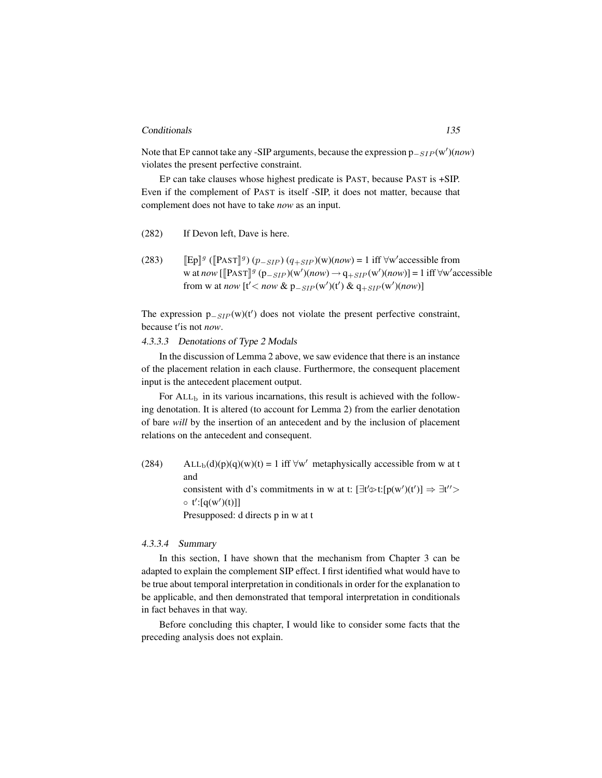Note that EP cannot take any -SIP arguments, because the expression p<sub>−SIP</sub>(w')(now) violates the present perfective constraint.

EP can take clauses whose highest predicate is PAST, because PAST is +SIP. Even if the complement of PAST is itself -SIP, it does not matter, because that complement does not have to take *now* as an input.

(282) If Devon left, Dave is here.

(283) 
$$
\begin{aligned}\n\mathbb{E} \mathbf{p} \mathbb{I}^g \left( \mathbb{P} \mathbf{A} \mathbf{S} \mathbf{T} \mathbb{I}^g \right) (p_{-SIP}) \left( q_{+SIP} \right) (w)(now) &= 1 \text{ iff } \forall \mathbf{w}' \text{accessible from} \\
&\mathbf{w} \text{ at } now \left[ \mathbb{P} \mathbf{A} \mathbf{S} \mathbf{T} \right]^g (p_{-SIP}) (w')(now) &\rightarrow \mathbf{q}_{+SIP} (w')(now) \right] = 1 \text{ iff } \forall \mathbf{w}' \text{accessible} \\
&\text{from } \mathbf{w} \text{ at } now \left[ t' < now \& p_{-SIP} (w')(t') \& q_{+SIP} (w')(now) \right]\n\end{aligned}
$$

The expression  $p_{-SIP}(w)(t')$  does not violate the present perfective constraint, because t'is not *now*.

4.3.3.3 Denotations of Type 2 Modals

In the discussion of Lemma 2 above, we saw evidence that there is an instance of the placement relation in each clause. Furthermore, the consequent placement input is the antecedent placement output.

For  $ALL<sub>b</sub>$  in its various incarnations, this result is achieved with the following denotation. It is altered (to account for Lemma 2) from the earlier denotation of bare *will* by the insertion of an antecedent and by the inclusion of placement relations on the antecedent and consequent.

(284) ALL<sub>b</sub>(d)(p)(q)(w)(t) = 1 iff  $\forall w'$  metaphysically accessible from w at t and consistent with d's commitments in w at t:  $[\exists t' \diamond t : [p(w')(t')] \Rightarrow \exists t'' >$  $\circ$  t':[q(w')(t)]] Presupposed: d directs p in w at t

### 4.3.3.4 Summary

In this section, I have shown that the mechanism from Chapter 3 can be adapted to explain the complement SIP effect. I first identified what would have to be true about temporal interpretation in conditionals in order for the explanation to be applicable, and then demonstrated that temporal interpretation in conditionals in fact behaves in that way.

Before concluding this chapter, I would like to consider some facts that the preceding analysis does not explain.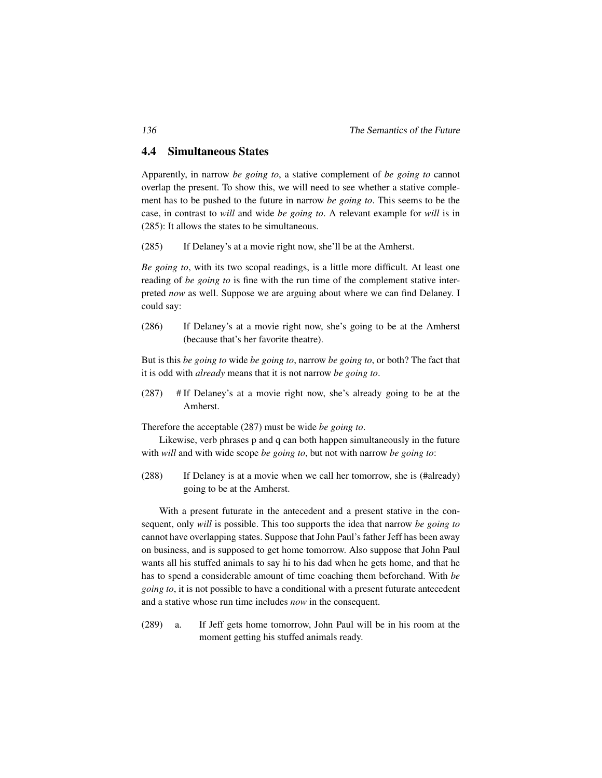# 4.4 Simultaneous States

Apparently, in narrow *be going to*, a stative complement of *be going to* cannot overlap the present. To show this, we will need to see whether a stative complement has to be pushed to the future in narrow *be going to*. This seems to be the case, in contrast to *will* and wide *be going to*. A relevant example for *will* is in (285): It allows the states to be simultaneous.

(285) If Delaney's at a movie right now, she'll be at the Amherst.

*Be going to*, with its two scopal readings, is a little more difficult. At least one reading of *be going to* is fine with the run time of the complement stative interpreted *now* as well. Suppose we are arguing about where we can find Delaney. I could say:

(286) If Delaney's at a movie right now, she's going to be at the Amherst (because that's her favorite theatre).

But is this *be going to* wide *be going to*, narrow *be going to*, or both? The fact that it is odd with *already* means that it is not narrow *be going to*.

(287) # If Delaney's at a movie right now, she's already going to be at the Amherst.

Therefore the acceptable (287) must be wide *be going to*.

Likewise, verb phrases p and q can both happen simultaneously in the future with *will* and with wide scope *be going to*, but not with narrow *be going to*:

(288) If Delaney is at a movie when we call her tomorrow, she is (#already) going to be at the Amherst.

With a present futurate in the antecedent and a present stative in the consequent, only *will* is possible. This too supports the idea that narrow *be going to* cannot have overlapping states. Suppose that John Paul's father Jeff has been away on business, and is supposed to get home tomorrow. Also suppose that John Paul wants all his stuffed animals to say hi to his dad when he gets home, and that he has to spend a considerable amount of time coaching them beforehand. With *be going to*, it is not possible to have a conditional with a present futurate antecedent and a stative whose run time includes *now* in the consequent.

(289) a. If Jeff gets home tomorrow, John Paul will be in his room at the moment getting his stuffed animals ready.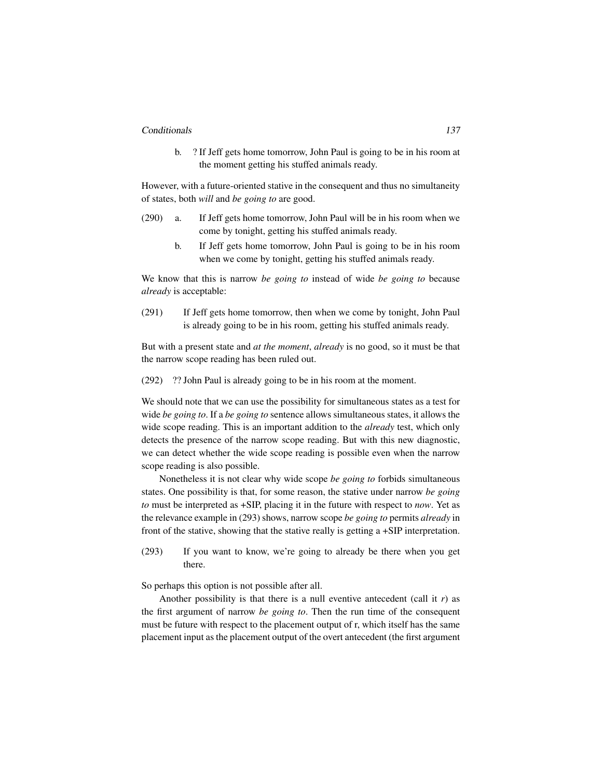b. ? If Jeff gets home tomorrow, John Paul is going to be in his room at the moment getting his stuffed animals ready.

However, with a future-oriented stative in the consequent and thus no simultaneity of states, both *will* and *be going to* are good.

- (290) a. If Jeff gets home tomorrow, John Paul will be in his room when we come by tonight, getting his stuffed animals ready.
	- b. If Jeff gets home tomorrow, John Paul is going to be in his room when we come by tonight, getting his stuffed animals ready.

We know that this is narrow *be going to* instead of wide *be going to* because *already* is acceptable:

(291) If Jeff gets home tomorrow, then when we come by tonight, John Paul is already going to be in his room, getting his stuffed animals ready.

But with a present state and *at the moment*, *already* is no good, so it must be that the narrow scope reading has been ruled out.

(292) ?? John Paul is already going to be in his room at the moment.

We should note that we can use the possibility for simultaneous states as a test for wide *be going to*. If a *be going to* sentence allows simultaneous states, it allows the wide scope reading. This is an important addition to the *already* test, which only detects the presence of the narrow scope reading. But with this new diagnostic, we can detect whether the wide scope reading is possible even when the narrow scope reading is also possible.

Nonetheless it is not clear why wide scope *be going to* forbids simultaneous states. One possibility is that, for some reason, the stative under narrow *be going to* must be interpreted as +SIP, placing it in the future with respect to *now*. Yet as the relevance example in (293) shows, narrow scope *be going to* permits *already* in front of the stative, showing that the stative really is getting a +SIP interpretation.

(293) If you want to know, we're going to already be there when you get there.

So perhaps this option is not possible after all.

Another possibility is that there is a null eventive antecedent (call it  $r$ ) as the first argument of narrow *be going to*. Then the run time of the consequent must be future with respect to the placement output of r, which itself has the same placement input as the placement output of the overt antecedent (the first argument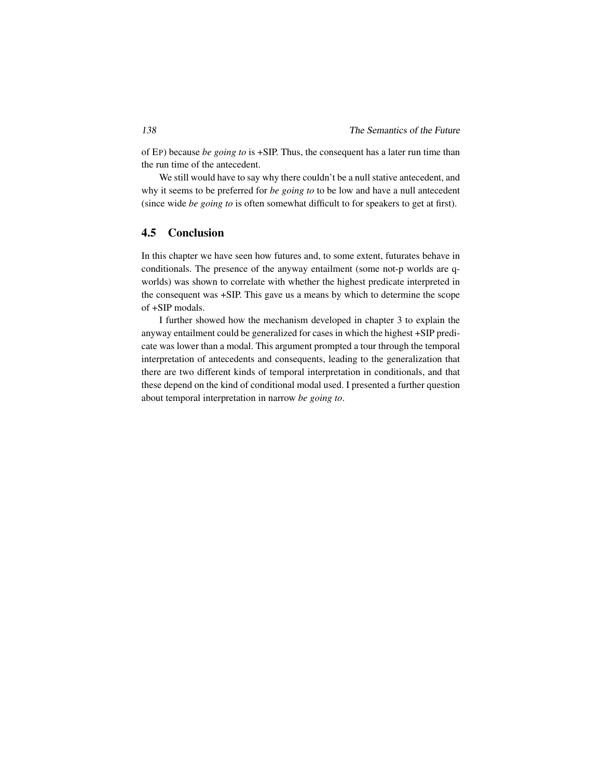of EP) because *be going to* is +SIP. Thus, the consequent has a later run time than the run time of the antecedent.

We still would have to say why there couldn't be a null stative antecedent, and why it seems to be preferred for *be going to* to be low and have a null antecedent (since wide *be going to* is often somewhat difficult to for speakers to get at first).

# 4.5 Conclusion

In this chapter we have seen how futures and, to some extent, futurates behave in conditionals. The presence of the anyway entailment (some not-p worlds are qworlds) was shown to correlate with whether the highest predicate interpreted in the consequent was +SIP. This gave us a means by which to determine the scope of +SIP modals.

I further showed how the mechanism developed in chapter 3 to explain the anyway entailment could be generalized for cases in which the highest +SIP predicate was lower than a modal. This argument prompted a tour through the temporal interpretation of antecedents and consequents, leading to the generalization that there are two different kinds of temporal interpretation in conditionals, and that these depend on the kind of conditional modal used. I presented a further question about temporal interpretation in narrow *be going to*.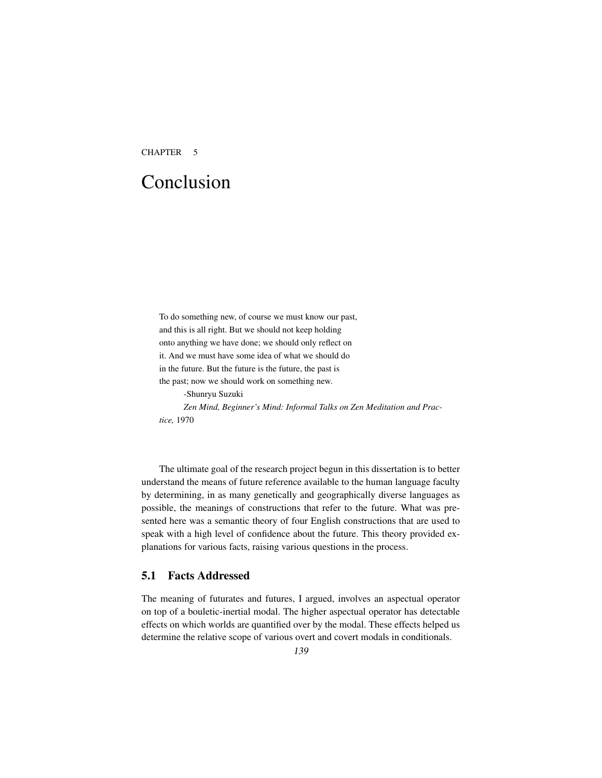CHAPTER 5

# Conclusion

To do something new, of course we must know our past, and this is all right. But we should not keep holding onto anything we have done; we should only reflect on it. And we must have some idea of what we should do in the future. But the future is the future, the past is the past; now we should work on something new. -Shunryu Suzuki *Zen Mind, Beginner's Mind: Informal Talks on Zen Meditation and Prac-*

*tice,* 1970

The ultimate goal of the research project begun in this dissertation is to better understand the means of future reference available to the human language faculty by determining, in as many genetically and geographically diverse languages as possible, the meanings of constructions that refer to the future. What was presented here was a semantic theory of four English constructions that are used to speak with a high level of confidence about the future. This theory provided explanations for various facts, raising various questions in the process.

# 5.1 Facts Addressed

The meaning of futurates and futures, I argued, involves an aspectual operator on top of a bouletic-inertial modal. The higher aspectual operator has detectable effects on which worlds are quantified over by the modal. These effects helped us determine the relative scope of various overt and covert modals in conditionals.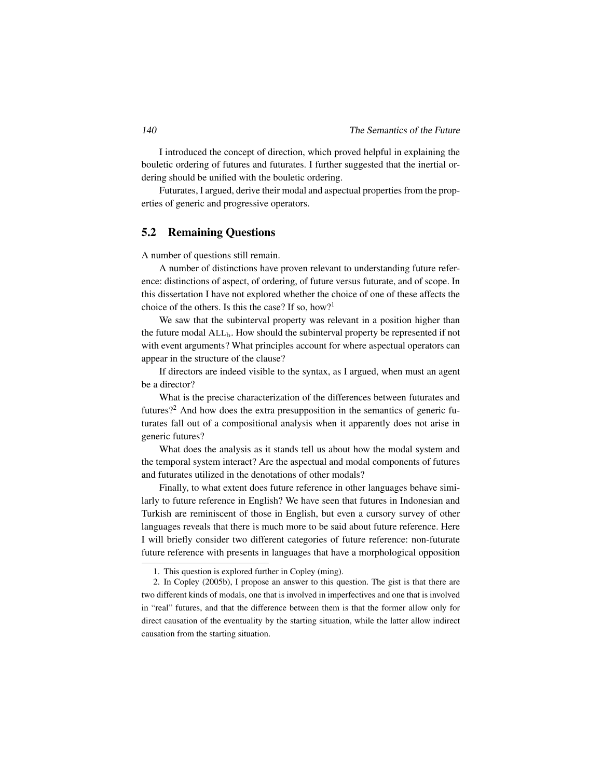I introduced the concept of direction, which proved helpful in explaining the bouletic ordering of futures and futurates. I further suggested that the inertial ordering should be unified with the bouletic ordering.

Futurates, I argued, derive their modal and aspectual properties from the properties of generic and progressive operators.

# 5.2 Remaining Questions

A number of questions still remain.

A number of distinctions have proven relevant to understanding future reference: distinctions of aspect, of ordering, of future versus futurate, and of scope. In this dissertation I have not explored whether the choice of one of these affects the choice of the others. Is this the case? If so, how?<sup>1</sup>

We saw that the subinterval property was relevant in a position higher than the future modal ALL<sub>b</sub>. How should the subinterval property be represented if not with event arguments? What principles account for where aspectual operators can appear in the structure of the clause?

If directors are indeed visible to the syntax, as I argued, when must an agent be a director?

What is the precise characterization of the differences between futurates and futures?<sup>2</sup> And how does the extra presupposition in the semantics of generic futurates fall out of a compositional analysis when it apparently does not arise in generic futures?

What does the analysis as it stands tell us about how the modal system and the temporal system interact? Are the aspectual and modal components of futures and futurates utilized in the denotations of other modals?

Finally, to what extent does future reference in other languages behave similarly to future reference in English? We have seen that futures in Indonesian and Turkish are reminiscent of those in English, but even a cursory survey of other languages reveals that there is much more to be said about future reference. Here I will briefly consider two different categories of future reference: non-futurate future reference with presents in languages that have a morphological opposition

<sup>1.</sup> This question is explored further in Copley (ming).

<sup>2.</sup> In Copley (2005b), I propose an answer to this question. The gist is that there are two different kinds of modals, one that is involved in imperfectives and one that is involved in "real" futures, and that the difference between them is that the former allow only for direct causation of the eventuality by the starting situation, while the latter allow indirect causation from the starting situation.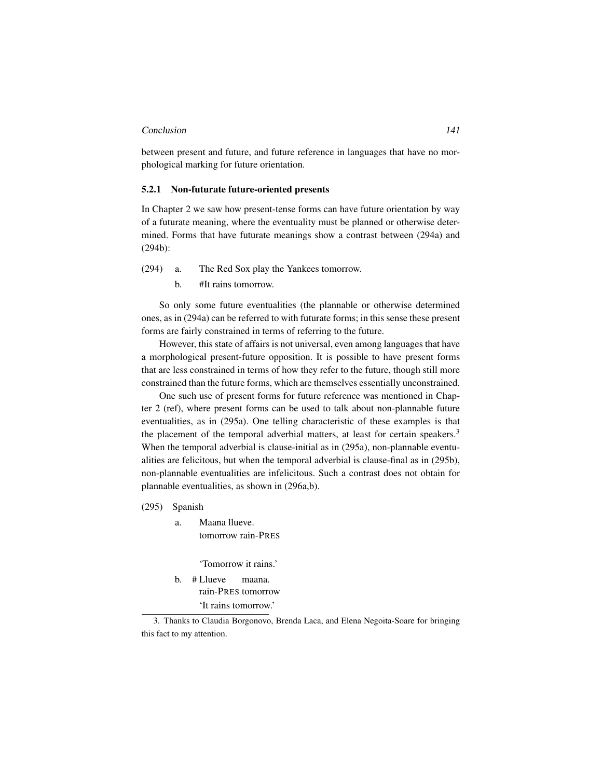# Conclusion 141

between present and future, and future reference in languages that have no morphological marking for future orientation.

### 5.2.1 Non-futurate future-oriented presents

In Chapter 2 we saw how present-tense forms can have future orientation by way of a futurate meaning, where the eventuality must be planned or otherwise determined. Forms that have futurate meanings show a contrast between (294a) and (294b):

- (294) a. The Red Sox play the Yankees tomorrow.
	- b. #It rains tomorrow.

So only some future eventualities (the plannable or otherwise determined ones, as in (294a) can be referred to with futurate forms; in this sense these present forms are fairly constrained in terms of referring to the future.

However, this state of affairs is not universal, even among languages that have a morphological present-future opposition. It is possible to have present forms that are less constrained in terms of how they refer to the future, though still more constrained than the future forms, which are themselves essentially unconstrained.

One such use of present forms for future reference was mentioned in Chapter 2 (ref), where present forms can be used to talk about non-plannable future eventualities, as in (295a). One telling characteristic of these examples is that the placement of the temporal adverbial matters, at least for certain speakers.<sup>3</sup> When the temporal adverbial is clause-initial as in (295a), non-plannable eventualities are felicitous, but when the temporal adverbial is clause-final as in (295b), non-plannable eventualities are infelicitous. Such a contrast does not obtain for plannable eventualities, as shown in (296a,b).

- (295) Spanish
	- a. Maana llueve. tomorrow rain-PRES

'Tomorrow it rains.'

b. # Llueve rain-PRES tomorrow maana. 'It rains tomorrow.'

<sup>3.</sup> Thanks to Claudia Borgonovo, Brenda Laca, and Elena Negoita-Soare for bringing this fact to my attention.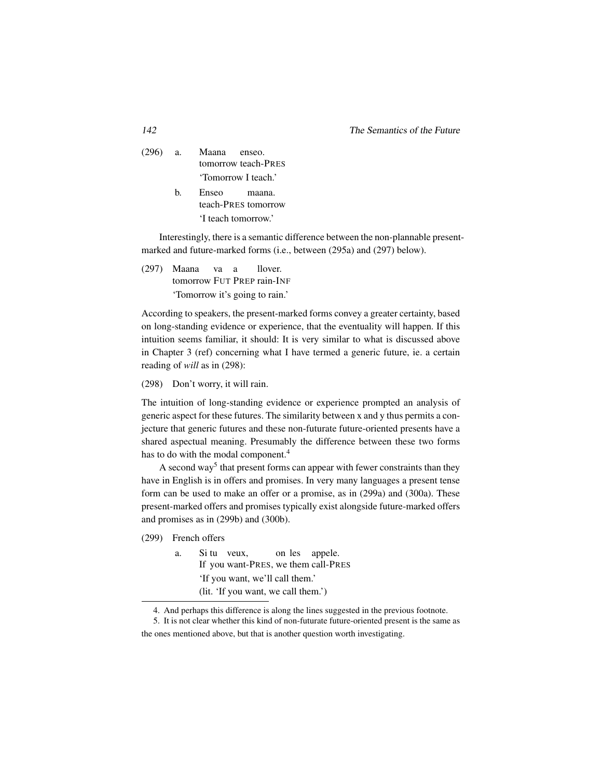- (296) a. Maana tomorrow teach-PRES enseo. 'Tomorrow I teach.' b. Enseo maana.
	- teach-PRES tomorrow 'I teach tomorrow.'

Interestingly, there is a semantic difference between the non-plannable presentmarked and future-marked forms (i.e., between (295a) and (297) below).

(297) Maana tomorrow FUT PREP rain-INF va a llover. 'Tomorrow it's going to rain.'

According to speakers, the present-marked forms convey a greater certainty, based on long-standing evidence or experience, that the eventuality will happen. If this intuition seems familiar, it should: It is very similar to what is discussed above in Chapter 3 (ref) concerning what I have termed a generic future, ie. a certain reading of *will* as in (298):

(298) Don't worry, it will rain.

The intuition of long-standing evidence or experience prompted an analysis of generic aspect for these futures. The similarity between x and y thus permits a conjecture that generic futures and these non-futurate future-oriented presents have a shared aspectual meaning. Presumably the difference between these two forms has to do with the modal component.<sup>4</sup>

A second way<sup>5</sup> that present forms can appear with fewer constraints than they have in English is in offers and promises. In very many languages a present tense form can be used to make an offer or a promise, as in (299a) and (300a). These present-marked offers and promises typically exist alongside future-marked offers and promises as in (299b) and (300b).

(299) French offers

a. Si tu veux, If you want-PRES, we them call-PRES on les appele. 'If you want, we'll call them.' (lit. 'If you want, we call them.')

4. And perhaps this difference is along the lines suggested in the previous footnote.

<sup>5.</sup> It is not clear whether this kind of non-futurate future-oriented present is the same as the ones mentioned above, but that is another question worth investigating.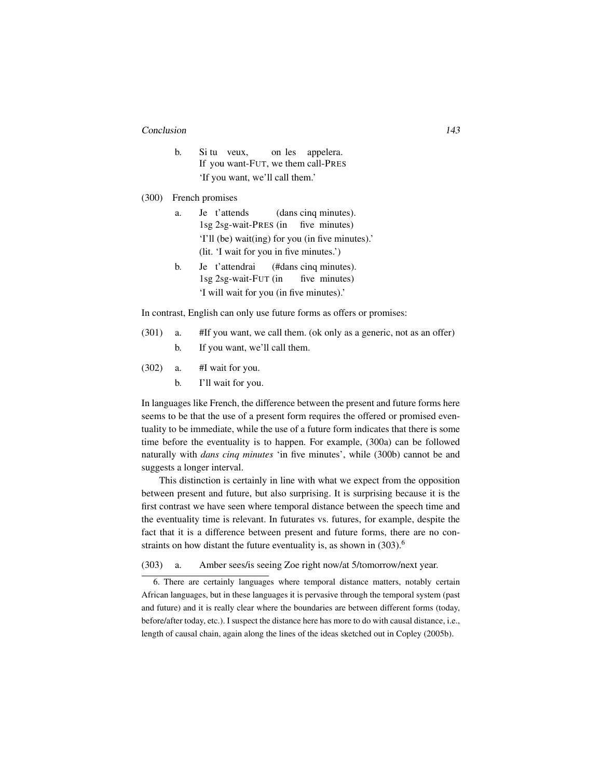# Conclusion 2008 and 2008 and 2008 and 2008 and 2008 and 2008 and 2008 and 2008 and 2008 and 2008 and 2008 and 2008 and 2008 and 2008 and 2008 and 2008 and 2008 and 2008 and 2008 and 2008 and 2008 and 2008 and 2008 and 2008

| b. |                                 | Si tu veux, on les appelera.       |  |  |  |
|----|---------------------------------|------------------------------------|--|--|--|
|    |                                 | If you want-FUT, we them call-PRES |  |  |  |
|    | 'If you want, we'll call them.' |                                    |  |  |  |

### (300) French promises

- a. Je t'attends 1sg 2sg-wait-PRES (in five minutes) (dans cinq minutes). 'I'll (be) wait(ing) for you (in five minutes).' (lit. 'I wait for you in five minutes.')
- b. Je t'attendrai 1sg 2sg-wait-FUT (in (#dans cinq minutes). five minutes) 'I will wait for you (in five minutes).'

In contrast, English can only use future forms as offers or promises:

- (301) a. #If you want, we call them. (ok only as a generic, not as an offer) b. If you want, we'll call them.
- (302) a. #I wait for you.
	- b. I'll wait for you.

In languages like French, the difference between the present and future forms here seems to be that the use of a present form requires the offered or promised eventuality to be immediate, while the use of a future form indicates that there is some time before the eventuality is to happen. For example, (300a) can be followed naturally with *dans cinq minutes* 'in five minutes', while (300b) cannot be and suggests a longer interval.

This distinction is certainly in line with what we expect from the opposition between present and future, but also surprising. It is surprising because it is the first contrast we have seen where temporal distance between the speech time and the eventuality time is relevant. In futurates vs. futures, for example, despite the fact that it is a difference between present and future forms, there are no constraints on how distant the future eventuality is, as shown in (303).<sup>6</sup>

(303) a. Amber sees/is seeing Zoe right now/at 5/tomorrow/next year.

6. There are certainly languages where temporal distance matters, notably certain African languages, but in these languages it is pervasive through the temporal system (past and future) and it is really clear where the boundaries are between different forms (today, before/after today, etc.). I suspect the distance here has more to do with causal distance, i.e., length of causal chain, again along the lines of the ideas sketched out in Copley (2005b).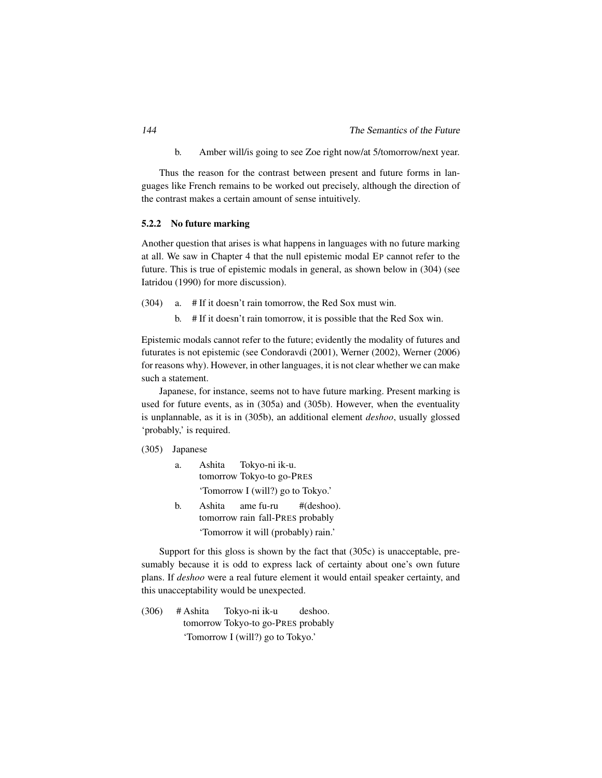144 The Semantics of the Future

b. Amber will/is going to see Zoe right now/at 5/tomorrow/next year.

Thus the reason for the contrast between present and future forms in languages like French remains to be worked out precisely, although the direction of the contrast makes a certain amount of sense intuitively.

### 5.2.2 No future marking

Another question that arises is what happens in languages with no future marking at all. We saw in Chapter 4 that the null epistemic modal EP cannot refer to the future. This is true of epistemic modals in general, as shown below in (304) (see Iatridou (1990) for more discussion).

- (304) a. # If it doesn't rain tomorrow, the Red Sox must win.
	- b. # If it doesn't rain tomorrow, it is possible that the Red Sox win.

Epistemic modals cannot refer to the future; evidently the modality of futures and futurates is not epistemic (see Condoravdi (2001), Werner (2002), Werner (2006) for reasons why). However, in other languages, it is not clear whether we can make such a statement.

Japanese, for instance, seems not to have future marking. Present marking is used for future events, as in (305a) and (305b). However, when the eventuality is unplannable, as it is in (305b), an additional element *deshoo*, usually glossed 'probably,' is required.

### (305) Japanese

- a. Ashita tomorrow Tokyo-to go-PRES Tokyo-ni ik-u. 'Tomorrow I (will?) go to Tokyo.'
- b. Ashita tomorrow rain fall-PRES probably ame fu-ru #(deshoo). 'Tomorrow it will (probably) rain.'

Support for this gloss is shown by the fact that (305c) is unacceptable, presumably because it is odd to express lack of certainty about one's own future plans. If *deshoo* were a real future element it would entail speaker certainty, and this unacceptability would be unexpected.

(306) # Ashita tomorrow Tokyo-to go-PRES probably Tokyo-ni ik-u deshoo. 'Tomorrow I (will?) go to Tokyo.'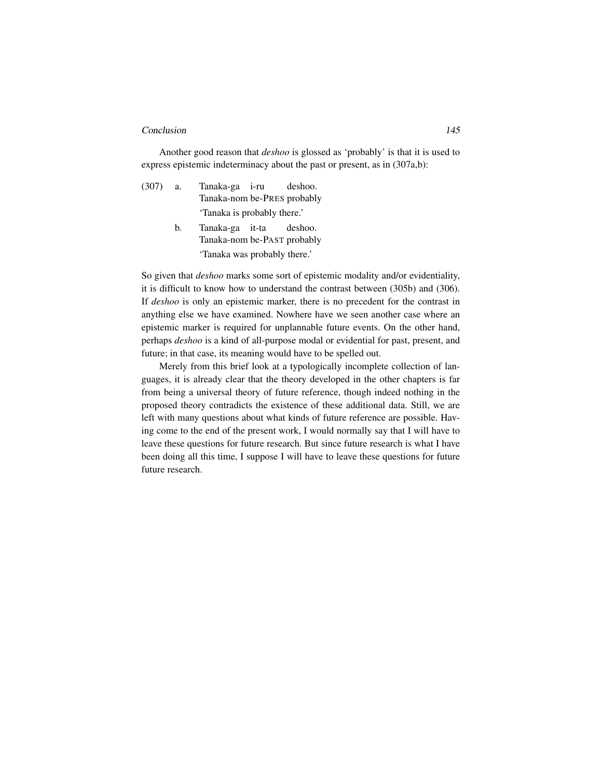## Conclusion 2008 145

Another good reason that *deshoo* is glossed as 'probably' is that it is used to express epistemic indeterminacy about the past or present, as in (307a,b):

| $(307)$ a. |    | Tanaka-ga i-ru deshoo.      |  |  |
|------------|----|-----------------------------|--|--|
|            |    | Tanaka-nom be-PRES probably |  |  |
|            |    | 'Tanaka is probably there.' |  |  |
|            | b. | Tanaka-ga it-ta deshoo.     |  |  |

Tanaka-nom be-PAST probably 'Tanaka was probably there.'

So given that *deshoo* marks some sort of epistemic modality and/or evidentiality, it is difficult to know how to understand the contrast between (305b) and (306). If *deshoo* is only an epistemic marker, there is no precedent for the contrast in anything else we have examined. Nowhere have we seen another case where an epistemic marker is required for unplannable future events. On the other hand, perhaps *deshoo* is a kind of all-purpose modal or evidential for past, present, and future; in that case, its meaning would have to be spelled out.

Merely from this brief look at a typologically incomplete collection of languages, it is already clear that the theory developed in the other chapters is far from being a universal theory of future reference, though indeed nothing in the proposed theory contradicts the existence of these additional data. Still, we are left with many questions about what kinds of future reference are possible. Having come to the end of the present work, I would normally say that I will have to leave these questions for future research. But since future research is what I have been doing all this time, I suppose I will have to leave these questions for future future research.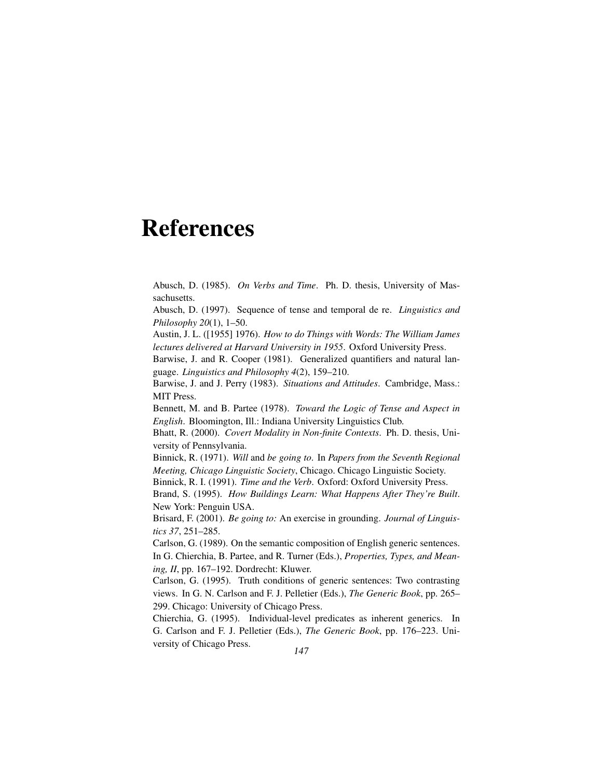## References

Abusch, D. (1985). *On Verbs and Time*. Ph. D. thesis, University of Massachusetts.

Abusch, D. (1997). Sequence of tense and temporal de re. *Linguistics and Philosophy 20*(1), 1–50.

Austin, J. L. ([1955] 1976). *How to do Things with Words: The William James lectures delivered at Harvard University in 1955*. Oxford University Press.

Barwise, J. and R. Cooper (1981). Generalized quantifiers and natural language. *Linguistics and Philosophy 4*(2), 159–210.

Barwise, J. and J. Perry (1983). *Situations and Attitudes*. Cambridge, Mass.: MIT Press.

Bennett, M. and B. Partee (1978). *Toward the Logic of Tense and Aspect in English*. Bloomington, Ill.: Indiana University Linguistics Club.

Bhatt, R. (2000). *Covert Modality in Non-finite Contexts*. Ph. D. thesis, University of Pennsylvania.

Binnick, R. (1971). *Will* and *be going to*. In *Papers from the Seventh Regional Meeting, Chicago Linguistic Society*, Chicago. Chicago Linguistic Society.

Binnick, R. I. (1991). *Time and the Verb*. Oxford: Oxford University Press.

Brand, S. (1995). *How Buildings Learn: What Happens After They're Built*. New York: Penguin USA.

Brisard, F. (2001). *Be going to:* An exercise in grounding. *Journal of Linguistics 37*, 251–285.

Carlson, G. (1989). On the semantic composition of English generic sentences. In G. Chierchia, B. Partee, and R. Turner (Eds.), *Properties, Types, and Meaning, II*, pp. 167–192. Dordrecht: Kluwer.

Carlson, G. (1995). Truth conditions of generic sentences: Two contrasting views. In G. N. Carlson and F. J. Pelletier (Eds.), *The Generic Book*, pp. 265– 299. Chicago: University of Chicago Press.

Chierchia, G. (1995). Individual-level predicates as inherent generics. In G. Carlson and F. J. Pelletier (Eds.), *The Generic Book*, pp. 176–223. University of Chicago Press.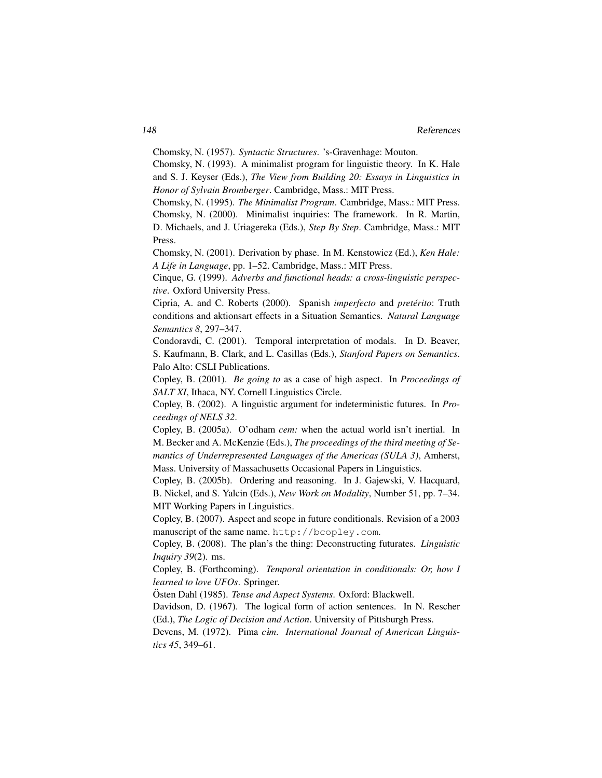Chomsky, N. (1957). *Syntactic Structures*. 's-Gravenhage: Mouton.

Chomsky, N. (1993). A minimalist program for linguistic theory. In K. Hale and S. J. Keyser (Eds.), *The View from Building 20: Essays in Linguistics in Honor of Sylvain Bromberger*. Cambridge, Mass.: MIT Press.

Chomsky, N. (1995). *The Minimalist Program*. Cambridge, Mass.: MIT Press. Chomsky, N. (2000). Minimalist inquiries: The framework. In R. Martin, D. Michaels, and J. Uriagereka (Eds.), *Step By Step*. Cambridge, Mass.: MIT Press.

Chomsky, N. (2001). Derivation by phase. In M. Kenstowicz (Ed.), *Ken Hale: A Life in Language*, pp. 1–52. Cambridge, Mass.: MIT Press.

Cinque, G. (1999). *Adverbs and functional heads: a cross-linguistic perspective*. Oxford University Press.

Cipria, A. and C. Roberts (2000). Spanish *imperfecto* and *pretérito*: Truth conditions and aktionsart effects in a Situation Semantics. *Natural Language Semantics 8*, 297–347.

Condoravdi, C. (2001). Temporal interpretation of modals. In D. Beaver, S. Kaufmann, B. Clark, and L. Casillas (Eds.), *Stanford Papers on Semantics*. Palo Alto: CSLI Publications.

Copley, B. (2001). *Be going to* as a case of high aspect. In *Proceedings of SALT XI*, Ithaca, NY. Cornell Linguistics Circle.

Copley, B. (2002). A linguistic argument for indeterministic futures. In *Proceedings of NELS 32*.

Copley, B. (2005a). O'odham *cem:* when the actual world isn't inertial. In M. Becker and A. McKenzie (Eds.), *The proceedings of the third meeting of Semantics of Underrepresented Languages of the Americas (SULA 3)*, Amherst, Mass. University of Massachusetts Occasional Papers in Linguistics.

Copley, B. (2005b). Ordering and reasoning. In J. Gajewski, V. Hacquard, B. Nickel, and S. Yalcin (Eds.), *New Work on Modality*, Number 51, pp. 7–34. MIT Working Papers in Linguistics.

Copley, B. (2007). Aspect and scope in future conditionals. Revision of a 2003 manuscript of the same name. http://bcopley.com.

Copley, B. (2008). The plan's the thing: Deconstructing futurates. *Linguistic Inquiry 39*(2). ms.

Copley, B. (Forthcoming). *Temporal orientation in conditionals: Or, how I learned to love UFOs*. Springer.

Östen Dahl (1985). Tense and Aspect Systems. Oxford: Blackwell.

Davidson, D. (1967). The logical form of action sentences. In N. Rescher (Ed.), *The Logic of Decision and Action*. University of Pittsburgh Press.

Devens, M. (1972). Pima cim. International Journal of American Linguis*tics 45*, 349–61.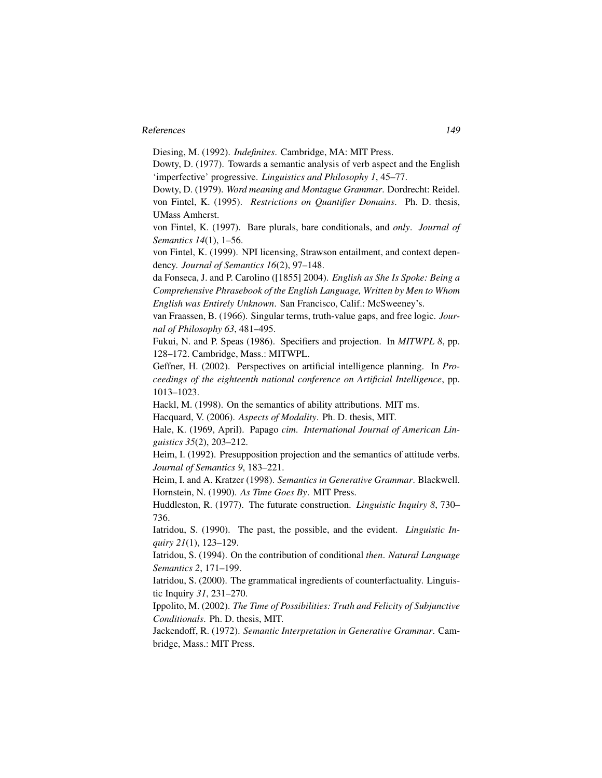## References 149

Diesing, M. (1992). *Indefinites*. Cambridge, MA: MIT Press.

Dowty, D. (1977). Towards a semantic analysis of verb aspect and the English 'imperfective' progressive. *Linguistics and Philosophy 1*, 45–77.

Dowty, D. (1979). *Word meaning and Montague Grammar*. Dordrecht: Reidel. von Fintel, K. (1995). *Restrictions on Quantifier Domains*. Ph. D. thesis, UMass Amherst.

von Fintel, K. (1997). Bare plurals, bare conditionals, and *only*. *Journal of Semantics 14*(1), 1–56.

von Fintel, K. (1999). NPI licensing, Strawson entailment, and context dependency. *Journal of Semantics 16*(2), 97–148.

da Fonseca, J. and P. Carolino ([1855] 2004). *English as She Is Spoke: Being a Comprehensive Phrasebook of the English Language, Written by Men to Whom English was Entirely Unknown*. San Francisco, Calif.: McSweeney's.

van Fraassen, B. (1966). Singular terms, truth-value gaps, and free logic. *Journal of Philosophy 63*, 481–495.

Fukui, N. and P. Speas (1986). Specifiers and projection. In *MITWPL 8*, pp. 128–172. Cambridge, Mass.: MITWPL.

Geffner, H. (2002). Perspectives on artificial intelligence planning. In *Proceedings of the eighteenth national conference on Artificial Intelligence*, pp. 1013–1023.

Hackl, M. (1998). On the semantics of ability attributions. MIT ms.

Hacquard, V. (2006). *Aspects of Modality*. Ph. D. thesis, MIT.

Hale, K. (1969, April). Papago *cim*. *International Journal of American Linguistics 35*(2), 203–212.

Heim, I. (1992). Presupposition projection and the semantics of attitude verbs. *Journal of Semantics 9*, 183–221.

Heim, I. and A. Kratzer (1998). *Semantics in Generative Grammar*. Blackwell. Hornstein, N. (1990). *As Time Goes By*. MIT Press.

Huddleston, R. (1977). The futurate construction. *Linguistic Inquiry 8*, 730– 736.

Iatridou, S. (1990). The past, the possible, and the evident. *Linguistic Inquiry 21*(1), 123–129.

Iatridou, S. (1994). On the contribution of conditional *then*. *Natural Language Semantics 2*, 171–199.

Iatridou, S. (2000). The grammatical ingredients of counterfactuality. Linguistic Inquiry *31*, 231–270.

Ippolito, M. (2002). *The Time of Possibilities: Truth and Felicity of Subjunctive Conditionals*. Ph. D. thesis, MIT.

Jackendoff, R. (1972). *Semantic Interpretation in Generative Grammar*. Cambridge, Mass.: MIT Press.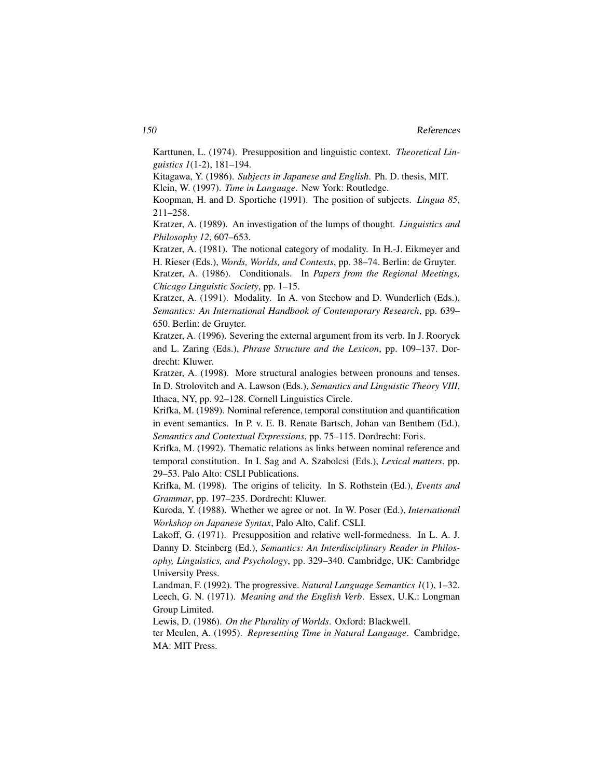Karttunen, L. (1974). Presupposition and linguistic context. *Theoretical Linguistics 1*(1-2), 181–194.

Kitagawa, Y. (1986). *Subjects in Japanese and English*. Ph. D. thesis, MIT. Klein, W. (1997). *Time in Language*. New York: Routledge.

Koopman, H. and D. Sportiche (1991). The position of subjects. *Lingua 85*, 211–258.

Kratzer, A. (1989). An investigation of the lumps of thought. *Linguistics and Philosophy 12*, 607–653.

Kratzer, A. (1981). The notional category of modality. In H.-J. Eikmeyer and H. Rieser (Eds.), *Words, Worlds, and Contexts*, pp. 38–74. Berlin: de Gruyter.

Kratzer, A. (1986). Conditionals. In *Papers from the Regional Meetings, Chicago Linguistic Society*, pp. 1–15.

Kratzer, A. (1991). Modality. In A. von Stechow and D. Wunderlich (Eds.), *Semantics: An International Handbook of Contemporary Research*, pp. 639– 650. Berlin: de Gruyter.

Kratzer, A. (1996). Severing the external argument from its verb. In J. Rooryck and L. Zaring (Eds.), *Phrase Structure and the Lexicon*, pp. 109–137. Dordrecht: Kluwer.

Kratzer, A. (1998). More structural analogies between pronouns and tenses. In D. Strolovitch and A. Lawson (Eds.), *Semantics and Linguistic Theory VIII*, Ithaca, NY, pp. 92–128. Cornell Linguistics Circle.

Krifka, M. (1989). Nominal reference, temporal constitution and quantification in event semantics. In P. v. E. B. Renate Bartsch, Johan van Benthem (Ed.), *Semantics and Contextual Expressions*, pp. 75–115. Dordrecht: Foris.

Krifka, M. (1992). Thematic relations as links between nominal reference and temporal constitution. In I. Sag and A. Szabolcsi (Eds.), *Lexical matters*, pp. 29–53. Palo Alto: CSLI Publications.

Krifka, M. (1998). The origins of telicity. In S. Rothstein (Ed.), *Events and Grammar*, pp. 197–235. Dordrecht: Kluwer.

Kuroda, Y. (1988). Whether we agree or not. In W. Poser (Ed.), *International Workshop on Japanese Syntax*, Palo Alto, Calif. CSLI.

Lakoff, G. (1971). Presupposition and relative well-formedness. In L. A. J. Danny D. Steinberg (Ed.), *Semantics: An Interdisciplinary Reader in Philosophy, Linguistics, and Psychology*, pp. 329–340. Cambridge, UK: Cambridge University Press.

Landman, F. (1992). The progressive. *Natural Language Semantics 1*(1), 1–32. Leech, G. N. (1971). *Meaning and the English Verb*. Essex, U.K.: Longman Group Limited.

Lewis, D. (1986). *On the Plurality of Worlds*. Oxford: Blackwell.

ter Meulen, A. (1995). *Representing Time in Natural Language*. Cambridge, MA: MIT Press.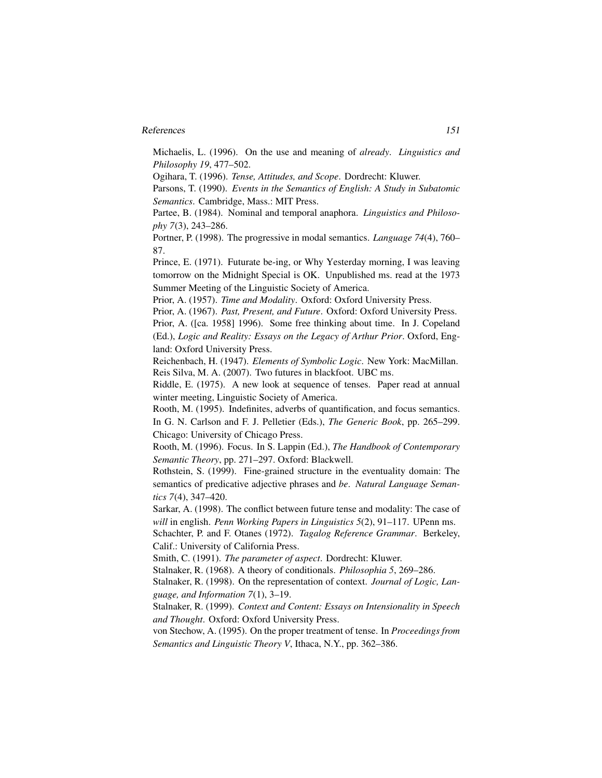## References 151

Michaelis, L. (1996). On the use and meaning of *already*. *Linguistics and Philosophy 19*, 477–502.

Ogihara, T. (1996). *Tense, Attitudes, and Scope*. Dordrecht: Kluwer.

Parsons, T. (1990). *Events in the Semantics of English: A Study in Subatomic Semantics*. Cambridge, Mass.: MIT Press.

Partee, B. (1984). Nominal and temporal anaphora. *Linguistics and Philosophy 7*(3), 243–286.

Portner, P. (1998). The progressive in modal semantics. *Language 74*(4), 760– 87.

Prince, E. (1971). Futurate be-ing, or Why Yesterday morning, I was leaving tomorrow on the Midnight Special is OK. Unpublished ms. read at the 1973 Summer Meeting of the Linguistic Society of America.

Prior, A. (1957). *Time and Modality*. Oxford: Oxford University Press.

Prior, A. (1967). *Past, Present, and Future*. Oxford: Oxford University Press.

Prior, A. ([ca. 1958] 1996). Some free thinking about time. In J. Copeland

(Ed.), *Logic and Reality: Essays on the Legacy of Arthur Prior*. Oxford, England: Oxford University Press.

Reichenbach, H. (1947). *Elements of Symbolic Logic*. New York: MacMillan. Reis Silva, M. A. (2007). Two futures in blackfoot. UBC ms.

Riddle, E. (1975). A new look at sequence of tenses. Paper read at annual winter meeting, Linguistic Society of America.

Rooth, M. (1995). Indefinites, adverbs of quantification, and focus semantics. In G. N. Carlson and F. J. Pelletier (Eds.), *The Generic Book*, pp. 265–299. Chicago: University of Chicago Press.

Rooth, M. (1996). Focus. In S. Lappin (Ed.), *The Handbook of Contemporary Semantic Theory*, pp. 271–297. Oxford: Blackwell.

Rothstein, S. (1999). Fine-grained structure in the eventuality domain: The semantics of predicative adjective phrases and *be*. *Natural Language Semantics 7*(4), 347–420.

Sarkar, A. (1998). The conflict between future tense and modality: The case of *will* in english. *Penn Working Papers in Linguistics 5*(2), 91–117. UPenn ms.

Schachter, P. and F. Otanes (1972). *Tagalog Reference Grammar*. Berkeley, Calif.: University of California Press.

Smith, C. (1991). *The parameter of aspect*. Dordrecht: Kluwer.

Stalnaker, R. (1968). A theory of conditionals. *Philosophia 5*, 269–286.

Stalnaker, R. (1998). On the representation of context. *Journal of Logic, Language, and Information 7*(1), 3–19.

Stalnaker, R. (1999). *Context and Content: Essays on Intensionality in Speech and Thought*. Oxford: Oxford University Press.

von Stechow, A. (1995). On the proper treatment of tense. In *Proceedings from Semantics and Linguistic Theory V*, Ithaca, N.Y., pp. 362–386.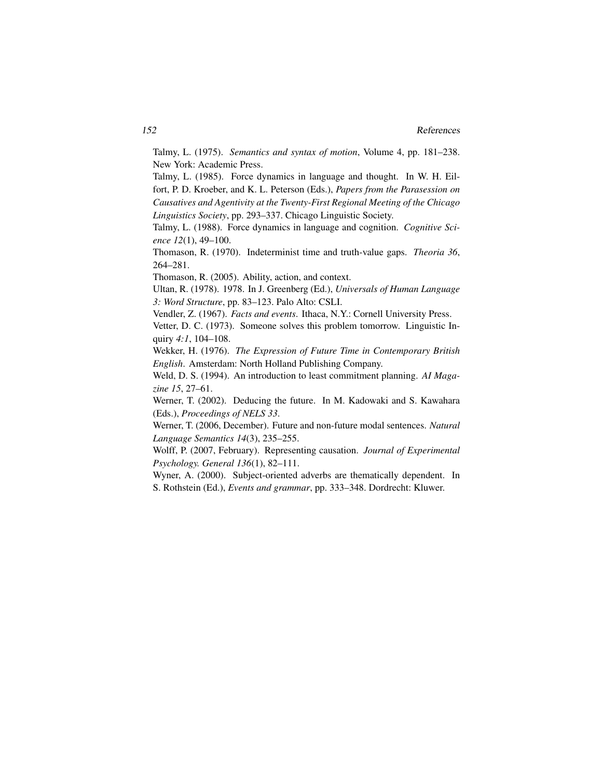Talmy, L. (1975). *Semantics and syntax of motion*, Volume 4, pp. 181–238. New York: Academic Press.

Talmy, L. (1985). Force dynamics in language and thought. In W. H. Eilfort, P. D. Kroeber, and K. L. Peterson (Eds.), *Papers from the Parasession on Causatives and Agentivity at the Twenty-First Regional Meeting of the Chicago Linguistics Society*, pp. 293–337. Chicago Linguistic Society.

Talmy, L. (1988). Force dynamics in language and cognition. *Cognitive Science 12*(1), 49–100.

Thomason, R. (1970). Indeterminist time and truth-value gaps. *Theoria 36*, 264–281.

Thomason, R. (2005). Ability, action, and context.

Ultan, R. (1978). 1978. In J. Greenberg (Ed.), *Universals of Human Language 3: Word Structure*, pp. 83–123. Palo Alto: CSLI.

Vendler, Z. (1967). *Facts and events*. Ithaca, N.Y.: Cornell University Press.

Vetter, D. C. (1973). Someone solves this problem tomorrow. Linguistic Inquiry *4:1*, 104–108.

Wekker, H. (1976). *The Expression of Future Time in Contemporary British English*. Amsterdam: North Holland Publishing Company.

Weld, D. S. (1994). An introduction to least commitment planning. *AI Magazine 15*, 27–61.

Werner, T. (2002). Deducing the future. In M. Kadowaki and S. Kawahara (Eds.), *Proceedings of NELS 33*.

Werner, T. (2006, December). Future and non-future modal sentences. *Natural Language Semantics 14*(3), 235–255.

Wolff, P. (2007, February). Representing causation. *Journal of Experimental Psychology. General 136*(1), 82–111.

Wyner, A. (2000). Subject-oriented adverbs are thematically dependent. In S. Rothstein (Ed.), *Events and grammar*, pp. 333–348. Dordrecht: Kluwer.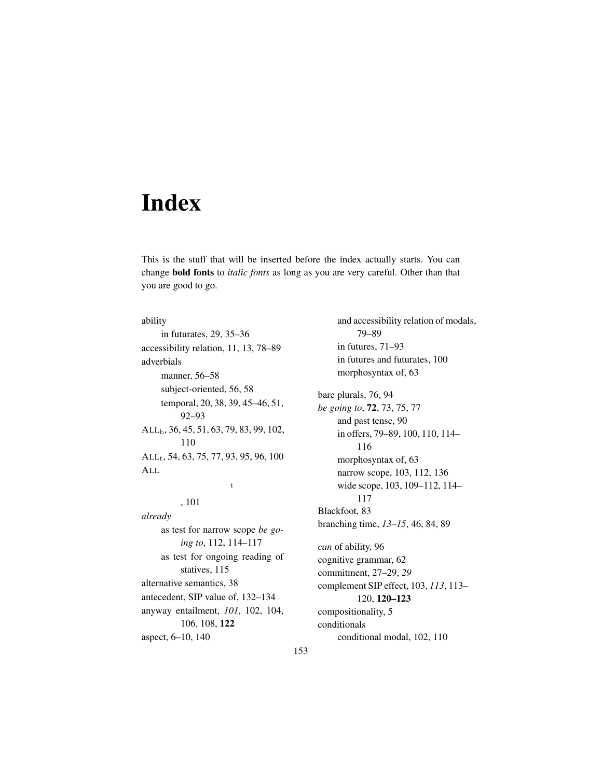This is the stuff that will be inserted before the index actually starts. You can change bold fonts to *italic fonts* as long as you are very careful. Other than that you are good to go.

## ability

in futurates, 29, 35–36 accessibility relation, 11, 13, 78–89 adverbials manner, 56–58 subject-oriented, 56, 58 temporal, 20, 38, 39, 45–46, 51, 92–93 ALLb, 36, 45, 51, 63, 79, 83, 99, 102, 110 ALLt, 54, 63, 75, 77, 93, 95, 96, 100 ALL t , 101 *already* as test for narrow scope *be going to*, 112, 114–117

as test for ongoing reading of statives, 115 alternative semantics, 38 antecedent, SIP value of, 132–134 anyway entailment, *101*, 102, 104, 106, 108, 122 aspect, 6–10, 140

and accessibility relation of modals, 79–89 in futures, 71–93 in futures and futurates, 100 morphosyntax of, 63 bare plurals, 76, 94 *be going to*, 72, 73, 75, 77 and past tense, 90 in offers, 79–89, 100, 110, 114– 116 morphosyntax of, 63 narrow scope, 103, 112, 136

wide scope, 103, 109–112, 114– 117 Blackfoot, 83 branching time, *13–15*, 46, 84, 89

*can* of ability, 96 cognitive grammar, 62 commitment, 27–29, *29* complement SIP effect, 103, *113*, 113– 120, 120–123 compositionality, 5 conditionals conditional modal, 102, 110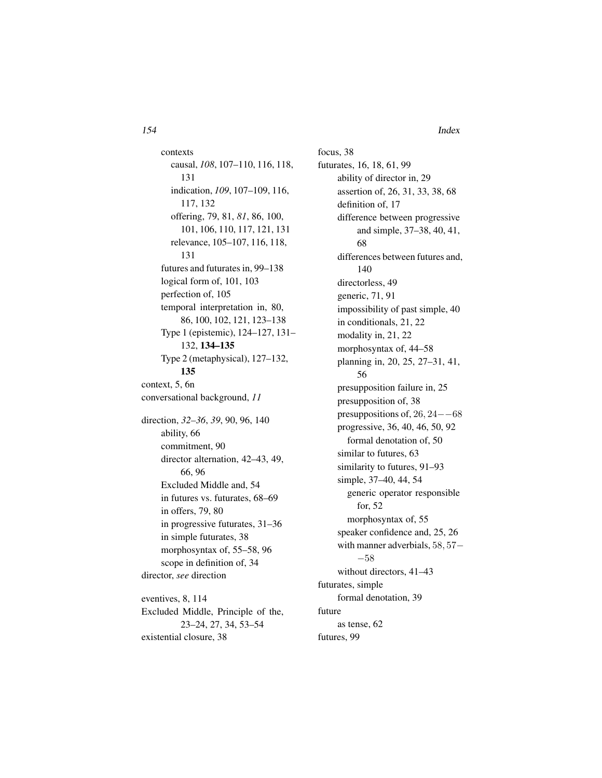contexts causal, *108*, 107–110, 116, 118, 131 indication, *109*, 107–109, 116, 117, 132 offering, 79, 81, *81*, 86, 100, 101, 106, 110, 117, 121, 131 relevance, 105–107, 116, 118, 131 futures and futurates in, 99–138 logical form of, 101, 103 perfection of, 105 temporal interpretation in, 80, 86, 100, 102, 121, 123–138 Type 1 (epistemic), 124–127, 131– 132, 134–135 Type 2 (metaphysical), 127–132, 135 context, 5, 6n conversational background, *11* direction, *32–36*, *39*, 90, 96, 140 ability, 66 commitment, 90 director alternation, 42–43, 49, 66, 96 Excluded Middle and, 54 in futures vs. futurates, 68–69 in offers, 79, 80 in progressive futurates, 31–36 in simple futurates, 38 morphosyntax of, 55–58, 96 scope in definition of, 34 director, *see* direction eventives, 8, 114 Excluded Middle, Principle of the, 23–24, 27, 34, 53–54

existential closure, 38

focus, 38 futurates, 16, 18, 61, 99 ability of director in, 29 assertion of, 26, 31, 33, 38, 68 definition of, 17 difference between progressive and simple, 37–38, 40, 41, 68 differences between futures and, 140 directorless, 49 generic, 71, 91 impossibility of past simple, 40 in conditionals, 21, 22 modality in, 21, 22 morphosyntax of, 44–58 planning in, 20, 25, 27–31, 41, 56 presupposition failure in, 25 presupposition of, 38 presuppositions of, 26, 24−−68 progressive, 36, 40, 46, 50, 92 formal denotation of, 50 similar to futures, 63 similarity to futures, 91–93 simple, 37–40, 44, 54 generic operator responsible for, 52 morphosyntax of, 55 speaker confidence and, 25, 26 with manner adverbials, 58, 57− −58 without directors, 41–43 futurates, simple formal denotation, 39 future as tense, 62 futures, 99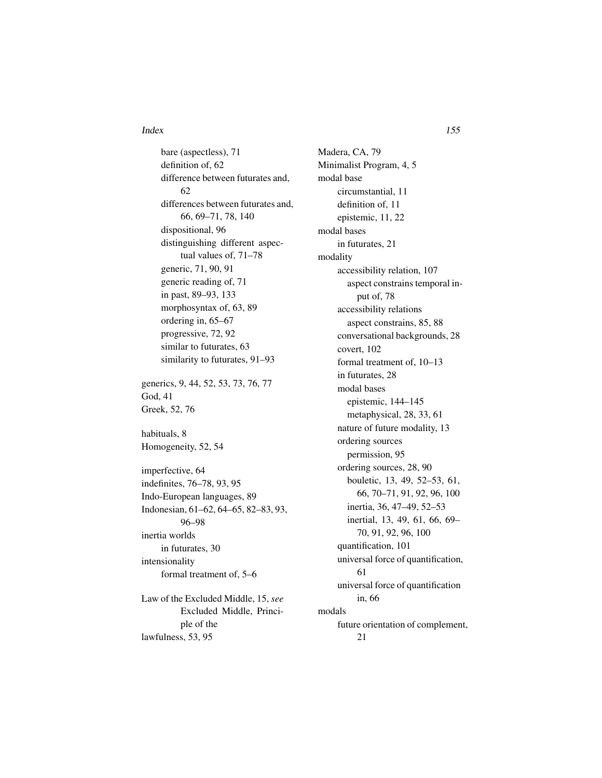bare (aspectless), 71 definition of, 62 difference between futurates and, 62 differences between futurates and, 66, 69–71, 78, 140 dispositional, 96 distinguishing different aspectual values of, 71–78 generic, 71, 90, 91 generic reading of, 71 in past, 89–93, 133 morphosyntax of, 63, 89 ordering in, 65–67 progressive, 72, 92 similar to futurates, 63 similarity to futurates, 91–93 generics, 9, 44, 52, 53, 73, 76, 77 God, 41 Greek, 52, 76 habituals, 8 Homogeneity, 52, 54 imperfective, 64 indefinites, 76–78, 93, 95 Indo-European languages, 89 Indonesian, 61–62, 64–65, 82–83, 93, 96–98 inertia worlds in futurates, 30 intensionality formal treatment of, 5–6 Law of the Excluded Middle, 15, *see* Excluded Middle, Principle of the lawfulness, 53, 95

Madera, CA, 79 Minimalist Program, 4, 5 modal base circumstantial, 11 definition of, 11 epistemic, 11, 22 modal bases in futurates, 21 modality accessibility relation, 107 aspect constrains temporal input of, 78 accessibility relations aspect constrains, 85, 88 conversational backgrounds, 28 covert, 102 formal treatment of, 10–13 in futurates, 28 modal bases epistemic, 144–145 metaphysical, 28, 33, 61 nature of future modality, 13 ordering sources permission, 95 ordering sources, 28, 90 bouletic, 13, 49, 52–53, 61, 66, 70–71, 91, 92, 96, 100 inertia, 36, 47–49, 52–53 inertial, 13, 49, 61, 66, 69– 70, 91, 92, 96, 100 quantification, 101 universal force of quantification, 61 universal force of quantification in, 66 modals future orientation of complement, 21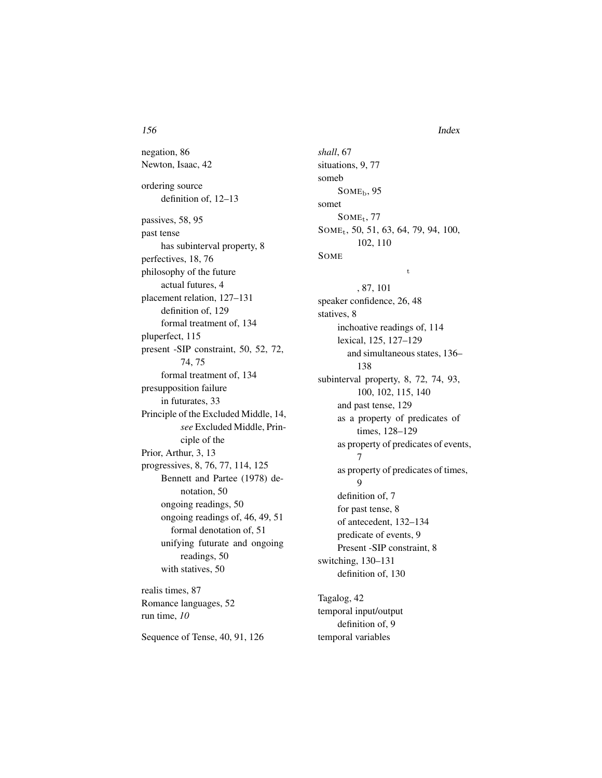negation, 86 Newton, Isaac, 42 ordering source definition of, 12–13 passives, 58, 95 past tense has subinterval property, 8 perfectives, 18, 76 philosophy of the future actual futures, 4 placement relation, 127–131 definition of, 129 formal treatment of, 134 pluperfect, 115 present -SIP constraint, 50, 52, 72, 74, 75 formal treatment of, 134 presupposition failure in futurates, 33 Principle of the Excluded Middle, 14, *see* Excluded Middle, Principle of the Prior, Arthur, 3, 13 progressives, 8, 76, 77, 114, 125 Bennett and Partee (1978) denotation, 50 ongoing readings, 50 ongoing readings of, 46, 49, 51 formal denotation of, 51 unifying futurate and ongoing readings, 50 with statives, 50 realis times, 87 Romance languages, 52 run time, *10*

Sequence of Tense, 40, 91, 126

*shall*, 67 situations, 9, 77 someb SOME<sub>b</sub>, 95 somet  $SOME_t$ , 77 SOMEt, 50, 51, 63, 64, 79, 94, 100, 102, 110 SOME t , 87, 101 speaker confidence, 26, 48 statives, 8 inchoative readings of, 114 lexical, 125, 127–129 and simultaneous states, 136– 138 subinterval property, 8, 72, 74, 93, 100, 102, 115, 140 and past tense, 129 as a property of predicates of times, 128–129 as property of predicates of events, 7 as property of predicates of times, 9 definition of, 7 for past tense, 8 of antecedent, 132–134 predicate of events, 9 Present -SIP constraint, 8 switching, 130–131 definition of, 130 Tagalog, 42 temporal input/output definition of, 9

temporal variables